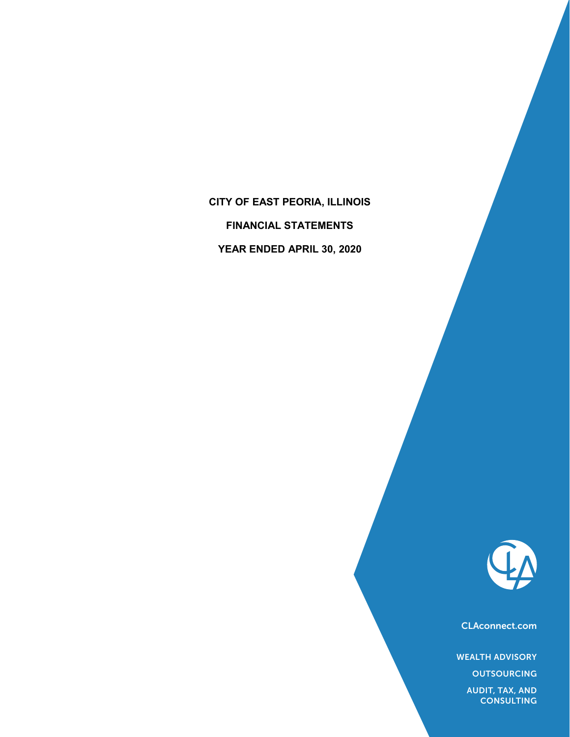# **CITY OF EAST PEORIA, ILLINOIS FINANCIAL STATEMENTS**

**YEAR ENDED APRIL 30, 2020**



CLAconnect.com

WEALTH ADVISORY

**OUTSOURCING** 

AUDIT, TAX, AND **CONSULTING**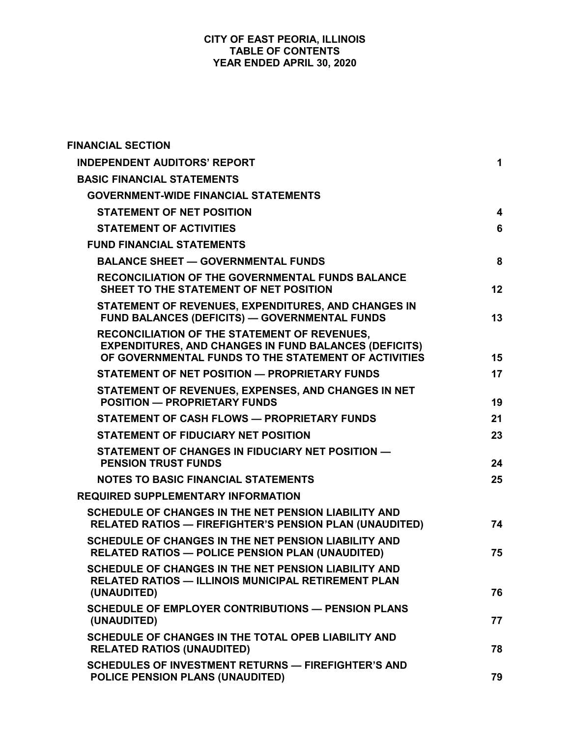#### **CITY OF EAST PEORIA, ILLINOIS TABLE OF CONTENTS YEAR ENDED APRIL 30, 2020**

| <b>FINANCIAL SECTION</b>                                                                                                                                             |                 |
|----------------------------------------------------------------------------------------------------------------------------------------------------------------------|-----------------|
| <b>INDEPENDENT AUDITORS' REPORT</b>                                                                                                                                  | 1               |
| <b>BASIC FINANCIAL STATEMENTS</b>                                                                                                                                    |                 |
| <b>GOVERNMENT-WIDE FINANCIAL STATEMENTS</b>                                                                                                                          |                 |
| <b>STATEMENT OF NET POSITION</b>                                                                                                                                     | 4               |
| <b>STATEMENT OF ACTIVITIES</b>                                                                                                                                       | $6\phantom{1}6$ |
| <b>FUND FINANCIAL STATEMENTS</b>                                                                                                                                     |                 |
| <b>BALANCE SHEET - GOVERNMENTAL FUNDS</b>                                                                                                                            | 8               |
| <b>RECONCILIATION OF THE GOVERNMENTAL FUNDS BALANCE</b><br>SHEET TO THE STATEMENT OF NET POSITION                                                                    | 12              |
| STATEMENT OF REVENUES, EXPENDITURES, AND CHANGES IN<br><b>FUND BALANCES (DEFICITS) - GOVERNMENTAL FUNDS</b>                                                          | 13              |
| RECONCILIATION OF THE STATEMENT OF REVENUES,<br><b>EXPENDITURES, AND CHANGES IN FUND BALANCES (DEFICITS)</b><br>OF GOVERNMENTAL FUNDS TO THE STATEMENT OF ACTIVITIES | 15              |
| STATEMENT OF NET POSITION - PROPRIETARY FUNDS                                                                                                                        | 17              |
| STATEMENT OF REVENUES, EXPENSES, AND CHANGES IN NET<br><b>POSITION - PROPRIETARY FUNDS</b>                                                                           | 19              |
| STATEMENT OF CASH FLOWS - PROPRIETARY FUNDS                                                                                                                          | 21              |
| <b>STATEMENT OF FIDUCIARY NET POSITION</b>                                                                                                                           | 23              |
| STATEMENT OF CHANGES IN FIDUCIARY NET POSITION -<br><b>PENSION TRUST FUNDS</b>                                                                                       | 24              |
| <b>NOTES TO BASIC FINANCIAL STATEMENTS</b>                                                                                                                           | 25              |
| <b>REQUIRED SUPPLEMENTARY INFORMATION</b>                                                                                                                            |                 |
| <b>SCHEDULE OF CHANGES IN THE NET PENSION LIABILITY AND</b><br><b>RELATED RATIOS — FIREFIGHTER'S PENSION PLAN (UNAUDITED)</b>                                        | 74              |
| SCHEDULE OF CHANGES IN THE NET PENSION LIABILITY AND<br><b>RELATED RATIOS - POLICE PENSION PLAN (UNAUDITED)</b>                                                      | 75              |
| <b>SCHEDULE OF CHANGES IN THE NET PENSION LIABILITY AND</b><br><b>RELATED RATIOS — ILLINOIS MUNICIPAL RETIREMENT PLAN</b><br>(UNAUDITED)                             | 76              |
| <b>SCHEDULE OF EMPLOYER CONTRIBUTIONS - PENSION PLANS</b><br>(UNAUDITED)                                                                                             | 77              |
| SCHEDULE OF CHANGES IN THE TOTAL OPEB LIABILITY AND<br><b>RELATED RATIOS (UNAUDITED)</b>                                                                             | 78              |
| SCHEDULES OF INVESTMENT RETURNS - FIREFIGHTER'S AND<br><b>POLICE PENSION PLANS (UNAUDITED)</b>                                                                       | 79              |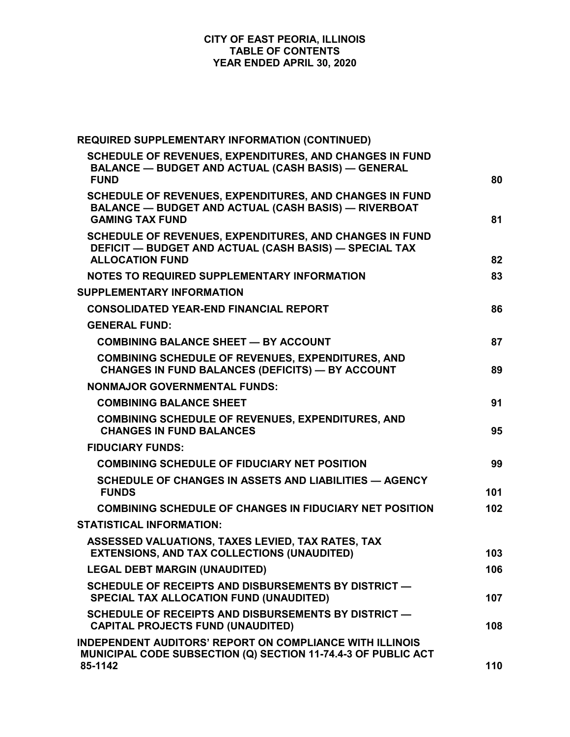#### **CITY OF EAST PEORIA, ILLINOIS TABLE OF CONTENTS YEAR ENDED APRIL 30, 2020**

| <b>REQUIRED SUPPLEMENTARY INFORMATION (CONTINUED)</b>                                                                                                   |     |
|---------------------------------------------------------------------------------------------------------------------------------------------------------|-----|
| SCHEDULE OF REVENUES, EXPENDITURES, AND CHANGES IN FUND<br><b>BALANCE - BUDGET AND ACTUAL (CASH BASIS) - GENERAL</b><br><b>FUND</b>                     | 80  |
| <b>SCHEDULE OF REVENUES, EXPENDITURES, AND CHANGES IN FUND</b><br><b>BALANCE - BUDGET AND ACTUAL (CASH BASIS) - RIVERBOAT</b><br><b>GAMING TAX FUND</b> | 81  |
| SCHEDULE OF REVENUES, EXPENDITURES, AND CHANGES IN FUND<br><b>DEFICIT - BUDGET AND ACTUAL (CASH BASIS) - SPECIAL TAX</b><br><b>ALLOCATION FUND</b>      | 82  |
| NOTES TO REQUIRED SUPPLEMENTARY INFORMATION                                                                                                             | 83  |
| <b>SUPPLEMENTARY INFORMATION</b>                                                                                                                        |     |
| <b>CONSOLIDATED YEAR-END FINANCIAL REPORT</b>                                                                                                           | 86  |
| <b>GENERAL FUND:</b>                                                                                                                                    |     |
| <b>COMBINING BALANCE SHEET - BY ACCOUNT</b>                                                                                                             | 87  |
| <b>COMBINING SCHEDULE OF REVENUES, EXPENDITURES, AND</b><br><b>CHANGES IN FUND BALANCES (DEFICITS) - BY ACCOUNT</b>                                     | 89  |
| <b>NONMAJOR GOVERNMENTAL FUNDS:</b>                                                                                                                     |     |
| <b>COMBINING BALANCE SHEET</b>                                                                                                                          | 91  |
| COMBINING SCHEDULE OF REVENUES, EXPENDITURES, AND<br><b>CHANGES IN FUND BALANCES</b>                                                                    | 95  |
| <b>FIDUCIARY FUNDS:</b>                                                                                                                                 |     |
| <b>COMBINING SCHEDULE OF FIDUCIARY NET POSITION</b>                                                                                                     | 99  |
| SCHEDULE OF CHANGES IN ASSETS AND LIABILITIES — AGENCY<br><b>FUNDS</b>                                                                                  | 101 |
| <b>COMBINING SCHEDULE OF CHANGES IN FIDUCIARY NET POSITION</b>                                                                                          | 102 |
| <b>STATISTICAL INFORMATION:</b>                                                                                                                         |     |
| ASSESSED VALUATIONS, TAXES LEVIED, TAX RATES, TAX<br><b>EXTENSIONS, AND TAX COLLECTIONS (UNAUDITED)</b>                                                 | 103 |
| <b>LEGAL DEBT MARGIN (UNAUDITED)</b>                                                                                                                    | 106 |
| SCHEDULE OF RECEIPTS AND DISBURSEMENTS BY DISTRICT -<br><b>SPECIAL TAX ALLOCATION FUND (UNAUDITED)</b>                                                  | 107 |
| SCHEDULE OF RECEIPTS AND DISBURSEMENTS BY DISTRICT -<br><b>CAPITAL PROJECTS FUND (UNAUDITED)</b>                                                        | 108 |
| <b>INDEPENDENT AUDITORS' REPORT ON COMPLIANCE WITH ILLINOIS</b><br>MUNICIPAL CODE SUBSECTION (Q) SECTION 11-74.4-3 OF PUBLIC ACT                        |     |
| 85-1142                                                                                                                                                 | 110 |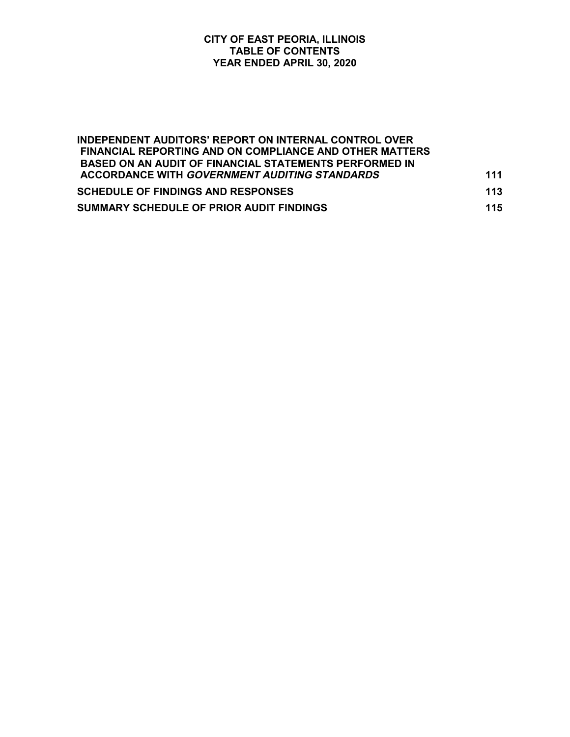#### **CITY OF EAST PEORIA, ILLINOIS TABLE OF CONTENTS YEAR ENDED APRIL 30, 2020**

| INDEPENDENT AUDITORS' REPORT ON INTERNAL CONTROL OVER          |     |
|----------------------------------------------------------------|-----|
| <b>FINANCIAL REPORTING AND ON COMPLIANCE AND OTHER MATTERS</b> |     |
| <b>BASED ON AN AUDIT OF FINANCIAL STATEMENTS PERFORMED IN</b>  |     |
| <b>ACCORDANCE WITH GOVERNMENT AUDITING STANDARDS</b>           | 111 |
| <b>SCHEDULE OF FINDINGS AND RESPONSES</b>                      | 113 |
| SUMMARY SCHEDULE OF PRIOR AUDIT FINDINGS                       | 115 |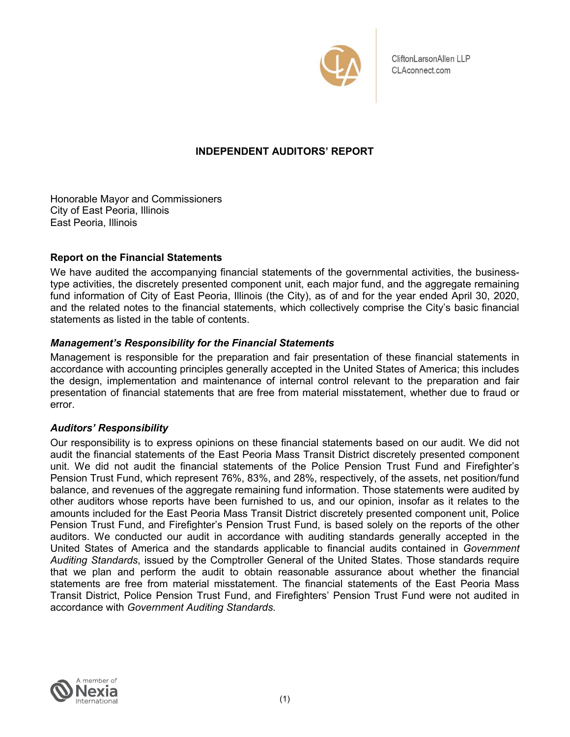

CliftonLarsonAllen LLP CLAconnect.com

# **INDEPENDENT AUDITORS' REPORT**

Honorable Mayor and Commissioners City of East Peoria, Illinois East Peoria, Illinois

# **Report on the Financial Statements**

We have audited the accompanying financial statements of the governmental activities, the businesstype activities, the discretely presented component unit, each major fund, and the aggregate remaining fund information of City of East Peoria, Illinois (the City), as of and for the year ended April 30, 2020, and the related notes to the financial statements, which collectively comprise the City's basic financial statements as listed in the table of contents.

# *Management's Responsibility for the Financial Statements*

Management is responsible for the preparation and fair presentation of these financial statements in accordance with accounting principles generally accepted in the United States of America; this includes the design, implementation and maintenance of internal control relevant to the preparation and fair presentation of financial statements that are free from material misstatement, whether due to fraud or error.

# *Auditors' Responsibility*

Our responsibility is to express opinions on these financial statements based on our audit. We did not audit the financial statements of the East Peoria Mass Transit District discretely presented component unit. We did not audit the financial statements of the Police Pension Trust Fund and Firefighter's Pension Trust Fund, which represent 76%, 83%, and 28%, respectively, of the assets, net position/fund balance, and revenues of the aggregate remaining fund information. Those statements were audited by other auditors whose reports have been furnished to us, and our opinion, insofar as it relates to the amounts included for the East Peoria Mass Transit District discretely presented component unit, Police Pension Trust Fund, and Firefighter's Pension Trust Fund, is based solely on the reports of the other auditors. We conducted our audit in accordance with auditing standards generally accepted in the United States of America and the standards applicable to financial audits contained in *Government Auditing Standards*, issued by the Comptroller General of the United States. Those standards require that we plan and perform the audit to obtain reasonable assurance about whether the financial statements are free from material misstatement. The financial statements of the East Peoria Mass Transit District, Police Pension Trust Fund, and Firefighters' Pension Trust Fund were not audited in accordance with *Government Auditing Standards*.

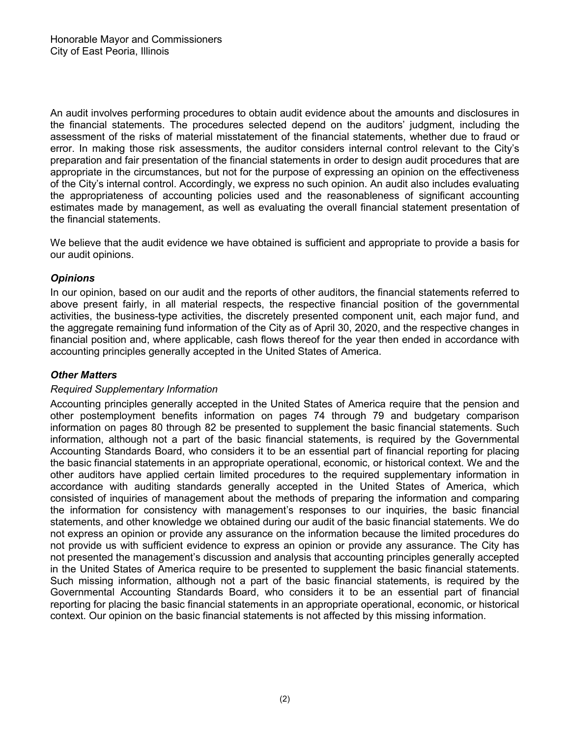An audit involves performing procedures to obtain audit evidence about the amounts and disclosures in the financial statements. The procedures selected depend on the auditors' judgment, including the assessment of the risks of material misstatement of the financial statements, whether due to fraud or error. In making those risk assessments, the auditor considers internal control relevant to the City's preparation and fair presentation of the financial statements in order to design audit procedures that are appropriate in the circumstances, but not for the purpose of expressing an opinion on the effectiveness of the City's internal control. Accordingly, we express no such opinion. An audit also includes evaluating the appropriateness of accounting policies used and the reasonableness of significant accounting estimates made by management, as well as evaluating the overall financial statement presentation of the financial statements.

We believe that the audit evidence we have obtained is sufficient and appropriate to provide a basis for our audit opinions.

# *Opinions*

In our opinion, based on our audit and the reports of other auditors, the financial statements referred to above present fairly, in all material respects, the respective financial position of the governmental activities, the business-type activities, the discretely presented component unit, each major fund, and the aggregate remaining fund information of the City as of April 30, 2020, and the respective changes in financial position and, where applicable, cash flows thereof for the year then ended in accordance with accounting principles generally accepted in the United States of America.

# *Other Matters*

# *Required Supplementary Information*

Accounting principles generally accepted in the United States of America require that the pension and other postemployment benefits information on pages 74 through 79 and budgetary comparison information on pages 80 through 82 be presented to supplement the basic financial statements. Such information, although not a part of the basic financial statements, is required by the Governmental Accounting Standards Board, who considers it to be an essential part of financial reporting for placing the basic financial statements in an appropriate operational, economic, or historical context. We and the other auditors have applied certain limited procedures to the required supplementary information in accordance with auditing standards generally accepted in the United States of America, which consisted of inquiries of management about the methods of preparing the information and comparing the information for consistency with management's responses to our inquiries, the basic financial statements, and other knowledge we obtained during our audit of the basic financial statements. We do not express an opinion or provide any assurance on the information because the limited procedures do not provide us with sufficient evidence to express an opinion or provide any assurance. The City has not presented the management's discussion and analysis that accounting principles generally accepted in the United States of America require to be presented to supplement the basic financial statements. Such missing information, although not a part of the basic financial statements, is required by the Governmental Accounting Standards Board, who considers it to be an essential part of financial reporting for placing the basic financial statements in an appropriate operational, economic, or historical context. Our opinion on the basic financial statements is not affected by this missing information.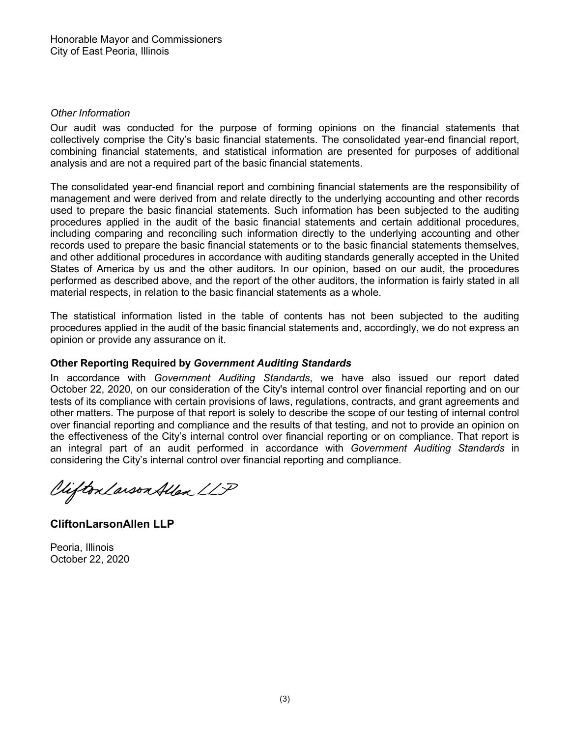## *Other Information*

Our audit was conducted for the purpose of forming opinions on the financial statements that collectively comprise the City's basic financial statements. The consolidated year-end financial report, combining financial statements, and statistical information are presented for purposes of additional analysis and are not a required part of the basic financial statements.

The consolidated year-end financial report and combining financial statements are the responsibility of management and were derived from and relate directly to the underlying accounting and other records used to prepare the basic financial statements. Such information has been subjected to the auditing procedures applied in the audit of the basic financial statements and certain additional procedures, including comparing and reconciling such information directly to the underlying accounting and other records used to prepare the basic financial statements or to the basic financial statements themselves, and other additional procedures in accordance with auditing standards generally accepted in the United States of America by us and the other auditors. In our opinion, based on our audit, the procedures performed as described above, and the report of the other auditors, the information is fairly stated in all material respects, in relation to the basic financial statements as a whole.

The statistical information listed in the table of contents has not been subjected to the auditing procedures applied in the audit of the basic financial statements and, accordingly, we do not express an opinion or provide any assurance on it.

# **Other Reporting Required by** *Government Auditing Standards*

In accordance with *Government Auditing Standards*, we have also issued our report dated October 22, 2020, on our consideration of the City's internal control over financial reporting and on our tests of its compliance with certain provisions of laws, regulations, contracts, and grant agreements and other matters. The purpose of that report is solely to describe the scope of our testing of internal control over financial reporting and compliance and the results of that testing, and not to provide an opinion on the effectiveness of the City's internal control over financial reporting or on compliance. That report is an integral part of an audit performed in accordance with *Government Auditing Standards* in considering the City's internal control over financial reporting and compliance.

Viifton Larson Allen LLP

**CliftonLarsonAllen LLP**

Peoria, Illinois October 22, 2020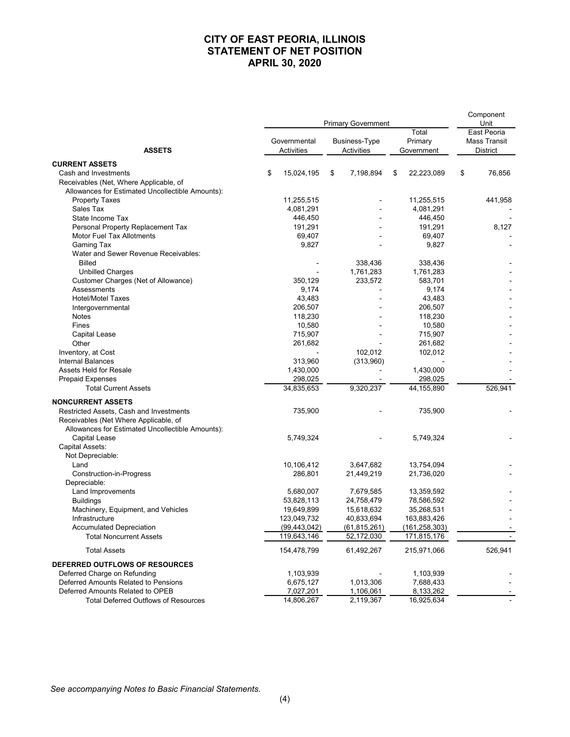## **CITY OF EAST PEORIA, ILLINOIS STATEMENT OF NET POSITION APRIL 30, 2020**

|                                                  |                                                         | Component<br>Unit           |                |                                |               |    |                                         |
|--------------------------------------------------|---------------------------------------------------------|-----------------------------|----------------|--------------------------------|---------------|----|-----------------------------------------|
| <b>ASSETS</b>                                    | <b>Primary Government</b><br>Governmental<br>Activities | Business-Type<br>Activities |                | Total<br>Primary<br>Government |               |    | East Peoria<br>Mass Transit<br>District |
| <b>CURRENT ASSETS</b>                            |                                                         |                             |                |                                |               |    |                                         |
| Cash and Investments                             | \$<br>15,024,195                                        | \$                          | 7,198,894      | \$                             | 22,223,089    | \$ | 76,856                                  |
| Receivables (Net, Where Applicable, of           |                                                         |                             |                |                                |               |    |                                         |
| Allowances for Estimated Uncollectible Amounts): |                                                         |                             |                |                                |               |    |                                         |
| <b>Property Taxes</b>                            | 11,255,515                                              |                             |                |                                | 11,255,515    |    | 441,958                                 |
| Sales Tax                                        | 4,081,291                                               |                             | $\overline{a}$ |                                | 4,081,291     |    |                                         |
| State Income Tax                                 | 446,450                                                 |                             |                |                                | 446,450       |    |                                         |
| Personal Property Replacement Tax                | 191,291                                                 |                             |                |                                | 191,291       |    | 8,127                                   |
| <b>Motor Fuel Tax Allotments</b>                 | 69,407                                                  |                             |                |                                | 69,407        |    |                                         |
| Gaming Tax                                       | 9,827                                                   |                             |                |                                | 9,827         |    |                                         |
| Water and Sewer Revenue Receivables:             |                                                         |                             |                |                                |               |    |                                         |
| <b>Billed</b>                                    |                                                         |                             | 338,436        |                                | 338,436       |    |                                         |
| <b>Unbilled Charges</b>                          |                                                         |                             | 1,761,283      |                                | 1,761,283     |    |                                         |
| Customer Charges (Net of Allowance)              | 350,129                                                 |                             | 233,572        |                                | 583,701       |    |                                         |
| Assessments                                      | 9,174                                                   |                             |                |                                | 9,174         |    |                                         |
| <b>Hotel/Motel Taxes</b>                         | 43.483                                                  |                             |                |                                | 43,483        |    |                                         |
|                                                  | 206,507                                                 |                             |                |                                | 206,507       |    |                                         |
| Intergovernmental<br>Notes                       | 118,230                                                 |                             |                |                                | 118,230       |    |                                         |
| Fines                                            | 10,580                                                  |                             |                |                                | 10,580        |    |                                         |
|                                                  |                                                         |                             |                |                                | 715,907       |    |                                         |
| Capital Lease                                    | 715,907                                                 |                             |                |                                |               |    |                                         |
| Other                                            | 261,682                                                 |                             |                |                                | 261,682       |    |                                         |
| Inventory, at Cost                               |                                                         |                             | 102,012        |                                | 102,012       |    |                                         |
| <b>Internal Balances</b>                         | 313,960                                                 |                             | (313,960)      |                                |               |    |                                         |
| Assets Held for Resale                           | 1,430,000                                               |                             |                |                                | 1,430,000     |    |                                         |
| <b>Prepaid Expenses</b>                          | 298,025                                                 |                             |                |                                | 298,025       |    |                                         |
| <b>Total Current Assets</b>                      | 34,835,653                                              |                             | 9,320,237      |                                | 44,155,890    |    | 526,941                                 |
| <b>NONCURRENT ASSETS</b>                         |                                                         |                             |                |                                |               |    |                                         |
| Restricted Assets, Cash and Investments          | 735,900                                                 |                             |                |                                | 735,900       |    |                                         |
| Receivables (Net Where Applicable, of            |                                                         |                             |                |                                |               |    |                                         |
| Allowances for Estimated Uncollectible Amounts): |                                                         |                             |                |                                |               |    |                                         |
| Capital Lease                                    | 5,749,324                                               |                             |                |                                | 5,749,324     |    |                                         |
| Capital Assets:                                  |                                                         |                             |                |                                |               |    |                                         |
| Not Depreciable:                                 |                                                         |                             |                |                                |               |    |                                         |
| Land                                             | 10,106,412                                              |                             | 3,647,682      |                                | 13,754,094    |    |                                         |
| Construction-in-Progress                         | 286,801                                                 |                             | 21,449,219     |                                | 21,736,020    |    |                                         |
| Depreciable:                                     |                                                         |                             |                |                                |               |    |                                         |
| Land Improvements                                | 5,680,007                                               |                             | 7,679,585      |                                | 13,359,592    |    |                                         |
| <b>Buildings</b>                                 | 53,828,113                                              |                             | 24,758,479     |                                | 78,586,592    |    |                                         |
| Machinery, Equipment, and Vehicles               | 19,649,899                                              |                             | 15,618,632     |                                | 35,268,531    |    |                                         |
| Infrastructure                                   | 123,049,732                                             |                             | 40,833,694     |                                | 163,883,426   |    |                                         |
| Accumulated Depreciation                         | (99443042)                                              |                             | (61815261)     |                                | (161.258.303) |    |                                         |
| <b>Total Noncurrent Assets</b>                   | 119,643,146                                             |                             | 52,172,030     |                                | 171,815,176   |    |                                         |
| <b>Total Assets</b>                              | 154,478,799                                             |                             | 61,492,267     |                                | 215,971,066   |    | 526,941                                 |
| DEFERRED OUTFLOWS OF RESOURCES                   |                                                         |                             |                |                                |               |    |                                         |
|                                                  |                                                         |                             |                |                                |               |    |                                         |
| Deferred Charge on Refunding                     | 1,103,939                                               |                             |                |                                | 1,103,939     |    |                                         |
| Deferred Amounts Related to Pensions             | 6,675,127                                               |                             | 1,013,306      |                                | 7,688,433     |    |                                         |
| Deferred Amounts Related to OPEB                 | 7,027,201                                               |                             | 1,106,061      |                                | 8,133,262     |    |                                         |
| <b>Total Deferred Outflows of Resources</b>      | 14,806,267                                              |                             | 2,119,367      |                                | 16,925,634    |    |                                         |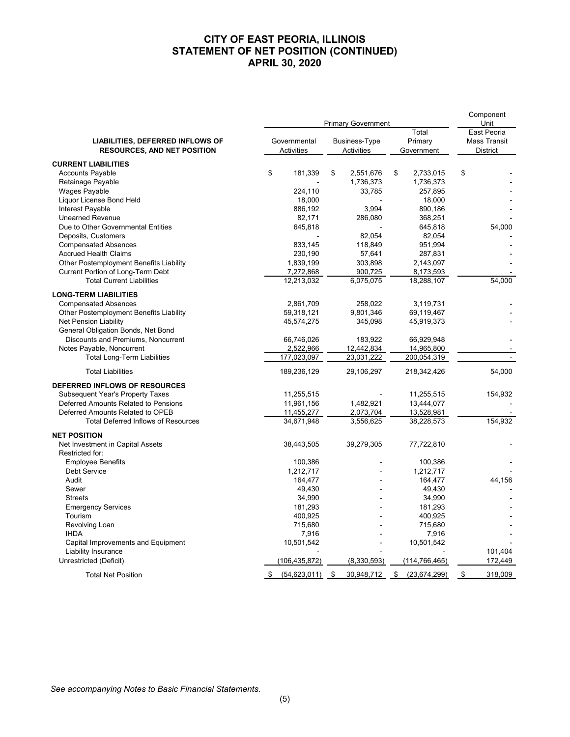## **CITY OF EAST PEORIA, ILLINOIS STATEMENT OF NET POSITION (CONTINUED) APRIL 30, 2020**

|                                                                        | <b>Primary Government</b> |                            |    |                                    |              |                                |    | Component<br>Unit                              |  |
|------------------------------------------------------------------------|---------------------------|----------------------------|----|------------------------------------|--------------|--------------------------------|----|------------------------------------------------|--|
| LIABILITIES, DEFERRED INFLOWS OF<br><b>RESOURCES, AND NET POSITION</b> |                           | Governmental<br>Activities |    | <b>Business-Type</b><br>Activities |              | Total<br>Primary<br>Government |    | East Peoria<br><b>Mass Transit</b><br>District |  |
| <b>CURRENT LIABILITIES</b>                                             |                           |                            |    |                                    |              |                                |    |                                                |  |
| <b>Accounts Payable</b>                                                | \$                        | 181,339                    | \$ | 2,551,676                          | \$           | 2,733,015                      | \$ |                                                |  |
| Retainage Payable                                                      |                           |                            |    | 1,736,373                          |              | 1,736,373                      |    |                                                |  |
| <b>Wages Payable</b>                                                   |                           | 224,110                    |    | 33,785                             |              | 257,895                        |    |                                                |  |
| Liquor License Bond Held                                               |                           | 18,000                     |    |                                    |              | 18,000                         |    |                                                |  |
| Interest Payable                                                       |                           | 886,192                    |    | 3,994                              |              | 890,186                        |    |                                                |  |
| <b>Unearned Revenue</b>                                                |                           | 82,171                     |    | 286,080                            |              | 368,251                        |    |                                                |  |
| Due to Other Governmental Entities                                     |                           | 645,818                    |    |                                    |              | 645,818                        |    | 54,000                                         |  |
| Deposits, Customers                                                    |                           |                            |    | 82,054                             |              | 82,054                         |    |                                                |  |
| <b>Compensated Absences</b>                                            |                           | 833,145                    |    | 118,849                            |              | 951,994                        |    |                                                |  |
| <b>Accrued Health Claims</b>                                           |                           | 230,190                    |    | 57,641                             |              | 287,831                        |    |                                                |  |
| Other Postemployment Benefits Liability                                |                           | 1,839,199                  |    | 303,898                            |              | 2,143,097                      |    |                                                |  |
| Current Portion of Long-Term Debt                                      |                           | 7,272,868                  |    | 900,725                            |              | 8,173,593                      |    |                                                |  |
| <b>Total Current Liabilities</b>                                       |                           | 12,213,032                 |    | 6,075,075                          |              | 18,288,107                     |    | 54.000                                         |  |
|                                                                        |                           |                            |    |                                    |              |                                |    |                                                |  |
| <b>LONG-TERM LIABILITIES</b>                                           |                           |                            |    |                                    |              |                                |    |                                                |  |
| <b>Compensated Absences</b>                                            |                           | 2,861,709                  |    | 258,022                            |              | 3,119,731                      |    |                                                |  |
| Other Postemployment Benefits Liability                                |                           | 59,318,121                 |    | 9,801,346                          |              | 69,119,467                     |    |                                                |  |
| <b>Net Pension Liability</b>                                           |                           | 45,574,275                 |    | 345,098                            |              | 45,919,373                     |    |                                                |  |
| General Obligation Bonds, Net Bond                                     |                           |                            |    |                                    |              |                                |    |                                                |  |
| Discounts and Premiums, Noncurrent                                     |                           | 66,746,026                 |    | 183,922                            |              | 66,929,948                     |    |                                                |  |
| Notes Payable, Noncurrent                                              |                           | 2,522,966                  |    | 12,442,834                         |              | 14,965,800                     |    |                                                |  |
| <b>Total Long-Term Liabilities</b>                                     |                           | 177,023,097                |    | 23,031,222                         |              | 200,054,319                    |    |                                                |  |
| <b>Total Liabilities</b>                                               |                           | 189,236,129                |    | 29,106,297                         |              | 218,342,426                    |    | 54,000                                         |  |
|                                                                        |                           |                            |    |                                    |              |                                |    |                                                |  |
| DEFERRED INFLOWS OF RESOURCES                                          |                           |                            |    |                                    |              |                                |    |                                                |  |
| <b>Subsequent Year's Property Taxes</b>                                |                           | 11,255,515                 |    |                                    |              | 11,255,515                     |    | 154,932                                        |  |
| Deferred Amounts Related to Pensions                                   |                           | 11,961,156                 |    | 1,482,921                          |              | 13,444,077                     |    |                                                |  |
| Deferred Amounts Related to OPEB                                       |                           | 11,455,277                 |    | 2,073,704                          |              | 13,528,981                     |    |                                                |  |
| <b>Total Deferred Inflows of Resources</b>                             |                           | 34,671,948                 |    | 3,556,625                          |              | 38,228,573                     |    | 154,932                                        |  |
| <b>NET POSITION</b>                                                    |                           |                            |    |                                    |              |                                |    |                                                |  |
| Net Investment in Capital Assets                                       |                           | 38,443,505                 |    | 39,279,305                         |              | 77,722,810                     |    |                                                |  |
| Restricted for:                                                        |                           |                            |    |                                    |              |                                |    |                                                |  |
| <b>Employee Benefits</b>                                               |                           | 100,386                    |    |                                    |              | 100,386                        |    |                                                |  |
| <b>Debt Service</b>                                                    |                           | 1,212,717                  |    | $\overline{a}$                     |              | 1,212,717                      |    |                                                |  |
| Audit                                                                  |                           | 164,477                    |    |                                    |              | 164,477                        |    | 44,156                                         |  |
| Sewer                                                                  |                           | 49,430                     |    | $\blacksquare$                     |              | 49,430                         |    |                                                |  |
| <b>Streets</b>                                                         |                           | 34,990                     |    |                                    |              | 34,990                         |    |                                                |  |
| <b>Emergency Services</b>                                              |                           | 181,293                    |    |                                    |              | 181,293                        |    |                                                |  |
| Tourism                                                                |                           | 400,925                    |    |                                    |              | 400,925                        |    |                                                |  |
| Revolving Loan                                                         |                           | 715,680                    |    |                                    |              | 715,680                        |    |                                                |  |
| <b>IHDA</b>                                                            |                           | 7,916                      |    |                                    |              | 7,916                          |    |                                                |  |
|                                                                        |                           |                            |    |                                    |              |                                |    |                                                |  |
| Capital Improvements and Equipment                                     |                           | 10,501,542                 |    |                                    |              | 10,501,542                     |    |                                                |  |
| Liability Insurance                                                    |                           |                            |    |                                    |              |                                |    | 101,404                                        |  |
| Unrestricted (Deficit)                                                 |                           | (106, 435, 872)            |    | (8,330,593)                        |              | (114, 766, 465)                |    | 172,449                                        |  |
| <b>Total Net Position</b>                                              |                           | \$ (54,623,011) \$         |    | 30,948,712                         | $\mathbb{S}$ | (23, 674, 299)                 | \$ | 318,009                                        |  |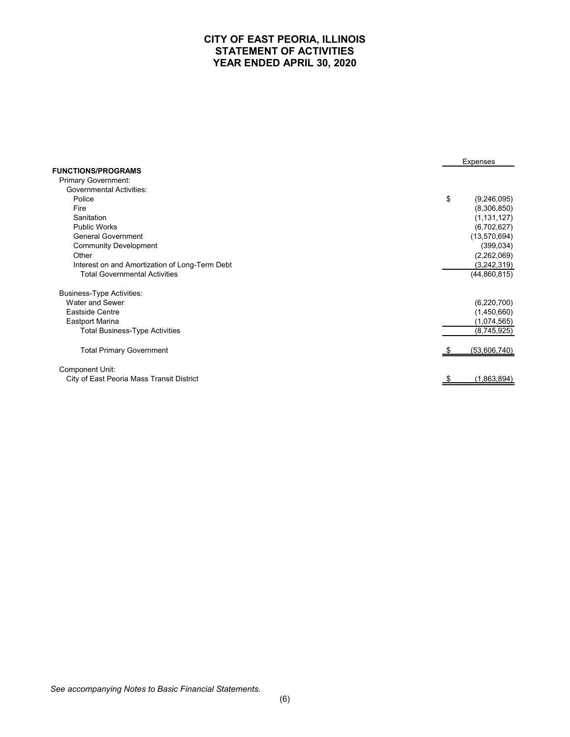## **CITY OF EAST PEORIA, ILLINOIS STATEMENT OF ACTIVITIES YEAR ENDED APRIL 30, 2020**

|                                                | <b>Expenses</b>   |
|------------------------------------------------|-------------------|
| <b>FUNCTIONS/PROGRAMS</b>                      |                   |
| <b>Primary Government:</b>                     |                   |
| Governmental Activities:                       |                   |
| Police                                         | \$<br>(9,246,095) |
| Fire                                           | (8,306,850)       |
| Sanitation                                     | (1, 131, 127)     |
| <b>Public Works</b>                            | (6,702,627)       |
| <b>General Government</b>                      | (13,570,694)      |
| <b>Community Development</b>                   | (399, 034)        |
| Other                                          | (2,262,069)       |
| Interest on and Amortization of Long-Term Debt | (3,242,319)       |
| <b>Total Governmental Activities</b>           | (44,860,815)      |
| Business-Type Activities:                      |                   |
| Water and Sewer                                | (6,220,700)       |
| Eastside Centre                                | (1,450,660)       |
| <b>Eastport Marina</b>                         | (1,074,565)       |
| <b>Total Business-Type Activities</b>          | (8,745,925)       |
| <b>Total Primary Government</b>                | (53,606,740)      |
| Component Unit:                                |                   |
| City of East Peoria Mass Transit District      | (1,863,894)       |
|                                                |                   |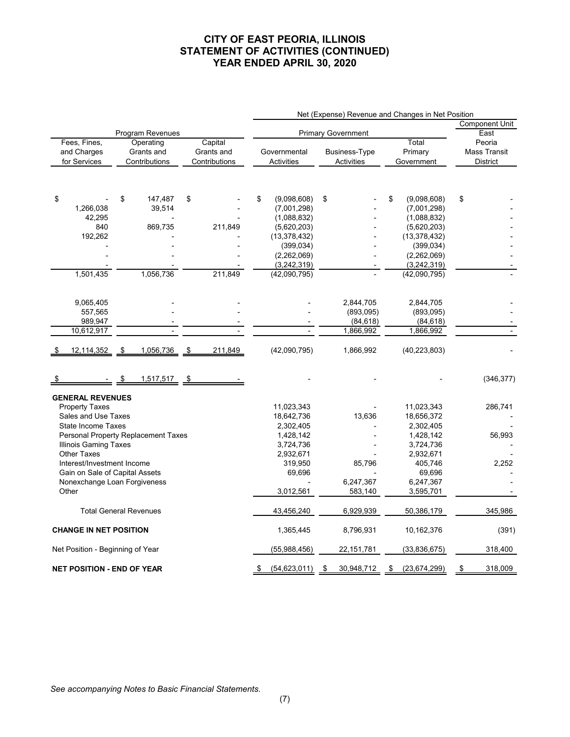## **CITY OF EAST PEORIA, ILLINOIS STATEMENT OF ACTIVITIES (CONTINUED) YEAR ENDED APRIL 30, 2020**

|                  |                                      |    |               |                |               |                           |    |               |     | Net (Expense) Revenue and Changes in Net Position |    |                       |  |
|------------------|--------------------------------------|----|---------------|----------------|---------------|---------------------------|----|---------------|-----|---------------------------------------------------|----|-----------------------|--|
|                  |                                      |    |               |                |               |                           |    |               |     |                                                   |    | <b>Component Unit</b> |  |
| Program Revenues |                                      |    |               |                |               | <b>Primary Government</b> |    |               |     |                                                   |    | East                  |  |
|                  | Fees, Fines,<br>Capital<br>Operating |    |               |                |               |                           |    | Total         |     | Peoria                                            |    |                       |  |
|                  | and Charges                          |    | Grants and    |                | Grants and    | Governmental              |    | Business-Type |     | Primary                                           |    | <b>Mass Transit</b>   |  |
|                  | for Services                         |    | Contributions |                | Contributions | Activities                |    | Activities    |     | Government                                        |    | <b>District</b>       |  |
|                  |                                      |    |               |                |               |                           |    |               |     |                                                   |    |                       |  |
| \$               |                                      | \$ | 147,487       | \$             |               | \$<br>(9,098,608)         | \$ |               | \$  | (9,098,608)                                       | \$ |                       |  |
|                  | 1,266,038                            |    | 39,514        |                |               | (7,001,298)               |    |               |     | (7,001,298)                                       |    |                       |  |
|                  | 42,295                               |    |               |                |               | (1,088,832)               |    |               |     | (1,088,832)                                       |    |                       |  |
|                  | 840                                  |    | 869,735       |                | 211,849       | (5,620,203)               |    |               |     | (5,620,203)                                       |    |                       |  |
|                  | 192,262                              |    |               |                |               | (13, 378, 432)            |    |               |     | (13, 378, 432)                                    |    |                       |  |
|                  |                                      |    |               |                |               | (399, 034)                |    |               |     | (399, 034)                                        |    |                       |  |
|                  |                                      |    |               |                |               | (2,262,069)               |    |               |     | (2,262,069)                                       |    |                       |  |
|                  |                                      |    |               |                |               | (3,242,319)               |    |               |     | (3,242,319)                                       |    |                       |  |
|                  | 1,501,435                            |    | 1,056,736     |                | 211,849       | (42,090,795)              |    |               |     | (42,090,795)                                      |    |                       |  |
|                  | 9,065,405                            |    |               |                |               |                           |    | 2,844,705     |     | 2,844,705                                         |    |                       |  |
|                  | 557,565                              |    |               |                |               |                           |    | (893,095)     |     | (893,095)                                         |    |                       |  |
|                  | 989,947                              |    |               |                |               |                           |    | (84, 618)     |     | (84, 618)                                         |    |                       |  |
|                  | 10,612,917                           |    |               |                |               |                           |    | 1,866,992     |     | 1,866,992                                         |    |                       |  |
|                  | 12,114,352                           | \$ | 1,056,736     | \$             | 211,849       | (42,090,795)              |    | 1,866,992     |     | (40, 223, 803)                                    |    |                       |  |
|                  |                                      |    | 1,517,517     | $\mathfrak{s}$ |               |                           |    |               |     |                                                   |    | (346, 377)            |  |
|                  | <b>GENERAL REVENUES</b>              |    |               |                |               |                           |    |               |     |                                                   |    |                       |  |
|                  | <b>Property Taxes</b>                |    |               |                |               | 11,023,343                |    |               |     | 11,023,343                                        |    | 286,741               |  |
|                  | Sales and Use Taxes                  |    |               |                |               | 18,642,736                |    | 13,636        |     | 18,656,372                                        |    |                       |  |
|                  | <b>State Income Taxes</b>            |    |               |                |               | 2,302,405                 |    |               |     | 2,302,405                                         |    |                       |  |
|                  | Personal Property Replacement Taxes  |    |               |                |               | 1,428,142                 |    |               |     | 1,428,142                                         |    | 56,993                |  |
|                  | <b>Illinois Gaming Taxes</b>         |    |               |                |               | 3,724,736                 |    |               |     | 3,724,736                                         |    |                       |  |
|                  | <b>Other Taxes</b>                   |    |               |                |               | 2,932,671                 |    |               |     | 2,932,671                                         |    |                       |  |
|                  | Interest/Investment Income           |    |               |                |               | 319,950                   |    | 85,796        |     | 405,746                                           |    | 2,252                 |  |
|                  | Gain on Sale of Capital Assets       |    |               |                |               | 69,696                    |    |               |     | 69,696                                            |    |                       |  |
|                  | Nonexchange Loan Forgiveness         |    |               |                |               |                           |    | 6,247,367     |     | 6,247,367                                         |    |                       |  |
|                  | Other                                |    |               |                |               | 3,012,561                 |    | 583,140       |     | 3,595,701                                         |    |                       |  |
|                  | <b>Total General Revenues</b>        |    |               |                |               | 43,456,240                |    | 6,929,939     |     | 50,386,179                                        |    | 345,986               |  |
|                  | <b>CHANGE IN NET POSITION</b>        |    |               |                |               | 1,365,445                 |    | 8,796,931     |     | 10,162,376                                        |    | (391)                 |  |
|                  | Net Position - Beginning of Year     |    |               |                |               | (55,988,456)              |    | 22, 151, 781  |     | (33,836,675)                                      |    | 318,400               |  |
|                  | <b>NET POSITION - END OF YEAR</b>    |    |               |                |               | (54, 623, 011)            | \$ | 30,948,712    | \$. | (23, 674, 299)                                    | £. | 318,009               |  |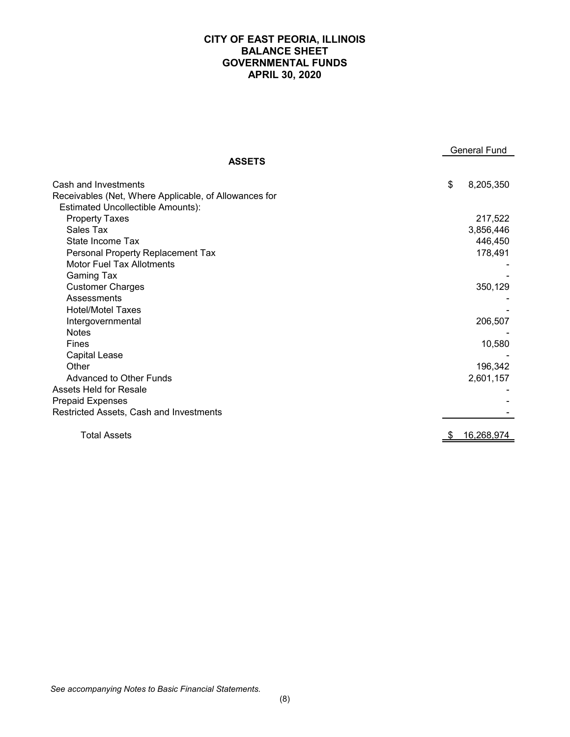## **CITY OF EAST PEORIA, ILLINOIS BALANCE SHEET GOVERNMENTAL FUNDS APRIL 30, 2020**

|                                                       |    | <b>General Fund</b> |
|-------------------------------------------------------|----|---------------------|
| <b>ASSETS</b>                                         |    |                     |
| Cash and Investments                                  | \$ | 8,205,350           |
| Receivables (Net, Where Applicable, of Allowances for |    |                     |
| <b>Estimated Uncollectible Amounts):</b>              |    |                     |
| <b>Property Taxes</b>                                 |    | 217,522             |
| Sales Tax                                             |    | 3,856,446           |
| State Income Tax                                      |    | 446,450             |
| Personal Property Replacement Tax                     |    | 178,491             |
| <b>Motor Fuel Tax Allotments</b>                      |    |                     |
| <b>Gaming Tax</b>                                     |    |                     |
| <b>Customer Charges</b>                               |    | 350,129             |
| Assessments                                           |    |                     |
| <b>Hotel/Motel Taxes</b>                              |    |                     |
| Intergovernmental                                     |    | 206,507             |
| <b>Notes</b>                                          |    |                     |
| <b>Fines</b>                                          |    | 10,580              |
| Capital Lease                                         |    |                     |
| Other                                                 |    | 196,342             |
| <b>Advanced to Other Funds</b>                        |    | 2,601,157           |
| Assets Held for Resale                                |    |                     |
| Prepaid Expenses                                      |    |                     |
| Restricted Assets, Cash and Investments               |    |                     |
| <b>Total Assets</b>                                   |    | 16,268,974          |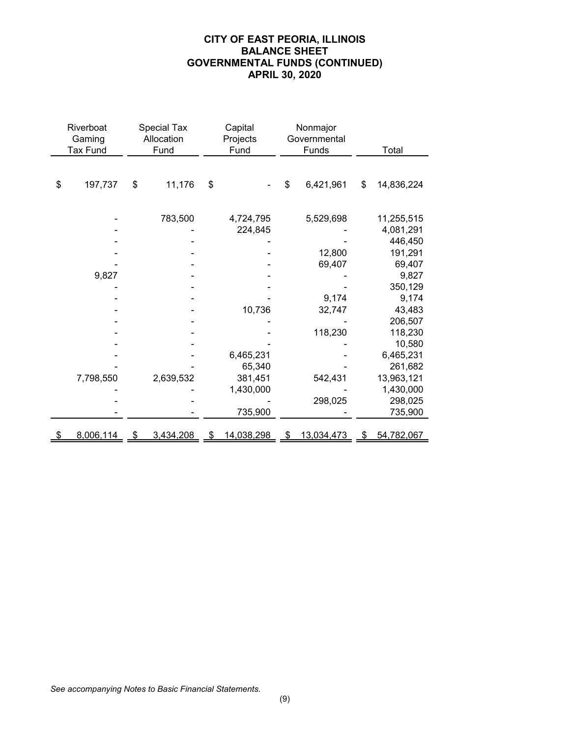# **CITY OF EAST PEORIA, ILLINOIS BALANCE SHEET GOVERNMENTAL FUNDS (CONTINUED) APRIL 30, 2020**

| Riverboat<br>Gaming<br><b>Tax Fund</b> |           | Special Tax<br>Allocation<br>Fund |           |    | Capital<br>Projects<br>Fund | Nonmajor<br>Governmental<br>Funds |    | Total      |
|----------------------------------------|-----------|-----------------------------------|-----------|----|-----------------------------|-----------------------------------|----|------------|
|                                        |           |                                   |           |    |                             |                                   |    |            |
| \$                                     | 197,737   | \$                                | 11,176    | \$ |                             | \$<br>6,421,961                   | \$ | 14,836,224 |
|                                        |           |                                   | 783,500   |    | 4,724,795                   | 5,529,698                         |    | 11,255,515 |
|                                        |           |                                   |           |    | 224,845                     |                                   |    | 4,081,291  |
|                                        |           |                                   |           |    |                             |                                   |    | 446,450    |
|                                        |           |                                   |           |    |                             | 12,800                            |    | 191,291    |
|                                        |           |                                   |           |    |                             | 69,407                            |    | 69,407     |
|                                        | 9,827     |                                   |           |    |                             |                                   |    | 9,827      |
|                                        |           |                                   |           |    |                             |                                   |    | 350,129    |
|                                        |           |                                   |           |    |                             | 9,174                             |    | 9,174      |
|                                        |           |                                   |           |    | 10,736                      | 32,747                            |    | 43,483     |
|                                        |           |                                   |           |    |                             |                                   |    | 206,507    |
|                                        |           |                                   |           |    |                             | 118,230                           |    | 118,230    |
|                                        |           |                                   |           |    |                             |                                   |    | 10,580     |
|                                        |           |                                   |           |    | 6,465,231                   |                                   |    | 6,465,231  |
|                                        |           |                                   |           |    | 65,340                      |                                   |    | 261,682    |
|                                        | 7,798,550 |                                   | 2,639,532 |    | 381,451                     | 542,431                           |    | 13,963,121 |
|                                        |           |                                   |           |    | 1,430,000                   |                                   |    | 1,430,000  |
|                                        |           |                                   |           |    |                             | 298,025                           |    | 298,025    |
|                                        |           |                                   |           |    | 735,900                     |                                   |    | 735,900    |
|                                        | 8,006,114 |                                   | 3,434,208 |    | 14,038,298                  | 13,034,473                        | S  | 54,782,067 |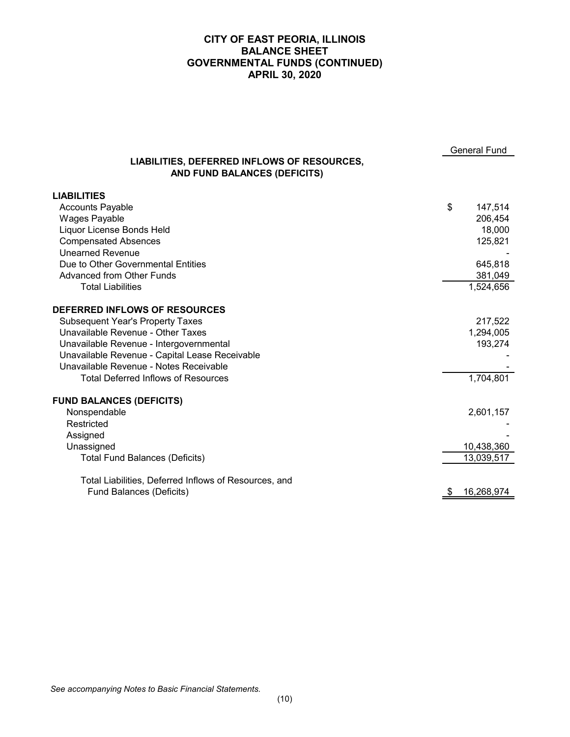# **CITY OF EAST PEORIA, ILLINOIS BALANCE SHEET GOVERNMENTAL FUNDS (CONTINUED) APRIL 30, 2020**

|                                                                             | <b>General Fund</b> |            |  |  |
|-----------------------------------------------------------------------------|---------------------|------------|--|--|
| LIABILITIES, DEFERRED INFLOWS OF RESOURCES,<br>AND FUND BALANCES (DEFICITS) |                     |            |  |  |
| <b>LIABILITIES</b>                                                          |                     |            |  |  |
| <b>Accounts Payable</b>                                                     | \$                  | 147,514    |  |  |
| <b>Wages Payable</b>                                                        |                     | 206,454    |  |  |
| Liquor License Bonds Held                                                   |                     | 18,000     |  |  |
| <b>Compensated Absences</b>                                                 |                     | 125,821    |  |  |
| <b>Unearned Revenue</b>                                                     |                     |            |  |  |
| Due to Other Governmental Entities                                          |                     | 645,818    |  |  |
| <b>Advanced from Other Funds</b>                                            |                     | 381,049    |  |  |
| <b>Total Liabilities</b>                                                    |                     | 1,524,656  |  |  |
| DEFERRED INFLOWS OF RESOURCES                                               |                     |            |  |  |
| <b>Subsequent Year's Property Taxes</b>                                     |                     | 217,522    |  |  |
| Unavailable Revenue - Other Taxes                                           |                     | 1,294,005  |  |  |
| Unavailable Revenue - Intergovernmental                                     |                     | 193,274    |  |  |
| Unavailable Revenue - Capital Lease Receivable                              |                     |            |  |  |
| Unavailable Revenue - Notes Receivable                                      |                     |            |  |  |
| <b>Total Deferred Inflows of Resources</b>                                  |                     | 1,704,801  |  |  |
| <b>FUND BALANCES (DEFICITS)</b>                                             |                     |            |  |  |
| Nonspendable                                                                |                     | 2,601,157  |  |  |
| Restricted                                                                  |                     |            |  |  |
| Assigned                                                                    |                     |            |  |  |
| Unassigned                                                                  |                     | 10,438,360 |  |  |
| <b>Total Fund Balances (Deficits)</b>                                       |                     | 13,039,517 |  |  |
| Total Liabilities, Deferred Inflows of Resources, and                       |                     |            |  |  |
| <b>Fund Balances (Deficits)</b>                                             | \$                  | 16,268,974 |  |  |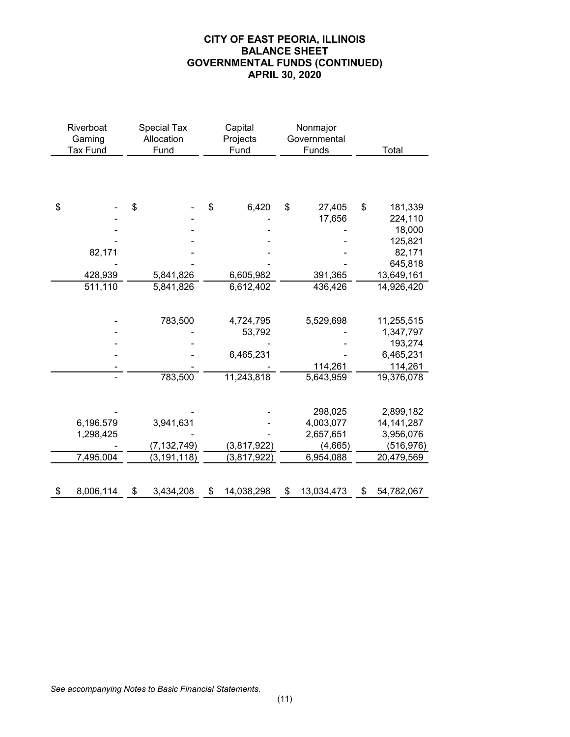# **CITY OF EAST PEORIA, ILLINOIS BALANCE SHEET GOVERNMENTAL FUNDS (CONTINUED) APRIL 30, 2020**

| Riverboat<br>Gaming<br><b>Tax Fund</b> |           | <b>Special Tax</b><br>Allocation<br>Fund | Capital<br>Projects<br>Fund |    | Nonmajor<br>Governmental<br>Funds | Total |              |  |
|----------------------------------------|-----------|------------------------------------------|-----------------------------|----|-----------------------------------|-------|--------------|--|
|                                        |           |                                          |                             |    |                                   |       |              |  |
| \$                                     |           | \$                                       | \$<br>6,420                 | \$ | 27,405                            | \$    | 181,339      |  |
|                                        |           |                                          |                             |    | 17,656                            |       | 224,110      |  |
|                                        |           |                                          |                             |    |                                   |       | 18,000       |  |
|                                        |           |                                          |                             |    |                                   |       | 125,821      |  |
|                                        | 82,171    |                                          |                             |    |                                   |       | 82,171       |  |
|                                        |           |                                          |                             |    |                                   |       | 645,818      |  |
|                                        | 428,939   | 5,841,826                                | 6,605,982                   |    | 391,365                           |       | 13,649,161   |  |
|                                        | 511,110   | 5,841,826                                | 6,612,402                   |    | 436,426                           |       | 14,926,420   |  |
|                                        |           |                                          |                             |    |                                   |       |              |  |
|                                        |           | 783,500                                  | 4,724,795                   |    | 5,529,698                         |       | 11,255,515   |  |
|                                        |           |                                          | 53,792                      |    |                                   |       | 1,347,797    |  |
|                                        |           |                                          |                             |    |                                   |       | 193,274      |  |
|                                        |           |                                          | 6,465,231                   |    |                                   |       | 6,465,231    |  |
|                                        |           |                                          |                             |    | 114,261                           |       | 114,261      |  |
|                                        |           | 783,500                                  | 11,243,818                  |    | 5,643,959                         |       | 19,376,078   |  |
|                                        |           |                                          |                             |    |                                   |       |              |  |
|                                        |           |                                          |                             |    | 298,025                           |       | 2,899,182    |  |
|                                        | 6,196,579 | 3,941,631                                |                             |    | 4,003,077                         |       | 14, 141, 287 |  |
|                                        | 1,298,425 |                                          |                             |    | 2,657,651                         |       | 3,956,076    |  |
|                                        |           | (7, 132, 749)                            | (3,817,922)                 |    | (4,665)                           |       | (516, 976)   |  |
|                                        | 7,495,004 | (3, 191, 118)                            | (3,817,922)                 |    | 6,954,088                         |       | 20,479,569   |  |
|                                        |           |                                          |                             |    |                                   |       |              |  |
|                                        | 8,006,114 | 3,434,208<br>\$                          | 14,038,298                  |    | 13,034,473                        | \$    | 54,782,067   |  |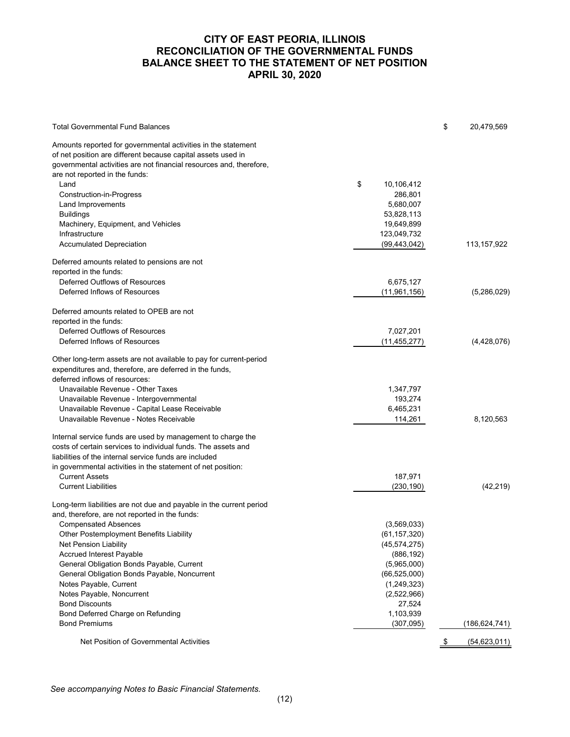## **CITY OF EAST PEORIA, ILLINOIS RECONCILIATION OF THE GOVERNMENTAL FUNDS BALANCE SHEET TO THE STATEMENT OF NET POSITION APRIL 30, 2020**

| Total Governmental Fund Balances                                                                                                                                                                     |                                  | \$   | 20,479,569     |
|------------------------------------------------------------------------------------------------------------------------------------------------------------------------------------------------------|----------------------------------|------|----------------|
| Amounts reported for governmental activities in the statement<br>of net position are different because capital assets used in<br>governmental activities are not financial resources and, therefore, |                                  |      |                |
| are not reported in the funds:                                                                                                                                                                       |                                  |      |                |
| Land                                                                                                                                                                                                 | \$<br>10,106,412                 |      |                |
| <b>Construction-in-Progress</b><br>Land Improvements                                                                                                                                                 | 286,801<br>5,680,007             |      |                |
| <b>Buildings</b>                                                                                                                                                                                     | 53,828,113                       |      |                |
| Machinery, Equipment, and Vehicles                                                                                                                                                                   | 19,649,899                       |      |                |
| Infrastructure                                                                                                                                                                                       | 123,049,732                      |      |                |
| <b>Accumulated Depreciation</b>                                                                                                                                                                      | (99, 443, 042)                   |      | 113,157,922    |
| Deferred amounts related to pensions are not                                                                                                                                                         |                                  |      |                |
| reported in the funds:                                                                                                                                                                               |                                  |      |                |
| Deferred Outflows of Resources                                                                                                                                                                       | 6,675,127                        |      |                |
| Deferred Inflows of Resources                                                                                                                                                                        | (11, 961, 156)                   |      | (5,286,029)    |
| Deferred amounts related to OPEB are not                                                                                                                                                             |                                  |      |                |
| reported in the funds:                                                                                                                                                                               |                                  |      |                |
| Deferred Outflows of Resources<br>Deferred Inflows of Resources                                                                                                                                      | 7,027,201                        |      |                |
|                                                                                                                                                                                                      | (11, 455, 277)                   |      | (4,428,076)    |
| Other long-term assets are not available to pay for current-period                                                                                                                                   |                                  |      |                |
| expenditures and, therefore, are deferred in the funds,                                                                                                                                              |                                  |      |                |
| deferred inflows of resources:                                                                                                                                                                       |                                  |      |                |
| Unavailable Revenue - Other Taxes                                                                                                                                                                    | 1,347,797                        |      |                |
| Unavailable Revenue - Intergovernmental                                                                                                                                                              | 193,274                          |      |                |
| Unavailable Revenue - Capital Lease Receivable<br>Unavailable Revenue - Notes Receivable                                                                                                             | 6,465,231                        |      |                |
|                                                                                                                                                                                                      | 114,261                          |      | 8,120,563      |
| Internal service funds are used by management to charge the                                                                                                                                          |                                  |      |                |
| costs of certain services to individual funds. The assets and                                                                                                                                        |                                  |      |                |
| liabilities of the internal service funds are included                                                                                                                                               |                                  |      |                |
| in governmental activities in the statement of net position:<br><b>Current Assets</b>                                                                                                                | 187,971                          |      |                |
| <b>Current Liabilities</b>                                                                                                                                                                           | (230, 190)                       |      | (42, 219)      |
|                                                                                                                                                                                                      |                                  |      |                |
| Long-term liabilities are not due and payable in the current period                                                                                                                                  |                                  |      |                |
| and, therefore, are not reported in the funds:                                                                                                                                                       |                                  |      |                |
| <b>Compensated Absences</b>                                                                                                                                                                          | (3,569,033)                      |      |                |
| Other Postemployment Benefits Liability<br>Net Pension Liability                                                                                                                                     | (61, 157, 320)<br>(45, 574, 275) |      |                |
| <b>Accrued Interest Payable</b>                                                                                                                                                                      | (886, 192)                       |      |                |
| General Obligation Bonds Payable, Current                                                                                                                                                            | (5,965,000)                      |      |                |
| General Obligation Bonds Payable, Noncurrent                                                                                                                                                         | (66, 525, 000)                   |      |                |
| Notes Payable, Current                                                                                                                                                                               | (1, 249, 323)                    |      |                |
| Notes Payable, Noncurrent                                                                                                                                                                            | (2,522,966)                      |      |                |
| <b>Bond Discounts</b>                                                                                                                                                                                | 27,524                           |      |                |
| Bond Deferred Charge on Refunding                                                                                                                                                                    | 1,103,939                        |      |                |
| <b>Bond Premiums</b>                                                                                                                                                                                 | (307,095)                        |      | (186,624,741)  |
| Net Position of Governmental Activities                                                                                                                                                              |                                  | - \$ | (54, 623, 011) |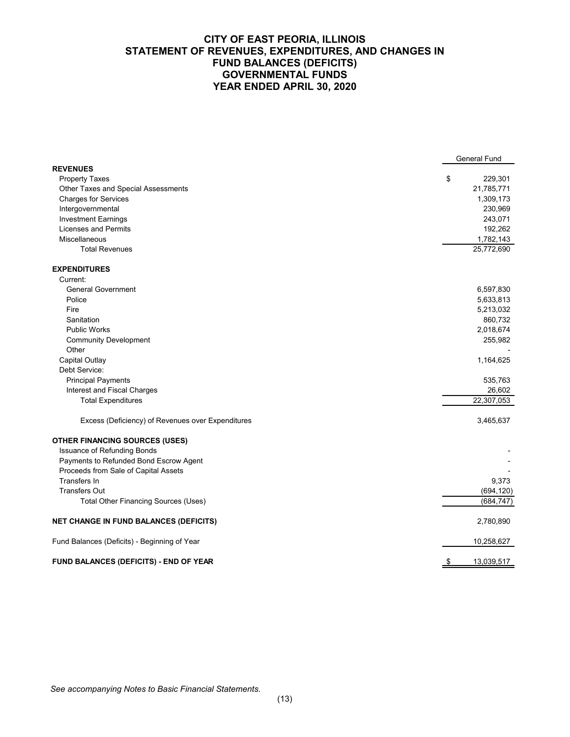## **CITY OF EAST PEORIA, ILLINOIS STATEMENT OF REVENUES, EXPENDITURES, AND CHANGES IN FUND BALANCES (DEFICITS) GOVERNMENTAL FUNDS YEAR ENDED APRIL 30, 2020**

|                                                   | General Fund     |
|---------------------------------------------------|------------------|
| <b>REVENUES</b>                                   |                  |
| <b>Property Taxes</b>                             | \$<br>229,301    |
| Other Taxes and Special Assessments               | 21,785,771       |
| <b>Charges for Services</b>                       | 1,309,173        |
| Intergovernmental                                 | 230,969          |
| <b>Investment Earnings</b>                        | 243,071          |
| <b>Licenses and Permits</b>                       | 192,262          |
| <b>Miscellaneous</b>                              | 1,782,143        |
| <b>Total Revenues</b>                             | 25,772,690       |
| <b>EXPENDITURES</b>                               |                  |
| Current:                                          |                  |
| <b>General Government</b>                         | 6,597,830        |
| Police                                            | 5,633,813        |
| Fire                                              | 5,213,032        |
| Sanitation                                        | 860,732          |
| <b>Public Works</b>                               | 2,018,674        |
| <b>Community Development</b>                      | 255,982          |
| Other                                             |                  |
| Capital Outlay                                    | 1,164,625        |
| Debt Service:                                     |                  |
| <b>Principal Payments</b>                         | 535,763          |
| Interest and Fiscal Charges                       | 26,602           |
| <b>Total Expenditures</b>                         | 22,307,053       |
| Excess (Deficiency) of Revenues over Expenditures | 3,465,637        |
| <b>OTHER FINANCING SOURCES (USES)</b>             |                  |
| Issuance of Refunding Bonds                       |                  |
| Payments to Refunded Bond Escrow Agent            |                  |
| Proceeds from Sale of Capital Assets              |                  |
| <b>Transfers In</b>                               | 9,373            |
| <b>Transfers Out</b>                              | (694, 120)       |
| Total Other Financing Sources (Uses)              | (684, 747)       |
| <b>NET CHANGE IN FUND BALANCES (DEFICITS)</b>     | 2,780,890        |
| Fund Balances (Deficits) - Beginning of Year      | 10,258,627       |
| FUND BALANCES (DEFICITS) - END OF YEAR            | \$<br>13,039,517 |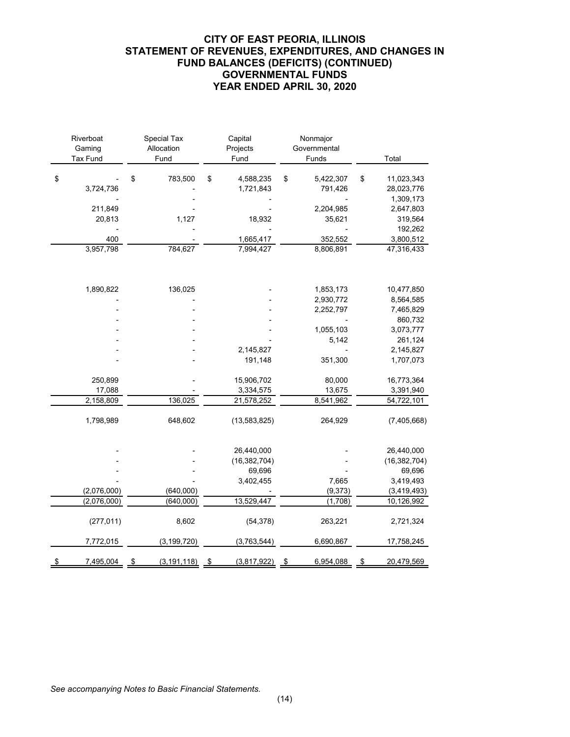# **CITY OF EAST PEORIA, ILLINOIS STATEMENT OF REVENUES, EXPENDITURES, AND CHANGES IN FUND BALANCES (DEFICITS) (CONTINUED) GOVERNMENTAL FUNDS YEAR ENDED APRIL 30, 2020**

| Riverboat<br>Gaming<br><b>Tax Fund</b> | Special Tax<br>Allocation<br>Fund | Capital<br>Projects<br>Fund | Nonmajor<br>Governmental<br>Funds | Total                  |
|----------------------------------------|-----------------------------------|-----------------------------|-----------------------------------|------------------------|
|                                        |                                   |                             |                                   |                        |
| \$                                     | \$<br>783,500                     | \$<br>4,588,235             | \$<br>5,422,307                   | \$<br>11,023,343       |
| 3,724,736                              |                                   | 1,721,843                   | 791,426                           | 28,023,776             |
| 211,849                                |                                   |                             | 2,204,985                         | 1,309,173<br>2,647,803 |
|                                        |                                   |                             |                                   |                        |
| 20,813                                 | 1,127                             | 18,932                      | 35,621                            | 319,564<br>192,262     |
| 400                                    |                                   | 1,665,417                   | 352,552                           | 3,800,512              |
| 3,957,798                              | 784,627                           | 7,994,427                   | 8,806,891                         | 47,316,433             |
|                                        |                                   |                             |                                   |                        |
| 1,890,822                              | 136,025                           |                             | 1,853,173                         | 10,477,850             |
|                                        |                                   |                             | 2,930,772                         | 8,564,585              |
|                                        |                                   |                             | 2,252,797                         | 7,465,829              |
|                                        |                                   |                             |                                   | 860,732                |
|                                        |                                   |                             | 1,055,103                         | 3,073,777              |
|                                        |                                   |                             | 5,142                             | 261,124                |
|                                        |                                   | 2,145,827                   |                                   | 2,145,827              |
|                                        |                                   | 191,148                     | 351,300                           | 1,707,073              |
| 250,899                                |                                   | 15,906,702                  | 80,000                            | 16,773,364             |
| 17,088                                 |                                   | 3,334,575                   | 13,675                            | 3,391,940              |
| 2,158,809                              | 136,025                           | 21,578,252                  | 8,541,962                         | 54,722,101             |
| 1,798,989                              | 648,602                           | (13,583,825)                | 264,929                           | (7,405,668)            |
|                                        |                                   | 26,440,000                  |                                   | 26,440,000             |
|                                        |                                   | (16, 382, 704)              |                                   | (16, 382, 704)         |
|                                        |                                   | 69,696                      |                                   | 69,696                 |
|                                        |                                   | 3,402,455                   | 7,665                             | 3,419,493              |
| (2,076,000)                            | (640,000)                         |                             | (9, 373)                          | (3, 419, 493)          |
| (2,076,000)                            | (640,000)                         | 13,529,447                  | (1,708)                           | 10,126,992             |
| (277, 011)                             | 8,602                             | (54, 378)                   | 263,221                           | 2,721,324              |
| 7,772,015                              | (3, 199, 720)                     | (3,763,544)                 | 6,690,867                         | 17,758,245             |
| \$<br>7,495,004                        | \$<br>(3, 191, 118)               | \$<br>(3,817,922)           | \$<br>6,954,088                   | \$<br>20,479,569       |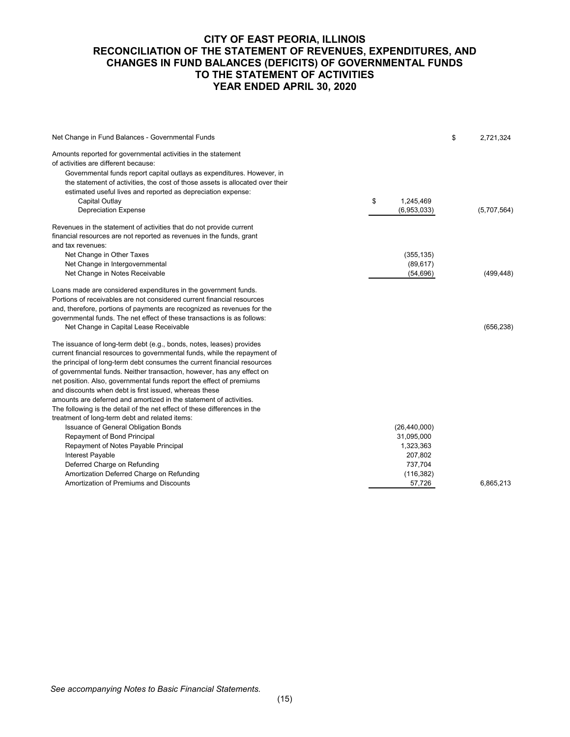#### **CITY OF EAST PEORIA, ILLINOIS RECONCILIATION OF THE STATEMENT OF REVENUES, EXPENDITURES, AND CHANGES IN FUND BALANCES (DEFICITS) OF GOVERNMENTAL FUNDS TO THE STATEMENT OF ACTIVITIES YEAR ENDED APRIL 30, 2020**

| Net Change in Fund Balances - Governmental Funds                                                      |                 | \$<br>2,721,324 |
|-------------------------------------------------------------------------------------------------------|-----------------|-----------------|
| Amounts reported for governmental activities in the statement<br>of activities are different because: |                 |                 |
| Governmental funds report capital outlays as expenditures. However, in                                |                 |                 |
| the statement of activities, the cost of those assets is allocated over their                         |                 |                 |
| estimated useful lives and reported as depreciation expense:                                          |                 |                 |
| Capital Outlay                                                                                        | \$<br>1,245,469 |                 |
| <b>Depreciation Expense</b>                                                                           | (6,953,033)     | (5,707,564)     |
| Revenues in the statement of activities that do not provide current                                   |                 |                 |
| financial resources are not reported as revenues in the funds, grant                                  |                 |                 |
| and tax revenues:                                                                                     |                 |                 |
| Net Change in Other Taxes                                                                             | (355, 135)      |                 |
| Net Change in Intergovernmental                                                                       | (89, 617)       |                 |
| Net Change in Notes Receivable                                                                        | (54, 696)       | (499, 448)      |
| Loans made are considered expenditures in the government funds.                                       |                 |                 |
| Portions of receivables are not considered current financial resources                                |                 |                 |
| and, therefore, portions of payments are recognized as revenues for the                               |                 |                 |
| governmental funds. The net effect of these transactions is as follows:                               |                 |                 |
| Net Change in Capital Lease Receivable                                                                |                 | (656, 238)      |
| The issuance of long-term debt (e.g., bonds, notes, leases) provides                                  |                 |                 |
| current financial resources to governmental funds, while the repayment of                             |                 |                 |
| the principal of long-term debt consumes the current financial resources                              |                 |                 |
| of governmental funds. Neither transaction, however, has any effect on                                |                 |                 |
| net position. Also, governmental funds report the effect of premiums                                  |                 |                 |
| and discounts when debt is first issued, whereas these                                                |                 |                 |
| amounts are deferred and amortized in the statement of activities.                                    |                 |                 |
| The following is the detail of the net effect of these differences in the                             |                 |                 |
| treatment of long-term debt and related items:                                                        |                 |                 |
| Issuance of General Obligation Bonds                                                                  | (26, 440, 000)  |                 |
| Repayment of Bond Principal                                                                           | 31,095,000      |                 |
| Repayment of Notes Payable Principal                                                                  | 1,323,363       |                 |
| Interest Payable                                                                                      | 207,802         |                 |
| Deferred Charge on Refunding                                                                          | 737,704         |                 |
| Amortization Deferred Charge on Refunding                                                             | (116, 382)      |                 |
| Amortization of Premiums and Discounts                                                                | 57.726          | 6.865.213       |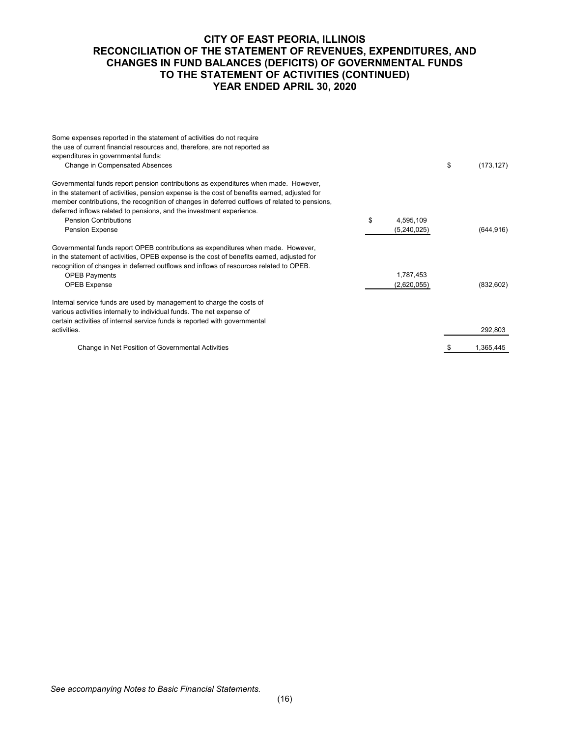## **CITY OF EAST PEORIA, ILLINOIS RECONCILIATION OF THE STATEMENT OF REVENUES, EXPENDITURES, AND CHANGES IN FUND BALANCES (DEFICITS) OF GOVERNMENTAL FUNDS TO THE STATEMENT OF ACTIVITIES (CONTINUED) YEAR ENDED APRIL 30, 2020**

| Some expenses reported in the statement of activities do not require                                                                                                                                                                                                   |                 |                  |
|------------------------------------------------------------------------------------------------------------------------------------------------------------------------------------------------------------------------------------------------------------------------|-----------------|------------------|
| the use of current financial resources and, therefore, are not reported as                                                                                                                                                                                             |                 |                  |
| expenditures in governmental funds:                                                                                                                                                                                                                                    |                 |                  |
| Change in Compensated Absences                                                                                                                                                                                                                                         |                 | \$<br>(173, 127) |
| Governmental funds report pension contributions as expenditures when made. However,                                                                                                                                                                                    |                 |                  |
| in the statement of activities, pension expense is the cost of benefits earned, adjusted for                                                                                                                                                                           |                 |                  |
| member contributions, the recognition of changes in deferred outflows of related to pensions,                                                                                                                                                                          |                 |                  |
| deferred inflows related to pensions, and the investment experience.                                                                                                                                                                                                   |                 |                  |
| <b>Pension Contributions</b>                                                                                                                                                                                                                                           | \$<br>4,595,109 |                  |
| Pension Expense                                                                                                                                                                                                                                                        | (5,240,025)     | (644, 916)       |
| Governmental funds report OPEB contributions as expenditures when made. However,<br>in the statement of activities, OPEB expense is the cost of benefits earned, adjusted for<br>recognition of changes in deferred outflows and inflows of resources related to OPEB. |                 |                  |
| <b>OPEB Payments</b>                                                                                                                                                                                                                                                   | 1,787,453       |                  |
| <b>OPEB Expense</b>                                                                                                                                                                                                                                                    | (2,620,055)     | (832, 602)       |
| Internal service funds are used by management to charge the costs of<br>various activities internally to individual funds. The net expense of                                                                                                                          |                 |                  |
| certain activities of internal service funds is reported with governmental<br>activities.                                                                                                                                                                              |                 | 292,803          |
| Change in Net Position of Governmental Activities                                                                                                                                                                                                                      |                 | 1,365,445        |
|                                                                                                                                                                                                                                                                        |                 |                  |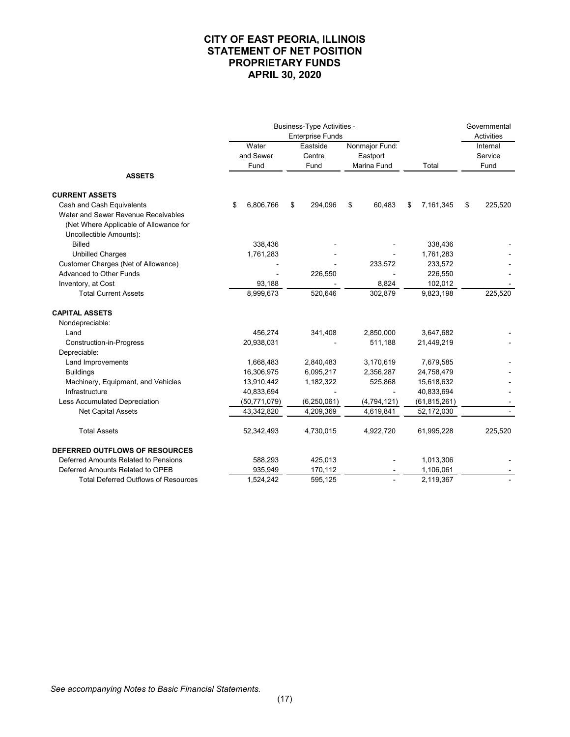## **CITY OF EAST PEORIA, ILLINOIS STATEMENT OF NET POSITION PROPRIETARY FUNDS APRIL 30, 2020**

|                                             | <b>Business-Type Activities -</b> |                |    |                         |    |                |    |                |         | Governmental      |
|---------------------------------------------|-----------------------------------|----------------|----|-------------------------|----|----------------|----|----------------|---------|-------------------|
|                                             |                                   |                |    | <b>Enterprise Funds</b> |    |                |    |                |         | <b>Activities</b> |
|                                             | Water                             |                |    | Eastside                |    | Nonmajor Fund: |    |                |         | Internal          |
|                                             |                                   | and Sewer      |    | Centre                  |    | Eastport       |    |                | Service |                   |
|                                             |                                   | Fund           |    | Fund                    |    | Marina Fund    |    | Total          | Fund    |                   |
| <b>ASSETS</b>                               |                                   |                |    |                         |    |                |    |                |         |                   |
| <b>CURRENT ASSETS</b>                       |                                   |                |    |                         |    |                |    |                |         |                   |
| Cash and Cash Equivalents                   | \$                                | 6,806,766      | \$ | 294,096                 | \$ | 60,483         | \$ | 7,161,345      | \$      | 225,520           |
| Water and Sewer Revenue Receivables         |                                   |                |    |                         |    |                |    |                |         |                   |
| (Net Where Applicable of Allowance for      |                                   |                |    |                         |    |                |    |                |         |                   |
| Uncollectible Amounts):                     |                                   |                |    |                         |    |                |    |                |         |                   |
| <b>Billed</b>                               |                                   | 338,436        |    |                         |    |                |    | 338,436        |         |                   |
| <b>Unbilled Charges</b>                     |                                   | 1,761,283      |    |                         |    |                |    | 1,761,283      |         |                   |
| Customer Charges (Net of Allowance)         |                                   |                |    |                         |    | 233,572        |    | 233,572        |         |                   |
| Advanced to Other Funds                     |                                   |                |    | 226,550                 |    |                |    | 226,550        |         |                   |
| Inventory, at Cost                          |                                   | 93,188         |    |                         |    | 8.824          |    | 102,012        |         |                   |
| <b>Total Current Assets</b>                 |                                   | 8,999,673      |    | 520,646                 |    | 302,879        |    | 9,823,198      |         | 225,520           |
| <b>CAPITAL ASSETS</b>                       |                                   |                |    |                         |    |                |    |                |         |                   |
| Nondepreciable:                             |                                   |                |    |                         |    |                |    |                |         |                   |
| Land                                        |                                   | 456,274        |    | 341,408                 |    | 2,850,000      |    | 3,647,682      |         |                   |
| <b>Construction-in-Progress</b>             |                                   | 20,938,031     |    |                         |    | 511,188        |    | 21,449,219     |         |                   |
| Depreciable:                                |                                   |                |    |                         |    |                |    |                |         |                   |
| Land Improvements                           |                                   | 1,668,483      |    | 2,840,483               |    | 3,170,619      |    | 7,679,585      |         |                   |
| <b>Buildings</b>                            |                                   | 16,306,975     |    | 6,095,217               |    | 2,356,287      |    | 24,758,479     |         |                   |
| Machinery, Equipment, and Vehicles          |                                   | 13,910,442     |    | 1,182,322               |    | 525,868        |    | 15,618,632     |         |                   |
| Infrastructure                              |                                   | 40,833,694     |    |                         |    |                |    | 40,833,694     |         |                   |
| Less Accumulated Depreciation               |                                   | (50, 771, 079) |    | (6, 250, 061)           |    | (4,794,121)    |    | (61, 815, 261) |         |                   |
| <b>Net Capital Assets</b>                   |                                   | 43,342,820     |    | 4,209,369               |    | 4,619,841      |    | 52,172,030     |         |                   |
| <b>Total Assets</b>                         |                                   | 52,342,493     |    | 4,730,015               |    | 4,922,720      |    | 61,995,228     |         | 225,520           |
| DEFERRED OUTFLOWS OF RESOURCES              |                                   |                |    |                         |    |                |    |                |         |                   |
| Deferred Amounts Related to Pensions        |                                   | 588,293        |    | 425,013                 |    |                |    | 1,013,306      |         |                   |
| Deferred Amounts Related to OPEB            |                                   | 935,949        |    | 170,112                 |    |                |    | 1,106,061      |         |                   |
| <b>Total Deferred Outflows of Resources</b> |                                   | 1,524,242      |    | 595,125                 |    | $\blacksquare$ |    | 2,119,367      |         |                   |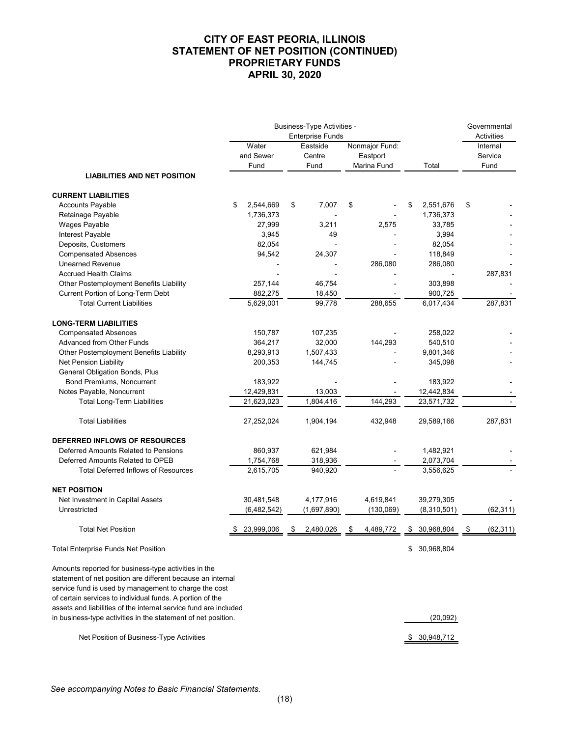## **CITY OF EAST PEORIA, ILLINOIS STATEMENT OF NET POSITION (CONTINUED) PROPRIETARY FUNDS APRIL 30, 2020**

|                                                                  |                        | <b>Business-Type Activities -</b><br><b>Enterprise Funds</b> |                 |                  | Governmental<br>Activities |
|------------------------------------------------------------------|------------------------|--------------------------------------------------------------|-----------------|------------------|----------------------------|
|                                                                  | Water                  | Eastside                                                     | Nonmajor Fund:  |                  | Internal                   |
|                                                                  | and Sewer              | Centre                                                       | Eastport        |                  | Service                    |
|                                                                  | Fund                   | Fund                                                         | Marina Fund     | Total            | Fund                       |
| <b>LIABILITIES AND NET POSITION</b>                              |                        |                                                              |                 |                  |                            |
| <b>CURRENT LIABILITIES</b>                                       |                        |                                                              |                 |                  |                            |
| <b>Accounts Payable</b>                                          | \$<br>2,544,669        | 7,007<br>\$                                                  | \$              | 2,551,676<br>\$  | \$                         |
| Retainage Payable                                                | 1,736,373              |                                                              |                 | 1,736,373        |                            |
| Wages Payable                                                    | 27,999                 | 3,211                                                        | 2,575           | 33,785           |                            |
| Interest Payable                                                 | 3,945                  | 49                                                           |                 | 3,994            |                            |
| Deposits, Customers                                              | 82,054                 |                                                              |                 | 82,054           |                            |
| <b>Compensated Absences</b>                                      | 94,542                 | 24,307                                                       |                 | 118,849          |                            |
| <b>Unearned Revenue</b>                                          |                        |                                                              | 286,080         | 286,080          |                            |
| <b>Accrued Health Claims</b>                                     |                        |                                                              |                 |                  | 287,831                    |
| Other Postemployment Benefits Liability                          | 257,144                | 46,754                                                       |                 | 303,898          |                            |
| Current Portion of Long-Term Debt                                | 882,275                | 18,450                                                       |                 | 900,725          |                            |
| <b>Total Current Liabilities</b>                                 | $\overline{5,629,001}$ | 99,778                                                       | 288,655         | 6,017,434        | 287,831                    |
| <b>LONG-TERM LIABILITIES</b>                                     |                        |                                                              |                 |                  |                            |
|                                                                  | 150,787                |                                                              |                 | 258,022          |                            |
| <b>Compensated Absences</b><br><b>Advanced from Other Funds</b>  | 364,217                | 107,235                                                      | 144,293         |                  |                            |
|                                                                  |                        | 32,000                                                       |                 | 540,510          |                            |
| Other Postemployment Benefits Liability                          | 8,293,913              | 1,507,433                                                    |                 | 9,801,346        |                            |
| Net Pension Liability                                            | 200,353                | 144,745                                                      |                 | 345,098          |                            |
| General Obligation Bonds, Plus                                   |                        |                                                              |                 |                  |                            |
| Bond Premiums, Noncurrent                                        | 183,922                |                                                              |                 | 183,922          |                            |
| Notes Payable, Noncurrent                                        | 12,429,831             | 13,003                                                       |                 | 12,442,834       |                            |
| <b>Total Long-Term Liabilities</b>                               | 21,623,023             | 1,804,416                                                    | 144,293         | 23,571,732       |                            |
| <b>Total Liabilities</b>                                         | 27,252,024             | 1,904,194                                                    | 432,948         | 29,589,166       | 287,831                    |
| DEFERRED INFLOWS OF RESOURCES                                    |                        |                                                              |                 |                  |                            |
| Deferred Amounts Related to Pensions                             | 860,937                | 621,984                                                      |                 | 1,482,921        |                            |
| Deferred Amounts Related to OPEB                                 | 1,754,768              | 318,936                                                      |                 | 2,073,704        |                            |
| <b>Total Deferred Inflows of Resources</b>                       | 2,615,705              | 940,920                                                      |                 | 3,556,625        |                            |
| <b>NET POSITION</b>                                              |                        |                                                              |                 |                  |                            |
| Net Investment in Capital Assets                                 | 30,481,548             | 4,177,916                                                    | 4,619,841       | 39,279,305       |                            |
| Unrestricted                                                     | (6,482,542)            | (1,697,890)                                                  | (130,069)       | (8,310,501)      | (62, 311)                  |
|                                                                  |                        |                                                              |                 |                  |                            |
| <b>Total Net Position</b>                                        | 23,999,006<br>\$       | 2,480,026                                                    | 4,489,772<br>\$ | 30,968,804<br>\$ | (62, 311)<br>\$            |
| Total Enterprise Funds Net Position                              |                        |                                                              |                 | 30,968,804<br>S  |                            |
| Amounts reported for business-type activities in the             |                        |                                                              |                 |                  |                            |
| statement of net position are different because an internal      |                        |                                                              |                 |                  |                            |
| service fund is used by management to charge the cost            |                        |                                                              |                 |                  |                            |
| of certain services to individual funds. A portion of the        |                        |                                                              |                 |                  |                            |
| assets and liabilities of the internal service fund are included |                        |                                                              |                 |                  |                            |
| in business-type activities in the statement of net position.    |                        |                                                              |                 | (20,092)         |                            |
| Net Position of Business-Type Activities                         |                        |                                                              |                 | \$30,948,712     |                            |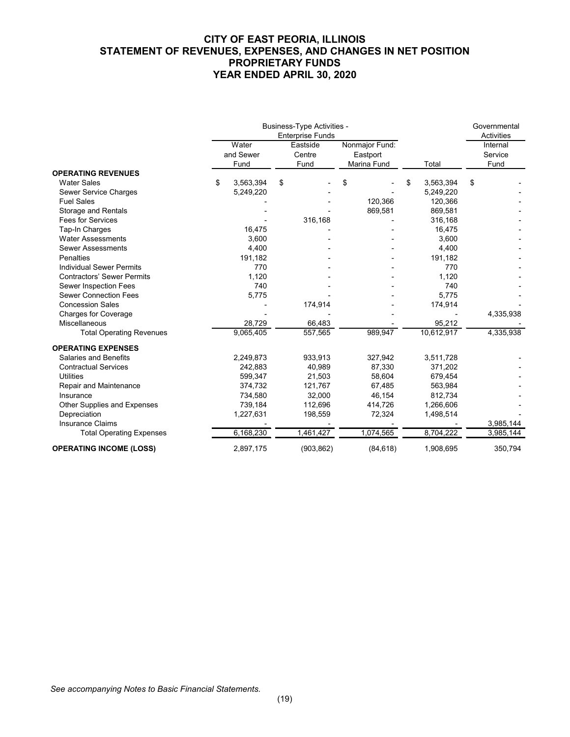# **CITY OF EAST PEORIA, ILLINOIS STATEMENT OF REVENUES, EXPENSES, AND CHANGES IN NET POSITION PROPRIETARY FUNDS YEAR ENDED APRIL 30, 2020**

|                                   | <b>Business-Type Activities -</b> |                                 |    |                         |    |                |                 |    | Governmental |  |
|-----------------------------------|-----------------------------------|---------------------------------|----|-------------------------|----|----------------|-----------------|----|--------------|--|
|                                   |                                   |                                 |    | <b>Enterprise Funds</b> |    |                |                 |    | Activities   |  |
|                                   |                                   | Water                           |    | Eastside                |    | Nonmajor Fund: |                 |    | Internal     |  |
|                                   |                                   | and Sewer<br>Centre<br>Eastport |    |                         |    | Service        |                 |    |              |  |
|                                   |                                   | Fund                            |    | Fund                    |    | Marina Fund    | Total           |    | Fund         |  |
| <b>OPERATING REVENUES</b>         |                                   |                                 |    |                         |    |                |                 |    |              |  |
| <b>Water Sales</b>                | \$                                | 3,563,394                       | \$ |                         | \$ |                | \$<br>3,563,394 | \$ |              |  |
| Sewer Service Charges             |                                   | 5,249,220                       |    |                         |    |                | 5,249,220       |    |              |  |
| <b>Fuel Sales</b>                 |                                   |                                 |    |                         |    | 120,366        | 120,366         |    |              |  |
| <b>Storage and Rentals</b>        |                                   |                                 |    |                         |    | 869,581        | 869,581         |    |              |  |
| <b>Fees for Services</b>          |                                   |                                 |    | 316,168                 |    |                | 316,168         |    |              |  |
| Tap-In Charges                    |                                   | 16,475                          |    |                         |    |                | 16,475          |    |              |  |
| <b>Water Assessments</b>          |                                   | 3,600                           |    |                         |    |                | 3,600           |    |              |  |
| <b>Sewer Assessments</b>          |                                   | 4,400                           |    |                         |    |                | 4,400           |    |              |  |
| Penalties                         |                                   | 191,182                         |    |                         |    |                | 191,182         |    |              |  |
| <b>Individual Sewer Permits</b>   |                                   | 770                             |    |                         |    |                | 770             |    |              |  |
| <b>Contractors' Sewer Permits</b> |                                   | 1,120                           |    |                         |    |                | 1,120           |    |              |  |
| Sewer Inspection Fees             |                                   | 740                             |    |                         |    |                | 740             |    |              |  |
| <b>Sewer Connection Fees</b>      |                                   | 5,775                           |    |                         |    |                | 5,775           |    |              |  |
| <b>Concession Sales</b>           |                                   |                                 |    | 174,914                 |    |                | 174,914         |    |              |  |
| <b>Charges for Coverage</b>       |                                   |                                 |    |                         |    |                |                 |    | 4,335,938    |  |
| Miscellaneous                     |                                   | 28,729                          |    | 66,483                  |    |                | 95,212          |    |              |  |
| <b>Total Operating Revenues</b>   |                                   | 9,065,405                       |    | 557,565                 |    | 989,947        | 10,612,917      |    | 4,335,938    |  |
| <b>OPERATING EXPENSES</b>         |                                   |                                 |    |                         |    |                |                 |    |              |  |
| Salaries and Benefits             |                                   | 2,249,873                       |    | 933,913                 |    | 327,942        | 3,511,728       |    |              |  |
| <b>Contractual Services</b>       |                                   | 242,883                         |    | 40,989                  |    | 87,330         | 371,202         |    |              |  |
| <b>Utilities</b>                  |                                   | 599,347                         |    | 21,503                  |    | 58,604         | 679,454         |    |              |  |
| Repair and Maintenance            |                                   | 374,732                         |    | 121,767                 |    | 67,485         | 563,984         |    |              |  |
| Insurance                         |                                   | 734,580                         |    | 32,000                  |    | 46,154         | 812,734         |    |              |  |
| Other Supplies and Expenses       |                                   | 739,184                         |    | 112,696                 |    | 414,726        | 1,266,606       |    |              |  |
| Depreciation                      |                                   | 1,227,631                       |    | 198,559                 |    | 72,324         | 1,498,514       |    |              |  |
| <b>Insurance Claims</b>           |                                   |                                 |    |                         |    |                |                 |    | 3,985,144    |  |
| <b>Total Operating Expenses</b>   |                                   | 6,168,230                       |    | 1,461,427               |    | 1,074,565      | 8,704,222       |    | 3,985,144    |  |
| <b>OPERATING INCOME (LOSS)</b>    |                                   | 2,897,175                       |    | (903, 862)              |    | (84, 618)      | 1,908,695       |    | 350,794      |  |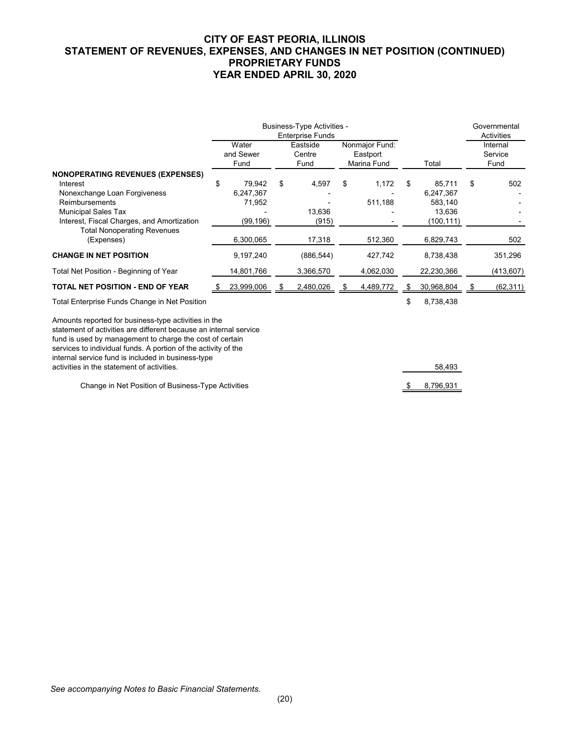#### **CITY OF EAST PEORIA, ILLINOIS STATEMENT OF REVENUES, EXPENSES, AND CHANGES IN NET POSITION (CONTINUED) PROPRIETARY FUNDS YEAR ENDED APRIL 30, 2020**

|                                                      |                            |    | <b>Business-Type Activities -</b><br><b>Enterprise Funds</b> |    |                                    | Governmental<br>Activities |             |            |       |                             |
|------------------------------------------------------|----------------------------|----|--------------------------------------------------------------|----|------------------------------------|----------------------------|-------------|------------|-------|-----------------------------|
|                                                      | Water<br>and Sewer<br>Fund |    | Eastside<br>Centre                                           |    | Nonmajor Fund:<br>Eastport<br>Fund |                            | Marina Fund |            | Total | Internal<br>Service<br>Fund |
| <b>NONOPERATING REVENUES (EXPENSES)</b>              |                            |    |                                                              |    |                                    |                            |             |            |       |                             |
| Interest                                             | \$<br>79,942               | \$ | 4,597                                                        | \$ | 1,172                              | \$                         | 85,711      | \$<br>502  |       |                             |
| Nonexchange Loan Forgiveness                         | 6,247,367                  |    |                                                              |    |                                    |                            | 6,247,367   |            |       |                             |
| <b>Reimbursements</b>                                | 71,952                     |    |                                                              |    | 511,188                            |                            | 583,140     |            |       |                             |
| <b>Municipal Sales Tax</b>                           |                            |    | 13,636                                                       |    |                                    |                            | 13,636      |            |       |                             |
| Interest, Fiscal Charges, and Amortization           | (99,196)                   |    | (915)                                                        |    |                                    |                            | (100,111)   |            |       |                             |
| <b>Total Nonoperating Revenues</b><br>(Expenses)     | 6,300,065                  |    | 17,318                                                       |    | 512,360                            |                            | 6,829,743   | 502        |       |                             |
| <b>CHANGE IN NET POSITION</b>                        | 9,197,240                  |    | (886, 544)                                                   |    | 427,742                            |                            | 8,738,438   | 351,296    |       |                             |
| Total Net Position - Beginning of Year               | 14,801,766                 |    | 3,366,570                                                    |    | 4,062,030                          |                            | 22,230,366  | (413, 607) |       |                             |
| <b>TOTAL NET POSITION - END OF YEAR</b>              | 23,999,006                 |    | 2,480,026                                                    |    | 4,489,772                          |                            | 30,968,804  | (62, 311)  |       |                             |
| Total Enterprise Funds Change in Net Position        |                            |    |                                                              |    |                                    | \$                         | 8,738,438   |            |       |                             |
| Amounts reported for business-type activities in the |                            |    |                                                              |    |                                    |                            |             |            |       |                             |

statement of activities are different because an internal service fund is used by management to charge the cost of certain services to individual funds. A portion of the activity of the internal service fund is included in business-type activities in the statement of activities. 58,493

Change in Net Position of Business-Type Activities **\$ 8,796,931**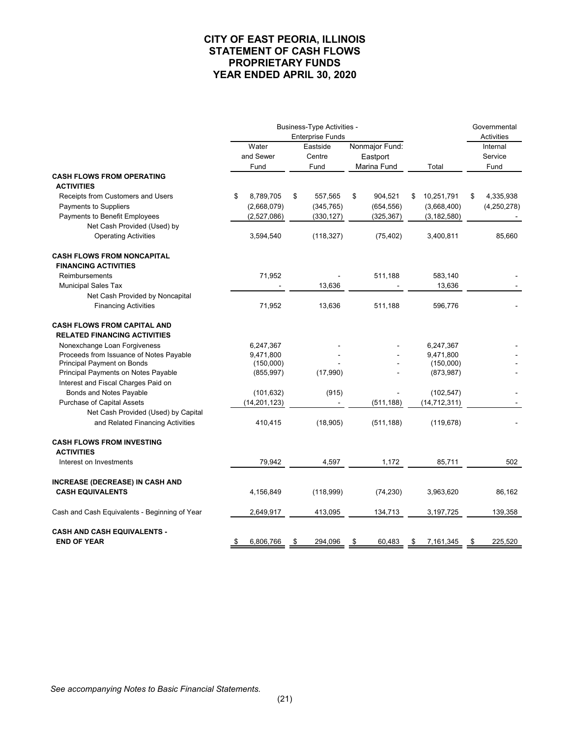## **CITY OF EAST PEORIA, ILLINOIS STATEMENT OF CASH FLOWS PROPRIETARY FUNDS YEAR ENDED APRIL 30, 2020**

|                                                                           |                 |    | <b>Business-Type Activities -</b> |                |                  | Governmental      |  |  |
|---------------------------------------------------------------------------|-----------------|----|-----------------------------------|----------------|------------------|-------------------|--|--|
|                                                                           |                 |    | <b>Enterprise Funds</b>           |                |                  | <b>Activities</b> |  |  |
|                                                                           | Water           |    | Eastside                          | Nonmajor Fund: |                  | Internal          |  |  |
|                                                                           | and Sewer       |    | Centre                            | Eastport       |                  | Service           |  |  |
|                                                                           | Fund            |    | Fund                              | Marina Fund    | Total            | Fund              |  |  |
| <b>CASH FLOWS FROM OPERATING</b><br><b>ACTIVITIES</b>                     |                 |    |                                   |                |                  |                   |  |  |
| Receipts from Customers and Users                                         | \$<br>8,789,705 | \$ | 557,565                           | \$<br>904,521  | 10,251,791<br>\$ | 4,335,938<br>\$   |  |  |
| Payments to Suppliers                                                     | (2,668,079)     |    | (345, 765)                        | (654, 556)     | (3,668,400)      | (4, 250, 278)     |  |  |
| Payments to Benefit Employees                                             | (2,527,086)     |    | (330, 127)                        | (325, 367)     | (3, 182, 580)    |                   |  |  |
| Net Cash Provided (Used) by                                               |                 |    |                                   |                |                  |                   |  |  |
| <b>Operating Activities</b>                                               | 3,594,540       |    | (118, 327)                        | (75, 402)      | 3,400,811        | 85,660            |  |  |
| <b>CASH FLOWS FROM NONCAPITAL</b>                                         |                 |    |                                   |                |                  |                   |  |  |
| <b>FINANCING ACTIVITIES</b>                                               |                 |    |                                   |                |                  |                   |  |  |
| Reimbursements                                                            | 71,952          |    |                                   | 511,188        | 583,140          |                   |  |  |
| <b>Municipal Sales Tax</b>                                                |                 |    | 13,636                            |                | 13,636           |                   |  |  |
| Net Cash Provided by Noncapital                                           |                 |    |                                   |                |                  |                   |  |  |
| <b>Financing Activities</b>                                               | 71,952          |    | 13,636                            | 511,188        | 596,776          |                   |  |  |
| <b>CASH FLOWS FROM CAPITAL AND</b><br><b>RELATED FINANCING ACTIVITIES</b> |                 |    |                                   |                |                  |                   |  |  |
| Nonexchange Loan Forgiveness                                              | 6,247,367       |    |                                   |                | 6,247,367        |                   |  |  |
| Proceeds from Issuance of Notes Payable                                   | 9,471,800       |    |                                   |                | 9,471,800        |                   |  |  |
| Principal Payment on Bonds                                                | (150,000)       |    |                                   |                | (150,000)        |                   |  |  |
| Principal Payments on Notes Payable                                       | (855, 997)      |    | (17,990)                          |                | (873, 987)       |                   |  |  |
| Interest and Fiscal Charges Paid on                                       |                 |    |                                   |                |                  |                   |  |  |
| Bonds and Notes Payable                                                   | (101, 632)      |    | (915)                             |                | (102, 547)       |                   |  |  |
| Purchase of Capital Assets                                                | (14,201,123)    |    |                                   | (511,188)      | (14,712,311)     |                   |  |  |
| Net Cash Provided (Used) by Capital                                       |                 |    |                                   |                |                  |                   |  |  |
| and Related Financing Activities                                          | 410,415         |    | (18,905)                          | (511, 188)     | (119, 678)       |                   |  |  |
| <b>CASH FLOWS FROM INVESTING</b><br><b>ACTIVITIES</b>                     |                 |    |                                   |                |                  |                   |  |  |
| Interest on Investments                                                   | 79,942          |    | 4,597                             | 1,172          | 85,711           | 502               |  |  |
| INCREASE (DECREASE) IN CASH AND                                           |                 |    |                                   |                |                  |                   |  |  |
| <b>CASH EQUIVALENTS</b>                                                   | 4,156,849       |    | (118,999)                         | (74, 230)      | 3,963,620        | 86,162            |  |  |
| Cash and Cash Equivalents - Beginning of Year                             | 2,649,917       |    | 413,095                           | 134,713        | 3,197,725        | 139,358           |  |  |
| <b>CASH AND CASH EQUIVALENTS -</b>                                        |                 |    |                                   |                |                  |                   |  |  |
| <b>END OF YEAR</b>                                                        | 6,806,766<br>\$ | S  | 294,096                           | 60,483<br>\$   | 7,161,345<br>\$  | 225,520<br>S      |  |  |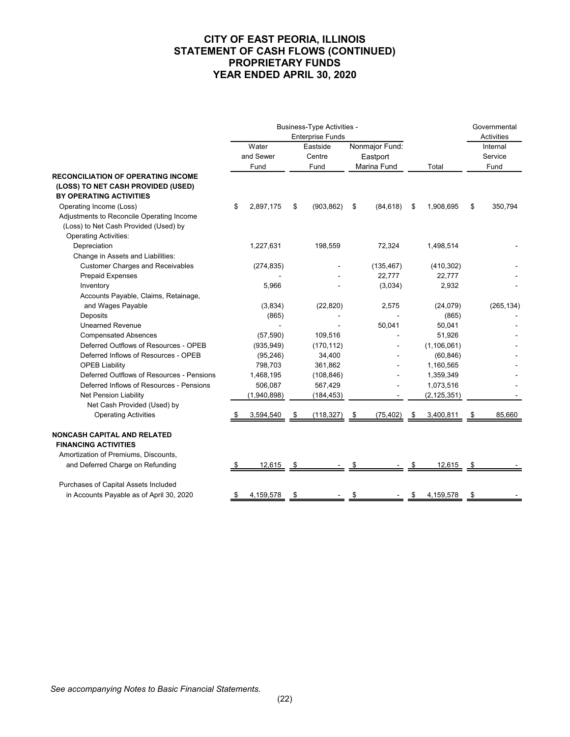## **CITY OF EAST PEORIA, ILLINOIS STATEMENT OF CASH FLOWS (CONTINUED) PROPRIETARY FUNDS YEAR ENDED APRIL 30, 2020**

|                                           | <b>Business-Type Activities -</b> |                    |      |                         |      |                            |      |               |      | Governmental        |
|-------------------------------------------|-----------------------------------|--------------------|------|-------------------------|------|----------------------------|------|---------------|------|---------------------|
|                                           |                                   |                    |      | <b>Enterprise Funds</b> |      |                            |      |               |      | Activities          |
|                                           |                                   | Water<br>and Sewer |      | Eastside<br>Centre      |      | Nonmajor Fund:<br>Eastport |      |               |      | Internal<br>Service |
|                                           |                                   | Fund               |      | Fund                    |      | Marina Fund                |      | Total         |      | Fund                |
| <b>RECONCILIATION OF OPERATING INCOME</b> |                                   |                    |      |                         |      |                            |      |               |      |                     |
| (LOSS) TO NET CASH PROVIDED (USED)        |                                   |                    |      |                         |      |                            |      |               |      |                     |
| BY OPERATING ACTIVITIES                   |                                   |                    |      |                         |      |                            |      |               |      |                     |
| Operating Income (Loss)                   | \$                                | 2,897,175          | \$   | (903, 862)              | \$   | (84, 618)                  | \$   | 1,908,695     | \$   | 350,794             |
| Adjustments to Reconcile Operating Income |                                   |                    |      |                         |      |                            |      |               |      |                     |
| (Loss) to Net Cash Provided (Used) by     |                                   |                    |      |                         |      |                            |      |               |      |                     |
| <b>Operating Activities:</b>              |                                   |                    |      |                         |      |                            |      |               |      |                     |
| Depreciation                              |                                   | 1,227,631          |      | 198,559                 |      | 72,324                     |      | 1,498,514     |      |                     |
| Change in Assets and Liabilities:         |                                   |                    |      |                         |      |                            |      |               |      |                     |
| <b>Customer Charges and Receivables</b>   |                                   | (274, 835)         |      |                         |      | (135, 467)                 |      | (410, 302)    |      |                     |
| <b>Prepaid Expenses</b>                   |                                   |                    |      |                         |      | 22,777                     |      | 22,777        |      |                     |
| Inventory                                 |                                   | 5,966              |      |                         |      | (3,034)                    |      | 2,932         |      |                     |
| Accounts Payable, Claims, Retainage,      |                                   |                    |      |                         |      |                            |      |               |      |                     |
| and Wages Payable                         |                                   | (3,834)            |      | (22, 820)               |      | 2,575                      |      | (24, 079)     |      | (265, 134)          |
| Deposits                                  |                                   | (865)              |      |                         |      |                            |      | (865)         |      |                     |
| <b>Unearned Revenue</b>                   |                                   |                    |      |                         |      | 50,041                     |      | 50,041        |      |                     |
| <b>Compensated Absences</b>               |                                   | (57, 590)          |      | 109,516                 |      |                            |      | 51,926        |      |                     |
| Deferred Outflows of Resources - OPEB     |                                   | (935, 949)         |      | (170, 112)              |      |                            |      | (1, 106, 061) |      |                     |
| Deferred Inflows of Resources - OPEB      |                                   | (95, 246)          |      | 34,400                  |      |                            |      | (60, 846)     |      |                     |
| <b>OPEB Liability</b>                     |                                   | 798,703            |      | 361,862                 |      |                            |      | 1,160,565     |      |                     |
| Deferred Outflows of Resources - Pensions |                                   | 1,468,195          |      | (108, 846)              |      |                            |      | 1,359,349     |      |                     |
| Deferred Inflows of Resources - Pensions  |                                   | 506,087            |      | 567,429                 |      |                            |      | 1,073,516     |      |                     |
| Net Pension Liability                     |                                   | (1,940,898)        |      | (184, 453)              |      |                            |      | (2, 125, 351) |      |                     |
| Net Cash Provided (Used) by               |                                   |                    |      |                         |      |                            |      |               |      |                     |
| <b>Operating Activities</b>               |                                   | 3,594,540          | \$   | (118, 327)              | - \$ | (75, 402)                  | - \$ | 3,400,811     | \$   | 85,660              |
| <b>NONCASH CAPITAL AND RELATED</b>        |                                   |                    |      |                         |      |                            |      |               |      |                     |
| <b>FINANCING ACTIVITIES</b>               |                                   |                    |      |                         |      |                            |      |               |      |                     |
| Amortization of Premiums, Discounts,      |                                   |                    |      |                         |      |                            |      |               |      |                     |
| and Deferred Charge on Refunding          |                                   | 12,615             | - \$ |                         | \$   |                            | \$   | 12,615        | - \$ |                     |
| Purchases of Capital Assets Included      |                                   |                    |      |                         |      |                            |      |               |      |                     |
| in Accounts Payable as of April 30, 2020  |                                   | 4,159,578          |      |                         | S    |                            |      | 4,159,578     |      |                     |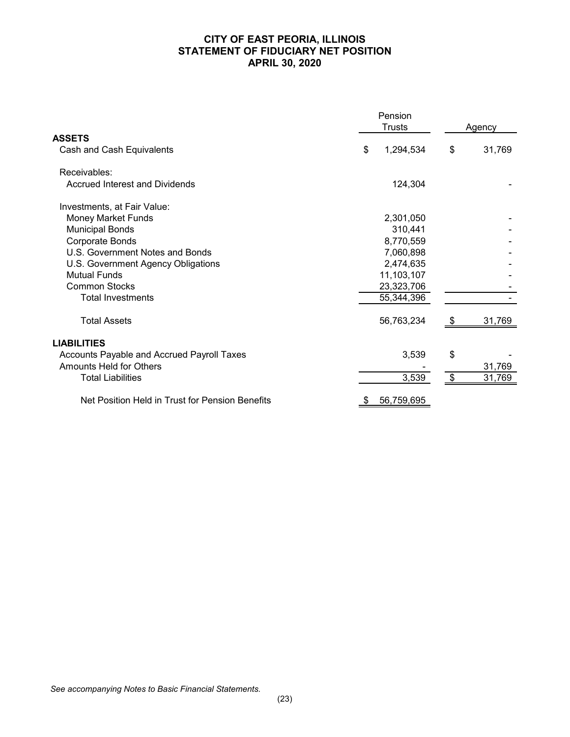# **CITY OF EAST PEORIA, ILLINOIS STATEMENT OF FIDUCIARY NET POSITION APRIL 30, 2020**

|                                                 |    |               | Agency |        |  |
|-------------------------------------------------|----|---------------|--------|--------|--|
| <b>ASSETS</b>                                   |    | <b>Trusts</b> |        |        |  |
| Cash and Cash Equivalents                       | \$ | 1,294,534     | \$     | 31,769 |  |
| Receivables:                                    |    |               |        |        |  |
| <b>Accrued Interest and Dividends</b>           |    | 124,304       |        |        |  |
| Investments, at Fair Value:                     |    |               |        |        |  |
| <b>Money Market Funds</b>                       |    | 2,301,050     |        |        |  |
| <b>Municipal Bonds</b>                          |    | 310,441       |        |        |  |
| Corporate Bonds                                 |    | 8,770,559     |        |        |  |
| U.S. Government Notes and Bonds                 |    | 7,060,898     |        |        |  |
| U.S. Government Agency Obligations              |    | 2,474,635     |        |        |  |
| <b>Mutual Funds</b>                             |    | 11,103,107    |        |        |  |
| <b>Common Stocks</b>                            |    | 23,323,706    |        |        |  |
| <b>Total Investments</b>                        |    | 55,344,396    |        |        |  |
| <b>Total Assets</b>                             |    | 56,763,234    | - \$   | 31,769 |  |
| <b>LIABILITIES</b>                              |    |               |        |        |  |
| Accounts Payable and Accrued Payroll Taxes      |    | 3,539         | \$     |        |  |
| Amounts Held for Others                         |    |               |        | 31,769 |  |
| <b>Total Liabilities</b>                        |    | 3,539         | \$     | 31,769 |  |
| Net Position Held in Trust for Pension Benefits | £. | 56,759,695    |        |        |  |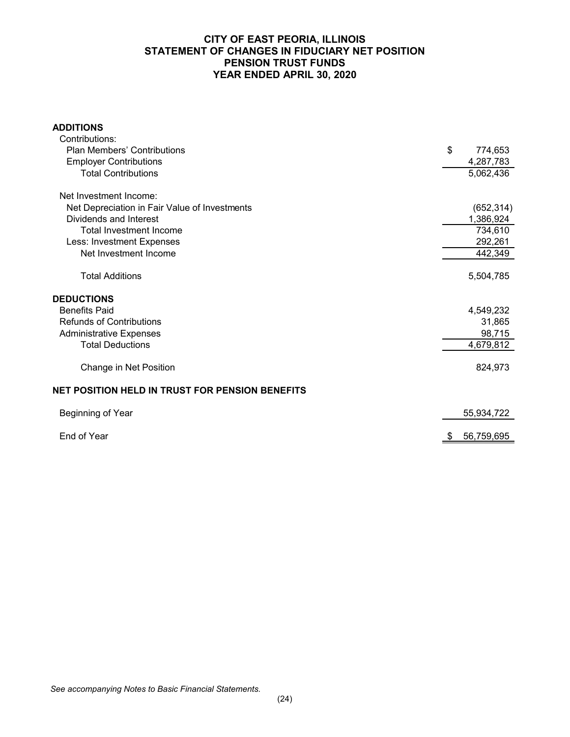# **CITY OF EAST PEORIA, ILLINOIS STATEMENT OF CHANGES IN FIDUCIARY NET POSITION PENSION TRUST FUNDS YEAR ENDED APRIL 30, 2020**

#### **ADDITIONS**

| Contributions:                                  |                  |
|-------------------------------------------------|------------------|
| Plan Members' Contributions                     | \$<br>774,653    |
| <b>Employer Contributions</b>                   | 4,287,783        |
| <b>Total Contributions</b>                      | 5,062,436        |
| Net Investment Income:                          |                  |
| Net Depreciation in Fair Value of Investments   | (652, 314)       |
| Dividends and Interest                          | 1,386,924        |
| <b>Total Investment Income</b>                  | 734,610          |
| Less: Investment Expenses                       | 292,261          |
| Net Investment Income                           | 442,349          |
| <b>Total Additions</b>                          | 5,504,785        |
| <b>DEDUCTIONS</b>                               |                  |
| <b>Benefits Paid</b>                            | 4,549,232        |
| <b>Refunds of Contributions</b>                 | 31,865           |
| <b>Administrative Expenses</b>                  | 98,715           |
| <b>Total Deductions</b>                         | 4,679,812        |
| Change in Net Position                          | 824,973          |
| NET POSITION HELD IN TRUST FOR PENSION BENEFITS |                  |
| Beginning of Year                               | 55,934,722       |
| End of Year                                     | 56,759,695<br>\$ |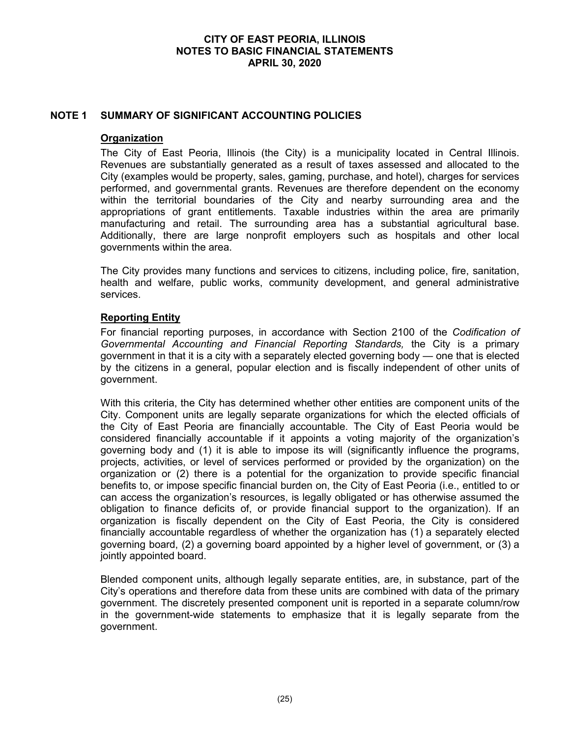## **NOTE 1 SUMMARY OF SIGNIFICANT ACCOUNTING POLICIES**

#### **Organization**

The City of East Peoria, Illinois (the City) is a municipality located in Central Illinois. Revenues are substantially generated as a result of taxes assessed and allocated to the City (examples would be property, sales, gaming, purchase, and hotel), charges for services performed, and governmental grants. Revenues are therefore dependent on the economy within the territorial boundaries of the City and nearby surrounding area and the appropriations of grant entitlements. Taxable industries within the area are primarily manufacturing and retail. The surrounding area has a substantial agricultural base. Additionally, there are large nonprofit employers such as hospitals and other local governments within the area.

The City provides many functions and services to citizens, including police, fire, sanitation, health and welfare, public works, community development, and general administrative services.

## **Reporting Entity**

For financial reporting purposes, in accordance with Section 2100 of the *Codification of Governmental Accounting and Financial Reporting Standards,* the City is a primary government in that it is a city with a separately elected governing body — one that is elected by the citizens in a general, popular election and is fiscally independent of other units of government.

With this criteria, the City has determined whether other entities are component units of the City. Component units are legally separate organizations for which the elected officials of the City of East Peoria are financially accountable. The City of East Peoria would be considered financially accountable if it appoints a voting majority of the organization's governing body and (1) it is able to impose its will (significantly influence the programs, projects, activities, or level of services performed or provided by the organization) on the organization or (2) there is a potential for the organization to provide specific financial benefits to, or impose specific financial burden on, the City of East Peoria (i.e., entitled to or can access the organization's resources, is legally obligated or has otherwise assumed the obligation to finance deficits of, or provide financial support to the organization). If an organization is fiscally dependent on the City of East Peoria, the City is considered financially accountable regardless of whether the organization has (1) a separately elected governing board, (2) a governing board appointed by a higher level of government, or (3) a jointly appointed board.

Blended component units, although legally separate entities, are, in substance, part of the City's operations and therefore data from these units are combined with data of the primary government. The discretely presented component unit is reported in a separate column/row in the government-wide statements to emphasize that it is legally separate from the government.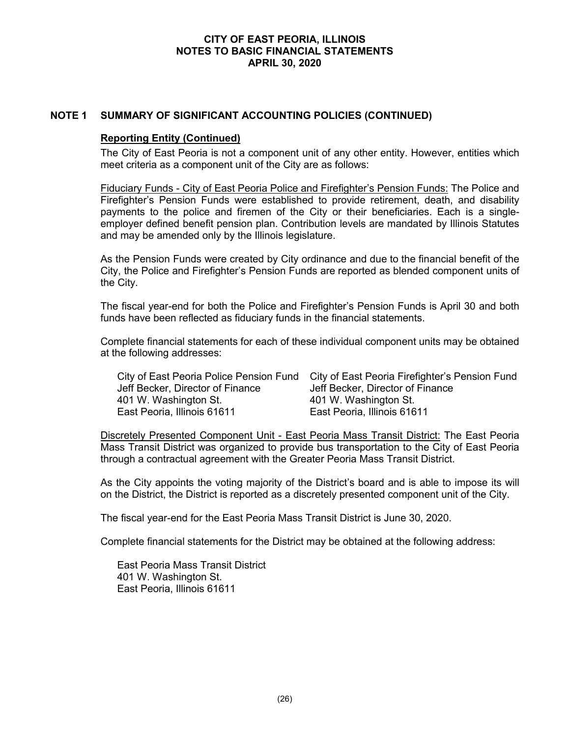## **NOTE 1 SUMMARY OF SIGNIFICANT ACCOUNTING POLICIES (CONTINUED)**

## **Reporting Entity (Continued)**

The City of East Peoria is not a component unit of any other entity. However, entities which meet criteria as a component unit of the City are as follows:

Fiduciary Funds - City of East Peoria Police and Firefighter's Pension Funds: The Police and Firefighter's Pension Funds were established to provide retirement, death, and disability payments to the police and firemen of the City or their beneficiaries. Each is a singleemployer defined benefit pension plan. Contribution levels are mandated by Illinois Statutes and may be amended only by the Illinois legislature.

As the Pension Funds were created by City ordinance and due to the financial benefit of the City, the Police and Firefighter's Pension Funds are reported as blended component units of the City.

The fiscal year-end for both the Police and Firefighter's Pension Funds is April 30 and both funds have been reflected as fiduciary funds in the financial statements.

Complete financial statements for each of these individual component units may be obtained at the following addresses:

| City of East Peoria Police Pension Fund | City of East Peoria Firefighter's Pension Fund |
|-----------------------------------------|------------------------------------------------|
| Jeff Becker, Director of Finance        | Jeff Becker, Director of Finance               |
| 401 W. Washington St.                   | 401 W. Washington St.                          |
| East Peoria, Illinois 61611             | East Peoria, Illinois 61611                    |

Discretely Presented Component Unit - East Peoria Mass Transit District: The East Peoria Mass Transit District was organized to provide bus transportation to the City of East Peoria through a contractual agreement with the Greater Peoria Mass Transit District.

As the City appoints the voting majority of the District's board and is able to impose its will on the District, the District is reported as a discretely presented component unit of the City.

The fiscal year-end for the East Peoria Mass Transit District is June 30, 2020.

Complete financial statements for the District may be obtained at the following address:

East Peoria Mass Transit District 401 W. Washington St. East Peoria, Illinois 61611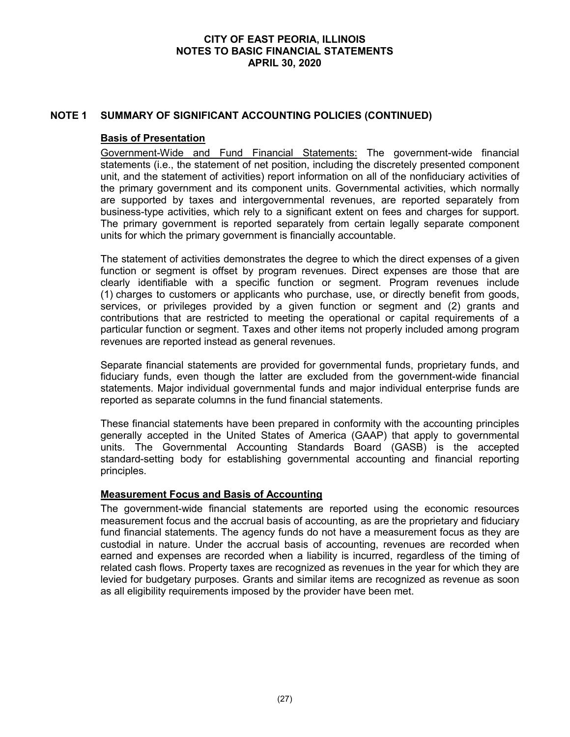# **NOTE 1 SUMMARY OF SIGNIFICANT ACCOUNTING POLICIES (CONTINUED)**

#### **Basis of Presentation**

Government-Wide and Fund Financial Statements: The government-wide financial statements (i.e., the statement of net position, including the discretely presented component unit, and the statement of activities) report information on all of the nonfiduciary activities of the primary government and its component units. Governmental activities, which normally are supported by taxes and intergovernmental revenues, are reported separately from business-type activities, which rely to a significant extent on fees and charges for support. The primary government is reported separately from certain legally separate component units for which the primary government is financially accountable.

The statement of activities demonstrates the degree to which the direct expenses of a given function or segment is offset by program revenues. Direct expenses are those that are clearly identifiable with a specific function or segment. Program revenues include (1) charges to customers or applicants who purchase, use, or directly benefit from goods, services, or privileges provided by a given function or segment and (2) grants and contributions that are restricted to meeting the operational or capital requirements of a particular function or segment. Taxes and other items not properly included among program revenues are reported instead as general revenues.

Separate financial statements are provided for governmental funds, proprietary funds, and fiduciary funds, even though the latter are excluded from the government-wide financial statements. Major individual governmental funds and major individual enterprise funds are reported as separate columns in the fund financial statements.

These financial statements have been prepared in conformity with the accounting principles generally accepted in the United States of America (GAAP) that apply to governmental units. The Governmental Accounting Standards Board (GASB) is the accepted standard-setting body for establishing governmental accounting and financial reporting principles.

# **Measurement Focus and Basis of Accounting**

The government-wide financial statements are reported using the economic resources measurement focus and the accrual basis of accounting, as are the proprietary and fiduciary fund financial statements. The agency funds do not have a measurement focus as they are custodial in nature. Under the accrual basis of accounting, revenues are recorded when earned and expenses are recorded when a liability is incurred, regardless of the timing of related cash flows. Property taxes are recognized as revenues in the year for which they are levied for budgetary purposes. Grants and similar items are recognized as revenue as soon as all eligibility requirements imposed by the provider have been met.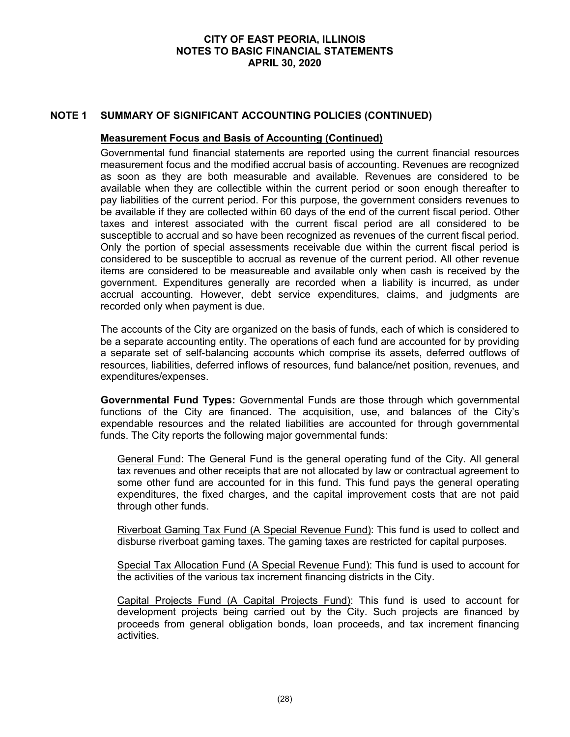# **NOTE 1 SUMMARY OF SIGNIFICANT ACCOUNTING POLICIES (CONTINUED)**

#### **Measurement Focus and Basis of Accounting (Continued)**

Governmental fund financial statements are reported using the current financial resources measurement focus and the modified accrual basis of accounting. Revenues are recognized as soon as they are both measurable and available. Revenues are considered to be available when they are collectible within the current period or soon enough thereafter to pay liabilities of the current period. For this purpose, the government considers revenues to be available if they are collected within 60 days of the end of the current fiscal period. Other taxes and interest associated with the current fiscal period are all considered to be susceptible to accrual and so have been recognized as revenues of the current fiscal period. Only the portion of special assessments receivable due within the current fiscal period is considered to be susceptible to accrual as revenue of the current period. All other revenue items are considered to be measureable and available only when cash is received by the government. Expenditures generally are recorded when a liability is incurred, as under accrual accounting. However, debt service expenditures, claims, and judgments are recorded only when payment is due.

The accounts of the City are organized on the basis of funds, each of which is considered to be a separate accounting entity. The operations of each fund are accounted for by providing a separate set of self-balancing accounts which comprise its assets, deferred outflows of resources, liabilities, deferred inflows of resources, fund balance/net position, revenues, and expenditures/expenses.

**Governmental Fund Types:** Governmental Funds are those through which governmental functions of the City are financed. The acquisition, use, and balances of the City's expendable resources and the related liabilities are accounted for through governmental funds. The City reports the following major governmental funds:

General Fund: The General Fund is the general operating fund of the City. All general tax revenues and other receipts that are not allocated by law or contractual agreement to some other fund are accounted for in this fund. This fund pays the general operating expenditures, the fixed charges, and the capital improvement costs that are not paid through other funds.

Riverboat Gaming Tax Fund (A Special Revenue Fund): This fund is used to collect and disburse riverboat gaming taxes. The gaming taxes are restricted for capital purposes.

Special Tax Allocation Fund (A Special Revenue Fund): This fund is used to account for the activities of the various tax increment financing districts in the City.

Capital Projects Fund (A Capital Projects Fund): This fund is used to account for development projects being carried out by the City. Such projects are financed by proceeds from general obligation bonds, loan proceeds, and tax increment financing activities.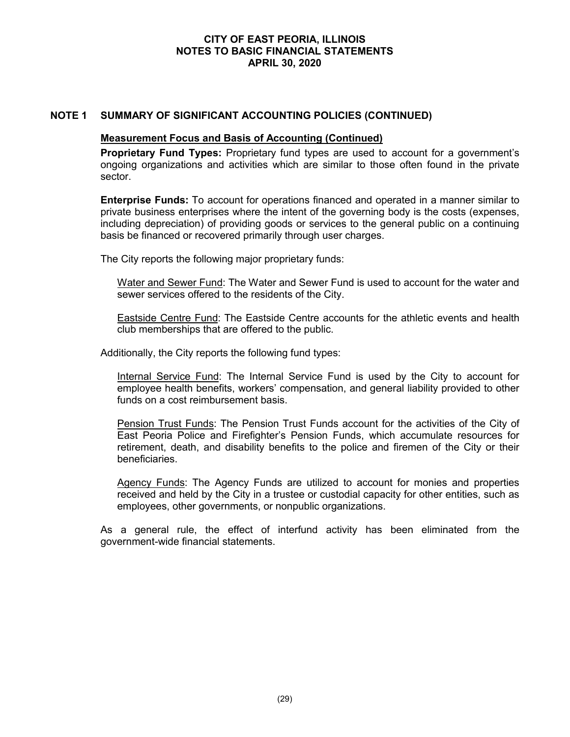## **NOTE 1 SUMMARY OF SIGNIFICANT ACCOUNTING POLICIES (CONTINUED)**

#### **Measurement Focus and Basis of Accounting (Continued)**

**Proprietary Fund Types:** Proprietary fund types are used to account for a government's ongoing organizations and activities which are similar to those often found in the private sector.

**Enterprise Funds:** To account for operations financed and operated in a manner similar to private business enterprises where the intent of the governing body is the costs (expenses, including depreciation) of providing goods or services to the general public on a continuing basis be financed or recovered primarily through user charges.

The City reports the following major proprietary funds:

Water and Sewer Fund: The Water and Sewer Fund is used to account for the water and sewer services offered to the residents of the City.

Eastside Centre Fund: The Eastside Centre accounts for the athletic events and health club memberships that are offered to the public.

Additionally, the City reports the following fund types:

Internal Service Fund: The Internal Service Fund is used by the City to account for employee health benefits, workers' compensation, and general liability provided to other funds on a cost reimbursement basis.

Pension Trust Funds: The Pension Trust Funds account for the activities of the City of East Peoria Police and Firefighter's Pension Funds, which accumulate resources for retirement, death, and disability benefits to the police and firemen of the City or their beneficiaries.

Agency Funds: The Agency Funds are utilized to account for monies and properties received and held by the City in a trustee or custodial capacity for other entities, such as employees, other governments, or nonpublic organizations.

As a general rule, the effect of interfund activity has been eliminated from the government-wide financial statements.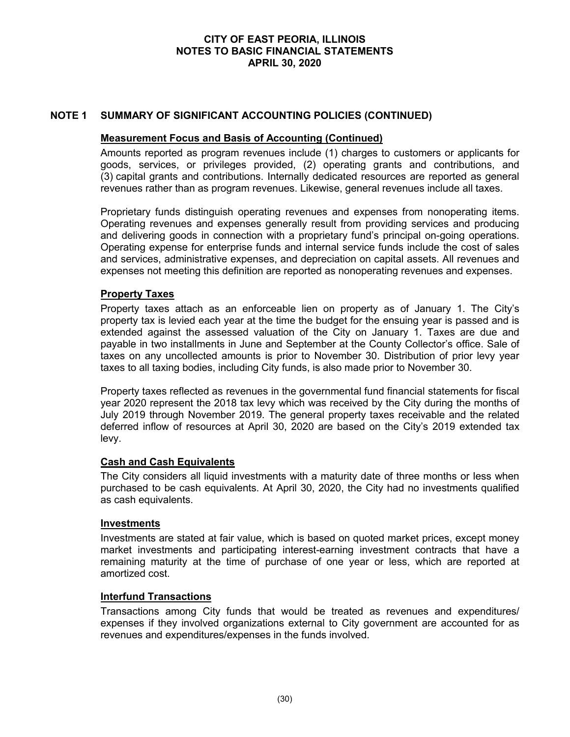# **NOTE 1 SUMMARY OF SIGNIFICANT ACCOUNTING POLICIES (CONTINUED)**

## **Measurement Focus and Basis of Accounting (Continued)**

Amounts reported as program revenues include (1) charges to customers or applicants for goods, services, or privileges provided, (2) operating grants and contributions, and (3) capital grants and contributions. Internally dedicated resources are reported as general revenues rather than as program revenues. Likewise, general revenues include all taxes.

Proprietary funds distinguish operating revenues and expenses from nonoperating items. Operating revenues and expenses generally result from providing services and producing and delivering goods in connection with a proprietary fund's principal on-going operations. Operating expense for enterprise funds and internal service funds include the cost of sales and services, administrative expenses, and depreciation on capital assets. All revenues and expenses not meeting this definition are reported as nonoperating revenues and expenses.

# **Property Taxes**

Property taxes attach as an enforceable lien on property as of January 1. The City's property tax is levied each year at the time the budget for the ensuing year is passed and is extended against the assessed valuation of the City on January 1. Taxes are due and payable in two installments in June and September at the County Collector's office. Sale of taxes on any uncollected amounts is prior to November 30. Distribution of prior levy year taxes to all taxing bodies, including City funds, is also made prior to November 30.

Property taxes reflected as revenues in the governmental fund financial statements for fiscal year 2020 represent the 2018 tax levy which was received by the City during the months of July 2019 through November 2019. The general property taxes receivable and the related deferred inflow of resources at April 30, 2020 are based on the City's 2019 extended tax levy.

#### **Cash and Cash Equivalents**

The City considers all liquid investments with a maturity date of three months or less when purchased to be cash equivalents. At April 30, 2020, the City had no investments qualified as cash equivalents.

#### **Investments**

Investments are stated at fair value, which is based on quoted market prices, except money market investments and participating interest-earning investment contracts that have a remaining maturity at the time of purchase of one year or less, which are reported at amortized cost.

# **Interfund Transactions**

Transactions among City funds that would be treated as revenues and expenditures/ expenses if they involved organizations external to City government are accounted for as revenues and expenditures/expenses in the funds involved.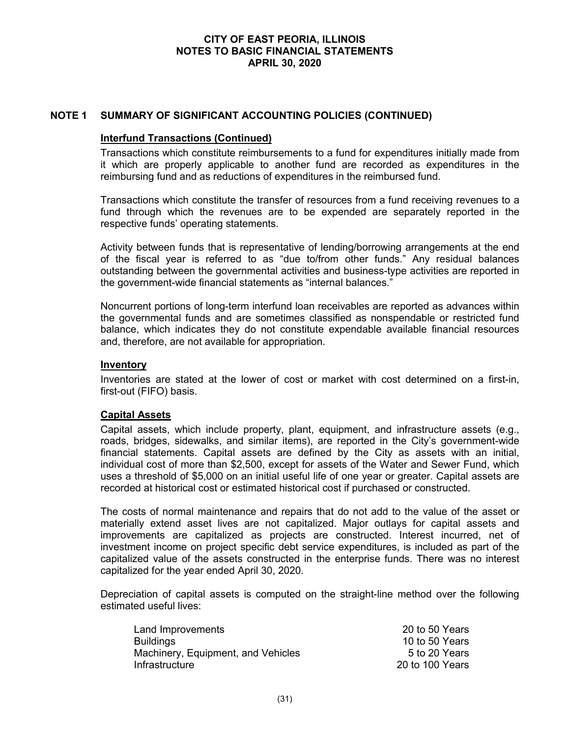## **NOTE 1 SUMMARY OF SIGNIFICANT ACCOUNTING POLICIES (CONTINUED)**

#### **Interfund Transactions (Continued)**

Transactions which constitute reimbursements to a fund for expenditures initially made from it which are properly applicable to another fund are recorded as expenditures in the reimbursing fund and as reductions of expenditures in the reimbursed fund.

Transactions which constitute the transfer of resources from a fund receiving revenues to a fund through which the revenues are to be expended are separately reported in the respective funds' operating statements.

Activity between funds that is representative of lending/borrowing arrangements at the end of the fiscal year is referred to as "due to/from other funds." Any residual balances outstanding between the governmental activities and business-type activities are reported in the government-wide financial statements as "internal balances."

Noncurrent portions of long-term interfund loan receivables are reported as advances within the governmental funds and are sometimes classified as nonspendable or restricted fund balance, which indicates they do not constitute expendable available financial resources and, therefore, are not available for appropriation.

#### **Inventory**

Inventories are stated at the lower of cost or market with cost determined on a first-in, first-out (FIFO) basis.

#### **Capital Assets**

Capital assets, which include property, plant, equipment, and infrastructure assets (e.g., roads, bridges, sidewalks, and similar items), are reported in the City's government-wide financial statements. Capital assets are defined by the City as assets with an initial, individual cost of more than \$2,500, except for assets of the Water and Sewer Fund, which uses a threshold of \$5,000 on an initial useful life of one year or greater. Capital assets are recorded at historical cost or estimated historical cost if purchased or constructed.

The costs of normal maintenance and repairs that do not add to the value of the asset or materially extend asset lives are not capitalized. Major outlays for capital assets and improvements are capitalized as projects are constructed. Interest incurred, net of investment income on project specific debt service expenditures, is included as part of the capitalized value of the assets constructed in the enterprise funds. There was no interest capitalized for the year ended April 30, 2020.

Depreciation of capital assets is computed on the straight-line method over the following estimated useful lives:

| Land Improvements                  | 20 to 50 Years  |
|------------------------------------|-----------------|
| <b>Buildings</b>                   | 10 to 50 Years  |
| Machinery, Equipment, and Vehicles | 5 to 20 Years   |
| Infrastructure                     | 20 to 100 Years |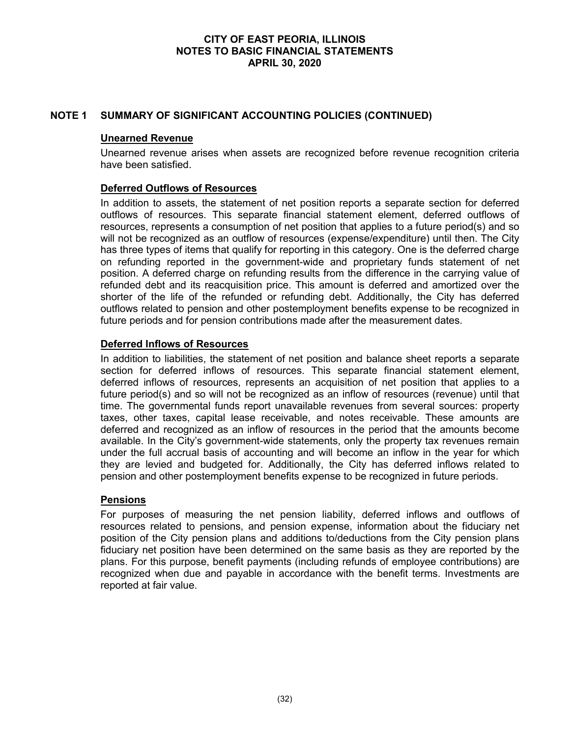# **NOTE 1 SUMMARY OF SIGNIFICANT ACCOUNTING POLICIES (CONTINUED)**

#### **Unearned Revenue**

Unearned revenue arises when assets are recognized before revenue recognition criteria have been satisfied.

## **Deferred Outflows of Resources**

In addition to assets, the statement of net position reports a separate section for deferred outflows of resources. This separate financial statement element, deferred outflows of resources, represents a consumption of net position that applies to a future period(s) and so will not be recognized as an outflow of resources (expense/expenditure) until then. The City has three types of items that qualify for reporting in this category. One is the deferred charge on refunding reported in the government-wide and proprietary funds statement of net position. A deferred charge on refunding results from the difference in the carrying value of refunded debt and its reacquisition price. This amount is deferred and amortized over the shorter of the life of the refunded or refunding debt. Additionally, the City has deferred outflows related to pension and other postemployment benefits expense to be recognized in future periods and for pension contributions made after the measurement dates.

## **Deferred Inflows of Resources**

In addition to liabilities, the statement of net position and balance sheet reports a separate section for deferred inflows of resources. This separate financial statement element, deferred inflows of resources, represents an acquisition of net position that applies to a future period(s) and so will not be recognized as an inflow of resources (revenue) until that time. The governmental funds report unavailable revenues from several sources: property taxes, other taxes, capital lease receivable, and notes receivable. These amounts are deferred and recognized as an inflow of resources in the period that the amounts become available. In the City's government-wide statements, only the property tax revenues remain under the full accrual basis of accounting and will become an inflow in the year for which they are levied and budgeted for. Additionally, the City has deferred inflows related to pension and other postemployment benefits expense to be recognized in future periods.

#### **Pensions**

For purposes of measuring the net pension liability, deferred inflows and outflows of resources related to pensions, and pension expense, information about the fiduciary net position of the City pension plans and additions to/deductions from the City pension plans fiduciary net position have been determined on the same basis as they are reported by the plans. For this purpose, benefit payments (including refunds of employee contributions) are recognized when due and payable in accordance with the benefit terms. Investments are reported at fair value.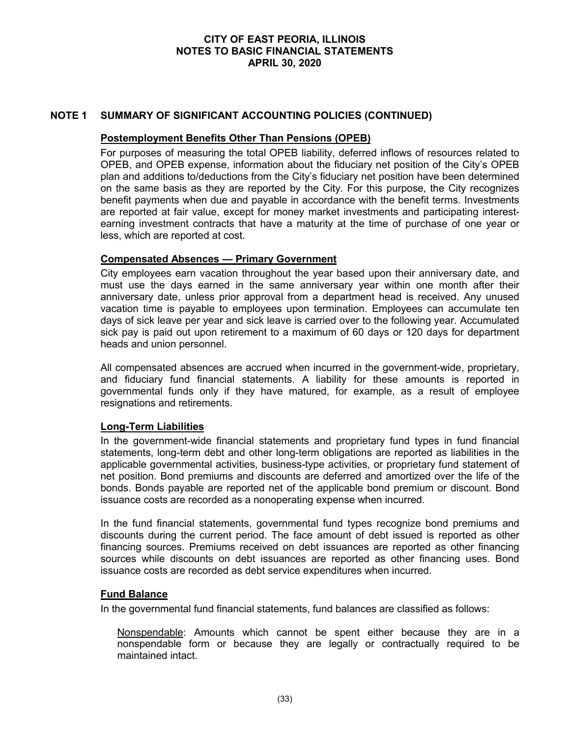# **NOTE 1 SUMMARY OF SIGNIFICANT ACCOUNTING POLICIES (CONTINUED)**

### **Postemployment Benefits Other Than Pensions (OPEB)**

For purposes of measuring the total OPEB liability, deferred inflows of resources related to OPEB, and OPEB expense, information about the fiduciary net position of the City's OPEB plan and additions to/deductions from the City's fiduciary net position have been determined on the same basis as they are reported by the City. For this purpose, the City recognizes benefit payments when due and payable in accordance with the benefit terms. Investments are reported at fair value, except for money market investments and participating interestearning investment contracts that have a maturity at the time of purchase of one year or less, which are reported at cost.

# **Compensated Absences — Primary Government**

City employees earn vacation throughout the year based upon their anniversary date, and must use the days earned in the same anniversary year within one month after their anniversary date, unless prior approval from a department head is received. Any unused vacation time is payable to employees upon termination. Employees can accumulate ten days of sick leave per year and sick leave is carried over to the following year. Accumulated sick pay is paid out upon retirement to a maximum of 60 days or 120 days for department heads and union personnel.

All compensated absences are accrued when incurred in the government-wide, proprietary, and fiduciary fund financial statements. A liability for these amounts is reported in governmental funds only if they have matured, for example, as a result of employee resignations and retirements.

# **Long-Term Liabilities**

In the government-wide financial statements and proprietary fund types in fund financial statements, long-term debt and other long-term obligations are reported as liabilities in the applicable governmental activities, business-type activities, or proprietary fund statement of net position. Bond premiums and discounts are deferred and amortized over the life of the bonds. Bonds payable are reported net of the applicable bond premium or discount. Bond issuance costs are recorded as a nonoperating expense when incurred.

In the fund financial statements, governmental fund types recognize bond premiums and discounts during the current period. The face amount of debt issued is reported as other financing sources. Premiums received on debt issuances are reported as other financing sources while discounts on debt issuances are reported as other financing uses. Bond issuance costs are recorded as debt service expenditures when incurred.

# **Fund Balance**

In the governmental fund financial statements, fund balances are classified as follows:

Nonspendable: Amounts which cannot be spent either because they are in a nonspendable form or because they are legally or contractually required to be maintained intact.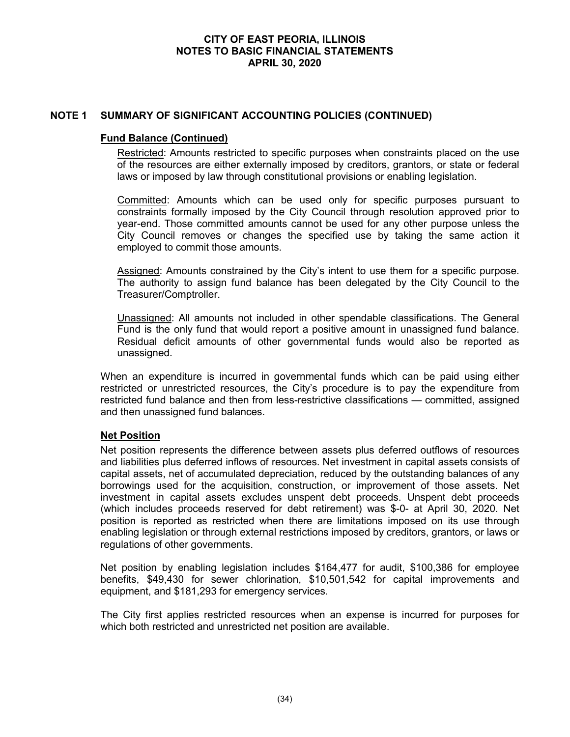# **NOTE 1 SUMMARY OF SIGNIFICANT ACCOUNTING POLICIES (CONTINUED)**

### **Fund Balance (Continued)**

Restricted: Amounts restricted to specific purposes when constraints placed on the use of the resources are either externally imposed by creditors, grantors, or state or federal laws or imposed by law through constitutional provisions or enabling legislation.

Committed: Amounts which can be used only for specific purposes pursuant to constraints formally imposed by the City Council through resolution approved prior to year-end. Those committed amounts cannot be used for any other purpose unless the City Council removes or changes the specified use by taking the same action it employed to commit those amounts.

Assigned: Amounts constrained by the City's intent to use them for a specific purpose. The authority to assign fund balance has been delegated by the City Council to the Treasurer/Comptroller.

Unassigned: All amounts not included in other spendable classifications. The General Fund is the only fund that would report a positive amount in unassigned fund balance. Residual deficit amounts of other governmental funds would also be reported as unassigned.

When an expenditure is incurred in governmental funds which can be paid using either restricted or unrestricted resources, the City's procedure is to pay the expenditure from restricted fund balance and then from less-restrictive classifications — committed, assigned and then unassigned fund balances.

### **Net Position**

Net position represents the difference between assets plus deferred outflows of resources and liabilities plus deferred inflows of resources. Net investment in capital assets consists of capital assets, net of accumulated depreciation, reduced by the outstanding balances of any borrowings used for the acquisition, construction, or improvement of those assets. Net investment in capital assets excludes unspent debt proceeds. Unspent debt proceeds (which includes proceeds reserved for debt retirement) was \$-0- at April 30, 2020. Net position is reported as restricted when there are limitations imposed on its use through enabling legislation or through external restrictions imposed by creditors, grantors, or laws or regulations of other governments.

Net position by enabling legislation includes \$164,477 for audit, \$100,386 for employee benefits, \$49,430 for sewer chlorination, \$10,501,542 for capital improvements and equipment, and \$181,293 for emergency services.

The City first applies restricted resources when an expense is incurred for purposes for which both restricted and unrestricted net position are available.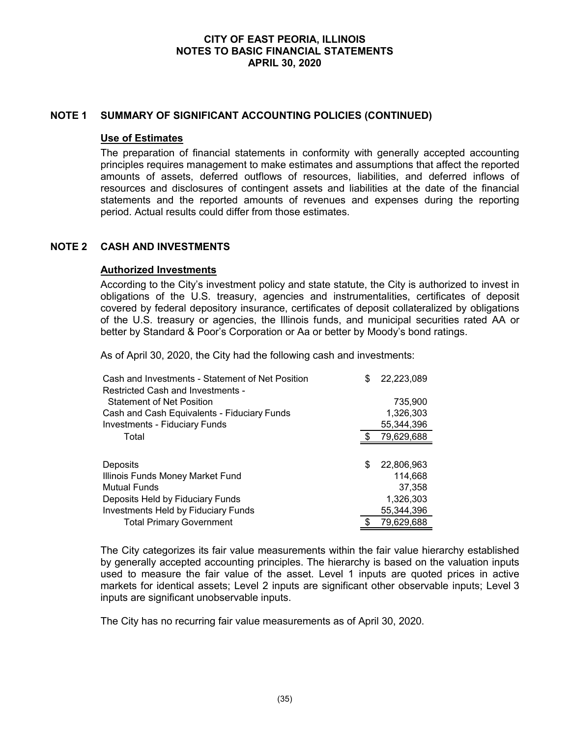# **NOTE 1 SUMMARY OF SIGNIFICANT ACCOUNTING POLICIES (CONTINUED)**

# **Use of Estimates**

The preparation of financial statements in conformity with generally accepted accounting principles requires management to make estimates and assumptions that affect the reported amounts of assets, deferred outflows of resources, liabilities, and deferred inflows of resources and disclosures of contingent assets and liabilities at the date of the financial statements and the reported amounts of revenues and expenses during the reporting period. Actual results could differ from those estimates.

### **NOTE 2 CASH AND INVESTMENTS**

#### **Authorized Investments**

According to the City's investment policy and state statute, the City is authorized to invest in obligations of the U.S. treasury, agencies and instrumentalities, certificates of deposit covered by federal depository insurance, certificates of deposit collateralized by obligations of the U.S. treasury or agencies, the Illinois funds, and municipal securities rated AA or better by Standard & Poor's Corporation or Aa or better by Moody's bond ratings.

As of April 30, 2020, the City had the following cash and investments:

| Cash and Investments - Statement of Net Position | \$<br>22,223,089 |
|--------------------------------------------------|------------------|
| Restricted Cash and Investments -                |                  |
| <b>Statement of Net Position</b>                 | 735,900          |
| Cash and Cash Equivalents - Fiduciary Funds      | 1,326,303        |
| <b>Investments - Fiduciary Funds</b>             | 55,344,396       |
| Total                                            | 79,629,688       |
|                                                  |                  |
| Deposits                                         | \$<br>22,806,963 |
| Illinois Funds Money Market Fund                 | 114,668          |
| <b>Mutual Funds</b>                              | 37,358           |
| Deposits Held by Fiduciary Funds                 | 1,326,303        |
| Investments Held by Fiduciary Funds              | 55,344,396       |
| <b>Total Primary Government</b>                  | \$<br>79,629,688 |

The City categorizes its fair value measurements within the fair value hierarchy established by generally accepted accounting principles. The hierarchy is based on the valuation inputs used to measure the fair value of the asset. Level 1 inputs are quoted prices in active markets for identical assets; Level 2 inputs are significant other observable inputs; Level 3 inputs are significant unobservable inputs.

The City has no recurring fair value measurements as of April 30, 2020.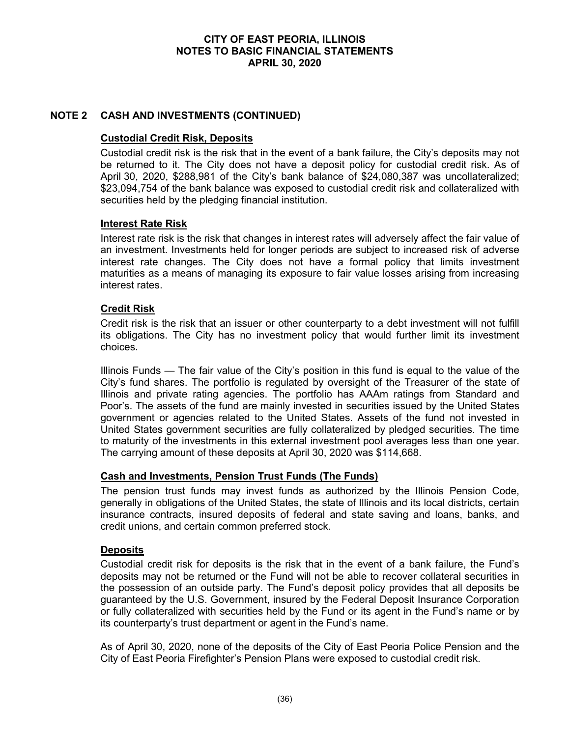# **NOTE 2 CASH AND INVESTMENTS (CONTINUED)**

# **Custodial Credit Risk, Deposits**

Custodial credit risk is the risk that in the event of a bank failure, the City's deposits may not be returned to it. The City does not have a deposit policy for custodial credit risk. As of April 30, 2020, \$288,981 of the City's bank balance of \$24,080,387 was uncollateralized; \$23,094,754 of the bank balance was exposed to custodial credit risk and collateralized with securities held by the pledging financial institution.

# **Interest Rate Risk**

Interest rate risk is the risk that changes in interest rates will adversely affect the fair value of an investment. Investments held for longer periods are subject to increased risk of adverse interest rate changes. The City does not have a formal policy that limits investment maturities as a means of managing its exposure to fair value losses arising from increasing interest rates.

# **Credit Risk**

Credit risk is the risk that an issuer or other counterparty to a debt investment will not fulfill its obligations. The City has no investment policy that would further limit its investment choices.

Illinois Funds — The fair value of the City's position in this fund is equal to the value of the City's fund shares. The portfolio is regulated by oversight of the Treasurer of the state of Illinois and private rating agencies. The portfolio has AAAm ratings from Standard and Poor's. The assets of the fund are mainly invested in securities issued by the United States government or agencies related to the United States. Assets of the fund not invested in United States government securities are fully collateralized by pledged securities. The time to maturity of the investments in this external investment pool averages less than one year. The carrying amount of these deposits at April 30, 2020 was \$114,668.

# **Cash and Investments, Pension Trust Funds (The Funds)**

The pension trust funds may invest funds as authorized by the Illinois Pension Code, generally in obligations of the United States, the state of Illinois and its local districts, certain insurance contracts, insured deposits of federal and state saving and loans, banks, and credit unions, and certain common preferred stock.

# **Deposits**

Custodial credit risk for deposits is the risk that in the event of a bank failure, the Fund's deposits may not be returned or the Fund will not be able to recover collateral securities in the possession of an outside party. The Fund's deposit policy provides that all deposits be guaranteed by the U.S. Government, insured by the Federal Deposit Insurance Corporation or fully collateralized with securities held by the Fund or its agent in the Fund's name or by its counterparty's trust department or agent in the Fund's name.

As of April 30, 2020, none of the deposits of the City of East Peoria Police Pension and the City of East Peoria Firefighter's Pension Plans were exposed to custodial credit risk.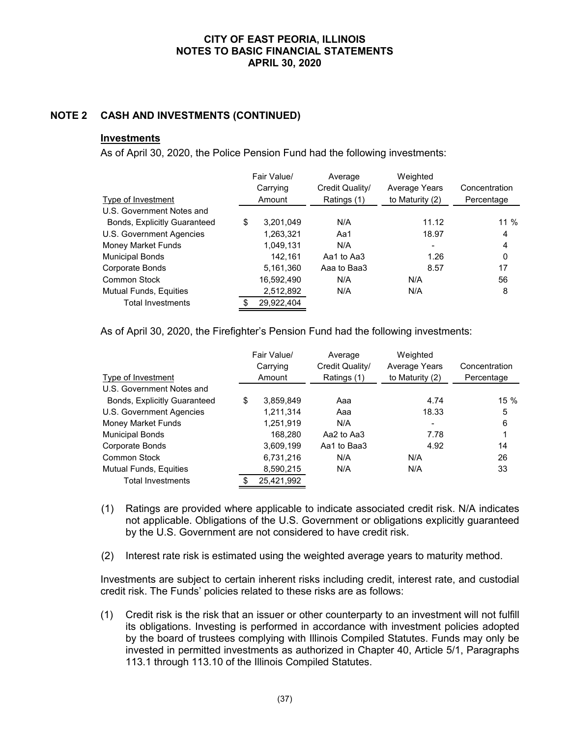# **NOTE 2 CASH AND INVESTMENTS (CONTINUED)**

#### **Investments**

As of April 30, 2020, the Police Pension Fund had the following investments:

|                               |    | Fair Value/<br>Carrying | Average<br>Credit Quality/ | Weighted<br>Average Years | Concentration |
|-------------------------------|----|-------------------------|----------------------------|---------------------------|---------------|
| Type of Investment            |    | Amount                  | Ratings (1)                | to Maturity (2)           | Percentage    |
| U.S. Government Notes and     |    |                         |                            |                           |               |
| Bonds, Explicitly Guaranteed  | \$ | 3.201.049               | N/A                        | 11.12                     | 11 $%$        |
| U.S. Government Agencies      |    | 1,263,321               | Aa1                        | 18.97                     | 4             |
| Money Market Funds            |    | 1,049,131               | N/A                        |                           | 4             |
| <b>Municipal Bonds</b>        |    | 142.161                 | Aa1 to Aa3                 | 1.26                      | 0             |
| Corporate Bonds               |    | 5,161,360               | Aaa to Baa3                | 8.57                      | 17            |
| Common Stock                  |    | 16,592,490              | N/A                        | N/A                       | 56            |
| <b>Mutual Funds, Equities</b> |    | 2,512,892               | N/A                        | N/A                       | 8             |
| <b>Total Investments</b>      |    | 29.922.404              |                            |                           |               |

As of April 30, 2020, the Firefighter's Pension Fund had the following investments:

|                                     | Fair Value/     | Average         | Weighted        |               |
|-------------------------------------|-----------------|-----------------|-----------------|---------------|
|                                     | Carrying        | Credit Quality/ | Average Years   | Concentration |
| Type of Investment                  | Amount          | Ratings (1)     | to Maturity (2) | Percentage    |
| U.S. Government Notes and           |                 |                 |                 |               |
| <b>Bonds, Explicitly Guaranteed</b> | \$<br>3,859,849 | Aaa             | 4.74            | $15\%$        |
| U.S. Government Agencies            | 1,211,314       | Aaa             | 18.33           | 5             |
| Money Market Funds                  | 1,251,919       | N/A             | -               | 6             |
| <b>Municipal Bonds</b>              | 168,280         | Aa2 to Aa3      | 7.78            |               |
| Corporate Bonds                     | 3,609,199       | Aa1 to Baa3     | 4.92            | 14            |
| <b>Common Stock</b>                 | 6,731,216       | N/A             | N/A             | 26            |
| <b>Mutual Funds, Equities</b>       | 8,590,215       | N/A             | N/A             | 33            |
| <b>Total Investments</b>            | 25,421,992      |                 |                 |               |

- (1) Ratings are provided where applicable to indicate associated credit risk. N/A indicates not applicable. Obligations of the U.S. Government or obligations explicitly guaranteed by the U.S. Government are not considered to have credit risk.
- (2) Interest rate risk is estimated using the weighted average years to maturity method.

Investments are subject to certain inherent risks including credit, interest rate, and custodial credit risk. The Funds' policies related to these risks are as follows:

(1) Credit risk is the risk that an issuer or other counterparty to an investment will not fulfill its obligations. Investing is performed in accordance with investment policies adopted by the board of trustees complying with Illinois Compiled Statutes. Funds may only be invested in permitted investments as authorized in Chapter 40, Article 5/1, Paragraphs 113.1 through 113.10 of the Illinois Compiled Statutes.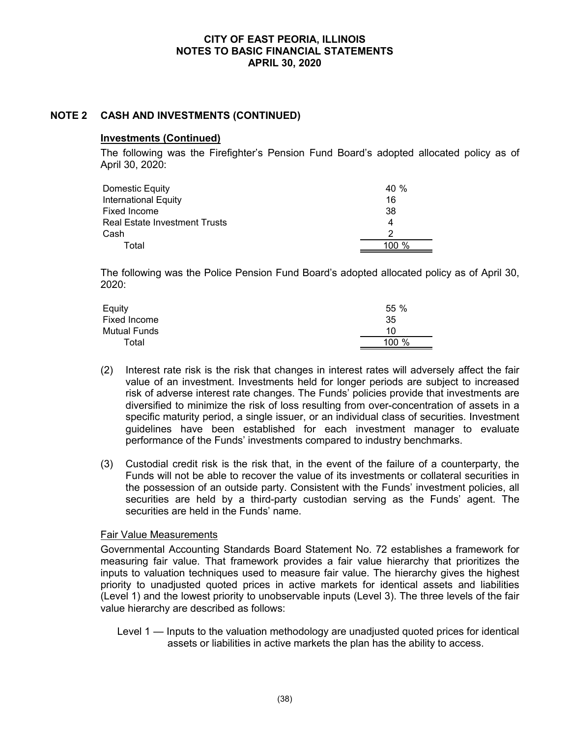# **NOTE 2 CASH AND INVESTMENTS (CONTINUED)**

### **Investments (Continued)**

The following was the Firefighter's Pension Fund Board's adopted allocated policy as of April 30, 2020:

| Domestic Equity                      | 40 %    |
|--------------------------------------|---------|
| <b>International Equity</b>          | 16      |
| Fixed Income                         | 38      |
| <b>Real Estate Investment Trusts</b> |         |
| Cash                                 |         |
| Total                                | 100 $%$ |

The following was the Police Pension Fund Board's adopted allocated policy as of April 30, 2020:

| Equity              | 55 %  |
|---------------------|-------|
| Fixed Income        | -35   |
| <b>Mutual Funds</b> | 10    |
| Total               | 100 % |

- (2) Interest rate risk is the risk that changes in interest rates will adversely affect the fair value of an investment. Investments held for longer periods are subject to increased risk of adverse interest rate changes. The Funds' policies provide that investments are diversified to minimize the risk of loss resulting from over-concentration of assets in a specific maturity period, a single issuer, or an individual class of securities. Investment guidelines have been established for each investment manager to evaluate performance of the Funds' investments compared to industry benchmarks.
- (3) Custodial credit risk is the risk that, in the event of the failure of a counterparty, the Funds will not be able to recover the value of its investments or collateral securities in the possession of an outside party. Consistent with the Funds' investment policies, all securities are held by a third-party custodian serving as the Funds' agent. The securities are held in the Funds' name.

### Fair Value Measurements

Governmental Accounting Standards Board Statement No. 72 establishes a framework for measuring fair value. That framework provides a fair value hierarchy that prioritizes the inputs to valuation techniques used to measure fair value. The hierarchy gives the highest priority to unadjusted quoted prices in active markets for identical assets and liabilities (Level 1) and the lowest priority to unobservable inputs (Level 3). The three levels of the fair value hierarchy are described as follows:

Level 1 — Inputs to the valuation methodology are unadjusted quoted prices for identical assets or liabilities in active markets the plan has the ability to access.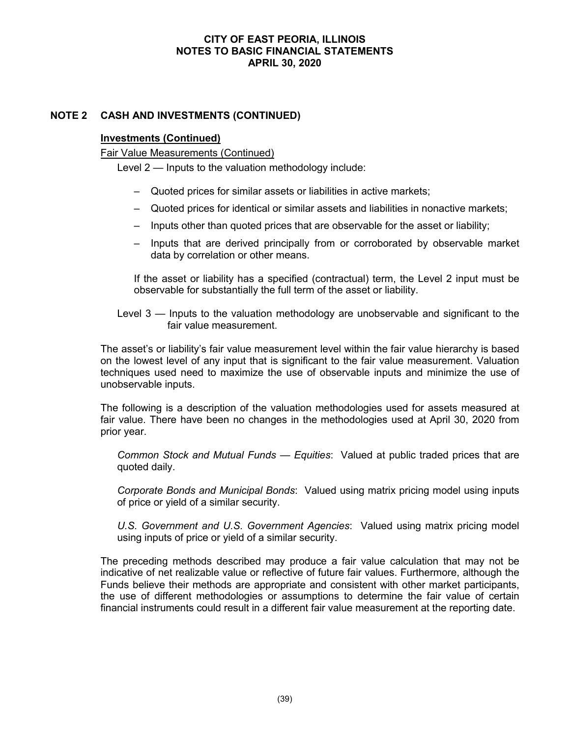# **NOTE 2 CASH AND INVESTMENTS (CONTINUED)**

# **Investments (Continued)**

Fair Value Measurements (Continued)

Level 2 — Inputs to the valuation methodology include:

- Quoted prices for similar assets or liabilities in active markets;
- Quoted prices for identical or similar assets and liabilities in nonactive markets;
- Inputs other than quoted prices that are observable for the asset or liability;
- Inputs that are derived principally from or corroborated by observable market data by correlation or other means.

If the asset or liability has a specified (contractual) term, the Level 2 input must be observable for substantially the full term of the asset or liability.

Level 3 — Inputs to the valuation methodology are unobservable and significant to the fair value measurement.

The asset's or liability's fair value measurement level within the fair value hierarchy is based on the lowest level of any input that is significant to the fair value measurement. Valuation techniques used need to maximize the use of observable inputs and minimize the use of unobservable inputs.

The following is a description of the valuation methodologies used for assets measured at fair value. There have been no changes in the methodologies used at April 30, 2020 from prior year.

*Common Stock and Mutual Funds — Equities*: Valued at public traded prices that are quoted daily.

*Corporate Bonds and Municipal Bonds*: Valued using matrix pricing model using inputs of price or yield of a similar security.

*U.S. Government and U.S. Government Agencies*: Valued using matrix pricing model using inputs of price or yield of a similar security.

The preceding methods described may produce a fair value calculation that may not be indicative of net realizable value or reflective of future fair values. Furthermore, although the Funds believe their methods are appropriate and consistent with other market participants, the use of different methodologies or assumptions to determine the fair value of certain financial instruments could result in a different fair value measurement at the reporting date.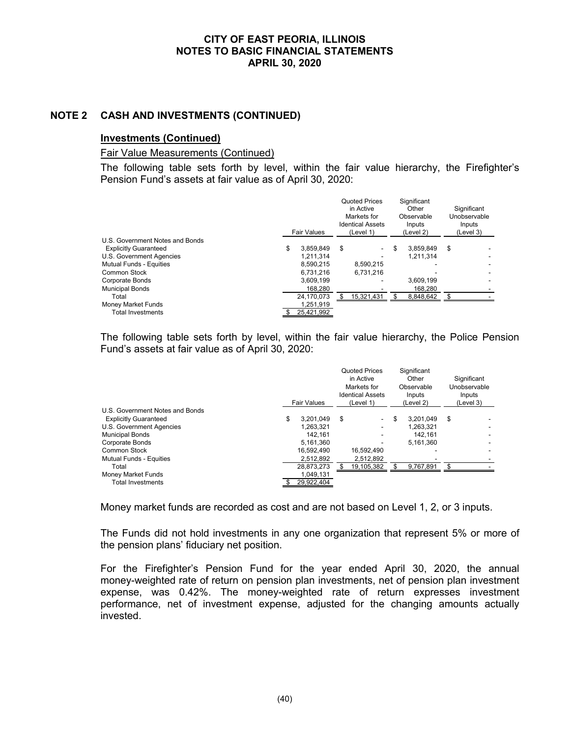# **NOTE 2 CASH AND INVESTMENTS (CONTINUED)**

#### **Investments (Continued)**

#### Fair Value Measurements (Continued)

The following table sets forth by level, within the fair value hierarchy, the Firefighter's Pension Fund's assets at fair value as of April 30, 2020:

|                                 | Fair Values     | <b>Quoted Prices</b><br>in Active<br>Markets for<br><b>Identical Assets</b><br>(Level 1) | Significant<br>Other<br>Observable<br>Inputs<br>(Level 2) | Significant<br>Unobservable<br>Inputs<br>(Level 3) |
|---------------------------------|-----------------|------------------------------------------------------------------------------------------|-----------------------------------------------------------|----------------------------------------------------|
| U.S. Government Notes and Bonds |                 |                                                                                          |                                                           |                                                    |
| <b>Explicitly Guaranteed</b>    | \$<br>3.859.849 | \$<br>$\overline{\phantom{0}}$                                                           | \$<br>3.859.849                                           | \$                                                 |
| U.S. Government Agencies        | 1.211.314       |                                                                                          | 1.211.314                                                 |                                                    |
| <b>Mutual Funds - Equities</b>  | 8,590,215       | 8.590.215                                                                                |                                                           |                                                    |
| Common Stock                    | 6.731.216       | 6.731.216                                                                                |                                                           |                                                    |
| Corporate Bonds                 | 3,609,199       |                                                                                          | 3.609.199                                                 |                                                    |
| <b>Municipal Bonds</b>          | 168.280         |                                                                                          | 168.280                                                   |                                                    |
| Total                           | 24,170,073      | 15,321,431                                                                               | 8,848,642                                                 |                                                    |
| Money Market Funds              | 1,251,919       |                                                                                          |                                                           |                                                    |
| <b>Total Investments</b>        | 25,421,992      |                                                                                          |                                                           |                                                    |

The following table sets forth by level, within the fair value hierarchy, the Police Pension Fund's assets at fair value as of April 30, 2020:

|                                 | <b>Fair Values</b> |            | Quoted Prices<br>in Active<br>Markets for<br><b>Identical Assets</b><br>(Level 1) |                          | Significant<br>Other<br>Observable<br>Inputs<br>(Level 2) |           | Significant<br>Unobservable<br>Inputs<br>(Level 3) |  |
|---------------------------------|--------------------|------------|-----------------------------------------------------------------------------------|--------------------------|-----------------------------------------------------------|-----------|----------------------------------------------------|--|
| U.S. Government Notes and Bonds |                    |            |                                                                                   |                          |                                                           |           |                                                    |  |
| <b>Explicitly Guaranteed</b>    | \$                 | 3.201.049  | \$                                                                                | $\overline{\phantom{a}}$ | \$                                                        | 3.201.049 | S                                                  |  |
| U.S. Government Agencies        |                    | 1,263,321  |                                                                                   | -                        |                                                           | 1,263,321 |                                                    |  |
| <b>Municipal Bonds</b>          |                    | 142.161    |                                                                                   |                          |                                                           | 142.161   |                                                    |  |
| Corporate Bonds                 |                    | 5.161.360  |                                                                                   |                          |                                                           | 5.161.360 |                                                    |  |
| Common Stock                    |                    | 16.592.490 |                                                                                   | 16,592,490               |                                                           |           |                                                    |  |
| <b>Mutual Funds - Equities</b>  |                    | 2.512.892  |                                                                                   | 2.512.892                |                                                           |           |                                                    |  |
| Total                           |                    | 28.873.273 | -SS                                                                               | 19,105,382               |                                                           | 9.767.891 |                                                    |  |
| Money Market Funds              |                    | 1.049.131  |                                                                                   |                          |                                                           |           |                                                    |  |
| <b>Total Investments</b>        |                    | 29,922,404 |                                                                                   |                          |                                                           |           |                                                    |  |

Money market funds are recorded as cost and are not based on Level 1, 2, or 3 inputs.

The Funds did not hold investments in any one organization that represent 5% or more of the pension plans' fiduciary net position.

For the Firefighter's Pension Fund for the year ended April 30, 2020, the annual money-weighted rate of return on pension plan investments, net of pension plan investment expense, was 0.42%. The money-weighted rate of return expresses investment performance, net of investment expense, adjusted for the changing amounts actually invested.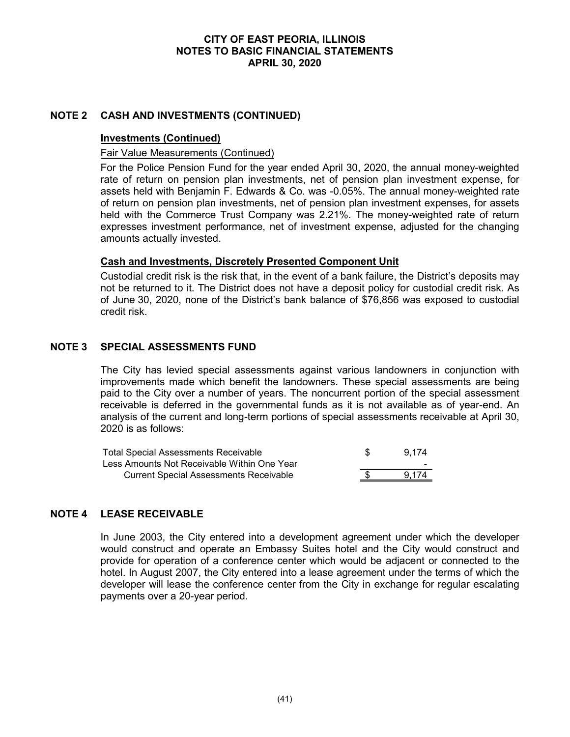# **NOTE 2 CASH AND INVESTMENTS (CONTINUED)**

### **Investments (Continued)**

### Fair Value Measurements (Continued)

For the Police Pension Fund for the year ended April 30, 2020, the annual money-weighted rate of return on pension plan investments, net of pension plan investment expense, for assets held with Benjamin F. Edwards & Co. was -0.05%. The annual money-weighted rate of return on pension plan investments, net of pension plan investment expenses, for assets held with the Commerce Trust Company was 2.21%. The money-weighted rate of return expresses investment performance, net of investment expense, adjusted for the changing amounts actually invested.

# **Cash and Investments, Discretely Presented Component Unit**

Custodial credit risk is the risk that, in the event of a bank failure, the District's deposits may not be returned to it. The District does not have a deposit policy for custodial credit risk. As of June 30, 2020, none of the District's bank balance of \$76,856 was exposed to custodial credit risk.

# **NOTE 3 SPECIAL ASSESSMENTS FUND**

The City has levied special assessments against various landowners in conjunction with improvements made which benefit the landowners. These special assessments are being paid to the City over a number of years. The noncurrent portion of the special assessment receivable is deferred in the governmental funds as it is not available as of year-end. An analysis of the current and long-term portions of special assessments receivable at April 30, 2020 is as follows:

| <b>Total Special Assessments Receivable</b>   | 9.174 |
|-----------------------------------------------|-------|
| Less Amounts Not Receivable Within One Year   | -     |
| <b>Current Special Assessments Receivable</b> | 9.174 |

# **NOTE 4 LEASE RECEIVABLE**

In June 2003, the City entered into a development agreement under which the developer would construct and operate an Embassy Suites hotel and the City would construct and provide for operation of a conference center which would be adjacent or connected to the hotel. In August 2007, the City entered into a lease agreement under the terms of which the developer will lease the conference center from the City in exchange for regular escalating payments over a 20-year period.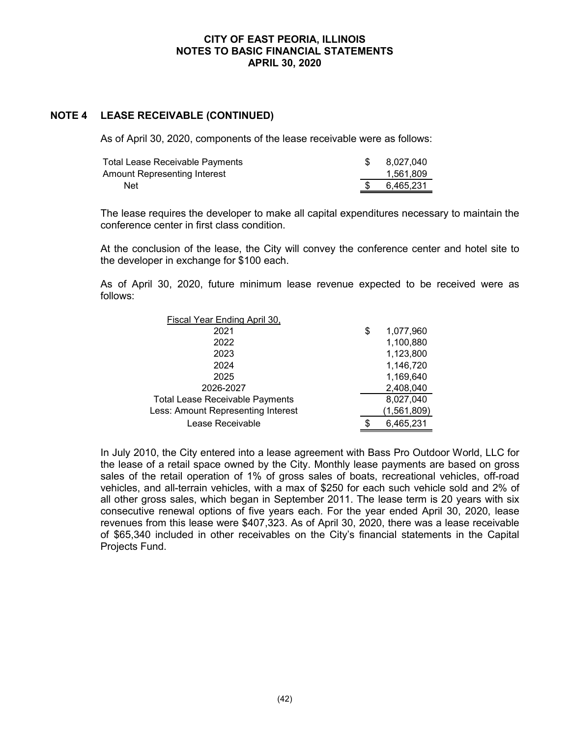# **NOTE 4 LEASE RECEIVABLE (CONTINUED)**

As of April 30, 2020, components of the lease receivable were as follows:

| 8.027.040 |
|-----------|
| 1.561.809 |
| 6.465.231 |
|           |

The lease requires the developer to make all capital expenditures necessary to maintain the conference center in first class condition.

At the conclusion of the lease, the City will convey the conference center and hotel site to the developer in exchange for \$100 each.

As of April 30, 2020, future minimum lease revenue expected to be received were as follows:

| Fiscal Year Ending April 30,           |    |             |
|----------------------------------------|----|-------------|
| 2021                                   | \$ | 1,077,960   |
| 2022                                   |    | 1,100,880   |
| 2023                                   |    | 1,123,800   |
| 2024                                   |    | 1,146,720   |
| 2025                                   |    | 1,169,640   |
| 2026-2027                              |    | 2,408,040   |
| <b>Total Lease Receivable Payments</b> |    | 8,027,040   |
| Less: Amount Representing Interest     |    | (1,561,809) |
| Lease Receivable                       | S  | 6,465,231   |

In July 2010, the City entered into a lease agreement with Bass Pro Outdoor World, LLC for the lease of a retail space owned by the City. Monthly lease payments are based on gross sales of the retail operation of 1% of gross sales of boats, recreational vehicles, off-road vehicles, and all-terrain vehicles, with a max of \$250 for each such vehicle sold and 2% of all other gross sales, which began in September 2011. The lease term is 20 years with six consecutive renewal options of five years each. For the year ended April 30, 2020, lease revenues from this lease were \$407,323. As of April 30, 2020, there was a lease receivable of \$65,340 included in other receivables on the City's financial statements in the Capital Projects Fund.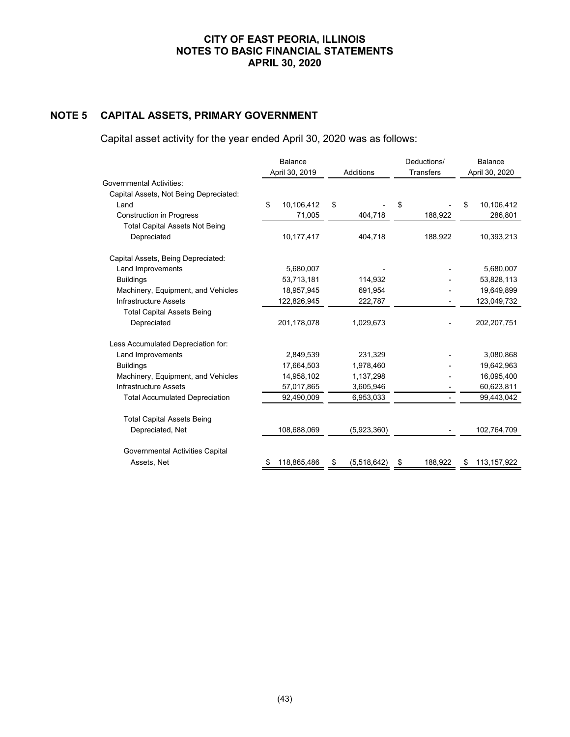# **NOTE 5 CAPITAL ASSETS, PRIMARY GOVERNMENT**

Capital asset activity for the year ended April 30, 2020 was as follows:

|                                        | <b>Balance</b> |                |                  | Deductions/ | Balance          |         |    |                |
|----------------------------------------|----------------|----------------|------------------|-------------|------------------|---------|----|----------------|
|                                        |                | April 30, 2019 | <b>Additions</b> |             | <b>Transfers</b> |         |    | April 30, 2020 |
| Governmental Activities:               |                |                |                  |             |                  |         |    |                |
| Capital Assets, Not Being Depreciated: |                |                |                  |             |                  |         |    |                |
| Land                                   | \$             | 10,106,412     | \$               |             | \$               |         | \$ | 10,106,412     |
| <b>Construction in Progress</b>        |                | 71,005         |                  | 404,718     |                  | 188,922 |    | 286,801        |
| <b>Total Capital Assets Not Being</b>  |                |                |                  |             |                  |         |    |                |
| Depreciated                            |                | 10,177,417     |                  | 404,718     |                  | 188,922 |    | 10,393,213     |
| Capital Assets, Being Depreciated:     |                |                |                  |             |                  |         |    |                |
| Land Improvements                      |                | 5,680,007      |                  |             |                  |         |    | 5,680,007      |
| <b>Buildings</b>                       |                | 53,713,181     |                  | 114,932     |                  |         |    | 53,828,113     |
| Machinery, Equipment, and Vehicles     |                | 18,957,945     |                  | 691,954     |                  |         |    | 19,649,899     |
| <b>Infrastructure Assets</b>           |                | 122,826,945    |                  | 222,787     |                  |         |    | 123,049,732    |
| <b>Total Capital Assets Being</b>      |                |                |                  |             |                  |         |    |                |
| Depreciated                            |                | 201,178,078    |                  | 1,029,673   |                  |         |    | 202, 207, 751  |
| Less Accumulated Depreciation for:     |                |                |                  |             |                  |         |    |                |
| Land Improvements                      |                | 2,849,539      |                  | 231,329     |                  |         |    | 3,080,868      |
| <b>Buildings</b>                       |                | 17,664,503     |                  | 1,978,460   |                  |         |    | 19,642,963     |
| Machinery, Equipment, and Vehicles     |                | 14,958,102     |                  | 1,137,298   |                  |         |    | 16,095,400     |
| <b>Infrastructure Assets</b>           |                | 57,017,865     |                  | 3,605,946   |                  |         |    | 60,623,811     |
| <b>Total Accumulated Depreciation</b>  |                | 92,490,009     |                  | 6,953,033   |                  |         |    | 99,443,042     |
| <b>Total Capital Assets Being</b>      |                |                |                  |             |                  |         |    |                |
| Depreciated, Net                       |                | 108,688,069    |                  | (5,923,360) |                  |         |    | 102,764,709    |
| Governmental Activities Capital        |                |                |                  |             |                  |         |    |                |
| Assets, Net                            | \$             | 118,865,486    | S                | (5,518,642) | \$               | 188,922 | S. | 113,157,922    |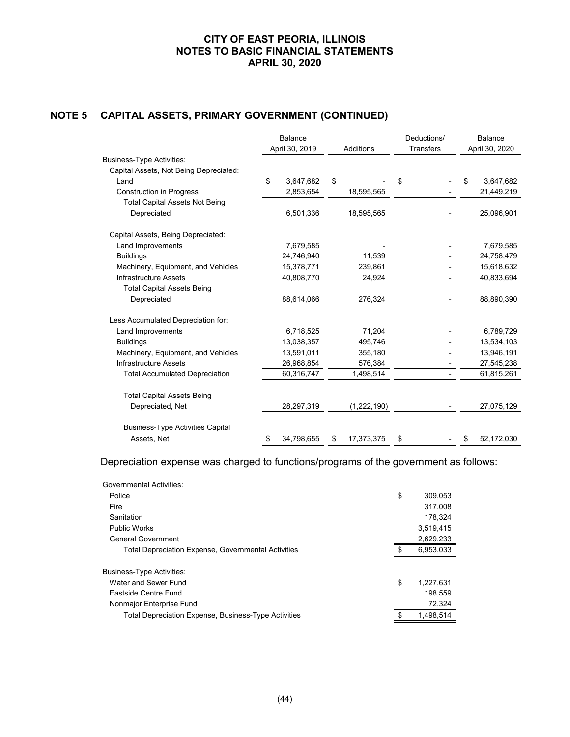# **NOTE 5 CAPITAL ASSETS, PRIMARY GOVERNMENT (CONTINUED)**

|                                         | <b>Balance</b> |                | Deductions/      |             | <b>Balance</b>   |  |    |                |
|-----------------------------------------|----------------|----------------|------------------|-------------|------------------|--|----|----------------|
|                                         |                | April 30, 2019 | <b>Additions</b> |             | <b>Transfers</b> |  |    | April 30, 2020 |
| <b>Business-Type Activities:</b>        |                |                |                  |             |                  |  |    |                |
| Capital Assets, Not Being Depreciated:  |                |                |                  |             |                  |  |    |                |
| Land                                    | \$             | 3,647,682      | \$               |             | \$               |  | \$ | 3,647,682      |
| <b>Construction in Progress</b>         |                | 2,853,654      |                  | 18,595,565  |                  |  |    | 21,449,219     |
| <b>Total Capital Assets Not Being</b>   |                |                |                  |             |                  |  |    |                |
| Depreciated                             |                | 6,501,336      |                  | 18,595,565  |                  |  |    | 25,096,901     |
| Capital Assets, Being Depreciated:      |                |                |                  |             |                  |  |    |                |
| Land Improvements                       |                | 7,679,585      |                  |             |                  |  |    | 7,679,585      |
| <b>Buildings</b>                        |                | 24,746,940     |                  | 11,539      |                  |  |    | 24,758,479     |
| Machinery, Equipment, and Vehicles      |                | 15,378,771     |                  | 239,861     |                  |  |    | 15,618,632     |
| <b>Infrastructure Assets</b>            |                | 40,808,770     |                  | 24,924      |                  |  |    | 40,833,694     |
| <b>Total Capital Assets Being</b>       |                |                |                  |             |                  |  |    |                |
| Depreciated                             |                | 88,614,066     |                  | 276,324     |                  |  |    | 88,890,390     |
| Less Accumulated Depreciation for:      |                |                |                  |             |                  |  |    |                |
| Land Improvements                       |                | 6,718,525      |                  | 71,204      |                  |  |    | 6,789,729      |
| <b>Buildings</b>                        |                | 13,038,357     |                  | 495,746     |                  |  |    | 13,534,103     |
| Machinery, Equipment, and Vehicles      |                | 13,591,011     |                  | 355,180     |                  |  |    | 13,946,191     |
| <b>Infrastructure Assets</b>            |                | 26,968,854     |                  | 576,384     |                  |  |    | 27,545,238     |
| <b>Total Accumulated Depreciation</b>   |                | 60,316,747     |                  | 1,498,514   |                  |  |    | 61,815,261     |
| <b>Total Capital Assets Being</b>       |                |                |                  |             |                  |  |    |                |
| Depreciated, Net                        |                | 28,297,319     |                  | (1,222,190) |                  |  |    | 27,075,129     |
| <b>Business-Type Activities Capital</b> |                |                |                  |             |                  |  |    |                |
| Assets, Net                             | \$             | 34,798,655     | \$               | 17,373,375  | \$               |  | \$ | 52,172,030     |

# Depreciation expense was charged to functions/programs of the government as follows:

| Governmental Activities:                                   |                 |
|------------------------------------------------------------|-----------------|
| Police                                                     | \$<br>309,053   |
| Fire                                                       | 317,008         |
| Sanitation                                                 | 178.324         |
| <b>Public Works</b>                                        | 3.519.415       |
| General Government                                         | 2,629,233       |
| <b>Total Depreciation Expense, Governmental Activities</b> | 6,953,033       |
| Business-Type Activities:                                  |                 |
| Water and Sewer Fund                                       | \$<br>1,227,631 |
| Eastside Centre Fund                                       | 198,559         |
| Nonmajor Enterprise Fund                                   | 72,324          |
| Total Depreciation Expense, Business-Type Activities       | 1,498,514       |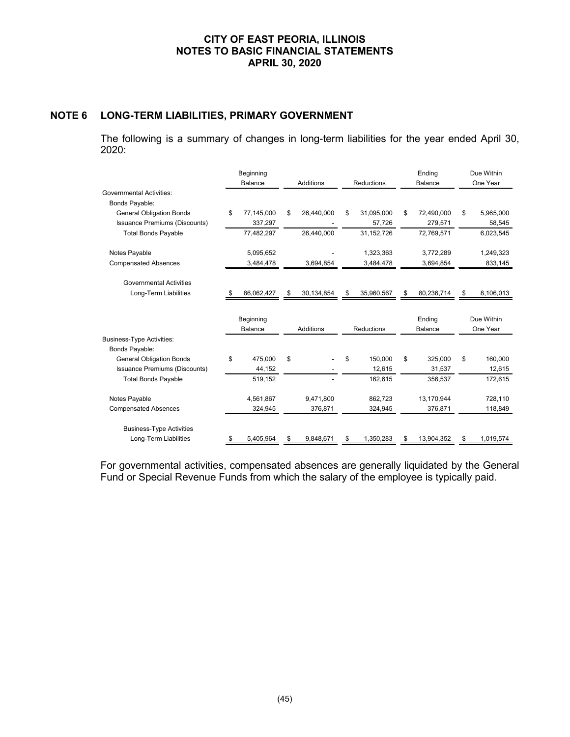# **NOTE 6 LONG-TERM LIABILITIES, PRIMARY GOVERNMENT**

The following is a summary of changes in long-term liabilities for the year ended April 30, 2020:

|                                      | Beginning        |                    |                  | Ending           | Due Within      |
|--------------------------------------|------------------|--------------------|------------------|------------------|-----------------|
|                                      | <b>Balance</b>   | <b>Additions</b>   | Reductions       | Balance          | One Year        |
| <b>Governmental Activities:</b>      |                  |                    |                  |                  |                 |
| Bonds Payable:                       |                  |                    |                  |                  |                 |
| <b>General Obligation Bonds</b>      | \$<br>77,145,000 | \$<br>26,440,000   | \$<br>31,095,000 | \$<br>72,490,000 | \$<br>5,965,000 |
| <b>Issuance Premiums (Discounts)</b> | 337,297          |                    | 57,726           | 279,571          | 58,545          |
| <b>Total Bonds Payable</b>           | 77,482,297       | 26,440,000         | 31,152,726       | 72,769,571       | 6,023,545       |
| Notes Payable                        | 5,095,652        |                    | 1,323,363        | 3,772,289        | 1,249,323       |
| <b>Compensated Absences</b>          | 3,484,478        | 3,694,854          | 3,484,478        | 3,694,854        | 833,145         |
| <b>Governmental Activities</b>       |                  |                    |                  |                  |                 |
| Long-Term Liabilities                | 86,062,427       | \$<br>30, 134, 854 | \$<br>35,960,567 | \$<br>80,236,714 | \$<br>8,106,013 |
|                                      | Beginning        |                    |                  | Ending           | Due Within      |
|                                      | Balance          | Additions          | Reductions       | <b>Balance</b>   | One Year        |
| <b>Business-Type Activities:</b>     |                  |                    |                  |                  |                 |
| Bonds Payable:                       |                  |                    |                  |                  |                 |
| <b>General Obligation Bonds</b>      | \$<br>475,000    | \$                 | \$<br>150.000    | \$<br>325,000    | \$<br>160,000   |
| Issuance Premiums (Discounts)        | 44,152           |                    | 12,615           | 31,537           | 12,615          |
| <b>Total Bonds Payable</b>           | 519,152          |                    | 162,615          | 356,537          | 172,615         |
| Notes Payable                        | 4,561,867        | 9,471,800          | 862,723          | 13,170,944       | 728,110         |
| <b>Compensated Absences</b>          | 324,945          | 376,871            | 324,945          | 376,871          | 118,849         |
| <b>Business-Type Activities</b>      |                  |                    |                  |                  |                 |
|                                      |                  |                    |                  |                  |                 |

For governmental activities, compensated absences are generally liquidated by the General Fund or Special Revenue Funds from which the salary of the employee is typically paid.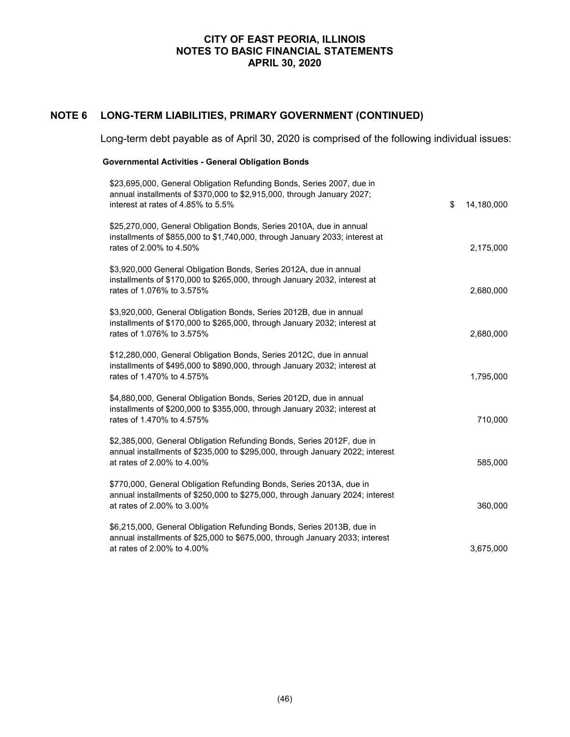# **NOTE 6 LONG-TERM LIABILITIES, PRIMARY GOVERNMENT (CONTINUED)**

Long-term debt payable as of April 30, 2020 is comprised of the following individual issues:

#### **Governmental Activities - General Obligation Bonds**

| \$23,695,000, General Obligation Refunding Bonds, Series 2007, due in<br>annual installments of \$370,000 to \$2,915,000, through January 2027;<br>interest at rates of 4.85% to 5.5% | \$<br>14,180,000 |
|---------------------------------------------------------------------------------------------------------------------------------------------------------------------------------------|------------------|
| \$25,270,000, General Obligation Bonds, Series 2010A, due in annual<br>installments of \$855,000 to \$1,740,000, through January 2033; interest at<br>rates of 2.00% to 4.50%         | 2,175,000        |
| \$3,920,000 General Obligation Bonds, Series 2012A, due in annual<br>installments of \$170,000 to \$265,000, through January 2032, interest at<br>rates of 1.076% to 3.575%           | 2,680,000        |
| \$3,920,000, General Obligation Bonds, Series 2012B, due in annual<br>installments of \$170,000 to \$265,000, through January 2032; interest at<br>rates of 1.076% to 3.575%          | 2,680,000        |
| \$12,280,000, General Obligation Bonds, Series 2012C, due in annual<br>installments of \$495,000 to \$890,000, through January 2032; interest at<br>rates of 1.470% to 4.575%         | 1,795,000        |
| \$4,880,000, General Obligation Bonds, Series 2012D, due in annual<br>installments of \$200,000 to \$355,000, through January 2032; interest at<br>rates of 1.470% to 4.575%          | 710,000          |
| \$2,385,000, General Obligation Refunding Bonds, Series 2012F, due in<br>annual installments of \$235,000 to \$295,000, through January 2022; interest<br>at rates of 2.00% to 4.00%  | 585,000          |
| \$770,000, General Obligation Refunding Bonds, Series 2013A, due in<br>annual installments of \$250,000 to \$275,000, through January 2024; interest<br>at rates of 2.00% to 3.00%    | 360,000          |
| \$6,215,000, General Obligation Refunding Bonds, Series 2013B, due in<br>annual installments of \$25,000 to \$675,000, through January 2033; interest<br>at rates of 2.00% to 4.00%   | 3,675,000        |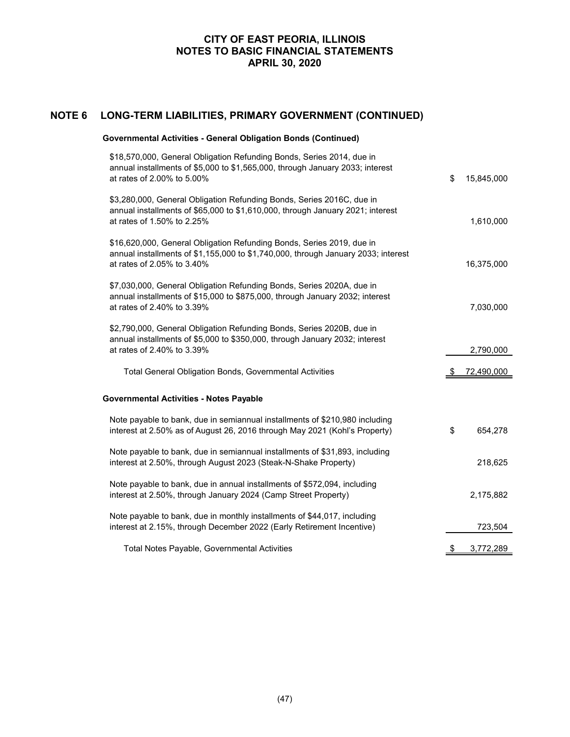# **NOTE 6 LONG-TERM LIABILITIES, PRIMARY GOVERNMENT (CONTINUED)**

| <b>Governmental Activities - General Obligation Bonds (Continued)</b>                                                                                                                    |                  |
|------------------------------------------------------------------------------------------------------------------------------------------------------------------------------------------|------------------|
| \$18,570,000, General Obligation Refunding Bonds, Series 2014, due in<br>annual installments of \$5,000 to \$1,565,000, through January 2033; interest<br>at rates of 2.00% to 5.00%     | \$<br>15,845,000 |
| \$3,280,000, General Obligation Refunding Bonds, Series 2016C, due in<br>annual installments of \$65,000 to \$1,610,000, through January 2021; interest<br>at rates of 1.50% to 2.25%    | 1,610,000        |
| \$16,620,000, General Obligation Refunding Bonds, Series 2019, due in<br>annual installments of \$1,155,000 to \$1,740,000, through January 2033; interest<br>at rates of 2.05% to 3.40% | 16,375,000       |
| \$7,030,000, General Obligation Refunding Bonds, Series 2020A, due in<br>annual installments of \$15,000 to \$875,000, through January 2032; interest<br>at rates of 2.40% to 3.39%      | 7,030,000        |
| \$2,790,000, General Obligation Refunding Bonds, Series 2020B, due in<br>annual installments of \$5,000 to \$350,000, through January 2032; interest<br>at rates of 2.40% to 3.39%       | 2,790,000        |
| Total General Obligation Bonds, Governmental Activities                                                                                                                                  | 72,490,000       |
| <b>Governmental Activities - Notes Payable</b>                                                                                                                                           |                  |
| Note payable to bank, due in semiannual installments of \$210,980 including<br>interest at 2.50% as of August 26, 2016 through May 2021 (Kohl's Property)                                | \$<br>654,278    |
| Note payable to bank, due in semiannual installments of \$31,893, including<br>interest at 2.50%, through August 2023 (Steak-N-Shake Property)                                           | 218,625          |
| Note payable to bank, due in annual installments of \$572,094, including<br>interest at 2.50%, through January 2024 (Camp Street Property)                                               | 2,175,882        |
| Note payable to bank, due in monthly installments of \$44,017, including<br>interest at 2.15%, through December 2022 (Early Retirement Incentive)                                        | 723,504          |
| Total Notes Payable, Governmental Activities                                                                                                                                             | \$<br>3,772,289  |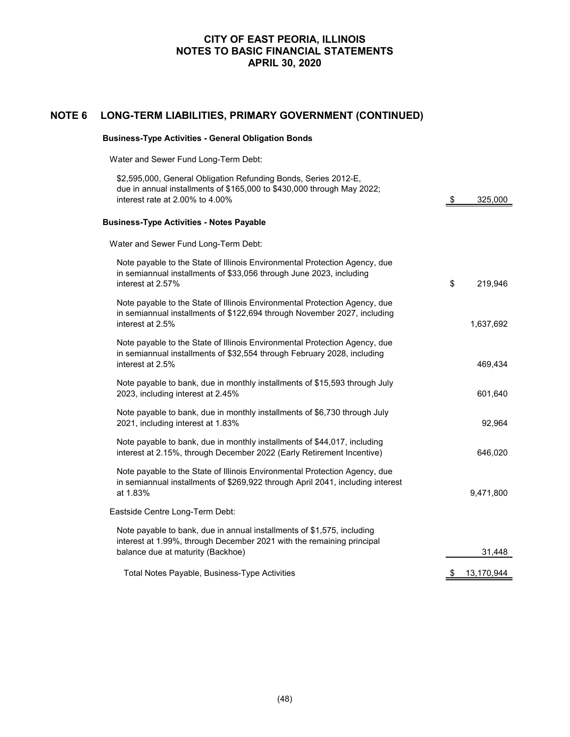# **NOTE 6 LONG-TERM LIABILITIES, PRIMARY GOVERNMENT (CONTINUED)**

#### **Business-Type Activities - General Obligation Bonds**

Water and Sewer Fund Long-Term Debt:

| \$2,595,000, General Obligation Refunding Bonds, Series 2012-E,<br>due in annual installments of \$165,000 to \$430,000 through May 2022;<br>interest rate at 2.00% to 4.00%         | \$<br>325,000    |
|--------------------------------------------------------------------------------------------------------------------------------------------------------------------------------------|------------------|
| <b>Business-Type Activities - Notes Payable</b>                                                                                                                                      |                  |
| Water and Sewer Fund Long-Term Debt:                                                                                                                                                 |                  |
| Note payable to the State of Illinois Environmental Protection Agency, due<br>in semiannual installments of \$33,056 through June 2023, including<br>interest at 2.57%               | \$<br>219,946    |
| Note payable to the State of Illinois Environmental Protection Agency, due<br>in semiannual installments of \$122,694 through November 2027, including<br>interest at 2.5%           | 1,637,692        |
| Note payable to the State of Illinois Environmental Protection Agency, due<br>in semiannual installments of \$32,554 through February 2028, including<br>interest at 2.5%            | 469,434          |
| Note payable to bank, due in monthly installments of \$15,593 through July<br>2023, including interest at 2.45%                                                                      | 601,640          |
| Note payable to bank, due in monthly installments of \$6,730 through July<br>2021, including interest at 1.83%                                                                       | 92,964           |
| Note payable to bank, due in monthly installments of \$44,017, including<br>interest at 2.15%, through December 2022 (Early Retirement Incentive)                                    | 646,020          |
| Note payable to the State of Illinois Environmental Protection Agency, due<br>in semiannual installments of \$269,922 through April 2041, including interest<br>at 1.83%             | 9,471,800        |
| Eastside Centre Long-Term Debt:                                                                                                                                                      |                  |
| Note payable to bank, due in annual installments of \$1,575, including<br>interest at 1.99%, through December 2021 with the remaining principal<br>balance due at maturity (Backhoe) | 31,448           |
| Total Notes Payable, Business-Type Activities                                                                                                                                        | \$<br>13,170,944 |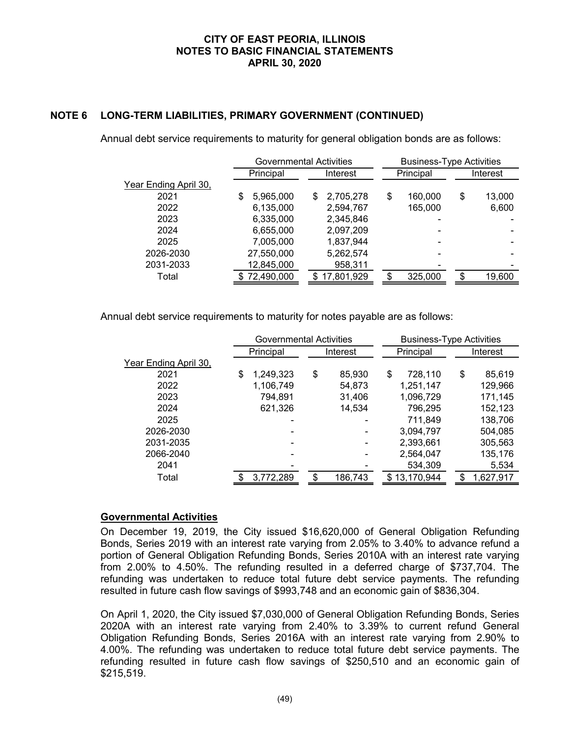# **NOTE 6 LONG-TERM LIABILITIES, PRIMARY GOVERNMENT (CONTINUED)**

|                       | Governmental Activities |            |    | <b>Business-Type Activities</b> |               |    |          |
|-----------------------|-------------------------|------------|----|---------------------------------|---------------|----|----------|
|                       |                         | Principal  |    | Interest                        | Principal     |    | Interest |
| Year Ending April 30, |                         |            |    |                                 |               |    |          |
| 2021                  | \$                      | 5,965,000  | \$ | 2,705,278                       | \$<br>160,000 | \$ | 13,000   |
| 2022                  |                         | 6,135,000  |    | 2,594,767                       | 165,000       |    | 6,600    |
| 2023                  |                         | 6,335,000  |    | 2,345,846                       |               |    |          |
| 2024                  |                         | 6,655,000  |    | 2,097,209                       |               |    |          |
| 2025                  |                         | 7,005,000  |    | 1,837,944                       |               |    |          |
| 2026-2030             |                         | 27,550,000 |    | 5,262,574                       |               |    |          |
| 2031-2033             |                         | 12,845,000 |    | 958,311                         |               |    |          |
| Total                 |                         | 72,490,000 | \$ | 17,801,929                      | 325,000       | S  | 19,600   |

Annual debt service requirements to maturity for general obligation bonds are as follows:

Annual debt service requirements to maturity for notes payable are as follows:

|                       | <b>Governmental Activities</b> |                |    |          |     | <b>Business-Type Activities</b> |              |
|-----------------------|--------------------------------|----------------|----|----------|-----|---------------------------------|--------------|
|                       |                                | Principal      |    | Interest |     | Principal                       | Interest     |
| Year Ending April 30, |                                |                |    |          |     |                                 |              |
| 2021                  | \$                             | 1,249,323      | \$ | 85,930   | \$  | 728,110                         | \$<br>85,619 |
| 2022                  |                                | 1,106,749      |    | 54,873   |     | 1.251.147                       | 129,966      |
| 2023                  |                                | 794,891        |    | 31,406   |     | 1,096,729                       | 171,145      |
| 2024                  |                                | 621,326        |    | 14.534   |     | 796,295                         | 152,123      |
| 2025                  |                                | $\blacksquare$ |    |          |     | 711,849                         | 138,706      |
| 2026-2030             |                                |                |    |          |     | 3,094,797                       | 504,085      |
| 2031-2035             |                                |                |    |          |     | 2,393,661                       | 305,563      |
| 2066-2040             |                                |                |    |          |     | 2,564,047                       | 135,176      |
| 2041                  |                                |                |    |          |     | 534,309                         | 5,534        |
| Total                 |                                | 3,772,289      |    | 186,743  | \$. | 13,170,944                      | 1,627,917    |

# **Governmental Activities**

On December 19, 2019, the City issued \$16,620,000 of General Obligation Refunding Bonds, Series 2019 with an interest rate varying from 2.05% to 3.40% to advance refund a portion of General Obligation Refunding Bonds, Series 2010A with an interest rate varying from 2.00% to 4.50%. The refunding resulted in a deferred charge of \$737,704. The refunding was undertaken to reduce total future debt service payments. The refunding resulted in future cash flow savings of \$993,748 and an economic gain of \$836,304.

On April 1, 2020, the City issued \$7,030,000 of General Obligation Refunding Bonds, Series 2020A with an interest rate varying from 2.40% to 3.39% to current refund General Obligation Refunding Bonds, Series 2016A with an interest rate varying from 2.90% to 4.00%. The refunding was undertaken to reduce total future debt service payments. The refunding resulted in future cash flow savings of \$250,510 and an economic gain of \$215,519.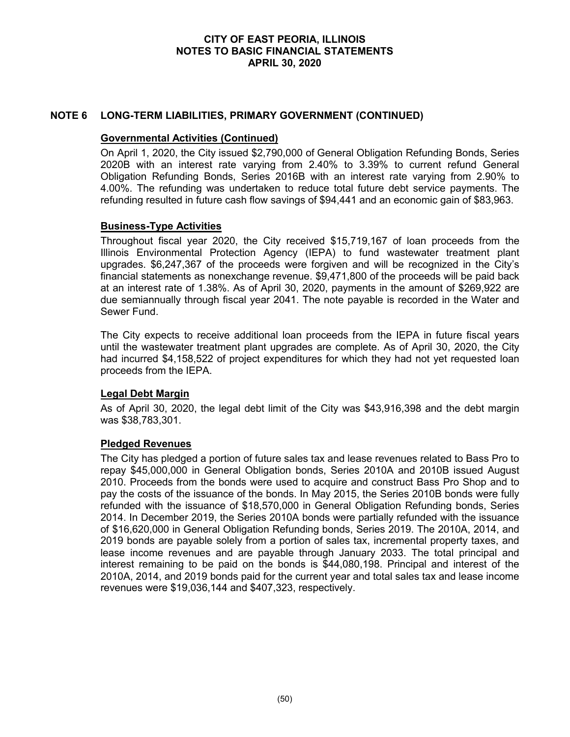# **NOTE 6 LONG-TERM LIABILITIES, PRIMARY GOVERNMENT (CONTINUED)**

### **Governmental Activities (Continued)**

On April 1, 2020, the City issued \$2,790,000 of General Obligation Refunding Bonds, Series 2020B with an interest rate varying from 2.40% to 3.39% to current refund General Obligation Refunding Bonds, Series 2016B with an interest rate varying from 2.90% to 4.00%. The refunding was undertaken to reduce total future debt service payments. The refunding resulted in future cash flow savings of \$94,441 and an economic gain of \$83,963.

# **Business-Type Activities**

Throughout fiscal year 2020, the City received \$15,719,167 of loan proceeds from the Illinois Environmental Protection Agency (IEPA) to fund wastewater treatment plant upgrades. \$6,247,367 of the proceeds were forgiven and will be recognized in the City's financial statements as nonexchange revenue. \$9,471,800 of the proceeds will be paid back at an interest rate of 1.38%. As of April 30, 2020, payments in the amount of \$269,922 are due semiannually through fiscal year 2041. The note payable is recorded in the Water and Sewer Fund.

The City expects to receive additional loan proceeds from the IEPA in future fiscal years until the wastewater treatment plant upgrades are complete. As of April 30, 2020, the City had incurred \$4,158,522 of project expenditures for which they had not yet requested loan proceeds from the IEPA.

# **Legal Debt Margin**

As of April 30, 2020, the legal debt limit of the City was \$43,916,398 and the debt margin was \$38,783,301.

### **Pledged Revenues**

The City has pledged a portion of future sales tax and lease revenues related to Bass Pro to repay \$45,000,000 in General Obligation bonds, Series 2010A and 2010B issued August 2010. Proceeds from the bonds were used to acquire and construct Bass Pro Shop and to pay the costs of the issuance of the bonds. In May 2015, the Series 2010B bonds were fully refunded with the issuance of \$18,570,000 in General Obligation Refunding bonds, Series 2014. In December 2019, the Series 2010A bonds were partially refunded with the issuance of \$16,620,000 in General Obligation Refunding bonds, Series 2019. The 2010A, 2014, and 2019 bonds are payable solely from a portion of sales tax, incremental property taxes, and lease income revenues and are payable through January 2033. The total principal and interest remaining to be paid on the bonds is \$44,080,198. Principal and interest of the 2010A, 2014, and 2019 bonds paid for the current year and total sales tax and lease income revenues were \$19,036,144 and \$407,323, respectively.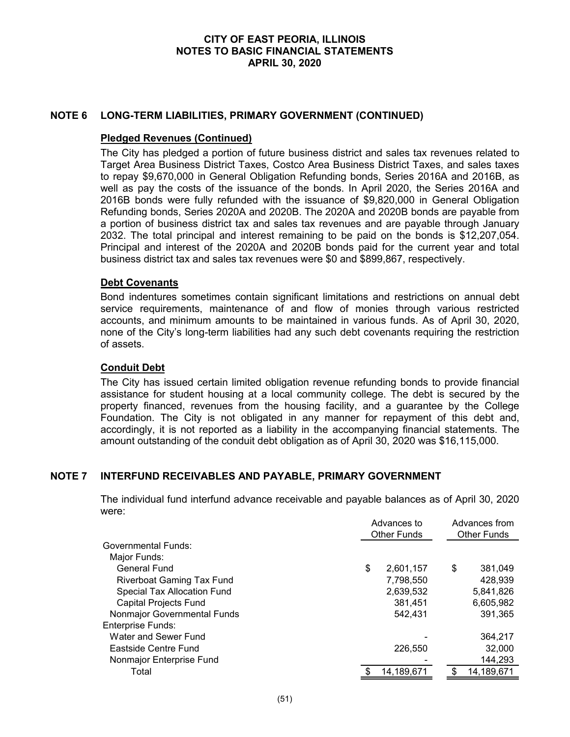# **NOTE 6 LONG-TERM LIABILITIES, PRIMARY GOVERNMENT (CONTINUED)**

### **Pledged Revenues (Continued)**

The City has pledged a portion of future business district and sales tax revenues related to Target Area Business District Taxes, Costco Area Business District Taxes, and sales taxes to repay \$9,670,000 in General Obligation Refunding bonds, Series 2016A and 2016B, as well as pay the costs of the issuance of the bonds. In April 2020, the Series 2016A and 2016B bonds were fully refunded with the issuance of \$9,820,000 in General Obligation Refunding bonds, Series 2020A and 2020B. The 2020A and 2020B bonds are payable from a portion of business district tax and sales tax revenues and are payable through January 2032. The total principal and interest remaining to be paid on the bonds is \$12,207,054. Principal and interest of the 2020A and 2020B bonds paid for the current year and total business district tax and sales tax revenues were \$0 and \$899,867, respectively.

# **Debt Covenants**

Bond indentures sometimes contain significant limitations and restrictions on annual debt service requirements, maintenance of and flow of monies through various restricted accounts, and minimum amounts to be maintained in various funds. As of April 30, 2020, none of the City's long-term liabilities had any such debt covenants requiring the restriction of assets.

### **Conduit Debt**

The City has issued certain limited obligation revenue refunding bonds to provide financial assistance for student housing at a local community college. The debt is secured by the property financed, revenues from the housing facility, and a guarantee by the College Foundation. The City is not obligated in any manner for repayment of this debt and, accordingly, it is not reported as a liability in the accompanying financial statements. The amount outstanding of the conduit debt obligation as of April 30, 2020 was \$16,115,000.

# **NOTE 7 INTERFUND RECEIVABLES AND PAYABLE, PRIMARY GOVERNMENT**

The individual fund interfund advance receivable and payable balances as of April 30, 2020 were:

|                                  | Advances to<br><b>Other Funds</b> |    | Advances from<br><b>Other Funds</b> |
|----------------------------------|-----------------------------------|----|-------------------------------------|
| Governmental Funds:              |                                   |    |                                     |
| Major Funds:                     |                                   |    |                                     |
| General Fund                     | \$<br>2,601,157                   | \$ | 381.049                             |
| <b>Riverboat Gaming Tax Fund</b> | 7,798,550                         |    | 428,939                             |
| Special Tax Allocation Fund      | 2,639,532                         |    | 5,841,826                           |
| <b>Capital Projects Fund</b>     | 381,451                           |    | 6,605,982                           |
| Nonmajor Governmental Funds      | 542,431                           |    | 391.365                             |
| Enterprise Funds:                |                                   |    |                                     |
| Water and Sewer Fund             |                                   |    | 364.217                             |
| Eastside Centre Fund             | 226,550                           |    | 32,000                              |
| Nonmajor Enterprise Fund         |                                   |    | 144,293                             |
| Total                            | 14,189,671                        |    | 14,189,671                          |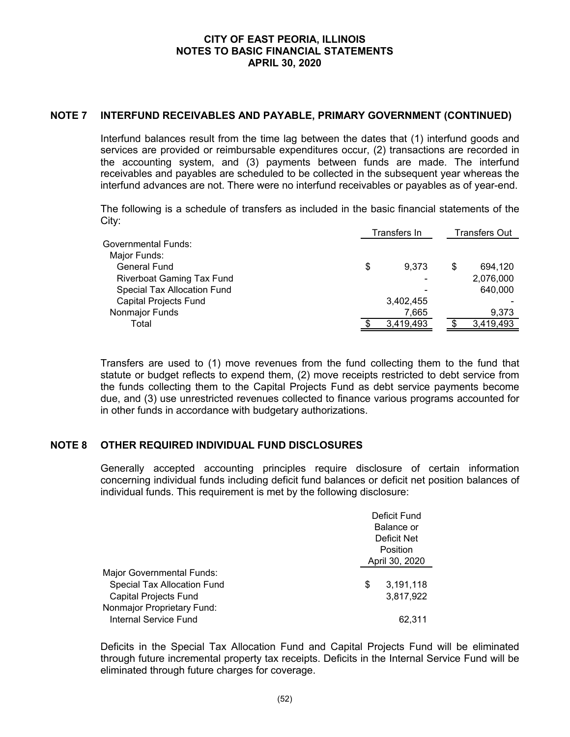# **NOTE 7 INTERFUND RECEIVABLES AND PAYABLE, PRIMARY GOVERNMENT (CONTINUED)**

Interfund balances result from the time lag between the dates that (1) interfund goods and services are provided or reimbursable expenditures occur, (2) transactions are recorded in the accounting system, and (3) payments between funds are made. The interfund receivables and payables are scheduled to be collected in the subsequent year whereas the interfund advances are not. There were no interfund receivables or payables as of year-end.

The following is a schedule of transfers as included in the basic financial statements of the City:

|                                  | Transfers In |   | <b>Transfers Out</b> |
|----------------------------------|--------------|---|----------------------|
| Governmental Funds:              |              |   |                      |
| Major Funds:                     |              |   |                      |
| General Fund                     | \$<br>9.373  | S | 694.120              |
| <b>Riverboat Gaming Tax Fund</b> |              |   | 2,076,000            |
| Special Tax Allocation Fund      |              |   | 640,000              |
| <b>Capital Projects Fund</b>     | 3,402,455    |   |                      |
| Nonmajor Funds                   | 7,665        |   | 9,373                |
| Total                            | 3,419,493    |   | 3,419,493            |

Transfers are used to (1) move revenues from the fund collecting them to the fund that statute or budget reflects to expend them, (2) move receipts restricted to debt service from the funds collecting them to the Capital Projects Fund as debt service payments become due, and (3) use unrestricted revenues collected to finance various programs accounted for in other funds in accordance with budgetary authorizations.

# **NOTE 8 OTHER REQUIRED INDIVIDUAL FUND DISCLOSURES**

Generally accepted accounting principles require disclosure of certain information concerning individual funds including deficit fund balances or deficit net position balances of individual funds. This requirement is met by the following disclosure:

|                                    |   | Deficit Fund   |
|------------------------------------|---|----------------|
|                                    |   | Balance or     |
|                                    |   | Deficit Net    |
|                                    |   | Position       |
|                                    |   | April 30, 2020 |
| Major Governmental Funds:          |   |                |
| <b>Special Tax Allocation Fund</b> | S | 3,191,118      |
| <b>Capital Projects Fund</b>       |   | 3,817,922      |
| Nonmajor Proprietary Fund:         |   |                |
| Internal Service Fund              |   | 62.311         |

Deficits in the Special Tax Allocation Fund and Capital Projects Fund will be eliminated through future incremental property tax receipts. Deficits in the Internal Service Fund will be eliminated through future charges for coverage.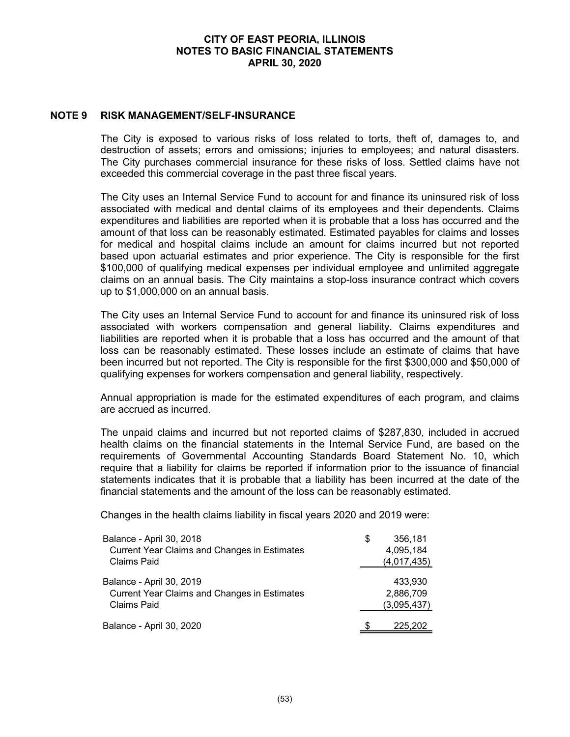#### **NOTE 9 RISK MANAGEMENT/SELF-INSURANCE**

The City is exposed to various risks of loss related to torts, theft of, damages to, and destruction of assets; errors and omissions; injuries to employees; and natural disasters. The City purchases commercial insurance for these risks of loss. Settled claims have not exceeded this commercial coverage in the past three fiscal years.

The City uses an Internal Service Fund to account for and finance its uninsured risk of loss associated with medical and dental claims of its employees and their dependents. Claims expenditures and liabilities are reported when it is probable that a loss has occurred and the amount of that loss can be reasonably estimated. Estimated payables for claims and losses for medical and hospital claims include an amount for claims incurred but not reported based upon actuarial estimates and prior experience. The City is responsible for the first \$100,000 of qualifying medical expenses per individual employee and unlimited aggregate claims on an annual basis. The City maintains a stop-loss insurance contract which covers up to \$1,000,000 on an annual basis.

The City uses an Internal Service Fund to account for and finance its uninsured risk of loss associated with workers compensation and general liability. Claims expenditures and liabilities are reported when it is probable that a loss has occurred and the amount of that loss can be reasonably estimated. These losses include an estimate of claims that have been incurred but not reported. The City is responsible for the first \$300,000 and \$50,000 of qualifying expenses for workers compensation and general liability, respectively.

Annual appropriation is made for the estimated expenditures of each program, and claims are accrued as incurred.

The unpaid claims and incurred but not reported claims of \$287,830, included in accrued health claims on the financial statements in the Internal Service Fund, are based on the requirements of Governmental Accounting Standards Board Statement No. 10, which require that a liability for claims be reported if information prior to the issuance of financial statements indicates that it is probable that a liability has been incurred at the date of the financial statements and the amount of the loss can be reasonably estimated.

Changes in the health claims liability in fiscal years 2020 and 2019 were:

| Balance - April 30, 2018                                                        | \$<br>356,181        |
|---------------------------------------------------------------------------------|----------------------|
| <b>Current Year Claims and Changes in Estimates</b>                             | 4,095,184            |
| Claims Paid                                                                     | (4,017,435)          |
| Balance - April 30, 2019<br><b>Current Year Claims and Changes in Estimates</b> | 433,930<br>2,886,709 |
| Claims Paid                                                                     | (3,095,437)          |
|                                                                                 |                      |
| Balance - April 30, 2020                                                        | 225,202              |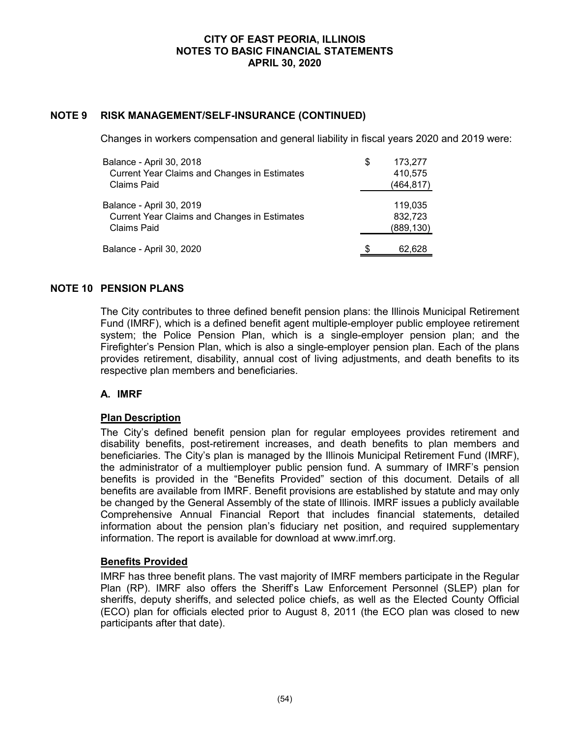# **NOTE 9 RISK MANAGEMENT/SELF-INSURANCE (CONTINUED)**

Changes in workers compensation and general liability in fiscal years 2020 and 2019 were:

| Balance - April 30, 2018<br><b>Current Year Claims and Changes in Estimates</b><br><b>Claims Paid</b> | \$<br>173,277<br>410,575<br>(464, 817) |
|-------------------------------------------------------------------------------------------------------|----------------------------------------|
| Balance - April 30, 2019<br><b>Current Year Claims and Changes in Estimates</b><br><b>Claims Paid</b> | 119,035<br>832,723<br>(889, 130)       |
| Balance - April 30, 2020                                                                              | 62,628                                 |

# **NOTE 10 PENSION PLANS**

The City contributes to three defined benefit pension plans: the Illinois Municipal Retirement Fund (IMRF), which is a defined benefit agent multiple-employer public employee retirement system; the Police Pension Plan, which is a single-employer pension plan; and the Firefighter's Pension Plan, which is also a single-employer pension plan. Each of the plans provides retirement, disability, annual cost of living adjustments, and death benefits to its respective plan members and beneficiaries.

# **A. IMRF**

# **Plan Description**

The City's defined benefit pension plan for regular employees provides retirement and disability benefits, post-retirement increases, and death benefits to plan members and beneficiaries. The City's plan is managed by the Illinois Municipal Retirement Fund (IMRF), the administrator of a multiemployer public pension fund. A summary of IMRF's pension benefits is provided in the "Benefits Provided" section of this document. Details of all benefits are available from IMRF. Benefit provisions are established by statute and may only be changed by the General Assembly of the state of Illinois. IMRF issues a publicly available Comprehensive Annual Financial Report that includes financial statements, detailed information about the pension plan's fiduciary net position, and required supplementary information. The report is available for download at www.imrf.org.

### **Benefits Provided**

IMRF has three benefit plans. The vast majority of IMRF members participate in the Regular Plan (RP). IMRF also offers the Sheriff's Law Enforcement Personnel (SLEP) plan for sheriffs, deputy sheriffs, and selected police chiefs, as well as the Elected County Official (ECO) plan for officials elected prior to August 8, 2011 (the ECO plan was closed to new participants after that date).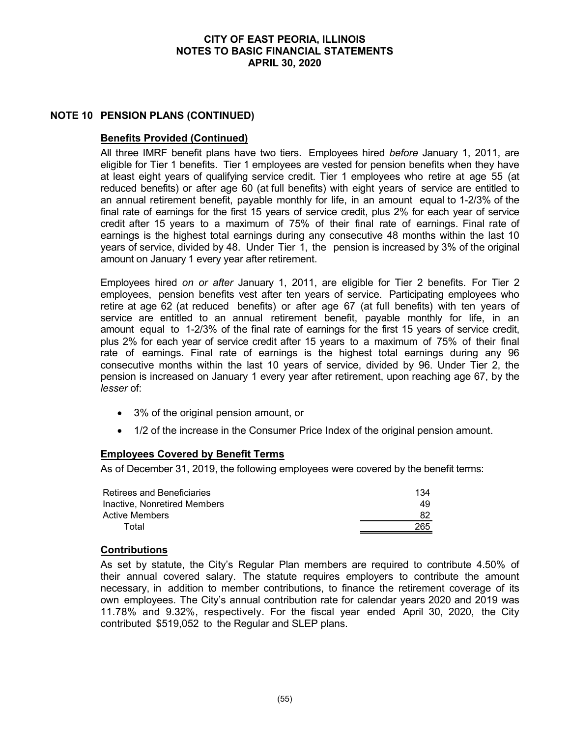# **NOTE 10 PENSION PLANS (CONTINUED)**

# **Benefits Provided (Continued)**

All three IMRF benefit plans have two tiers. Employees hired *before* January 1, 2011, are eligible for Tier 1 benefits. Tier 1 employees are vested for pension benefits when they have at least eight years of qualifying service credit. Tier 1 employees who retire at age 55 (at reduced benefits) or after age 60 (at full benefits) with eight years of service are entitled to an annual retirement benefit, payable monthly for life, in an amount equal to 1-2/3% of the final rate of earnings for the first 15 years of service credit, plus 2% for each year of service credit after 15 years to a maximum of 75% of their final rate of earnings. Final rate of earnings is the highest total earnings during any consecutive 48 months within the last 10 years of service, divided by 48. Under Tier 1, the pension is increased by 3% of the original amount on January 1 every year after retirement.

Employees hired *on or after* January 1, 2011, are eligible for Tier 2 benefits. For Tier 2 employees, pension benefits vest after ten years of service. Participating employees who retire at age 62 (at reduced benefits) or after age 67 (at full benefits) with ten years of service are entitled to an annual retirement benefit, payable monthly for life, in an amount equal to 1-2/3% of the final rate of earnings for the first 15 years of service credit, plus 2% for each year of service credit after 15 years to a maximum of 75% of their final rate of earnings. Final rate of earnings is the highest total earnings during any 96 consecutive months within the last 10 years of service, divided by 96. Under Tier 2, the pension is increased on January 1 every year after retirement, upon reaching age 67, by the *lesser* of:

- 3% of the original pension amount, or
- 1/2 of the increase in the Consumer Price Index of the original pension amount.

### **Employees Covered by Benefit Terms**

As of December 31, 2019, the following employees were covered by the benefit terms:

| Retirees and Beneficiaries   | 134 |
|------------------------------|-----|
| Inactive, Nonretired Members | 49  |
| Active Members               | 82  |
| Total                        | 265 |

### **Contributions**

As set by statute, the City's Regular Plan members are required to contribute 4.50% of their annual covered salary. The statute requires employers to contribute the amount necessary, in addition to member contributions, to finance the retirement coverage of its own employees. The City's annual contribution rate for calendar years 2020 and 2019 was 11.78% and 9.32%, respectively. For the fiscal year ended April 30, 2020, the City contributed \$519,052 to the Regular and SLEP plans.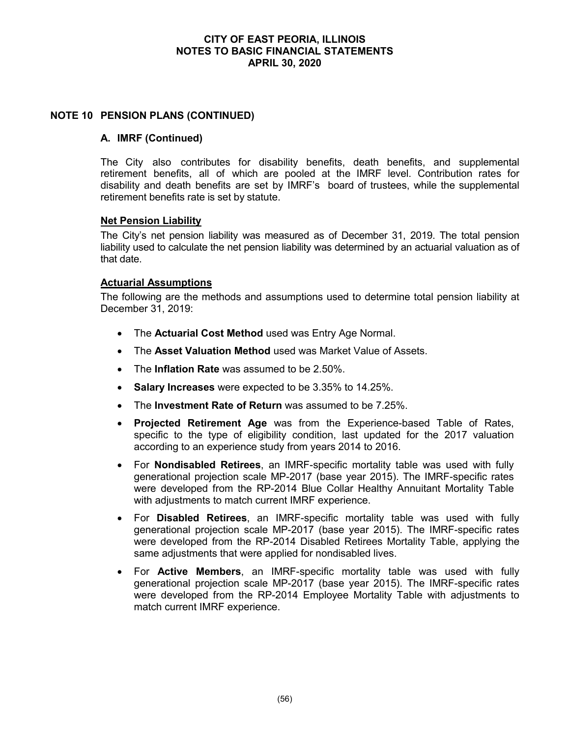# **NOTE 10 PENSION PLANS (CONTINUED)**

### **A. IMRF (Continued)**

The City also contributes for disability benefits, death benefits, and supplemental retirement benefits, all of which are pooled at the IMRF level. Contribution rates for disability and death benefits are set by IMRF's board of trustees, while the supplemental retirement benefits rate is set by statute.

### **Net Pension Liability**

The City's net pension liability was measured as of December 31, 2019. The total pension liability used to calculate the net pension liability was determined by an actuarial valuation as of that date.

# **Actuarial Assumptions**

The following are the methods and assumptions used to determine total pension liability at December 31, 2019:

- The **Actuarial Cost Method** used was Entry Age Normal.
- The **Asset Valuation Method** used was Market Value of Assets.
- The **Inflation Rate** was assumed to be 2.50%.
- **Salary Increases** were expected to be 3.35% to 14.25%.
- The **Investment Rate of Return** was assumed to be 7.25%.
- **Projected Retirement Age** was from the Experience-based Table of Rates, specific to the type of eligibility condition, last updated for the 2017 valuation according to an experience study from years 2014 to 2016.
- For **Nondisabled Retirees**, an IMRF-specific mortality table was used with fully generational projection scale MP-2017 (base year 2015). The IMRF-specific rates were developed from the RP-2014 Blue Collar Healthy Annuitant Mortality Table with adjustments to match current IMRF experience.
- For **Disabled Retirees**, an IMRF-specific mortality table was used with fully generational projection scale MP-2017 (base year 2015). The IMRF-specific rates were developed from the RP-2014 Disabled Retirees Mortality Table, applying the same adjustments that were applied for nondisabled lives.
- For **Active Members**, an IMRF-specific mortality table was used with fully generational projection scale MP-2017 (base year 2015). The IMRF-specific rates were developed from the RP-2014 Employee Mortality Table with adjustments to match current IMRF experience.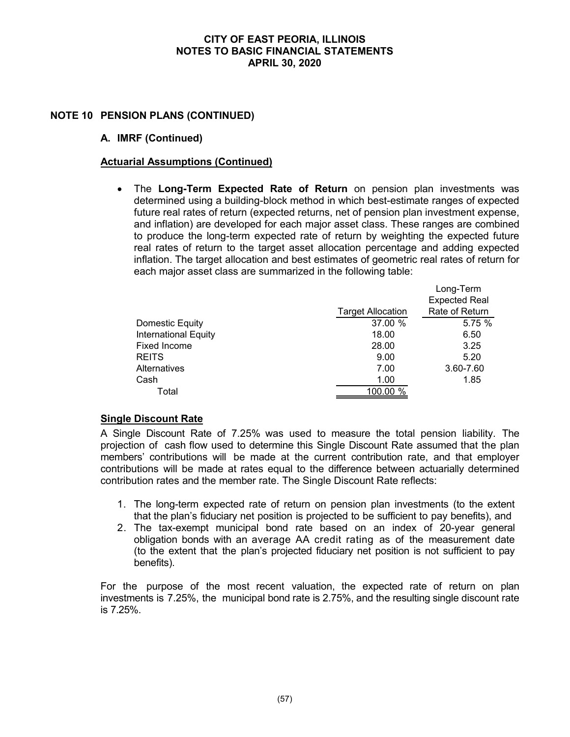# **NOTE 10 PENSION PLANS (CONTINUED)**

### **A. IMRF (Continued)**

# **Actuarial Assumptions (Continued)**

 The **Long-Term Expected Rate of Return** on pension plan investments was determined using a building-block method in which best-estimate ranges of expected future real rates of return (expected returns, net of pension plan investment expense, and inflation) are developed for each major asset class. These ranges are combined to produce the long-term expected rate of return by weighting the expected future real rates of return to the target asset allocation percentage and adding expected inflation. The target allocation and best estimates of geometric real rates of return for each major asset class are summarized in the following table:

|                          | Long-Term            |
|--------------------------|----------------------|
|                          | <b>Expected Real</b> |
| <b>Target Allocation</b> | Rate of Return       |
| 37.00 %                  | 5.75 %               |
| 18.00                    | 6.50                 |
| 28.00                    | 3.25                 |
| 9.00                     | 5.20                 |
| 7.00                     | 3.60-7.60            |
| 1.00                     | 1.85                 |
| 100.00 %                 |                      |
|                          |                      |

### **Single Discount Rate**

A Single Discount Rate of 7.25% was used to measure the total pension liability. The projection of cash flow used to determine this Single Discount Rate assumed that the plan members' contributions will be made at the current contribution rate, and that employer contributions will be made at rates equal to the difference between actuarially determined contribution rates and the member rate. The Single Discount Rate reflects:

- 1. The long-term expected rate of return on pension plan investments (to the extent that the plan's fiduciary net position is projected to be sufficient to pay benefits), and
- 2. The tax-exempt municipal bond rate based on an index of 20-year general obligation bonds with an average AA credit rating as of the measurement date (to the extent that the plan's projected fiduciary net position is not sufficient to pay benefits).

For the purpose of the most recent valuation, the expected rate of return on plan investments is 7.25%, the municipal bond rate is 2.75%, and the resulting single discount rate is 7.25%.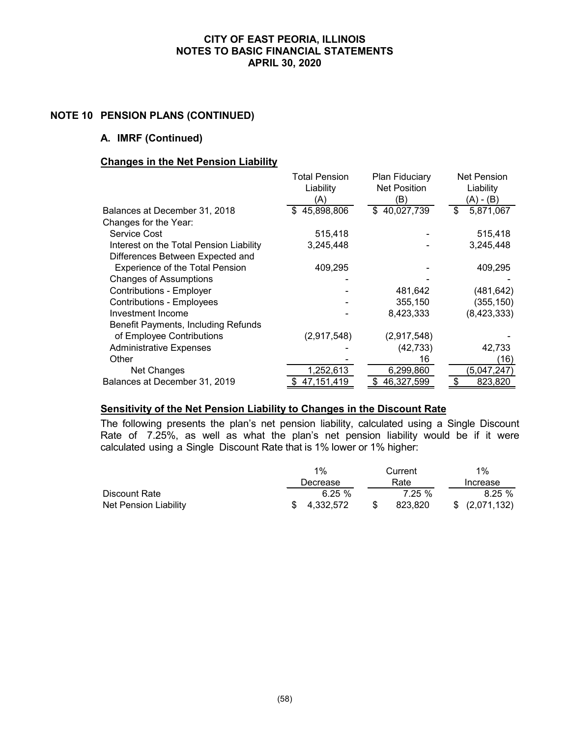# **NOTE 10 PENSION PLANS (CONTINUED)**

# **A. IMRF (Continued)**

# **Changes in the Net Pension Liability**

|                                         | Total Pension<br>Liability<br>(A) | Plan Fiduciary<br><b>Net Position</b><br>(B) | Net Pension<br>Liability<br>(A) - (B) |
|-----------------------------------------|-----------------------------------|----------------------------------------------|---------------------------------------|
| Balances at December 31, 2018           | 45,898,806<br>\$.                 | \$40,027,739                                 | \$<br>5,871,067                       |
| Changes for the Year:                   |                                   |                                              |                                       |
| Service Cost                            | 515,418                           |                                              | 515,418                               |
| Interest on the Total Pension Liability | 3,245,448                         |                                              | 3,245,448                             |
| Differences Between Expected and        |                                   |                                              |                                       |
| <b>Experience of the Total Pension</b>  | 409,295                           |                                              | 409,295                               |
| <b>Changes of Assumptions</b>           |                                   |                                              |                                       |
| <b>Contributions - Employer</b>         |                                   | 481,642                                      | (481,642)                             |
| <b>Contributions - Employees</b>        |                                   | 355,150                                      | (355, 150)                            |
| Investment Income                       |                                   | 8,423,333                                    | (8, 423, 333)                         |
| Benefit Payments, Including Refunds     |                                   |                                              |                                       |
| of Employee Contributions               | (2,917,548)                       | (2,917,548)                                  |                                       |
| <b>Administrative Expenses</b>          |                                   | (42, 733)                                    | 42,733                                |
| Other                                   |                                   | 16                                           | (16)                                  |
| Net Changes                             | 1,252,613                         | 6,299,860                                    | (5,047,247)                           |
| Balances at December 31, 2019           | 47,151,419                        | 46,327,599<br>S                              | 823,820<br>\$                         |

#### **Sensitivity of the Net Pension Liability to Changes in the Discount Rate**

The following presents the plan's net pension liability, calculated using a Single Discount Rate of 7.25%, as well as what the plan's net pension liability would be if it were calculated using a Single Discount Rate that is 1% lower or 1% higher:

|                       | $1\%$     | Current | 1%             |
|-----------------------|-----------|---------|----------------|
|                       | Decrease  | Rate    | Increase       |
| Discount Rate         | 6.25%     | 7.25%   | 8.25%          |
| Net Pension Liability | 4.332.572 | 823.820 | \$ (2,071,132) |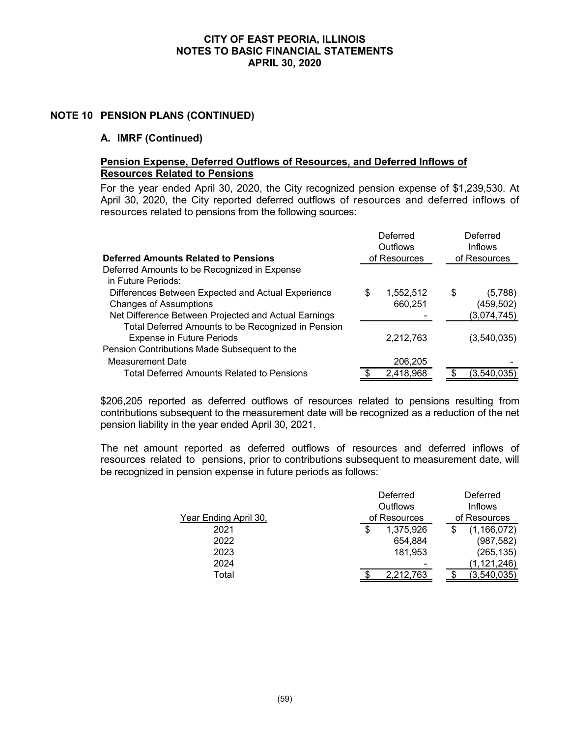# **NOTE 10 PENSION PLANS (CONTINUED)**

### **A. IMRF (Continued)**

# **Pension Expense, Deferred Outflows of Resources, and Deferred Inflows of Resources Related to Pensions**

For the year ended April 30, 2020, the City recognized pension expense of \$1,239,530. At April 30, 2020, the City reported deferred outflows of resources and deferred inflows of resources related to pensions from the following sources:

| <b>Deferred Amounts Related to Pensions</b>                              |   | Deferred<br>Outflows<br>of Resources | Deferred<br><b>Inflows</b><br>of Resources |
|--------------------------------------------------------------------------|---|--------------------------------------|--------------------------------------------|
| Deferred Amounts to be Recognized in Expense                             |   |                                      |                                            |
| in Future Periods:<br>Differences Between Expected and Actual Experience | S | 1,552,512                            | \$                                         |
| <b>Changes of Assumptions</b>                                            |   | 660,251                              | (5,788)<br>(459, 502)                      |
| Net Difference Between Projected and Actual Earnings                     |   |                                      | (3,074,745)                                |
| Total Deferred Amounts to be Recognized in Pension                       |   |                                      |                                            |
| <b>Expense in Future Periods</b>                                         |   | 2,212,763                            | (3,540,035)                                |
| Pension Contributions Made Subsequent to the                             |   |                                      |                                            |
| <b>Measurement Date</b>                                                  |   | 206,205                              |                                            |
| <b>Total Deferred Amounts Related to Pensions</b>                        |   | 2,418,968                            | (3,540,035)                                |

\$206,205 reported as deferred outflows of resources related to pensions resulting from contributions subsequent to the measurement date will be recognized as a reduction of the net pension liability in the year ended April 30, 2021.

The net amount reported as deferred outflows of resources and deferred inflows of resources related to pensions, prior to contributions subsequent to measurement date, will be recognized in pension expense in future periods as follows:

|                       | Deferred<br>Outflows | Deferred<br><b>Inflows</b> |
|-----------------------|----------------------|----------------------------|
| Year Ending April 30, | of Resources         | of Resources               |
| 2021                  | 1,375,926<br>S       | (1, 166, 072)              |
| 2022                  | 654,884              | (987, 582)                 |
| 2023                  | 181,953              | (265, 135)                 |
| 2024                  |                      | (1, 121, 246)              |
| Total                 | 2.212.763            | (3,540,035)                |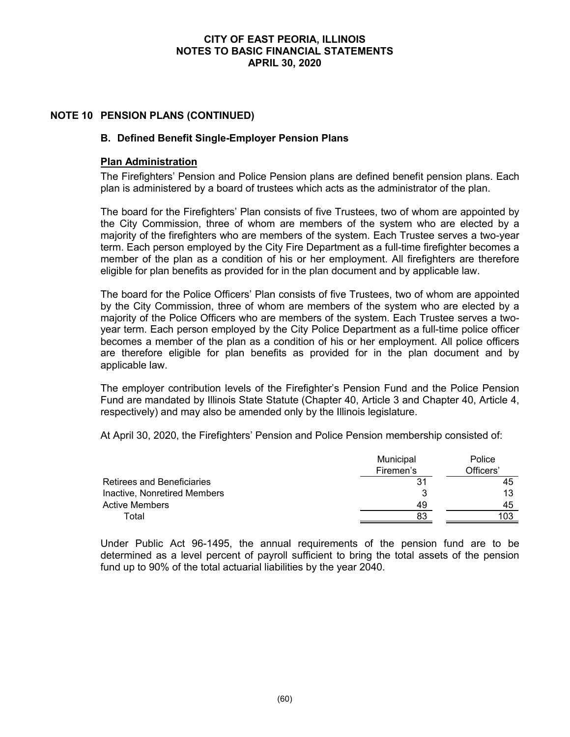# **NOTE 10 PENSION PLANS (CONTINUED)**

### **B. Defined Benefit Single-Employer Pension Plans**

### **Plan Administration**

The Firefighters' Pension and Police Pension plans are defined benefit pension plans. Each plan is administered by a board of trustees which acts as the administrator of the plan.

The board for the Firefighters' Plan consists of five Trustees, two of whom are appointed by the City Commission, three of whom are members of the system who are elected by a majority of the firefighters who are members of the system. Each Trustee serves a two-year term. Each person employed by the City Fire Department as a full-time firefighter becomes a member of the plan as a condition of his or her employment. All firefighters are therefore eligible for plan benefits as provided for in the plan document and by applicable law.

The board for the Police Officers' Plan consists of five Trustees, two of whom are appointed by the City Commission, three of whom are members of the system who are elected by a majority of the Police Officers who are members of the system. Each Trustee serves a twoyear term. Each person employed by the City Police Department as a full-time police officer becomes a member of the plan as a condition of his or her employment. All police officers are therefore eligible for plan benefits as provided for in the plan document and by applicable law.

The employer contribution levels of the Firefighter's Pension Fund and the Police Pension Fund are mandated by Illinois State Statute (Chapter 40, Article 3 and Chapter 40, Article 4, respectively) and may also be amended only by the Illinois legislature.

At April 30, 2020, the Firefighters' Pension and Police Pension membership consisted of:

|                              | Municipal | Police    |
|------------------------------|-----------|-----------|
|                              | Firemen's | Officers' |
| Retirees and Beneficiaries   | 31        | 45        |
| Inactive, Nonretired Members |           | 13        |
| <b>Active Members</b>        | 49        | 45        |
| Total                        | 83        | 103       |

Under Public Act 96-1495, the annual requirements of the pension fund are to be determined as a level percent of payroll sufficient to bring the total assets of the pension fund up to 90% of the total actuarial liabilities by the year 2040.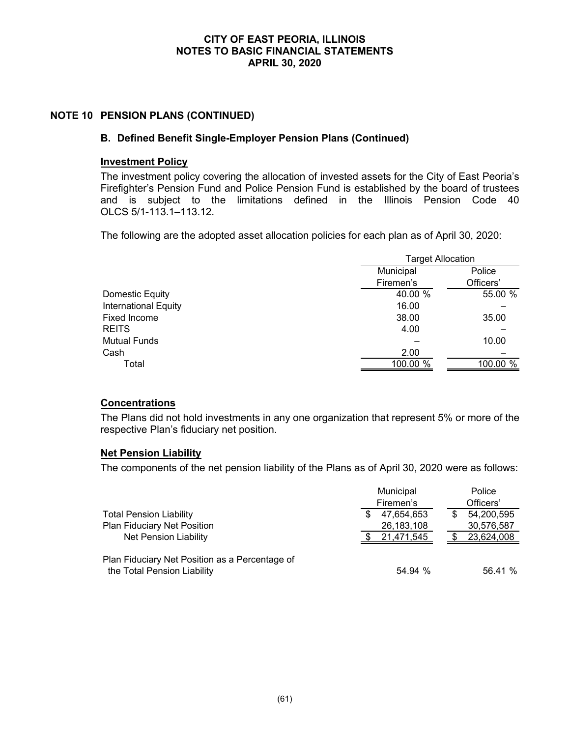# **NOTE 10 PENSION PLANS (CONTINUED)**

# **B. Defined Benefit Single-Employer Pension Plans (Continued)**

# **Investment Policy**

The investment policy covering the allocation of invested assets for the City of East Peoria's Firefighter's Pension Fund and Police Pension Fund is established by the board of trustees and is subject to the limitations defined in the Illinois Pension Code 40 OLCS 5/1-113.1-113.12.

The following are the adopted asset allocation policies for each plan as of April 30, 2020:

|                             | <b>Target Allocation</b> |           |  |
|-----------------------------|--------------------------|-----------|--|
|                             | Municipal                | Police    |  |
|                             | Firemen's                | Officers' |  |
| <b>Domestic Equity</b>      | 40.00 %                  | 55.00 %   |  |
| <b>International Equity</b> | 16.00                    |           |  |
| Fixed Income                | 38.00                    | 35.00     |  |
| <b>REITS</b>                | 4.00                     |           |  |
| <b>Mutual Funds</b>         |                          | 10.00     |  |
| Cash                        | 2.00                     |           |  |
| Total                       | 100.00 %                 | 100.00 %  |  |
|                             |                          |           |  |

### **Concentrations**

The Plans did not hold investments in any one organization that represent 5% or more of the respective Plan's fiduciary net position.

### **Net Pension Liability**

The components of the net pension liability of the Plans as of April 30, 2020 were as follows:

|                                                                               | Municipal<br>Firemen's | Police<br>Officers' |
|-------------------------------------------------------------------------------|------------------------|---------------------|
| <b>Total Pension Liability</b>                                                | 47,654,653             | 54,200,595          |
| Plan Fiduciary Net Position                                                   | 26, 183, 108           | 30,576,587          |
| <b>Net Pension Liability</b>                                                  | 21,471,545             | 23,624,008          |
| Plan Fiduciary Net Position as a Percentage of<br>the Total Pension Liability | 54.94 %                | 56.41 %             |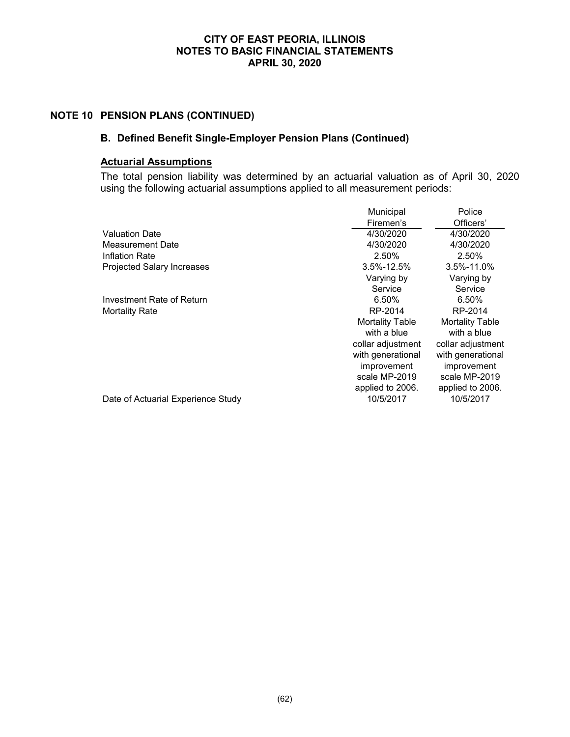# **NOTE 10 PENSION PLANS (CONTINUED)**

# **B. Defined Benefit Single-Employer Pension Plans (Continued)**

# **Actuarial Assumptions**

The total pension liability was determined by an actuarial valuation as of April 30, 2020 using the following actuarial assumptions applied to all measurement periods:

|                                    | Municipal              | Police                 |
|------------------------------------|------------------------|------------------------|
|                                    | Firemen's              | Officers'              |
| <b>Valuation Date</b>              | 4/30/2020              | 4/30/2020              |
| Measurement Date                   | 4/30/2020              | 4/30/2020              |
| <b>Inflation Rate</b>              | 2.50%                  | 2.50%                  |
| Projected Salary Increases         | $3.5\% - 12.5\%$       | 3.5%-11.0%             |
|                                    | Varying by             | Varying by             |
|                                    | Service                | Service                |
| Investment Rate of Return          | 6.50%                  | 6.50%                  |
| <b>Mortality Rate</b>              | RP-2014                | RP-2014                |
|                                    | <b>Mortality Table</b> | <b>Mortality Table</b> |
|                                    | with a blue            | with a blue            |
|                                    | collar adjustment      | collar adjustment      |
|                                    | with generational      | with generational      |
|                                    | improvement            | improvement            |
|                                    | scale MP-2019          | scale MP-2019          |
|                                    | applied to 2006.       | applied to 2006.       |
| Date of Actuarial Experience Study | 10/5/2017              | 10/5/2017              |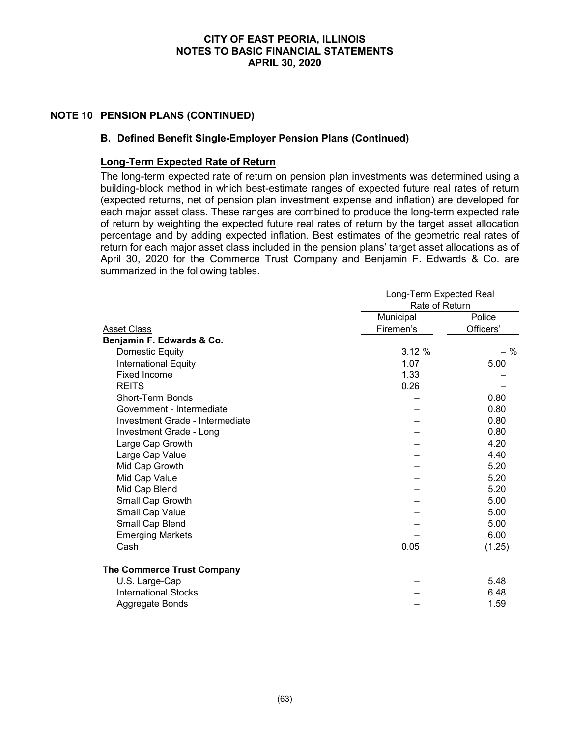# **NOTE 10 PENSION PLANS (CONTINUED)**

# **B. Defined Benefit Single-Employer Pension Plans (Continued)**

### **Long-Term Expected Rate of Return**

The long-term expected rate of return on pension plan investments was determined using a building-block method in which best-estimate ranges of expected future real rates of return (expected returns, net of pension plan investment expense and inflation) are developed for each major asset class. These ranges are combined to produce the long-term expected rate of return by weighting the expected future real rates of return by the target asset allocation percentage and by adding expected inflation. Best estimates of the geometric real rates of return for each major asset class included in the pension plans' target asset allocations as of April 30, 2020 for the Commerce Trust Company and Benjamin F. Edwards & Co. are summarized in the following tables.

|                                 | Long-Term Expected Real<br>Rate of Return |           |
|---------------------------------|-------------------------------------------|-----------|
|                                 | Municipal                                 | Police    |
| <b>Asset Class</b>              | Firemen's                                 | Officers' |
| Benjamin F. Edwards & Co.       |                                           |           |
| Domestic Equity                 | 3.12%                                     | - %       |
| International Equity            | 1.07                                      | 5.00      |
| Fixed Income                    | 1.33                                      |           |
| <b>REITS</b>                    | 0.26                                      |           |
| <b>Short-Term Bonds</b>         |                                           | 0.80      |
| Government - Intermediate       |                                           | 0.80      |
| Investment Grade - Intermediate |                                           | 0.80      |
| Investment Grade - Long         |                                           | 0.80      |
| Large Cap Growth                |                                           | 4.20      |
| Large Cap Value                 |                                           | 4.40      |
| Mid Cap Growth                  |                                           | 5.20      |
| Mid Cap Value                   |                                           | 5.20      |
| Mid Cap Blend                   |                                           | 5.20      |
| Small Cap Growth                |                                           | 5.00      |
| Small Cap Value                 |                                           | 5.00      |
| Small Cap Blend                 |                                           | 5.00      |
| <b>Emerging Markets</b>         |                                           | 6.00      |
| Cash                            | 0.05                                      | (1.25)    |
| The Commerce Trust Company      |                                           |           |
| U.S. Large-Cap                  |                                           | 5.48      |
| <b>International Stocks</b>     |                                           | 6.48      |
| Aggregate Bonds                 |                                           | 1.59      |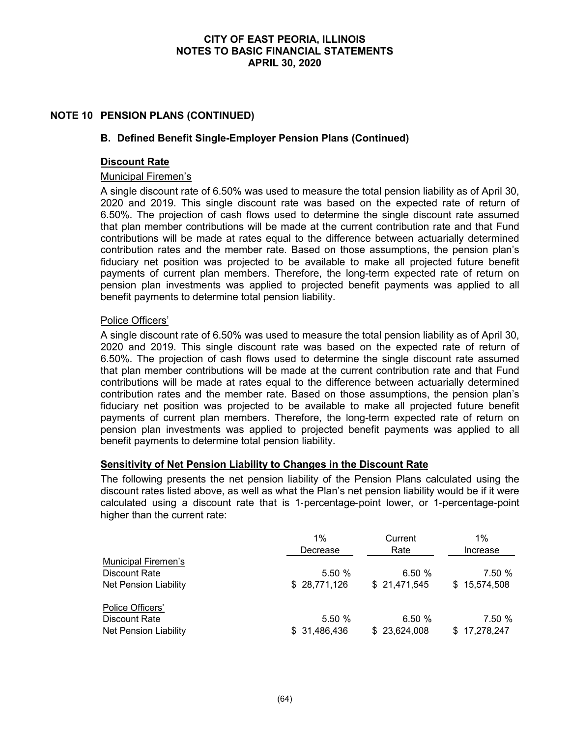# **NOTE 10 PENSION PLANS (CONTINUED)**

### **B. Defined Benefit Single-Employer Pension Plans (Continued)**

### **Discount Rate**

# Municipal Firemen's

A single discount rate of 6.50% was used to measure the total pension liability as of April 30, 2020 and 2019. This single discount rate was based on the expected rate of return of 6.50%. The projection of cash flows used to determine the single discount rate assumed that plan member contributions will be made at the current contribution rate and that Fund contributions will be made at rates equal to the difference between actuarially determined contribution rates and the member rate. Based on those assumptions, the pension plan's fiduciary net position was projected to be available to make all projected future benefit payments of current plan members. Therefore, the long-term expected rate of return on pension plan investments was applied to projected benefit payments was applied to all benefit payments to determine total pension liability.

# Police Officers'

A single discount rate of 6.50% was used to measure the total pension liability as of April 30, 2020 and 2019. This single discount rate was based on the expected rate of return of 6.50%. The projection of cash flows used to determine the single discount rate assumed that plan member contributions will be made at the current contribution rate and that Fund contributions will be made at rates equal to the difference between actuarially determined contribution rates and the member rate. Based on those assumptions, the pension plan's fiduciary net position was projected to be available to make all projected future benefit payments of current plan members. Therefore, the long-term expected rate of return on pension plan investments was applied to projected benefit payments was applied to all benefit payments to determine total pension liability.

### **Sensitivity of Net Pension Liability to Changes in the Discount Rate**

The following presents the net pension liability of the Pension Plans calculated using the discount rates listed above, as well as what the Plan's net pension liability would be if it were calculated using a discount rate that is 1-percentage-point lower, or 1-percentage-point higher than the current rate:

|                            | $1\%$<br>Decrease | Current<br>Rate | $1\%$<br>Increase |
|----------------------------|-------------------|-----------------|-------------------|
| <b>Municipal Firemen's</b> |                   |                 |                   |
| <b>Discount Rate</b>       | 5.50 %            | 6.50%           | 7.50%             |
| Net Pension Liability      | \$28,771,126      | \$21,471,545    | \$15,574,508      |
| Police Officers'           |                   |                 |                   |
| <b>Discount Rate</b>       | 5.50 %            | 6.50 %          | 7.50 %            |
| Net Pension Liability      | \$ 31,486,436     | \$23,624,008    | \$17,278,247      |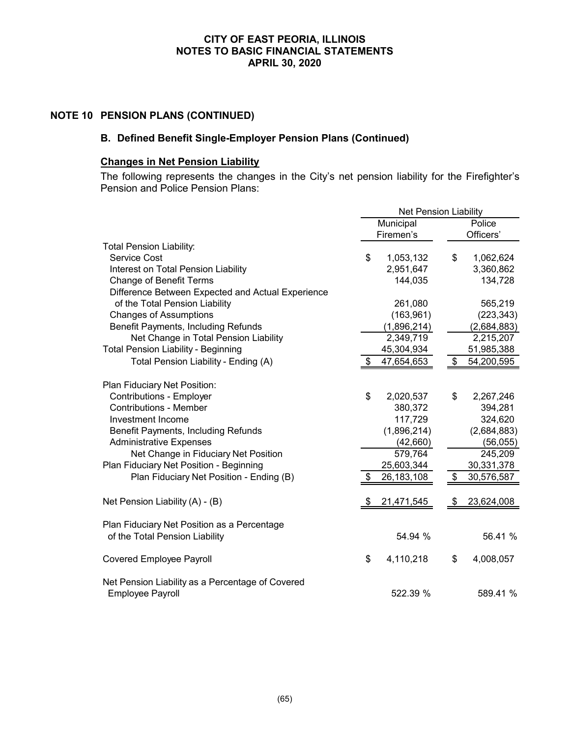# **NOTE 10 PENSION PLANS (CONTINUED)**

# **B. Defined Benefit Single-Employer Pension Plans (Continued)**

# **Changes in Net Pension Liability**

The following represents the changes in the City's net pension liability for the Firefighter's Pension and Police Pension Plans:

|                                                                             | <b>Net Pension Liability</b> |              |    |             |
|-----------------------------------------------------------------------------|------------------------------|--------------|----|-------------|
|                                                                             |                              | Municipal    |    | Police      |
|                                                                             |                              | Firemen's    |    | Officers'   |
| <b>Total Pension Liability:</b>                                             |                              |              |    |             |
| <b>Service Cost</b>                                                         | \$                           | 1,053,132    | \$ | 1,062,624   |
| Interest on Total Pension Liability                                         |                              | 2,951,647    |    | 3,360,862   |
| <b>Change of Benefit Terms</b>                                              |                              | 144,035      |    | 134,728     |
| Difference Between Expected and Actual Experience                           |                              |              |    |             |
| of the Total Pension Liability                                              |                              | 261,080      |    | 565,219     |
| <b>Changes of Assumptions</b>                                               |                              | (163, 961)   |    | (223, 343)  |
| Benefit Payments, Including Refunds                                         |                              | (1,896,214)  |    | (2,684,883) |
| Net Change in Total Pension Liability                                       |                              | 2,349,719    |    | 2,215,207   |
| <b>Total Pension Liability - Beginning</b>                                  |                              | 45,304,934   |    | 51,985,388  |
| Total Pension Liability - Ending (A)                                        |                              | 47,654,653   | \$ | 54,200,595  |
|                                                                             |                              |              |    |             |
| Plan Fiduciary Net Position:                                                | \$                           |              |    |             |
| <b>Contributions - Employer</b>                                             |                              | 2,020,537    | \$ | 2,267,246   |
| <b>Contributions - Member</b>                                               |                              | 380,372      |    | 394,281     |
| Investment Income                                                           |                              | 117,729      |    | 324,620     |
| Benefit Payments, Including Refunds                                         |                              | (1,896,214)  |    | (2,684,883) |
| <b>Administrative Expenses</b>                                              |                              | (42,660)     |    | (56, 055)   |
| Net Change in Fiduciary Net Position                                        |                              | 579,764      |    | 245,209     |
| Plan Fiduciary Net Position - Beginning                                     |                              | 25,603,344   |    | 30,331,378  |
| Plan Fiduciary Net Position - Ending (B)                                    |                              | 26, 183, 108 | \$ | 30,576,587  |
| Net Pension Liability (A) - (B)                                             | \$                           | 21,471,545   | S  | 23,624,008  |
| Plan Fiduciary Net Position as a Percentage                                 |                              |              |    |             |
| of the Total Pension Liability                                              |                              | 54.94 %      |    | 56.41 %     |
| <b>Covered Employee Payroll</b>                                             | \$                           | 4,110,218    | \$ | 4,008,057   |
|                                                                             |                              |              |    |             |
| Net Pension Liability as a Percentage of Covered<br><b>Employee Payroll</b> |                              | 522.39 %     |    | 589.41 %    |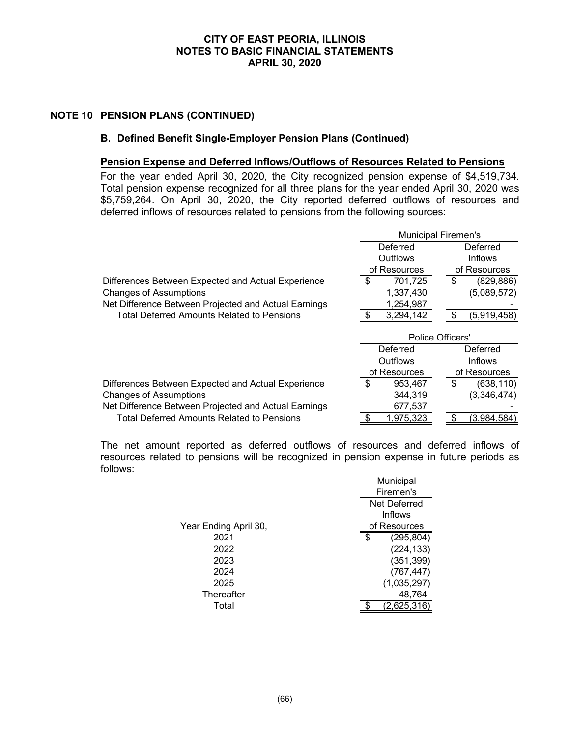# **NOTE 10 PENSION PLANS (CONTINUED)**

# **B. Defined Benefit Single-Employer Pension Plans (Continued)**

# **Pension Expense and Deferred Inflows/Outflows of Resources Related to Pensions**

For the year ended April 30, 2020, the City recognized pension expense of \$4,519,734. Total pension expense recognized for all three plans for the year ended April 30, 2020 was \$5,759,264. On April 30, 2020, the City reported deferred outflows of resources and deferred inflows of resources related to pensions from the following sources:

|                                                      | <b>Municipal Firemen's</b> |                  |  |
|------------------------------------------------------|----------------------------|------------------|--|
|                                                      | Deferred                   | Deferred         |  |
|                                                      | Outflows                   | <b>Inflows</b>   |  |
|                                                      | of Resources               | of Resources     |  |
| Differences Between Expected and Actual Experience   | \$<br>701,725              | \$<br>(829, 886) |  |
| <b>Changes of Assumptions</b>                        | 1,337,430                  | (5,089,572)      |  |
| Net Difference Between Projected and Actual Earnings | 1,254,987                  |                  |  |
| <b>Total Deferred Amounts Related to Pensions</b>    | 3,294,142                  | (5,919,458)      |  |
|                                                      | Police Officers'           |                  |  |
|                                                      | Deferred                   |                  |  |
|                                                      | Outflows                   |                  |  |
|                                                      |                            | Inflows          |  |
|                                                      | of Resources               | of Resources     |  |
| Differences Between Expected and Actual Experience   | \$<br>953,467              | \$<br>(638, 110) |  |
| <b>Changes of Assumptions</b>                        | 344,319                    | (3,346,474)      |  |
| Net Difference Between Projected and Actual Earnings | 677,537                    |                  |  |

The net amount reported as deferred outflows of resources and deferred inflows of resources related to pensions will be recognized in pension expense in future periods as follows:

|                       | Municipal        |
|-----------------------|------------------|
|                       | Firemen's        |
|                       | Net Deferred     |
|                       | Inflows          |
| Year Ending April 30, | of Resources     |
| 2021                  | (295, 804)<br>\$ |
| 2022                  | (224, 133)       |
| 2023                  | (351, 399)       |
| 2024                  | (767, 447)       |
| 2025                  | (1,035,297)      |
| Thereafter            | 48,764           |
| Total                 | (2,625,316)      |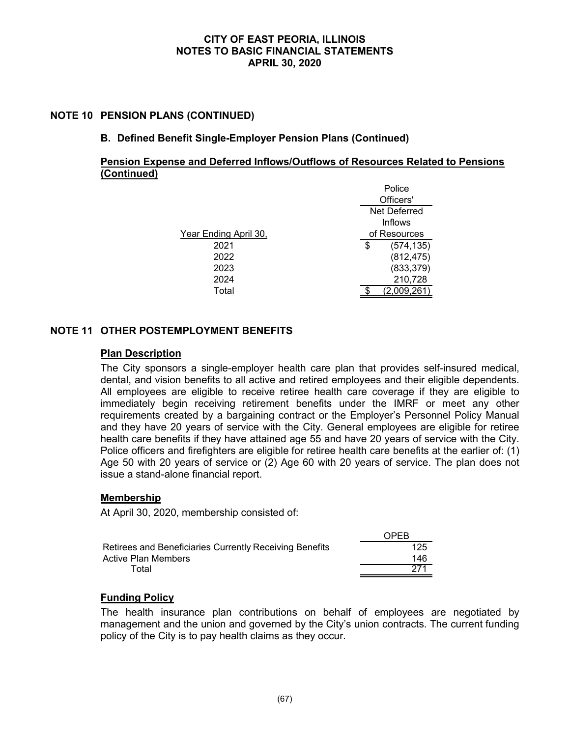# **NOTE 10 PENSION PLANS (CONTINUED)**

# **B. Defined Benefit Single-Employer Pension Plans (Continued)**

# **Pension Expense and Deferred Inflows/Outflows of Resources Related to Pensions (Continued)**

|                       | Police           |
|-----------------------|------------------|
|                       | Officers'        |
|                       | Net Deferred     |
|                       | <b>Inflows</b>   |
| Year Ending April 30, | of Resources     |
| 2021                  | (574, 135)<br>\$ |
| 2022                  | (812, 475)       |
| 2023                  | (833, 379)       |
| 2024                  | 210,728          |
| Total                 | (2,009,261)      |

# **NOTE 11 OTHER POSTEMPLOYMENT BENEFITS**

### **Plan Description**

The City sponsors a single-employer health care plan that provides self-insured medical, dental, and vision benefits to all active and retired employees and their eligible dependents. All employees are eligible to receive retiree health care coverage if they are eligible to immediately begin receiving retirement benefits under the IMRF or meet any other requirements created by a bargaining contract or the Employer's Personnel Policy Manual and they have 20 years of service with the City. General employees are eligible for retiree health care benefits if they have attained age 55 and have 20 years of service with the City. Police officers and firefighters are eligible for retiree health care benefits at the earlier of: (1) Age 50 with 20 years of service or (2) Age 60 with 20 years of service. The plan does not issue a stand-alone financial report.

### **Membership**

At April 30, 2020, membership consisted of:

|                                                         | <b>OPEB</b> |
|---------------------------------------------------------|-------------|
| Retirees and Beneficiaries Currently Receiving Benefits | 125         |
| Active Plan Members                                     | 146         |
| Total                                                   | 271         |

# **Funding Policy**

The health insurance plan contributions on behalf of employees are negotiated by management and the union and governed by the City's union contracts. The current funding policy of the City is to pay health claims as they occur.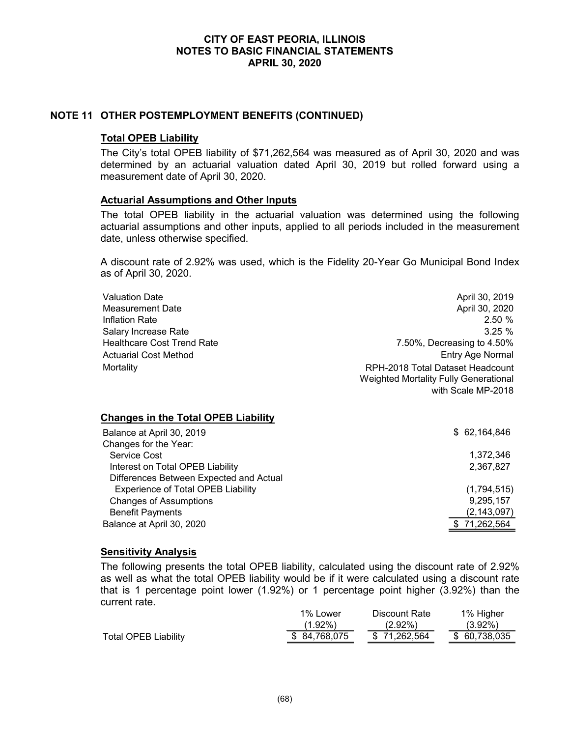# **NOTE 11 OTHER POSTEMPLOYMENT BENEFITS (CONTINUED)**

### **Total OPEB Liability**

The City's total OPEB liability of \$71,262,564 was measured as of April 30, 2020 and was determined by an actuarial valuation dated April 30, 2019 but rolled forward using a measurement date of April 30, 2020.

### **Actuarial Assumptions and Other Inputs**

The total OPEB liability in the actuarial valuation was determined using the following actuarial assumptions and other inputs, applied to all periods included in the measurement date, unless otherwise specified.

A discount rate of 2.92% was used, which is the Fidelity 20-Year Go Municipal Bond Index as of April 30, 2020.

| <b>Valuation Date</b>             | April 30, 2019                        |
|-----------------------------------|---------------------------------------|
| Measurement Date                  | April 30, 2020                        |
| <b>Inflation Rate</b>             | 2.50%                                 |
| Salary Increase Rate              | 3.25%                                 |
| <b>Healthcare Cost Trend Rate</b> | 7.50%, Decreasing to 4.50%            |
| <b>Actuarial Cost Method</b>      | Entry Age Normal                      |
| Mortality                         | RPH-2018 Total Dataset Headcount      |
|                                   | Weighted Mortality Fully Generational |
|                                   | with Scale MP-2018                    |

### **Changes in the Total OPEB Liability**

| Balance at April 30, 2019               | \$62,164,846  |
|-----------------------------------------|---------------|
| Changes for the Year:                   |               |
| <b>Service Cost</b>                     | 1,372,346     |
| Interest on Total OPEB Liability        | 2,367,827     |
| Differences Between Expected and Actual |               |
| Experience of Total OPEB Liability      | (1,794,515)   |
| <b>Changes of Assumptions</b>           | 9,295,157     |
| <b>Benefit Payments</b>                 | (2, 143, 097) |
| Balance at April 30, 2020               | \$71,262,564  |
|                                         |               |

### **Sensitivity Analysis**

The following presents the total OPEB liability, calculated using the discount rate of 2.92% as well as what the total OPEB liability would be if it were calculated using a discount rate that is 1 percentage point lower (1.92%) or 1 percentage point higher (3.92%) than the current rate.

|                      | 1% Lower     | Discount Rate | 1% Higher     |
|----------------------|--------------|---------------|---------------|
|                      | $(1.92\%)$   | $(2.92\%)$    | $(3.92\%)$    |
| Total OPEB Liability | \$84.768.075 | \$71.262.564  | \$ 60,738,035 |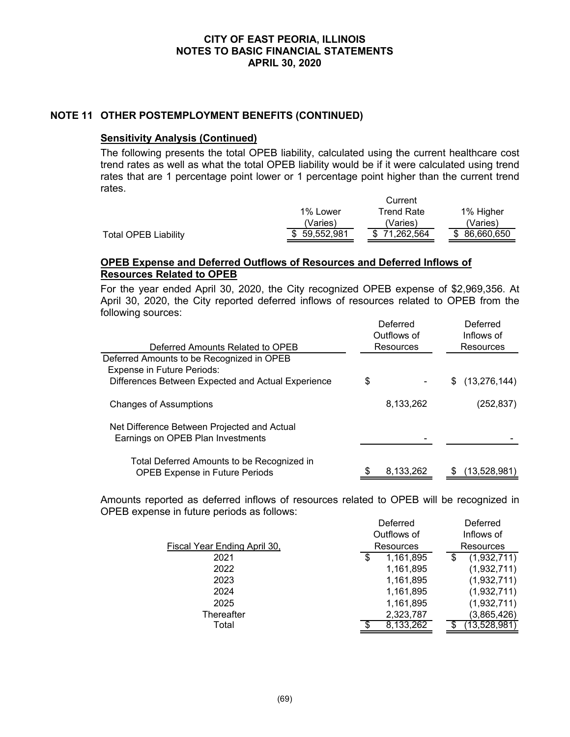# **NOTE 11 OTHER POSTEMPLOYMENT BENEFITS (CONTINUED)**

# **Sensitivity Analysis (Continued)**

The following presents the total OPEB liability, calculated using the current healthcare cost trend rates as well as what the total OPEB liability would be if it were calculated using trend rates that are 1 percentage point lower or 1 percentage point higher than the current trend rates.

|                      |            | Current      |            |
|----------------------|------------|--------------|------------|
|                      | 1% Lower   | Trend Rate   | 1% Higher  |
|                      | 'Varies)   | (Varies)     | 'Varies)   |
| Total OPEB Liability | 59,552,981 | \$71,262,564 | 86,660,650 |

### **OPEB Expense and Deferred Outflows of Resources and Deferred Inflows of Resources Related to OPEB**

For the year ended April 30, 2020, the City recognized OPEB expense of \$2,969,356. At April 30, 2020, the City reported deferred inflows of resources related to OPEB from the following sources:

| Deferred Amounts Related to OPEB                                                    | Deferred<br>Outflows of<br>Resources |     | Deferred<br>Inflows of<br>Resources |
|-------------------------------------------------------------------------------------|--------------------------------------|-----|-------------------------------------|
| Deferred Amounts to be Recognized in OPEB                                           |                                      |     |                                     |
| <b>Expense in Future Periods:</b>                                                   |                                      |     |                                     |
| Differences Between Expected and Actual Experience                                  | \$                                   | SS. | (13, 276, 144)                      |
| <b>Changes of Assumptions</b>                                                       | 8,133,262                            |     | (252, 837)                          |
| Net Difference Between Projected and Actual<br>Earnings on OPEB Plan Investments    |                                      |     |                                     |
| Total Deferred Amounts to be Recognized in<br><b>OPEB Expense in Future Periods</b> | 8,133,262                            |     | (13,528,981)                        |

Amounts reported as deferred inflows of resources related to OPEB will be recognized in OPEB expense in future periods as follows:

|                              | Deferred<br>Outflows of | Deferred<br>Inflows of |
|------------------------------|-------------------------|------------------------|
| Fiscal Year Ending April 30, | <b>Resources</b>        | <b>Resources</b>       |
| 2021                         | 1,161,895<br>S          | (1,932,711)<br>S.      |
| 2022                         | 1,161,895               | (1,932,711)            |
| 2023                         | 1,161,895               | (1,932,711)            |
| 2024                         | 1,161,895               | (1,932,711)            |
| 2025                         | 1,161,895               | (1,932,711)            |
| Thereafter                   | 2,323,787               | (3,865,426)            |
| Total                        | 8,133,262               | 13,528,981             |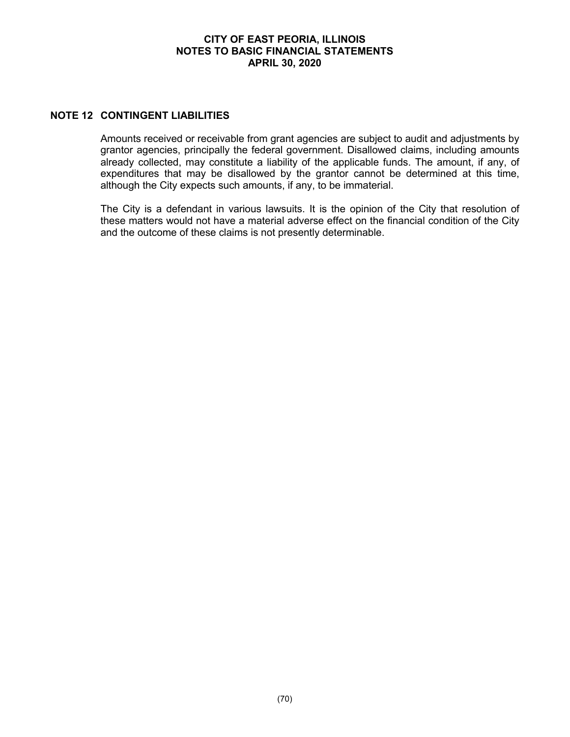# **NOTE 12 CONTINGENT LIABILITIES**

Amounts received or receivable from grant agencies are subject to audit and adjustments by grantor agencies, principally the federal government. Disallowed claims, including amounts already collected, may constitute a liability of the applicable funds. The amount, if any, of expenditures that may be disallowed by the grantor cannot be determined at this time, although the City expects such amounts, if any, to be immaterial.

The City is a defendant in various lawsuits. It is the opinion of the City that resolution of these matters would not have a material adverse effect on the financial condition of the City and the outcome of these claims is not presently determinable.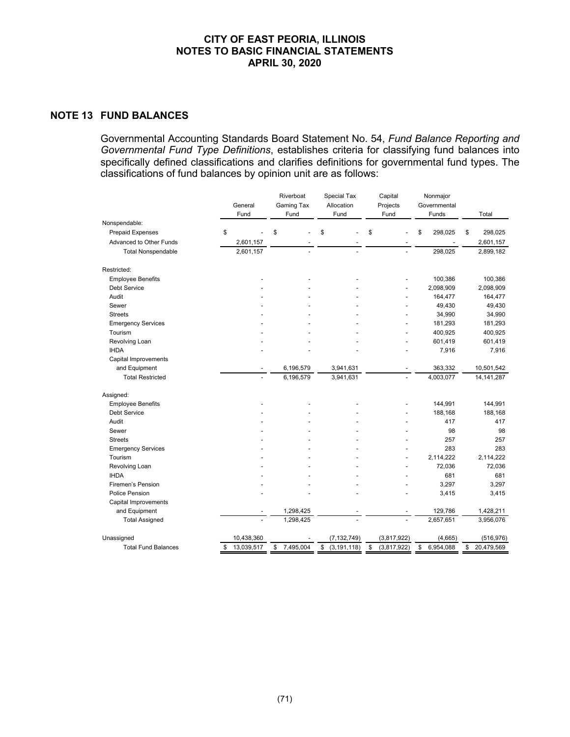# **NOTE 13 FUND BALANCES**

Governmental Accounting Standards Board Statement No. 54, *Fund Balance Reporting and Governmental Fund Type Definitions*, establishes criteria for classifying fund balances into specifically defined classifications and clarifies definitions for governmental fund types. The classifications of fund balances by opinion unit are as follows:

|                                | General                  | Riverboat<br>Gaming Tax |           | Special Tax<br>Allocation |    | Capital<br>Projects      |    | Nonmajor<br>Governmental |    |              |
|--------------------------------|--------------------------|-------------------------|-----------|---------------------------|----|--------------------------|----|--------------------------|----|--------------|
|                                | Fund                     |                         | Fund      | Fund                      |    | Fund                     |    | Funds                    |    | Total        |
| Nonspendable:                  |                          |                         |           |                           |    |                          |    |                          |    |              |
| <b>Prepaid Expenses</b>        | \$                       | \$                      |           | \$                        | \$ |                          | \$ | 298,025                  | \$ | 298,025      |
| <b>Advanced to Other Funds</b> | 2,601,157                |                         |           |                           |    |                          |    |                          |    | 2,601,157    |
| <b>Total Nonspendable</b>      | 2,601,157                |                         |           |                           |    |                          |    | 298,025                  |    | 2,899,182    |
| Restricted:                    |                          |                         |           |                           |    |                          |    |                          |    |              |
| <b>Employee Benefits</b>       |                          |                         |           |                           |    |                          |    | 100,386                  |    | 100,386      |
| Debt Service                   |                          |                         |           |                           |    |                          |    | 2,098,909                |    | 2,098,909    |
| Audit                          |                          |                         |           |                           |    |                          |    | 164,477                  |    | 164,477      |
| Sewer                          |                          |                         |           |                           |    |                          |    | 49,430                   |    | 49,430       |
| <b>Streets</b>                 |                          |                         |           |                           |    |                          |    | 34,990                   |    | 34,990       |
| <b>Emergency Services</b>      |                          |                         |           |                           |    |                          |    | 181,293                  |    | 181,293      |
| Tourism                        |                          |                         |           |                           |    |                          |    | 400,925                  |    | 400,925      |
| Revolving Loan                 |                          |                         |           |                           |    |                          |    | 601,419                  |    | 601,419      |
| <b>IHDA</b>                    |                          |                         |           |                           |    |                          |    | 7,916                    |    | 7,916        |
| Capital Improvements           |                          |                         |           |                           |    |                          |    |                          |    |              |
| and Equipment                  | $\overline{\phantom{a}}$ |                         | 6,196,579 | 3,941,631                 |    | $\overline{\phantom{a}}$ |    | 363,332                  |    | 10,501,542   |
| <b>Total Restricted</b>        |                          |                         | 6,196,579 | 3,941,631                 |    |                          |    | 4,003,077                |    | 14, 141, 287 |
| Assigned:                      |                          |                         |           |                           |    |                          |    |                          |    |              |
| <b>Employee Benefits</b>       |                          |                         |           |                           |    |                          |    | 144,991                  |    | 144,991      |
| <b>Debt Service</b>            |                          |                         |           |                           |    |                          |    | 188,168                  |    | 188,168      |
| Audit                          |                          |                         |           |                           |    |                          |    | 417                      |    | 417          |
| Sewer                          |                          |                         |           |                           |    |                          |    | 98                       |    | 98           |
| <b>Streets</b>                 |                          |                         |           |                           |    |                          |    | 257                      |    | 257          |
| <b>Emergency Services</b>      |                          |                         |           |                           |    |                          |    | 283                      |    | 283          |
| Tourism                        |                          |                         |           |                           |    |                          |    | 2,114,222                |    | 2,114,222    |
| Revolving Loan                 |                          |                         |           |                           |    |                          |    | 72,036                   |    | 72,036       |
| <b>IHDA</b>                    |                          |                         |           |                           |    |                          |    | 681                      |    | 681          |
| Firemen's Pension              |                          |                         |           |                           |    |                          |    | 3,297                    |    | 3,297        |
| Police Pension                 |                          |                         |           |                           |    |                          |    | 3,415                    |    | 3,415        |
| Capital Improvements           |                          |                         |           |                           |    |                          |    |                          |    |              |
| and Equipment                  |                          |                         | 1,298,425 |                           |    |                          |    | 129,786                  |    | 1,428,211    |
| <b>Total Assigned</b>          |                          |                         | 1,298,425 |                           |    |                          |    | 2,657,651                |    | 3,956,076    |
| Unassigned                     | 10,438,360               |                         |           | (7, 132, 749)             |    | (3,817,922)              |    | (4,665)                  |    | (516, 976)   |
| <b>Total Fund Balances</b>     | \$<br>13,039,517         | \$                      | 7,495,004 | \$<br>(3, 191, 118)       | \$ | (3,817,922)              | \$ | 6,954,088                | \$ | 20,479,569   |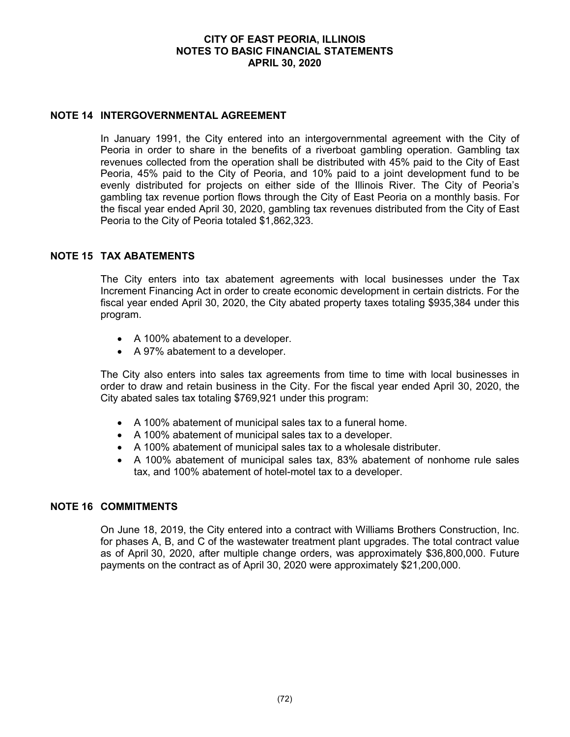# **NOTE 14 INTERGOVERNMENTAL AGREEMENT**

In January 1991, the City entered into an intergovernmental agreement with the City of Peoria in order to share in the benefits of a riverboat gambling operation. Gambling tax revenues collected from the operation shall be distributed with 45% paid to the City of East Peoria, 45% paid to the City of Peoria, and 10% paid to a joint development fund to be evenly distributed for projects on either side of the Illinois River. The City of Peoria's gambling tax revenue portion flows through the City of East Peoria on a monthly basis. For the fiscal year ended April 30, 2020, gambling tax revenues distributed from the City of East Peoria to the City of Peoria totaled \$1,862,323.

# **NOTE 15 TAX ABATEMENTS**

The City enters into tax abatement agreements with local businesses under the Tax Increment Financing Act in order to create economic development in certain districts. For the fiscal year ended April 30, 2020, the City abated property taxes totaling \$935,384 under this program.

- A 100% abatement to a developer.
- A 97% abatement to a developer.

The City also enters into sales tax agreements from time to time with local businesses in order to draw and retain business in the City. For the fiscal year ended April 30, 2020, the City abated sales tax totaling \$769,921 under this program:

- A 100% abatement of municipal sales tax to a funeral home.
- A 100% abatement of municipal sales tax to a developer.
- A 100% abatement of municipal sales tax to a wholesale distributer.
- A 100% abatement of municipal sales tax, 83% abatement of nonhome rule sales tax, and 100% abatement of hotel-motel tax to a developer.

# **NOTE 16 COMMITMENTS**

On June 18, 2019, the City entered into a contract with Williams Brothers Construction, Inc. for phases A, B, and C of the wastewater treatment plant upgrades. The total contract value as of April 30, 2020, after multiple change orders, was approximately \$36,800,000. Future payments on the contract as of April 30, 2020 were approximately \$21,200,000.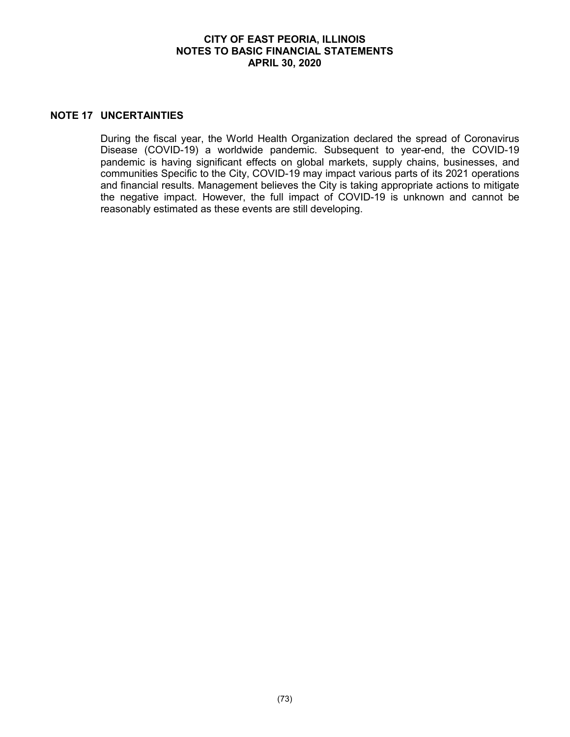# **NOTE 17 UNCERTAINTIES**

During the fiscal year, the World Health Organization declared the spread of Coronavirus Disease (COVID-19) a worldwide pandemic. Subsequent to year-end, the COVID-19 pandemic is having significant effects on global markets, supply chains, businesses, and communities Specific to the City, COVID-19 may impact various parts of its 2021 operations and financial results. Management believes the City is taking appropriate actions to mitigate the negative impact. However, the full impact of COVID-19 is unknown and cannot be reasonably estimated as these events are still developing.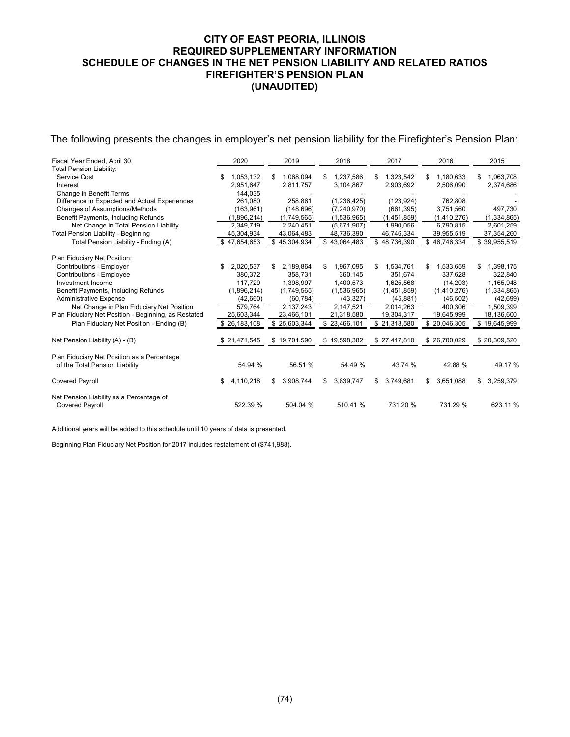# **CITY OF EAST PEORIA, ILLINOIS REQUIRED SUPPLEMENTARY INFORMATION SCHEDULE OF CHANGES IN THE NET PENSION LIABILITY AND RELATED RATIOS FIREFIGHTER'S PENSION PLAN (UNAUDITED)**

#### The following presents the changes in employer's net pension liability for the Firefighter's Pension Plan:

| Fiscal Year Ended, April 30,                                       | 2020            | 2019             | 2018           | 2017             | 2016             | 2015            |
|--------------------------------------------------------------------|-----------------|------------------|----------------|------------------|------------------|-----------------|
| <b>Total Pension Liability:</b><br>Service Cost                    | 1,053,132<br>S  | 1,068,094<br>S   | 1,237,586<br>S | 1,323,542<br>SS. | 1,180,633<br>SS. | 1,063,708<br>S. |
| Interest                                                           | 2,951,647       | 2,811,757        | 3,104,867      | 2,903,692        | 2,506,090        | 2,374,686       |
| Change in Benefit Terms                                            | 144,035         |                  |                |                  |                  |                 |
| Difference in Expected and Actual Experiences                      | 261,080         | 258,861          | (1,236,425)    | (123, 924)       | 762,808          |                 |
| <b>Changes of Assumptions/Methods</b>                              | (163, 961)      | (148, 696)       | (7,240,970)    | (661, 395)       | 3,751,560        | 497,730         |
| Benefit Payments, Including Refunds                                | (1.896.214)     | (1,749,565)      | (1,536,965)    | (1,451,859)      | (1,410,276)      | (1,334,865)     |
| Net Change in Total Pension Liability                              | 2,349,719       | 2,240,451        | (5,671,907)    | 1.990.056        | 6,790,815        | 2,601,259       |
| <b>Total Pension Liability - Beginning</b>                         | 45,304,934      | 43,064,483       | 48,736,390     | 46,746,334       | 39,955,519       | 37,354,260      |
| Total Pension Liability - Ending (A)                               | \$47,654,653    | \$45,304,934     | \$43,064,483   | \$48,736,390     | \$46,746,334     | \$39,955,519    |
|                                                                    |                 |                  |                |                  |                  |                 |
| Plan Fiduciary Net Position:                                       |                 |                  |                |                  |                  |                 |
| Contributions - Employer                                           | 2,020,537<br>\$ | 2,189,864<br>S   | 1,967,095<br>S | 1,534,761<br>S   | 1,533,659<br>\$  | 1,398,175<br>\$ |
| <b>Contributions - Employee</b>                                    | 380,372         | 358.731          | 360.145        | 351.674          | 337,628          | 322,840         |
| Investment Income                                                  | 117.729         | 1,398,997        | 1,400,573      | 1,625,568        | (14,203)         | 1,165,948       |
| Benefit Payments, Including Refunds                                | (1,896,214)     | (1,749,565)      | (1,536,965)    | (1,451,859)      | (1,410,276)      | (1, 334, 865)   |
| <b>Administrative Expense</b>                                      | (42,660)        | (60, 784)        | (43, 327)      | (45, 881)        | (46, 502)        | (42, 699)       |
| Net Change in Plan Fiduciary Net Position                          | 579.764         | 2,137,243        | 2,147,521      | 2,014,263        | 400,306          | 1,509,399       |
| Plan Fiduciary Net Position - Beginning, as Restated               | 25,603,344      | 23,466,101       | 21,318,580     | 19,304,317       | 19,645,999       | 18,136,600      |
| Plan Fiduciary Net Position - Ending (B)                           | \$26,183,108    | \$25,603,344     | \$23,466,101   | \$21,318,580     | \$20,046,305     | \$19,645,999    |
| Net Pension Liability (A) - (B)                                    | \$21,471,545    | \$19,701,590     | \$19,598,382   | \$27,417,810     | \$26,700,029     | \$20,309,520    |
|                                                                    |                 |                  |                |                  |                  |                 |
| Plan Fiduciary Net Position as a Percentage                        |                 |                  |                |                  |                  |                 |
| of the Total Pension Liability                                     | 54.94 %         | 56.51 %          | 54.49 %        | 43.74 %          | 42.88 %          | 49.17 %         |
| <b>Covered Payroll</b>                                             | 4,110,218<br>\$ | 3,908,744<br>\$. | 3,839,747<br>S | 3,749,681<br>S.  | 3,651,088<br>\$  | 3,259,379<br>S  |
| Net Pension Liability as a Percentage of<br><b>Covered Payroll</b> | 522.39 %        | 504.04 %         | 510.41 %       | 731.20 %         | 731.29 %         | 623.11 %        |

Additional years will be added to this schedule until 10 years of data is presented.

Beginning Plan Fiduciary Net Position for 2017 includes restatement of (\$741,988).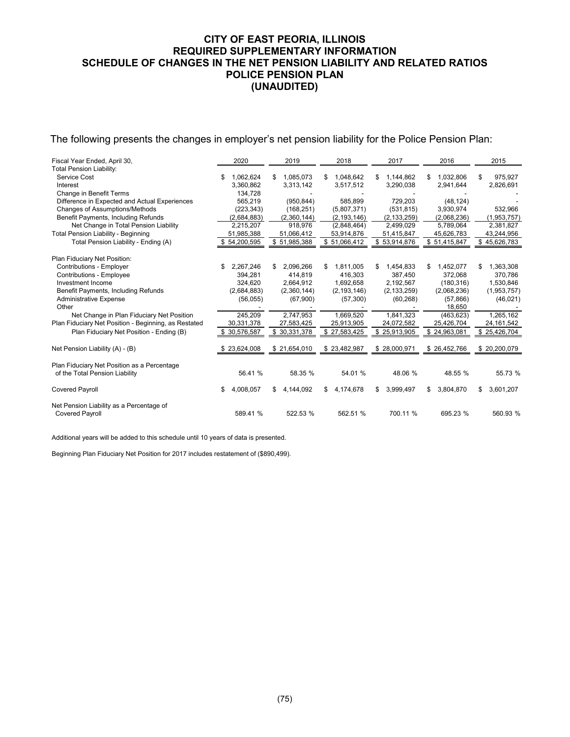# **CITY OF EAST PEORIA, ILLINOIS REQUIRED SUPPLEMENTARY INFORMATION SCHEDULE OF CHANGES IN THE NET PENSION LIABILITY AND RELATED RATIOS POLICE PENSION PLAN (UNAUDITED)**

#### The following presents the changes in employer's net pension liability for the Police Pension Plan:

| Fiscal Year Ended, April 30,                                       | 2020                 | 2019            | 2018            | 2017            | 2016            | 2015            |
|--------------------------------------------------------------------|----------------------|-----------------|-----------------|-----------------|-----------------|-----------------|
| <b>Total Pension Liability:</b>                                    |                      |                 |                 |                 |                 |                 |
| Service Cost                                                       | 1,062,624<br>\$      | 1.085.073<br>\$ | 1.048.642<br>\$ | 1,144,862<br>S  | 1.032.806       | 975.927<br>\$   |
| Interest<br>Change in Benefit Terms                                | 3,360,862<br>134,728 | 3,313,142       | 3,517,512       | 3,290,038       | 2,941,644       | 2,826,691       |
| Difference in Expected and Actual Experiences                      | 565,219              | (950, 844)      | 585.899         | 729,203         | (48, 124)       |                 |
| <b>Changes of Assumptions/Methods</b>                              | (223, 343)           | (168, 251)      | (5,807,371)     | (531, 815)      | 3,930,974       | 532,966         |
| Benefit Payments, Including Refunds                                | (2,684,883)          | (2,360,144)     | (2, 193, 146)   | (2, 133, 259)   | (2,068,236)     | (1,953,757)     |
| Net Change in Total Pension Liability                              | 2,215,207            | 918.976         | (2,848,464)     | 2,499,029       | 5.789.064       | 2,381,827       |
| Total Pension Liability - Beginning                                | 51,985,388           | 51,066,412      | 53,914,876      | 51,415,847      | 45,626,783      | 43,244,956      |
| Total Pension Liability - Ending (A)                               | \$54,200,595         | \$51,985,388    | \$51,066,412    | \$53,914,876    | \$51,415,847    | \$45,626,783    |
|                                                                    |                      |                 |                 |                 |                 |                 |
| Plan Fiduciary Net Position:                                       |                      |                 |                 |                 |                 |                 |
| <b>Contributions - Employer</b>                                    | 2.267.246<br>\$.     | \$<br>2.096.266 | \$<br>1.811.005 | \$<br>1,454,833 | 1,452,077<br>\$ | \$<br>1,363,308 |
| <b>Contributions - Employee</b>                                    | 394.281              | 414.819         | 416.303         | 387,450         | 372,068         | 370,786         |
| Investment Income                                                  | 324.620              | 2.664.912       | 1,692,658       | 2,192,567       | (180, 316)      | 1,530,846       |
| Benefit Payments, Including Refunds                                | (2,684,883)          | (2,360,144)     | (2, 193, 146)   | (2, 133, 259)   | (2,068,236)     | (1,953,757)     |
| <b>Administrative Expense</b>                                      | (56,055)             | (67,900)        | (57, 300)       | (60, 268)       | (57, 866)       | (46, 021)       |
| Other                                                              |                      |                 |                 |                 | 18.650          |                 |
| Net Change in Plan Fiduciary Net Position                          | 245,209              | 2.747.953       | 1,669,520       | 1,841,323       | (463, 623)      | 1,265,162       |
| Plan Fiduciary Net Position - Beginning, as Restated               | 30,331,378           | 27,583,425      | 25,913,905      | 24,072,582      | 25,426,704      | 24, 161, 542    |
| Plan Fiduciary Net Position - Ending (B)                           | \$30,576,587         | \$30,331,378    | \$27,583,425    | \$25,913,905    | \$24,963,081    | \$25,426,704    |
| Net Pension Liability (A) - (B)                                    | \$23,624,008         | \$21,654,010    | \$23,482,987    | \$28,000,971    | \$26,452,766    | \$20,200,079    |
| Plan Fiduciary Net Position as a Percentage                        |                      |                 |                 |                 |                 |                 |
| of the Total Pension Liability                                     | 56.41 %              | 58.35 %         | 54.01 %         | 48.06 %         | 48.55 %         | 55.73 %         |
| <b>Covered Payroll</b>                                             | 4,008,057<br>\$      | \$<br>4,144,092 | 4,174,678<br>\$ | 3,999,497<br>S  | 3,804,870<br>\$ | 3,601,207<br>\$ |
| Net Pension Liability as a Percentage of<br><b>Covered Payroll</b> | 589.41 %             | 522.53 %        | 562.51 %        | 700.11 %        | 695.23 %        | 560.93 %        |

Additional years will be added to this schedule until 10 years of data is presented.

Beginning Plan Fiduciary Net Position for 2017 includes restatement of (\$890,499).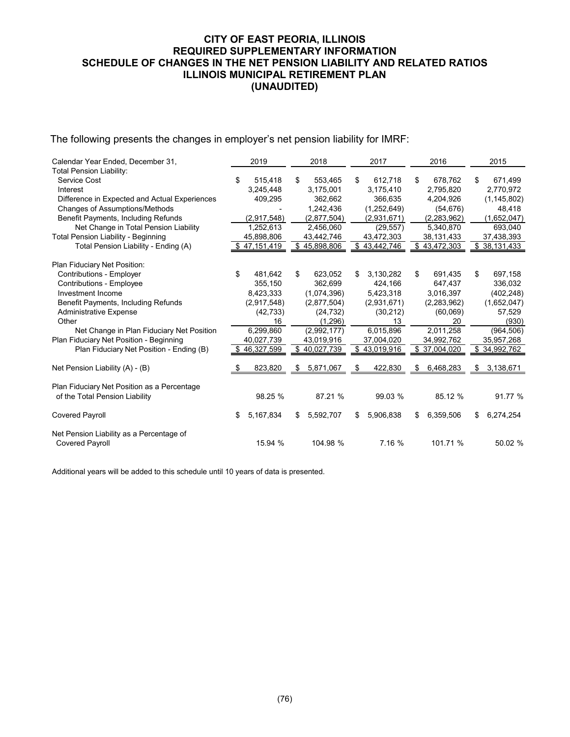# **CITY OF EAST PEORIA, ILLINOIS REQUIRED SUPPLEMENTARY INFORMATION SCHEDULE OF CHANGES IN THE NET PENSION LIABILITY AND RELATED RATIOS ILLINOIS MUNICIPAL RETIREMENT PLAN (UNAUDITED)**

The following presents the changes in employer's net pension liability for IMRF:

| Calendar Year Ended, December 31,                                             | 2019         |             |     | 2018         |     | 2017         |    | 2016          |    | 2015          |
|-------------------------------------------------------------------------------|--------------|-------------|-----|--------------|-----|--------------|----|---------------|----|---------------|
| Total Pension Liability:                                                      |              |             |     |              |     |              |    |               |    |               |
| Service Cost                                                                  | \$           | 515,418     | \$  | 553,465      | \$  | 612,718      | \$ | 678,762       | S  | 671,499       |
| Interest                                                                      |              | 3,245,448   |     | 3,175,001    |     | 3,175,410    |    | 2,795,820     |    | 2,770,972     |
| Difference in Expected and Actual Experiences                                 |              | 409,295     |     | 362,662      |     | 366.635      |    | 4,204,926     |    | (1, 145, 802) |
| <b>Changes of Assumptions/Methods</b>                                         |              |             |     | 1,242,436    |     | (1,252,649)  |    | (54, 676)     |    | 48,418        |
| Benefit Payments, Including Refunds                                           |              | (2,917,548) |     | (2,877,504)  |     | (2,931,671)  |    | (2, 283, 962) |    | (1,652,047)   |
| Net Change in Total Pension Liability                                         |              | 1.252.613   |     | 2.456.060    |     | (29, 557)    |    | 5.340.870     |    | 693.040       |
| <b>Total Pension Liability - Beginning</b>                                    |              | 45,898,806  |     | 43,442,746   |     | 43,472,303   |    | 38,131,433    |    | 37,438,393    |
| Total Pension Liability - Ending (A)                                          | \$47,151,419 |             |     | 45,898,806   |     | \$43,442,746 | \$ | 43,472,303    | \$ | 38,131,433    |
| Plan Fiduciary Net Position:                                                  |              |             |     |              |     |              |    |               |    |               |
| <b>Contributions - Employer</b>                                               | \$           | 481.642     | \$. | 623.052      | \$. | 3,130,282    | \$ | 691,435       | S  | 697,158       |
| Contributions - Employee                                                      |              | 355,150     |     | 362,699      |     | 424,166      |    | 647,437       |    | 336,032       |
| Investment Income                                                             |              | 8,423,333   |     | (1,074,396)  |     | 5,423,318    |    | 3,016,397     |    | (402, 248)    |
| Benefit Payments, Including Refunds                                           |              | (2,917,548) |     | (2,877,504)  |     | (2,931,671)  |    | (2,283,962)   |    | (1,652,047)   |
| <b>Administrative Expense</b>                                                 |              | (42, 733)   |     | (24, 732)    |     | (30, 212)    |    | (60,069)      |    | 57,529        |
| Other                                                                         |              | 16          |     | (1, 296)     |     | 13           |    | 20            |    | (930)         |
| Net Change in Plan Fiduciary Net Position                                     |              | 6,299,860   |     | (2,992,177)  |     | 6.015.896    |    | 2,011,258     |    | (964, 506)    |
| Plan Fiduciary Net Position - Beginning                                       |              | 40,027,739  |     | 43,019,916   |     | 37,004,020   |    | 34,992,762    |    | 35,957,268    |
| Plan Fiduciary Net Position - Ending (B)                                      | \$46,327,599 |             |     | \$40,027,739 |     | \$43,019,916 |    | \$ 37,004,020 |    | \$34,992,762  |
| Net Pension Liability (A) - (B)                                               |              | 823,820     | \$  | 5,871,067    | \$  | 422,830      | \$ | 6,468,283     | S  | 3,138,671     |
|                                                                               |              |             |     |              |     |              |    |               |    |               |
| Plan Fiduciary Net Position as a Percentage<br>of the Total Pension Liability |              | 98.25 %     |     | 87.21 %      |     | 99.03 %      |    | 85.12 %       |    | 91.77 %       |
| <b>Covered Payroll</b>                                                        | \$           | 5,167,834   | \$. | 5,592,707    | \$. | 5,906,838    | S  | 6,359,506     | S  | 6,274,254     |
| Net Pension Liability as a Percentage of<br><b>Covered Payroll</b>            |              | 15.94 %     |     | 104.98 %     |     | 7.16 %       |    | 101.71 %      |    | 50.02 %       |

Additional years will be added to this schedule until 10 years of data is presented.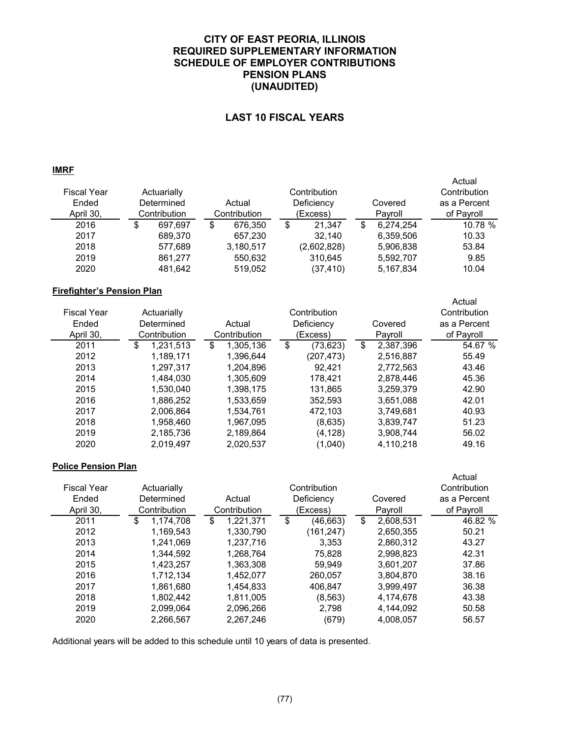# **CITY OF EAST PEORIA, ILLINOIS REQUIRED SUPPLEMENTARY INFORMATION SCHEDULE OF EMPLOYER CONTRIBUTIONS PENSION PLANS (UNAUDITED)**

# **LAST 10 FISCAL YEARS**

**IMRF**

| <u>______</u><br><b>Fiscal Year</b><br>Ended<br>April 30, | Actuarially<br>Determined<br>Contribution |   | Actual<br>Contribution | Contribution<br>Deficiency<br>(Excess) | Covered<br>Pavroll | Actual<br>Contribution<br>as a Percent<br>of Pavroll |
|-----------------------------------------------------------|-------------------------------------------|---|------------------------|----------------------------------------|--------------------|------------------------------------------------------|
| 2016                                                      | \$<br>697.697                             | S | 676.350                | \$<br>21.347                           | \$<br>6,274,254    | 10.78 %                                              |
| 2017                                                      | 689.370                                   |   | 657.230                | 32.140                                 | 6,359,506          | 10.33                                                |
| 2018                                                      | 577,689                                   |   | 3,180,517              | (2,602,828)                            | 5,906,838          | 53.84                                                |
| 2019                                                      | 861.277                                   |   | 550,632                | 310.645                                | 5.592.707          | 9.85                                                 |
| 2020                                                      | 481.642                                   |   | 519.052                | (37, 410)                              | 5,167,834          | 10.04                                                |

#### **Firefighter's Pension Plan**

| <b>Fiscal Year</b><br>Ended<br>April 30, | Actuarially<br>Determined<br>Contribution | Actual<br>Contribution | Contribution<br>Deficiency<br>(Excess) | Covered<br>Payroll | Actual<br>Contribution<br>as a Percent<br>of Payroll |
|------------------------------------------|-------------------------------------------|------------------------|----------------------------------------|--------------------|------------------------------------------------------|
| 2011                                     | \$<br>1.231.513                           | 1.305.136<br>\$        | \$<br>(73, 623)                        | \$<br>2,387,396    | 54.67 %                                              |
| 2012                                     | 1.189.171                                 | 1,396,644              | (207,473)                              | 2,516,887          | 55.49                                                |
| 2013                                     | 1.297.317                                 | 1.204.896              | 92.421                                 | 2.772.563          | 43.46                                                |
| 2014                                     | 1.484.030                                 | 1.305.609              | 178.421                                | 2.878.446          | 45.36                                                |
| 2015                                     | 1,530,040                                 | 1,398,175              | 131,865                                | 3,259,379          | 42.90                                                |
| 2016                                     | 1.886.252                                 | 1.533.659              | 352,593                                | 3,651,088          | 42.01                                                |
| 2017                                     | 2,006,864                                 | 1,534,761              | 472.103                                | 3.749.681          | 40.93                                                |
| 2018                                     | 1.958.460                                 | 1.967.095              | (8,635)                                | 3,839,747          | 51.23                                                |
| 2019                                     | 2,185,736                                 | 2,189,864              | (4,128)                                | 3,908,744          | 56.02                                                |
| 2020                                     | 2.019.497                                 | 2.020.537              | (1,040)                                | 4.110.218          | 49.16                                                |

#### **Police Pension Plan**

| <b>Fiscal Year</b><br>Ended | Actuarially<br>Determined | Actual          | Contribution<br>Deficiency | Covered         | Actual<br>Contribution<br>as a Percent |
|-----------------------------|---------------------------|-----------------|----------------------------|-----------------|----------------------------------------|
| April 30,                   | Contribution              | Contribution    | (Excess)                   | Pavroll         | of Payroll                             |
| 2011                        | \$<br>1.174.708           | 1.221.371<br>\$ | \$<br>(46, 663)            | \$<br>2,608,531 | 46.82 %                                |
| 2012                        | 1.169.543                 | 1.330.790       | (161, 247)                 | 2,650,355       | 50.21                                  |
| 2013                        | 1.241.069                 | 1.237.716       | 3.353                      | 2,860,312       | 43.27                                  |
| 2014                        | 1.344.592                 | 1,268,764       | 75.828                     | 2.998.823       | 42.31                                  |
| 2015                        | 1,423,257                 | 1,363,308       | 59,949                     | 3,601,207       | 37.86                                  |
| 2016                        | 1.712.134                 | 1.452.077       | 260.057                    | 3.804.870       | 38.16                                  |
| 2017                        | 1.861.680                 | 1,454,833       | 406.847                    | 3.999.497       | 36.38                                  |
| 2018                        | 1,802,442                 | 1,811,005       | (8, 563)                   | 4,174,678       | 43.38                                  |
| 2019                        | 2,099,064                 | 2,096,266       | 2.798                      | 4,144,092       | 50.58                                  |
| 2020                        | 2.266.567                 | 2,267,246       | (679)                      | 4.008.057       | 56.57                                  |

Additional years will be added to this schedule until 10 years of data is presented.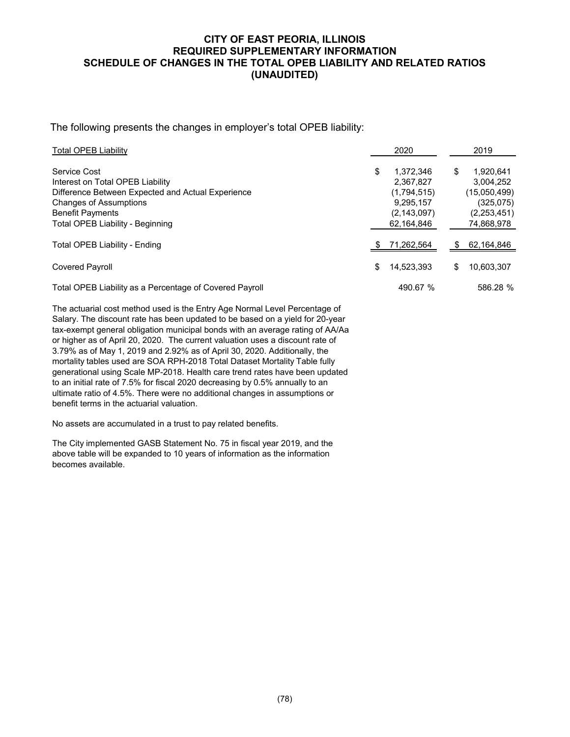# **CITY OF EAST PEORIA, ILLINOIS REQUIRED SUPPLEMENTARY INFORMATION SCHEDULE OF CHANGES IN THE TOTAL OPEB LIABILITY AND RELATED RATIOS (UNAUDITED)**

The following presents the changes in employer's total OPEB liability:

| <b>Total OPEB Liability</b>                                                                                                                                                                                  | 2020                                                                                    | 2019                                                                                  |
|--------------------------------------------------------------------------------------------------------------------------------------------------------------------------------------------------------------|-----------------------------------------------------------------------------------------|---------------------------------------------------------------------------------------|
| Service Cost<br>Interest on Total OPEB Liability<br>Difference Between Expected and Actual Experience<br><b>Changes of Assumptions</b><br><b>Benefit Payments</b><br><b>Total OPEB Liability - Beginning</b> | \$<br>1.372.346<br>2,367,827<br>(1,794,515)<br>9,295,157<br>(2, 143, 097)<br>62.164.846 | 1.920.641<br>S<br>3.004.252<br>(15,050,499)<br>(325,075)<br>(2,253,451)<br>74,868,978 |
| <b>Total OPEB Liability - Ending</b>                                                                                                                                                                         | 71,262,564                                                                              | 62,164,846<br>\$.                                                                     |
| <b>Covered Payroll</b>                                                                                                                                                                                       | \$<br>14,523,393                                                                        | 10,603,307<br>S                                                                       |
| Total OPEB Liability as a Percentage of Covered Payroll                                                                                                                                                      | 490.67 %                                                                                | 586.28 %                                                                              |

The actuarial cost method used is the Entry Age Normal Level Percentage of Salary. The discount rate has been updated to be based on a yield for 20-year tax-exempt general obligation municipal bonds with an average rating of AA/Aa or higher as of April 20, 2020. The current valuation uses a discount rate of 3.79% as of May 1, 2019 and 2.92% as of April 30, 2020. Additionally, the mortality tables used are SOA RPH-2018 Total Dataset Mortality Table fully generational using Scale MP-2018. Health care trend rates have been updated to an initial rate of 7.5% for fiscal 2020 decreasing by 0.5% annually to an ultimate ratio of 4.5%. There were no additional changes in assumptions or benefit terms in the actuarial valuation.

No assets are accumulated in a trust to pay related benefits.

The City implemented GASB Statement No. 75 in fiscal year 2019, and the above table will be expanded to 10 years of information as the information becomes available.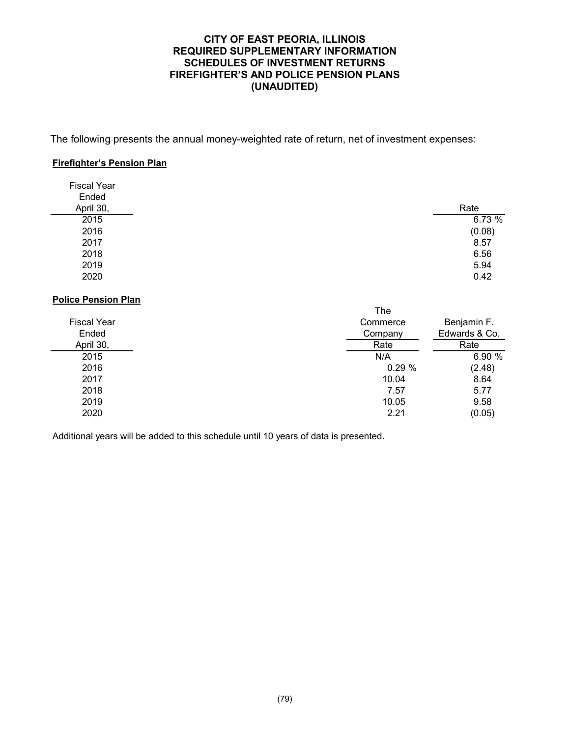# **CITY OF EAST PEORIA, ILLINOIS REQUIRED SUPPLEMENTARY INFORMATION SCHEDULES OF INVESTMENT RETURNS FIREFIGHTER'S AND POLICE PENSION PLANS (UNAUDITED)**

The following presents the annual money-weighted rate of return, net of investment expenses:

#### **Firefighter's Pension Plan**

| <b>Fiscal Year</b><br>Ended |        |
|-----------------------------|--------|
| April 30,                   | Rate   |
| 2015                        | 6.73 % |
| 2016                        | (0.08) |
| 2017                        | 8.57   |
| 2018                        | 6.56   |
| 2019                        | 5.94   |
| 2020                        | 0.42   |

#### **Police Pension Plan**

|                    | The      |               |
|--------------------|----------|---------------|
| <b>Fiscal Year</b> | Commerce | Benjamin F.   |
| Ended              | Company  | Edwards & Co. |
| April 30,          | Rate     | Rate          |
| 2015               | N/A      | 6.90 %        |
| 2016               | 0.29%    | (2.48)        |
| 2017               | 10.04    | 8.64          |
| 2018               | 7.57     | 5.77          |
| 2019               | 10.05    | 9.58          |
| 2020               | 2.21     | (0.05)        |

Additional years will be added to this schedule until 10 years of data is presented.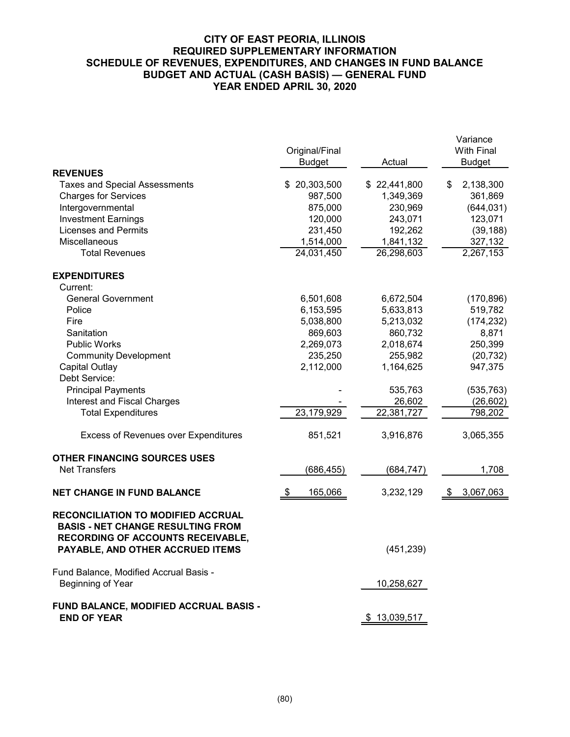# **CITY OF EAST PEORIA, ILLINOIS REQUIRED SUPPLEMENTARY INFORMATION SCHEDULE OF REVENUES, EXPENDITURES, AND CHANGES IN FUND BALANCE BUDGET AND ACTUAL (CASH BASIS) — GENERAL FUND YEAR ENDED APRIL 30, 2020**

|                                                                                                                                                                       | Original/Final<br><b>Budget</b> | Actual       | Variance<br><b>With Final</b><br><b>Budget</b> |
|-----------------------------------------------------------------------------------------------------------------------------------------------------------------------|---------------------------------|--------------|------------------------------------------------|
| <b>REVENUES</b><br><b>Taxes and Special Assessments</b>                                                                                                               | \$20,303,500                    | \$22,441,800 | 2,138,300<br>\$                                |
| <b>Charges for Services</b>                                                                                                                                           | 987,500                         | 1,349,369    | 361,869                                        |
| Intergovernmental                                                                                                                                                     | 875,000                         | 230,969      | (644, 031)                                     |
| <b>Investment Earnings</b>                                                                                                                                            | 120,000                         | 243,071      | 123,071                                        |
| <b>Licenses and Permits</b>                                                                                                                                           | 231,450                         | 192,262      | (39, 188)                                      |
| Miscellaneous                                                                                                                                                         | 1,514,000                       | 1,841,132    | 327,132                                        |
| <b>Total Revenues</b>                                                                                                                                                 | 24,031,450                      | 26,298,603   | 2,267,153                                      |
| <b>EXPENDITURES</b>                                                                                                                                                   |                                 |              |                                                |
| Current:                                                                                                                                                              |                                 |              |                                                |
| <b>General Government</b>                                                                                                                                             | 6,501,608                       | 6,672,504    | (170, 896)                                     |
| Police                                                                                                                                                                | 6,153,595                       | 5,633,813    | 519,782                                        |
| Fire                                                                                                                                                                  | 5,038,800                       | 5,213,032    | (174, 232)                                     |
| Sanitation                                                                                                                                                            | 869,603                         | 860,732      | 8,871                                          |
| <b>Public Works</b>                                                                                                                                                   | 2,269,073                       | 2,018,674    | 250,399                                        |
| <b>Community Development</b>                                                                                                                                          | 235,250                         | 255,982      | (20, 732)                                      |
| Capital Outlay                                                                                                                                                        | 2,112,000                       | 1,164,625    | 947,375                                        |
| Debt Service:                                                                                                                                                         |                                 |              |                                                |
| <b>Principal Payments</b>                                                                                                                                             |                                 | 535,763      | (535, 763)                                     |
| Interest and Fiscal Charges                                                                                                                                           |                                 | 26,602       | (26, 602)                                      |
| <b>Total Expenditures</b>                                                                                                                                             | 23,179,929                      | 22,381,727   | 798,202                                        |
| <b>Excess of Revenues over Expenditures</b>                                                                                                                           | 851,521                         | 3,916,876    | 3,065,355                                      |
| <b>OTHER FINANCING SOURCES USES</b>                                                                                                                                   |                                 |              |                                                |
| <b>Net Transfers</b>                                                                                                                                                  | (686,455)                       | (684, 747)   | 1,708                                          |
| <b>NET CHANGE IN FUND BALANCE</b>                                                                                                                                     | 165,066<br>- \$                 | 3,232,129    | 3,067,063<br>-\$                               |
| <b>RECONCILIATION TO MODIFIED ACCRUAL</b><br><b>BASIS - NET CHANGE RESULTING FROM</b><br><b>RECORDING OF ACCOUNTS RECEIVABLE,</b><br>PAYABLE, AND OTHER ACCRUED ITEMS |                                 | (451, 239)   |                                                |
| Fund Balance, Modified Accrual Basis -                                                                                                                                |                                 |              |                                                |
| Beginning of Year                                                                                                                                                     |                                 | 10,258,627   |                                                |
| FUND BALANCE, MODIFIED ACCRUAL BASIS -<br><b>END OF YEAR</b>                                                                                                          |                                 | \$13,039,517 |                                                |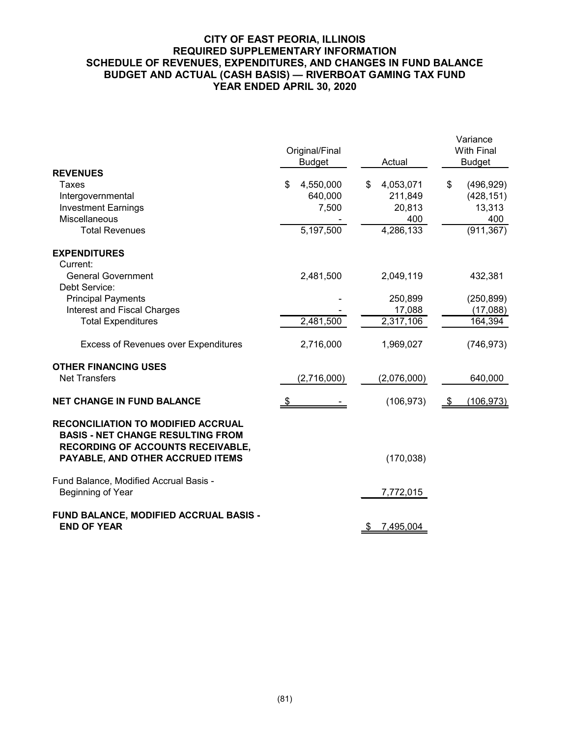# **CITY OF EAST PEORIA, ILLINOIS REQUIRED SUPPLEMENTARY INFORMATION SCHEDULE OF REVENUES, EXPENDITURES, AND CHANGES IN FUND BALANCE BUDGET AND ACTUAL (CASH BASIS) — RIVERBOAT GAMING TAX FUND YEAR ENDED APRIL 30, 2020**

|                                                                                                                                   | Original/Final<br><b>Budget</b>     | Actual                                      | Variance<br><b>With Final</b><br><b>Budget</b>  |
|-----------------------------------------------------------------------------------------------------------------------------------|-------------------------------------|---------------------------------------------|-------------------------------------------------|
| <b>REVENUES</b><br>Taxes<br>Intergovernmental<br><b>Investment Earnings</b><br><b>Miscellaneous</b>                               | \$<br>4,550,000<br>640,000<br>7,500 | 4,053,071<br>\$<br>211,849<br>20,813<br>400 | \$<br>(496, 929)<br>(428, 151)<br>13,313<br>400 |
| <b>Total Revenues</b>                                                                                                             | $\overline{5,197,500}$              | 4,286,133                                   | (911, 367)                                      |
| <b>EXPENDITURES</b><br>Current:                                                                                                   |                                     |                                             |                                                 |
| <b>General Government</b><br>Debt Service:                                                                                        | 2,481,500                           | 2,049,119                                   | 432,381                                         |
| <b>Principal Payments</b><br>Interest and Fiscal Charges                                                                          |                                     | 250,899<br>17,088                           | (250, 899)<br>(17,088)                          |
| <b>Total Expenditures</b>                                                                                                         | 2,481,500                           | 2,317,106                                   | 164,394                                         |
| <b>Excess of Revenues over Expenditures</b>                                                                                       | 2,716,000                           | 1,969,027                                   | (746, 973)                                      |
| <b>OTHER FINANCING USES</b><br><b>Net Transfers</b>                                                                               | (2,716,000)                         | (2,076,000)                                 | 640,000                                         |
| <b>NET CHANGE IN FUND BALANCE</b>                                                                                                 |                                     | (106, 973)                                  | (106, 973)<br>- \$                              |
| <b>RECONCILIATION TO MODIFIED ACCRUAL</b><br><b>BASIS - NET CHANGE RESULTING FROM</b><br><b>RECORDING OF ACCOUNTS RECEIVABLE,</b> |                                     |                                             |                                                 |
| PAYABLE, AND OTHER ACCRUED ITEMS                                                                                                  |                                     | (170, 038)                                  |                                                 |
| Fund Balance, Modified Accrual Basis -<br>Beginning of Year                                                                       |                                     | 7,772,015                                   |                                                 |
| FUND BALANCE, MODIFIED ACCRUAL BASIS -<br><b>END OF YEAR</b>                                                                      |                                     | 7,495,004<br>\$                             |                                                 |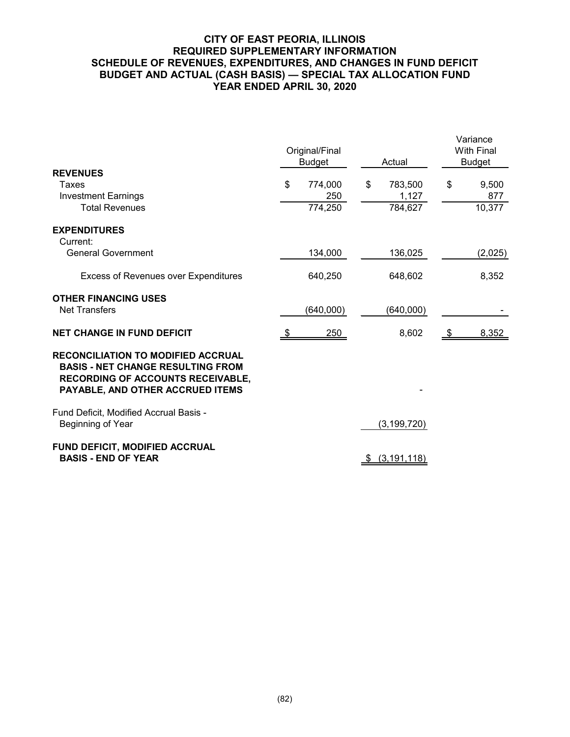# **CITY OF EAST PEORIA, ILLINOIS REQUIRED SUPPLEMENTARY INFORMATION SCHEDULE OF REVENUES, EXPENDITURES, AND CHANGES IN FUND DEFICIT BUDGET AND ACTUAL (CASH BASIS) — SPECIAL TAX ALLOCATION FUND YEAR ENDED APRIL 30, 2020**

|                                                                                                                                                                              | Original/Final<br><b>Budget</b> |           |    | Actual        |      | Variance<br><b>With Final</b><br><b>Budget</b> |  |
|------------------------------------------------------------------------------------------------------------------------------------------------------------------------------|---------------------------------|-----------|----|---------------|------|------------------------------------------------|--|
| <b>REVENUES</b><br>Taxes                                                                                                                                                     | \$                              | 774,000   | \$ | 783,500       | \$   | 9,500                                          |  |
| <b>Investment Earnings</b>                                                                                                                                                   |                                 | 250       |    | 1,127         |      | 877                                            |  |
| <b>Total Revenues</b>                                                                                                                                                        |                                 | 774,250   |    | 784,627       |      | 10,377                                         |  |
| <b>EXPENDITURES</b><br>Current:                                                                                                                                              |                                 |           |    |               |      |                                                |  |
| <b>General Government</b>                                                                                                                                                    |                                 | 134,000   |    | 136,025       |      | (2,025)                                        |  |
| Excess of Revenues over Expenditures                                                                                                                                         |                                 | 640,250   |    | 648,602       |      | 8,352                                          |  |
| <b>OTHER FINANCING USES</b>                                                                                                                                                  |                                 |           |    |               |      |                                                |  |
| <b>Net Transfers</b>                                                                                                                                                         |                                 | (640,000) |    | (640,000)     |      |                                                |  |
| <b>NET CHANGE IN FUND DEFICIT</b>                                                                                                                                            | S                               | 250       |    | 8,602         | - \$ | 8,352                                          |  |
| <b>RECONCILIATION TO MODIFIED ACCRUAL</b><br><b>BASIS - NET CHANGE RESULTING FROM</b><br><b>RECORDING OF ACCOUNTS RECEIVABLE,</b><br><b>PAYABLE, AND OTHER ACCRUED ITEMS</b> |                                 |           |    |               |      |                                                |  |
| Fund Deficit, Modified Accrual Basis -<br>Beginning of Year                                                                                                                  |                                 |           |    | (3, 199, 720) |      |                                                |  |
| FUND DEFICIT, MODIFIED ACCRUAL<br><b>BASIS - END OF YEAR</b>                                                                                                                 |                                 |           | \$ | (3, 191, 118) |      |                                                |  |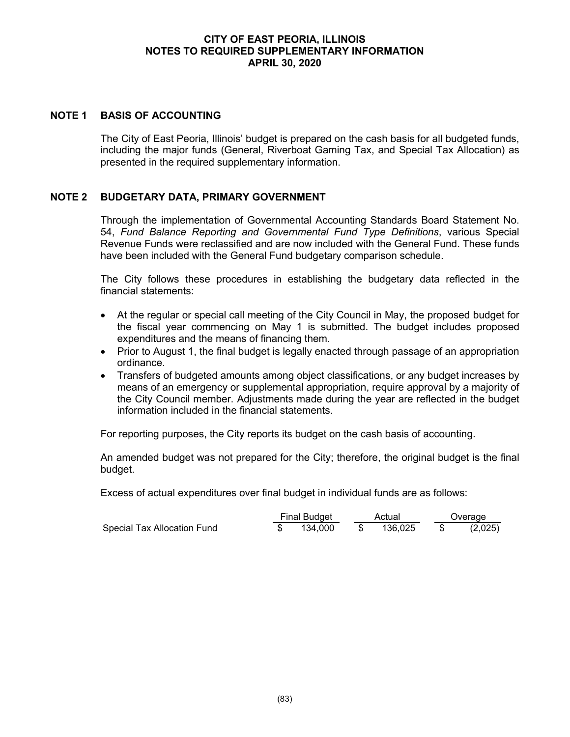#### **CITY OF EAST PEORIA, ILLINOIS NOTES TO REQUIRED SUPPLEMENTARY INFORMATION APRIL 30, 2020**

# **NOTE 1 BASIS OF ACCOUNTING**

The City of East Peoria, Illinois' budget is prepared on the cash basis for all budgeted funds, including the major funds (General, Riverboat Gaming Tax, and Special Tax Allocation) as presented in the required supplementary information.

# **NOTE 2 BUDGETARY DATA, PRIMARY GOVERNMENT**

Through the implementation of Governmental Accounting Standards Board Statement No. 54, *Fund Balance Reporting and Governmental Fund Type Definitions*, various Special Revenue Funds were reclassified and are now included with the General Fund. These funds have been included with the General Fund budgetary comparison schedule.

The City follows these procedures in establishing the budgetary data reflected in the financial statements:

- At the regular or special call meeting of the City Council in May, the proposed budget for the fiscal year commencing on May 1 is submitted. The budget includes proposed expenditures and the means of financing them.
- Prior to August 1, the final budget is legally enacted through passage of an appropriation ordinance.
- Transfers of budgeted amounts among object classifications, or any budget increases by means of an emergency or supplemental appropriation, require approval by a majority of the City Council member. Adjustments made during the year are reflected in the budget information included in the financial statements.

For reporting purposes, the City reports its budget on the cash basis of accounting.

An amended budget was not prepared for the City; therefore, the original budget is the final budget.

Excess of actual expenditures over final budget in individual funds are as follows:

|                             | <b>Final Budget</b> | Actual |         |  | Overage |         |
|-----------------------------|---------------------|--------|---------|--|---------|---------|
| Special Tax Allocation Fund | 134.000             |        | 136.025 |  |         | (2,025) |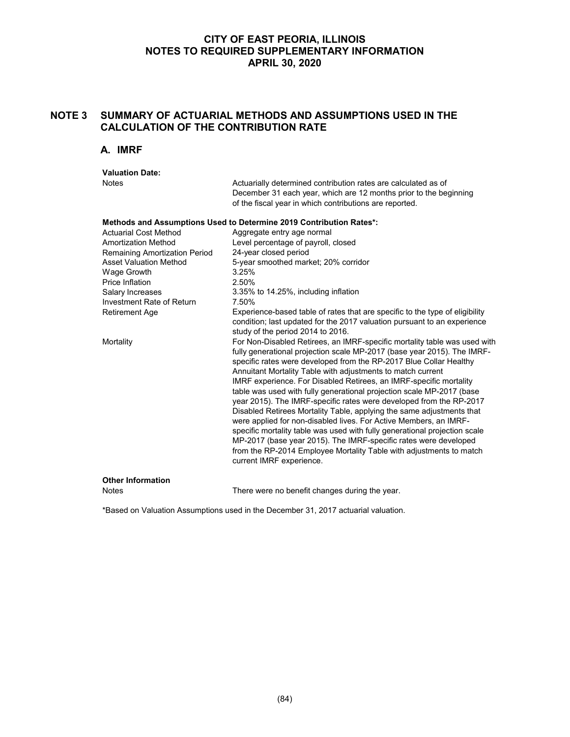#### **CITY OF EAST PEORIA, ILLINOIS NOTES TO REQUIRED SUPPLEMENTARY INFORMATION APRIL 30, 2020**

# **NOTE 3 SUMMARY OF ACTUARIAL METHODS AND ASSUMPTIONS USED IN THE CALCULATION OF THE CONTRIBUTION RATE**

#### **A. IMRF**

| <b>Valuation Date:</b> |                                                                   |
|------------------------|-------------------------------------------------------------------|
| Notes                  | Actuarially determined contribution rates are calculated as of    |
|                        | December 31 each year, which are 12 months prior to the beginning |
|                        | of the fiscal year in which contributions are reported.           |

#### **Methods and Assumptions Used to Determine 2019 Contribution Rates\*:**

| <b>Actuarial Cost Method</b>         | Aggregate entry age normal                                                                                                                                                                                                                                                                                                                                                                                                                                                                                                                                                                                                                                                                                                                                                                                                                                                                                         |
|--------------------------------------|--------------------------------------------------------------------------------------------------------------------------------------------------------------------------------------------------------------------------------------------------------------------------------------------------------------------------------------------------------------------------------------------------------------------------------------------------------------------------------------------------------------------------------------------------------------------------------------------------------------------------------------------------------------------------------------------------------------------------------------------------------------------------------------------------------------------------------------------------------------------------------------------------------------------|
| <b>Amortization Method</b>           | Level percentage of payroll, closed                                                                                                                                                                                                                                                                                                                                                                                                                                                                                                                                                                                                                                                                                                                                                                                                                                                                                |
| <b>Remaining Amortization Period</b> | 24-year closed period                                                                                                                                                                                                                                                                                                                                                                                                                                                                                                                                                                                                                                                                                                                                                                                                                                                                                              |
| <b>Asset Valuation Method</b>        | 5-year smoothed market; 20% corridor                                                                                                                                                                                                                                                                                                                                                                                                                                                                                                                                                                                                                                                                                                                                                                                                                                                                               |
| Wage Growth                          | 3.25%                                                                                                                                                                                                                                                                                                                                                                                                                                                                                                                                                                                                                                                                                                                                                                                                                                                                                                              |
| Price Inflation                      | 2.50%                                                                                                                                                                                                                                                                                                                                                                                                                                                                                                                                                                                                                                                                                                                                                                                                                                                                                                              |
| Salary Increases                     | 3.35% to 14.25%, including inflation                                                                                                                                                                                                                                                                                                                                                                                                                                                                                                                                                                                                                                                                                                                                                                                                                                                                               |
| Investment Rate of Return            | 7.50%                                                                                                                                                                                                                                                                                                                                                                                                                                                                                                                                                                                                                                                                                                                                                                                                                                                                                                              |
| Retirement Age                       | Experience-based table of rates that are specific to the type of eligibility<br>condition; last updated for the 2017 valuation pursuant to an experience<br>study of the period 2014 to 2016.                                                                                                                                                                                                                                                                                                                                                                                                                                                                                                                                                                                                                                                                                                                      |
| Mortality                            | For Non-Disabled Retirees, an IMRF-specific mortality table was used with<br>fully generational projection scale MP-2017 (base year 2015). The IMRF-<br>specific rates were developed from the RP-2017 Blue Collar Healthy<br>Annuitant Mortality Table with adjustments to match current<br>IMRF experience. For Disabled Retirees, an IMRF-specific mortality<br>table was used with fully generational projection scale MP-2017 (base<br>year 2015). The IMRF-specific rates were developed from the RP-2017<br>Disabled Retirees Mortality Table, applying the same adjustments that<br>were applied for non-disabled lives. For Active Members, an IMRF-<br>specific mortality table was used with fully generational projection scale<br>MP-2017 (base year 2015). The IMRF-specific rates were developed<br>from the RP-2014 Employee Mortality Table with adjustments to match<br>current IMRF experience. |
| <b>Other Information</b>             |                                                                                                                                                                                                                                                                                                                                                                                                                                                                                                                                                                                                                                                                                                                                                                                                                                                                                                                    |
| <b>Notes</b>                         | There were no benefit changes during the year.                                                                                                                                                                                                                                                                                                                                                                                                                                                                                                                                                                                                                                                                                                                                                                                                                                                                     |

\*Based on Valuation Assumptions used in the December 31, 2017 actuarial valuation.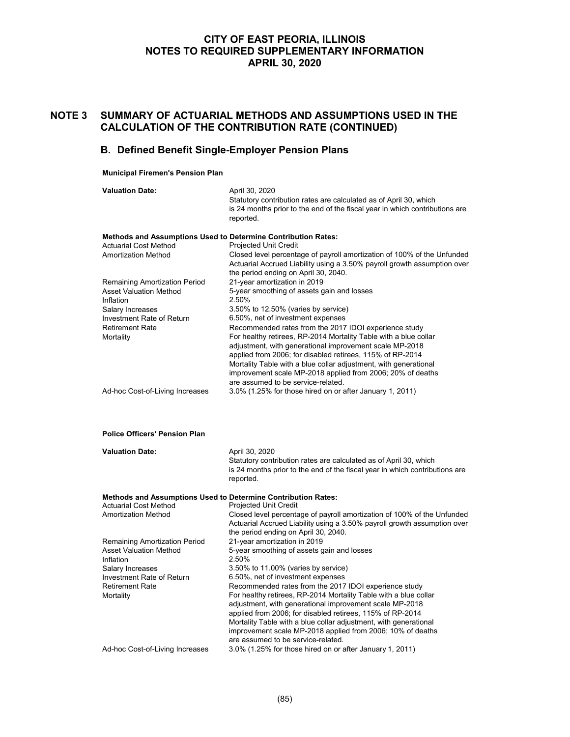#### **CITY OF EAST PEORIA, ILLINOIS NOTES TO REQUIRED SUPPLEMENTARY INFORMATION APRIL 30, 2020**

# **NOTE 3 SUMMARY OF ACTUARIAL METHODS AND ASSUMPTIONS USED IN THE CALCULATION OF THE CONTRIBUTION RATE (CONTINUED)**

# **B. Defined Benefit Single-Employer Pension Plans**

#### **Municipal Firemen's Pension Plan**

| <b>Valuation Date:</b>                                                                                                                                                                                                                                                                                           | April 30, 2020<br>Statutory contribution rates are calculated as of April 30, which<br>is 24 months prior to the end of the fiscal year in which contributions are<br>reported.                                                                                                                                                                                                                                                                                                                                                                                                                                                                                                                                                                                                                                             |
|------------------------------------------------------------------------------------------------------------------------------------------------------------------------------------------------------------------------------------------------------------------------------------------------------------------|-----------------------------------------------------------------------------------------------------------------------------------------------------------------------------------------------------------------------------------------------------------------------------------------------------------------------------------------------------------------------------------------------------------------------------------------------------------------------------------------------------------------------------------------------------------------------------------------------------------------------------------------------------------------------------------------------------------------------------------------------------------------------------------------------------------------------------|
| <b>Methods and Assumptions Used to Determine Contribution Rates:</b><br><b>Actuarial Cost Method</b><br><b>Amortization Method</b>                                                                                                                                                                               | <b>Projected Unit Credit</b><br>Closed level percentage of payroll amortization of 100% of the Unfunded<br>Actuarial Accrued Liability using a 3.50% payroll growth assumption over<br>the period ending on April 30, 2040.                                                                                                                                                                                                                                                                                                                                                                                                                                                                                                                                                                                                 |
| Remaining Amortization Period<br><b>Asset Valuation Method</b><br>Inflation<br>Salary Increases<br>Investment Rate of Return<br><b>Retirement Rate</b><br>Mortality                                                                                                                                              | 21-year amortization in 2019<br>5-year smoothing of assets gain and losses<br>2.50%<br>3.50% to 12.50% (varies by service)<br>6.50%, net of investment expenses<br>Recommended rates from the 2017 IDOI experience study<br>For healthy retirees, RP-2014 Mortality Table with a blue collar<br>adjustment, with generational improvement scale MP-2018<br>applied from 2006; for disabled retirees, 115% of RP-2014<br>Mortality Table with a blue collar adjustment, with generational                                                                                                                                                                                                                                                                                                                                    |
| Ad-hoc Cost-of-Living Increases                                                                                                                                                                                                                                                                                  | improvement scale MP-2018 applied from 2006; 20% of deaths<br>are assumed to be service-related.<br>3.0% (1.25% for those hired on or after January 1, 2011)                                                                                                                                                                                                                                                                                                                                                                                                                                                                                                                                                                                                                                                                |
| <b>Police Officers' Pension Plan</b>                                                                                                                                                                                                                                                                             |                                                                                                                                                                                                                                                                                                                                                                                                                                                                                                                                                                                                                                                                                                                                                                                                                             |
| <b>Valuation Date:</b>                                                                                                                                                                                                                                                                                           | April 30, 2020<br>Statutory contribution rates are calculated as of April 30, which<br>is 24 months prior to the end of the fiscal year in which contributions are<br>reported.                                                                                                                                                                                                                                                                                                                                                                                                                                                                                                                                                                                                                                             |
| <b>Methods and Assumptions Used to Determine Contribution Rates:</b><br><b>Actuarial Cost Method</b><br><b>Amortization Method</b><br>Remaining Amortization Period<br><b>Asset Valuation Method</b><br>Inflation<br>Salary Increases<br><b>Investment Rate of Return</b><br><b>Retirement Rate</b><br>Mortality | <b>Projected Unit Credit</b><br>Closed level percentage of payroll amortization of 100% of the Unfunded<br>Actuarial Accrued Liability using a 3.50% payroll growth assumption over<br>the period ending on April 30, 2040.<br>21-year amortization in 2019<br>5-year smoothing of assets gain and losses<br>2.50%<br>3.50% to 11.00% (varies by service)<br>6.50%, net of investment expenses<br>Recommended rates from the 2017 IDOI experience study<br>For healthy retirees, RP-2014 Mortality Table with a blue collar<br>adjustment, with generational improvement scale MP-2018<br>applied from 2006; for disabled retirees, 115% of RP-2014<br>Mortality Table with a blue collar adjustment, with generational<br>improvement scale MP-2018 applied from 2006; 10% of deaths<br>are assumed to be service-related. |
| Ad-hoc Cost-of-Living Increases                                                                                                                                                                                                                                                                                  | 3.0% (1.25% for those hired on or after January 1, 2011)                                                                                                                                                                                                                                                                                                                                                                                                                                                                                                                                                                                                                                                                                                                                                                    |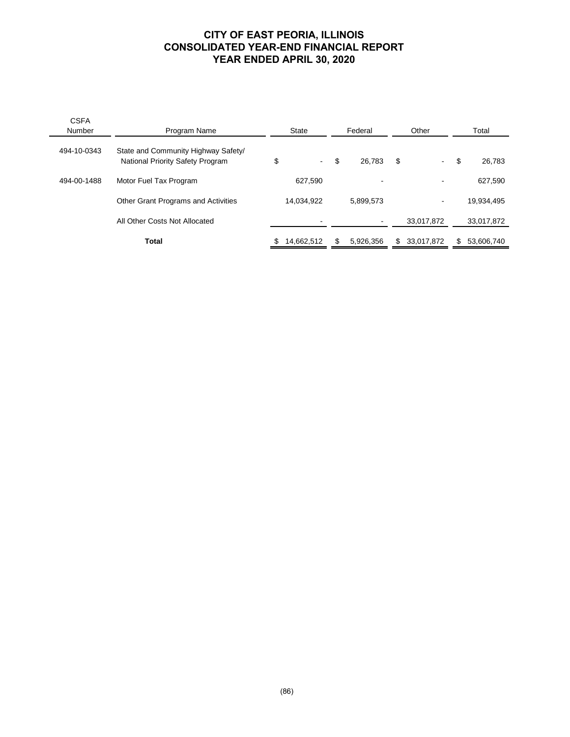# **CITY OF EAST PEORIA, ILLINOIS CONSOLIDATED YEAR-END FINANCIAL REPORT YEAR ENDED APRIL 30, 2020**

| <b>CSFA</b><br>Number | Program Name                                                            | <b>State</b> | Federal |           |                 | Total             |  |
|-----------------------|-------------------------------------------------------------------------|--------------|---------|-----------|-----------------|-------------------|--|
| 494-10-0343           | State and Community Highway Safety/<br>National Priority Safety Program | \$           | \$      | 26,783    | \$              | \$<br>26.783      |  |
| 494-00-1488           | Motor Fuel Tax Program                                                  | 627.590      |         |           |                 | 627,590           |  |
|                       | Other Grant Programs and Activities                                     | 14.034.922   |         | 5.899.573 |                 | 19,934,495        |  |
|                       | All Other Costs Not Allocated                                           |              |         |           | 33,017,872      | 33,017,872        |  |
|                       | <b>Total</b>                                                            | 14,662,512   |         | 5,926,356 | 33,017,872<br>S | 53,606,740<br>\$. |  |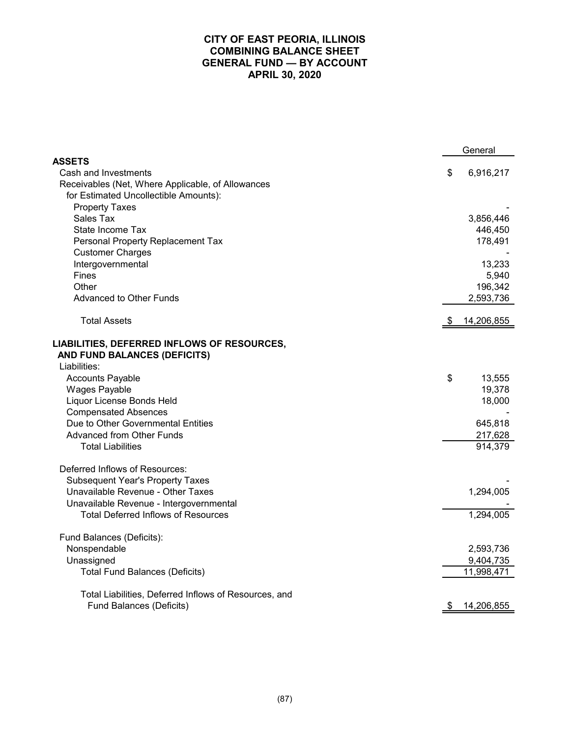## **CITY OF EAST PEORIA, ILLINOIS COMBINING BALANCE SHEET GENERAL FUND — BY ACCOUNT APRIL 30, 2020**

|                                                                                       | General          |
|---------------------------------------------------------------------------------------|------------------|
| <b>ASSETS</b>                                                                         |                  |
| Cash and Investments                                                                  | \$<br>6,916,217  |
| Receivables (Net, Where Applicable, of Allowances                                     |                  |
| for Estimated Uncollectible Amounts):                                                 |                  |
| <b>Property Taxes</b>                                                                 |                  |
| Sales Tax                                                                             | 3,856,446        |
| State Income Tax                                                                      | 446,450          |
| Personal Property Replacement Tax                                                     | 178,491          |
| <b>Customer Charges</b>                                                               |                  |
| Intergovernmental                                                                     | 13,233           |
| <b>Fines</b>                                                                          | 5,940            |
| Other                                                                                 | 196,342          |
| Advanced to Other Funds                                                               | 2,593,736        |
| <b>Total Assets</b>                                                                   | 14,206,855       |
| LIABILITIES, DEFERRED INFLOWS OF RESOURCES,                                           |                  |
| AND FUND BALANCES (DEFICITS)                                                          |                  |
| Liabilities:                                                                          |                  |
| <b>Accounts Payable</b>                                                               | \$<br>13,555     |
| <b>Wages Payable</b>                                                                  | 19,378           |
| Liquor License Bonds Held                                                             | 18,000           |
| <b>Compensated Absences</b>                                                           |                  |
| Due to Other Governmental Entities                                                    | 645,818          |
| <b>Advanced from Other Funds</b>                                                      | 217,628          |
| <b>Total Liabilities</b>                                                              | 914,379          |
| Deferred Inflows of Resources:                                                        |                  |
| <b>Subsequent Year's Property Taxes</b>                                               |                  |
| Unavailable Revenue - Other Taxes                                                     | 1,294,005        |
|                                                                                       |                  |
| Unavailable Revenue - Intergovernmental<br><b>Total Deferred Inflows of Resources</b> | 1,294,005        |
|                                                                                       |                  |
| Fund Balances (Deficits):                                                             |                  |
| Nonspendable                                                                          | 2,593,736        |
| Unassigned                                                                            | 9,404,735        |
| <b>Total Fund Balances (Deficits)</b>                                                 | 11,998,471       |
| Total Liabilities, Deferred Inflows of Resources, and                                 |                  |
| <b>Fund Balances (Deficits)</b>                                                       | \$<br>14,206,855 |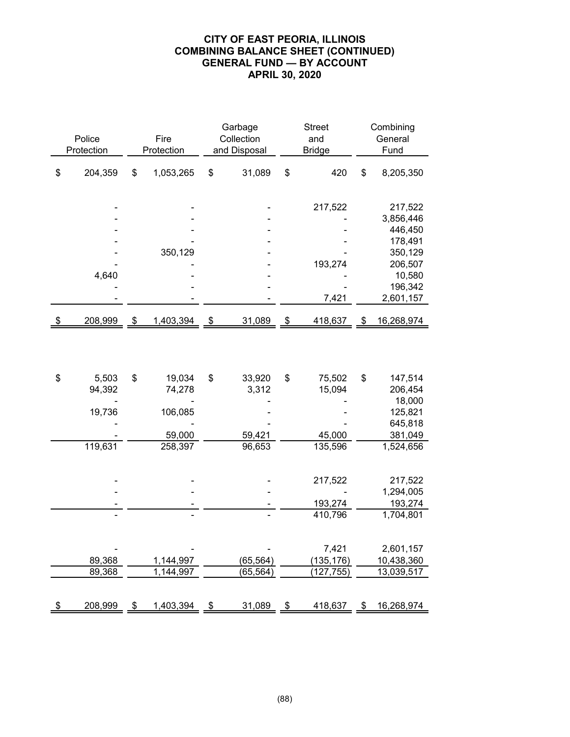#### **CITY OF EAST PEORIA, ILLINOIS COMBINING BALANCE SHEET (CONTINUED) GENERAL FUND — BY ACCOUNT APRIL 30, 2020**

| Police<br>Protection  | Fire<br>Protection     | Garbage<br>Collection<br>and Disposal |                                       |            | <b>Street</b><br>and<br><b>Bridge</b> |            | Combining<br>General<br>Fund |
|-----------------------|------------------------|---------------------------------------|---------------------------------------|------------|---------------------------------------|------------|------------------------------|
| \$<br>204,359         | \$<br>1,053,265        | \$                                    | 31,089                                | \$         | 420                                   |            | 8,205,350                    |
|                       |                        |                                       |                                       |            | 217,522                               |            | 217,522<br>3,856,446         |
|                       |                        |                                       |                                       |            |                                       |            | 446,450<br>178,491           |
| 4,640                 | 350,129                |                                       |                                       |            | 193,274                               |            | 350,129<br>206,507<br>10,580 |
|                       |                        |                                       |                                       |            | 7,421                                 |            | 196,342<br>2,601,157         |
| 208,999               | \$<br>1,403,394        | $\frac{1}{2}$                         | 31,089                                | $\sqrt{2}$ | 418,637                               | <u>_\$</u> | 16,268,974                   |
|                       |                        |                                       |                                       |            |                                       |            |                              |
| \$<br>5,503<br>94,392 | \$<br>19,034<br>74,278 | \$                                    | 33,920<br>3,312                       | \$         | 75,502<br>15,094                      | \$         | 147,514<br>206,454           |
| 19,736                | 106,085                |                                       |                                       |            |                                       |            | 18,000<br>125,821<br>645,818 |
| 119,631               | 59,000<br>258,397      |                                       | 59,421<br>45,000<br>135,596<br>96,653 |            |                                       |            | 381,049<br>1,524,656         |
|                       |                        |                                       |                                       |            | 217,522                               |            | 217,522                      |
|                       |                        |                                       |                                       |            | 193,274                               |            | 1,294,005<br>193,274         |
|                       |                        |                                       |                                       |            | 410,796                               |            | 1,704,801                    |
|                       |                        |                                       |                                       |            | 7,421                                 |            | 2,601,157                    |
| 89,368<br>89,368      | 1,144,997<br>1,144,997 |                                       | (65, 564)<br>(65, 564)                |            | (135, 176)<br>(127, 755)              |            | 10,438,360<br>13,039,517     |
|                       |                        |                                       |                                       |            |                                       |            |                              |
| \$<br>208,999         | \$<br>1,403,394        | \$                                    | 31,089                                | \$         | 418,637                               | \$         | 16,268,974                   |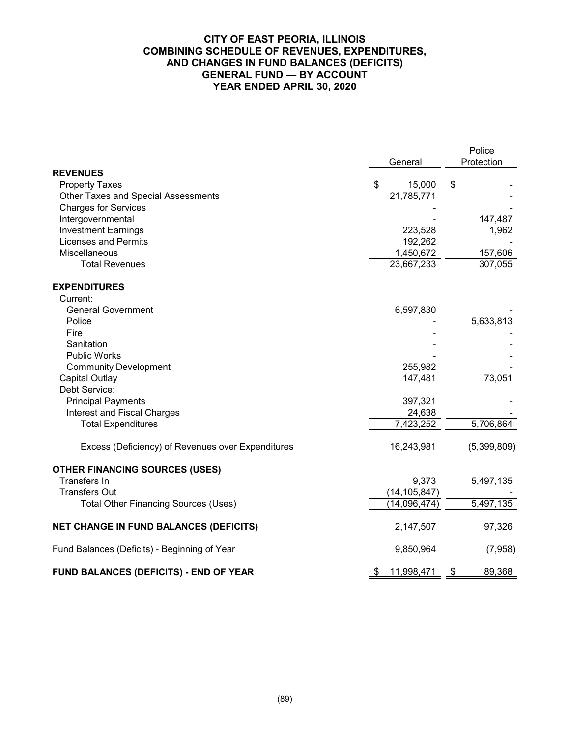# **CITY OF EAST PEORIA, ILLINOIS COMBINING SCHEDULE OF REVENUES, EXPENDITURES, AND CHANGES IN FUND BALANCES (DEFICITS) GENERAL FUND — BY ACCOUNT YEAR ENDED APRIL 30, 2020**

|                                                   |                  | Police       |
|---------------------------------------------------|------------------|--------------|
|                                                   | General          | Protection   |
| <b>REVENUES</b><br><b>Property Taxes</b>          | \$<br>15,000     | \$           |
| Other Taxes and Special Assessments               | 21,785,771       |              |
| <b>Charges for Services</b>                       |                  |              |
| Intergovernmental                                 |                  | 147,487      |
| <b>Investment Earnings</b>                        | 223,528          | 1,962        |
| <b>Licenses and Permits</b>                       | 192,262          |              |
| Miscellaneous                                     | 1,450,672        | 157,606      |
| <b>Total Revenues</b>                             | 23,667,233       | 307,055      |
| <b>EXPENDITURES</b>                               |                  |              |
| Current:                                          |                  |              |
| <b>General Government</b>                         | 6,597,830        |              |
| Police                                            |                  | 5,633,813    |
| Fire                                              |                  |              |
| Sanitation                                        |                  |              |
| <b>Public Works</b>                               |                  |              |
| <b>Community Development</b>                      | 255,982          |              |
| Capital Outlay                                    | 147,481          | 73,051       |
| Debt Service:                                     |                  |              |
| <b>Principal Payments</b>                         | 397,321          |              |
| <b>Interest and Fiscal Charges</b>                | 24,638           |              |
| <b>Total Expenditures</b>                         | 7,423,252        | 5,706,864    |
| Excess (Deficiency) of Revenues over Expenditures | 16,243,981       | (5,399,809)  |
| <b>OTHER FINANCING SOURCES (USES)</b>             |                  |              |
| <b>Transfers In</b>                               | 9,373            | 5,497,135    |
| <b>Transfers Out</b>                              | (14, 105, 847)   |              |
| <b>Total Other Financing Sources (Uses)</b>       | (14,096,474)     | 5,497,135    |
| <b>NET CHANGE IN FUND BALANCES (DEFICITS)</b>     | 2,147,507        | 97,326       |
| Fund Balances (Deficits) - Beginning of Year      | 9,850,964        | (7,958)      |
| <b>FUND BALANCES (DEFICITS) - END OF YEAR</b>     | \$<br>11,998,471 | \$<br>89,368 |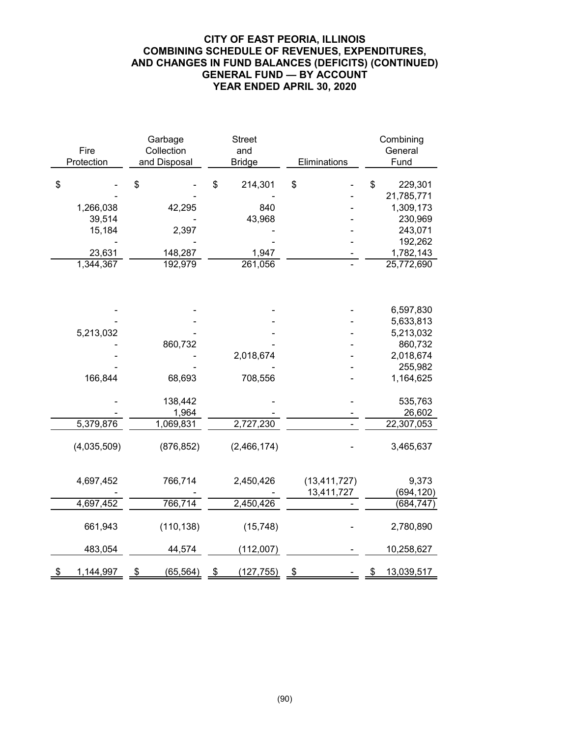# **CITY OF EAST PEORIA, ILLINOIS COMBINING SCHEDULE OF REVENUES, EXPENDITURES, AND CHANGES IN FUND BALANCES (DEFICITS) (CONTINUED) GENERAL FUND — BY ACCOUNT YEAR ENDED APRIL 30, 2020**

| Fire            | Garbage<br>Collection | <b>Street</b><br>and |                | Combining<br>General |
|-----------------|-----------------------|----------------------|----------------|----------------------|
| Protection      | and Disposal          | <b>Bridge</b>        | Eliminations   | Fund                 |
|                 |                       |                      |                |                      |
| \$              | \$                    | \$<br>214,301        | \$             | \$<br>229,301        |
|                 |                       |                      |                | 21,785,771           |
| 1,266,038       | 42,295                | 840                  |                | 1,309,173            |
| 39,514          |                       | 43,968               |                | 230,969              |
| 15,184          | 2,397                 |                      |                | 243,071              |
|                 |                       |                      |                | 192,262              |
| 23,631          | 148,287               | 1,947                |                | 1,782,143            |
| 1,344,367       | 192,979               | 261,056              |                | 25,772,690           |
|                 |                       |                      |                |                      |
|                 |                       |                      |                |                      |
|                 |                       |                      |                | 6,597,830            |
|                 |                       |                      |                | 5,633,813            |
| 5,213,032       |                       |                      |                | 5,213,032            |
|                 | 860,732               |                      |                | 860,732              |
|                 |                       | 2,018,674            |                | 2,018,674            |
|                 |                       |                      |                | 255,982              |
| 166,844         | 68,693                | 708,556              |                | 1,164,625            |
|                 |                       |                      |                |                      |
|                 | 138,442               |                      |                | 535,763              |
|                 | 1,964                 |                      |                | 26,602               |
| 5,379,876       | 1,069,831             | 2,727,230            |                | 22,307,053           |
| (4,035,509)     | (876, 852)            | (2,466,174)          |                | 3,465,637            |
|                 |                       |                      |                |                      |
| 4,697,452       | 766,714               | 2,450,426            | (13, 411, 727) | 9,373                |
|                 |                       |                      | 13,411,727     | (694, 120)           |
| 4,697,452       | 766,714               | 2,450,426            |                | (684, 747)           |
|                 |                       |                      |                |                      |
| 661,943         | (110, 138)            | (15, 748)            |                | 2,780,890            |
| 483,054         | 44,574                | (112,007)            |                | 10,258,627           |
|                 |                       |                      |                |                      |
| \$<br>1,144,997 | \$<br>(65, 564)       | \$<br>(127, 755)     | \$             | 13,039,517<br>\$     |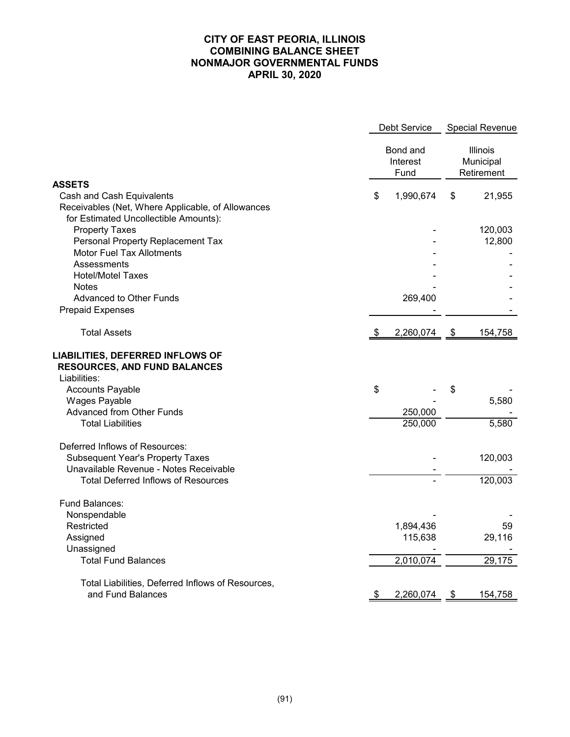# **CITY OF EAST PEORIA, ILLINOIS COMBINING BALANCE SHEET NONMAJOR GOVERNMENTAL FUNDS APRIL 30, 2020**

|                                                                                                                                                                   |      | Debt Service                 | Special Revenue                     |
|-------------------------------------------------------------------------------------------------------------------------------------------------------------------|------|------------------------------|-------------------------------------|
|                                                                                                                                                                   |      | Bond and<br>Interest<br>Fund | Illinois<br>Municipal<br>Retirement |
| <b>ASSETS</b><br>Cash and Cash Equivalents<br>Receivables (Net, Where Applicable, of Allowances<br>for Estimated Uncollectible Amounts):                          | \$   | 1,990,674                    | \$<br>21,955                        |
| <b>Property Taxes</b><br>Personal Property Replacement Tax<br><b>Motor Fuel Tax Allotments</b><br>Assessments                                                     |      |                              | 120,003<br>12,800                   |
| <b>Hotel/Motel Taxes</b><br><b>Notes</b><br>Advanced to Other Funds                                                                                               |      | 269,400                      |                                     |
| <b>Prepaid Expenses</b><br><b>Total Assets</b>                                                                                                                    | - \$ | 2,260,074                    | \$<br>154,758                       |
| <b>LIABILITIES, DEFERRED INFLOWS OF</b><br><b>RESOURCES, AND FUND BALANCES</b><br>Liabilities:<br><b>Accounts Payable</b>                                         | \$   |                              | \$                                  |
| Wages Payable<br><b>Advanced from Other Funds</b><br><b>Total Liabilities</b>                                                                                     |      | 250,000<br>250,000           | 5,580<br>5,580                      |
| Deferred Inflows of Resources:<br><b>Subsequent Year's Property Taxes</b><br>Unavailable Revenue - Notes Receivable<br><b>Total Deferred Inflows of Resources</b> |      |                              | 120,003<br>120,003                  |
| Fund Balances:<br>Nonspendable<br>Restricted<br>Assigned<br>Unassigned                                                                                            |      | 1,894,436<br>115,638         | 59<br>29,116                        |
| <b>Total Fund Balances</b><br>Total Liabilities, Deferred Inflows of Resources,<br>and Fund Balances                                                              |      | 2,010,074<br>2,260,074       | \$<br>29,175<br>154,758             |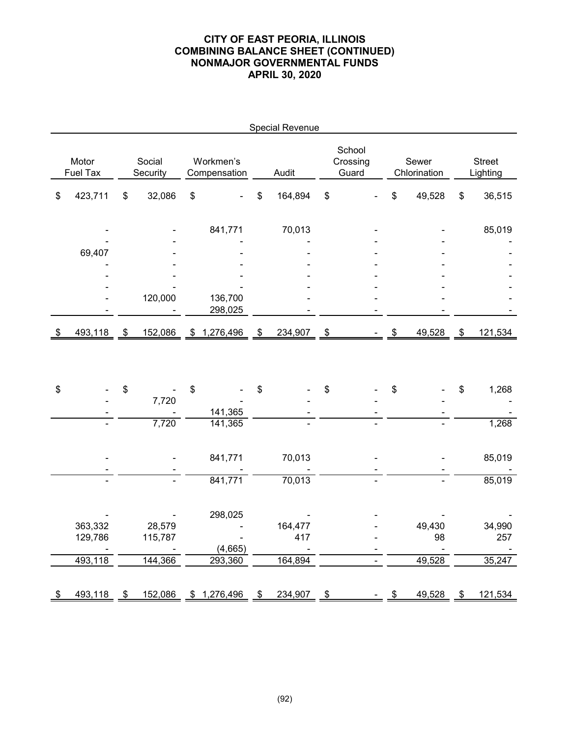# **CITY OF EAST PEORIA, ILLINOIS COMBINING BALANCE SHEET (CONTINUED) NONMAJOR GOVERNMENTAL FUNDS APRIL 30, 2020**

|                   |                    |                      |                           |                    |       | <b>Special Revenue</b> |            |                             |                       |                         |                           |
|-------------------|--------------------|----------------------|---------------------------|--------------------|-------|------------------------|------------|-----------------------------|-----------------------|-------------------------|---------------------------|
| Motor<br>Fuel Tax | Social<br>Security |                      | Workmen's<br>Compensation |                    | Audit |                        |            | School<br>Crossing<br>Guard | Sewer<br>Chlorination |                         | <b>Street</b><br>Lighting |
| \$<br>423,711     | \$                 | 32,086               | \$                        |                    | \$    | 164,894                | \$         |                             | \$<br>49,528          | \$                      | 36,515                    |
|                   |                    |                      |                           | 841,771            |       | 70,013                 |            |                             |                       |                         | 85,019                    |
|                   |                    |                      |                           |                    |       |                        |            |                             |                       |                         |                           |
| 69,407            |                    |                      |                           |                    |       |                        |            |                             |                       |                         |                           |
|                   |                    |                      |                           |                    |       |                        |            |                             |                       |                         |                           |
|                   |                    |                      |                           |                    |       |                        |            |                             |                       |                         |                           |
|                   |                    | 120,000              |                           | 136,700            |       |                        |            |                             |                       |                         |                           |
|                   |                    |                      |                           | 298,025            |       |                        |            |                             |                       |                         |                           |
| 493,118           | - \$               | 152,086 \$ 1,276,496 |                           |                    | \$    | 234,907                | $\sqrt{3}$ |                             | \$<br>49,528          | $\sqrt[6]{\frac{1}{2}}$ | 121,534                   |
| \$                | \$                 | 7,720                | \$                        |                    | \$    |                        | \$         |                             | \$                    | \$                      | 1,268                     |
|                   |                    | 7,720                |                           | 141,365<br>141,365 |       |                        |            |                             |                       |                         | 1,268                     |
|                   |                    |                      |                           |                    |       |                        |            |                             |                       |                         |                           |
|                   |                    |                      |                           | 841,771            |       | 70,013                 |            |                             |                       |                         | 85,019                    |
|                   |                    |                      |                           |                    |       |                        |            |                             |                       |                         |                           |
|                   |                    |                      |                           | 841,771            |       | 70,013                 |            |                             |                       |                         | 85,019                    |
|                   |                    |                      |                           | 298,025            |       |                        |            |                             |                       |                         |                           |
| 363,332           |                    | 28,579               |                           |                    |       | 164,477                |            |                             | 49,430                |                         | 34,990                    |
| 129,786           |                    | 115,787              |                           |                    |       | 417                    |            |                             | 98                    |                         | 257                       |
|                   |                    |                      |                           | (4,665)            |       |                        |            |                             |                       |                         |                           |
| 493,118           |                    | 144,366              |                           | 293,360            |       | 164,894                |            |                             | 49,528                |                         | 35,247                    |
| 493,118           | $\sqrt[6]{3}$      | 152,086 \$ 1,276,496 |                           |                    | \$    | 234,907                | \$         |                             | \$<br>49,528          | \$                      | 121,534                   |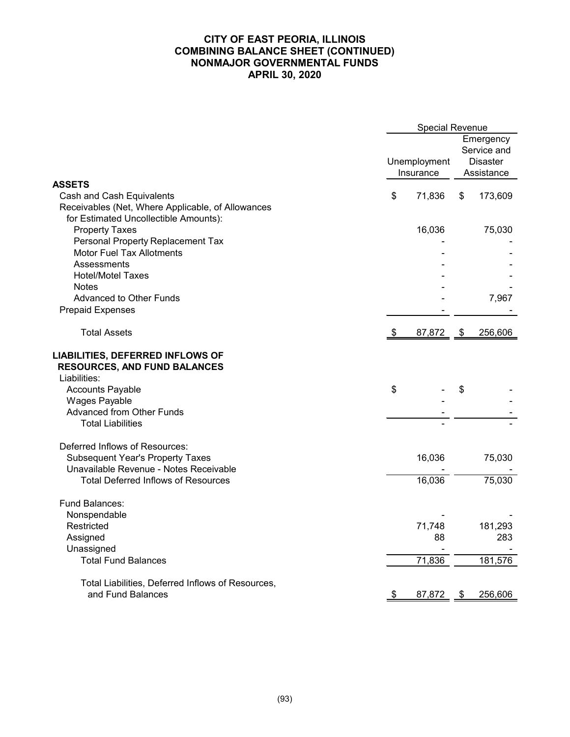# **CITY OF EAST PEORIA, ILLINOIS COMBINING BALANCE SHEET (CONTINUED) NONMAJOR GOVERNMENTAL FUNDS APRIL 30, 2020**

|                                                                                                                         | Special Revenue           |               |                                                           |
|-------------------------------------------------------------------------------------------------------------------------|---------------------------|---------------|-----------------------------------------------------------|
|                                                                                                                         | Unemployment<br>Insurance |               | Emergency<br>Service and<br><b>Disaster</b><br>Assistance |
| <b>ASSETS</b>                                                                                                           |                           |               |                                                           |
| Cash and Cash Equivalents<br>Receivables (Net, Where Applicable, of Allowances<br>for Estimated Uncollectible Amounts): | \$<br>71,836              | \$            | 173,609                                                   |
| <b>Property Taxes</b><br>Personal Property Replacement Tax<br><b>Motor Fuel Tax Allotments</b>                          | 16,036                    |               | 75,030                                                    |
| Assessments<br><b>Hotel/Motel Taxes</b><br><b>Notes</b>                                                                 |                           |               |                                                           |
| <b>Advanced to Other Funds</b><br><b>Prepaid Expenses</b>                                                               |                           |               | 7,967                                                     |
| <b>Total Assets</b>                                                                                                     | 87,872                    | $\frac{1}{2}$ | 256,606                                                   |
| <b>LIABILITIES, DEFERRED INFLOWS OF</b><br><b>RESOURCES, AND FUND BALANCES</b><br>Liabilities:                          |                           |               |                                                           |
| <b>Accounts Payable</b><br>Wages Payable<br><b>Advanced from Other Funds</b>                                            | \$                        | \$            |                                                           |
| <b>Total Liabilities</b>                                                                                                |                           |               |                                                           |
| Deferred Inflows of Resources:<br><b>Subsequent Year's Property Taxes</b><br>Unavailable Revenue - Notes Receivable     | 16,036                    |               | 75,030                                                    |
| <b>Total Deferred Inflows of Resources</b>                                                                              | 16,036                    |               | 75,030                                                    |
| Fund Balances:<br>Nonspendable                                                                                          |                           |               |                                                           |
| Restricted<br>Assigned<br>Unassigned                                                                                    | 71,748<br>88              |               | 181,293<br>283                                            |
| <b>Total Fund Balances</b>                                                                                              | 71,836                    |               | 181,576                                                   |
| Total Liabilities, Deferred Inflows of Resources,                                                                       |                           |               |                                                           |
| and Fund Balances                                                                                                       | 87,872                    | <u>\$</u>     | 256,606                                                   |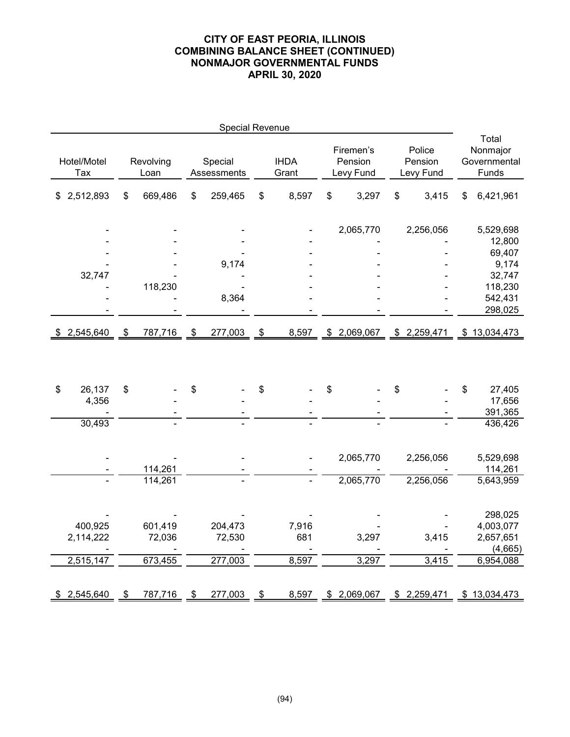# **CITY OF EAST PEORIA, ILLINOIS COMBINING BALANCE SHEET (CONTINUED) NONMAJOR GOVERNMENTAL FUNDS APRIL 30, 2020**

|                       |                   |         |                        | Special Revenue |                      |       |                                   |                                |                                            |
|-----------------------|-------------------|---------|------------------------|-----------------|----------------------|-------|-----------------------------------|--------------------------------|--------------------------------------------|
| Hotel/Motel<br>Tax    | Revolving<br>Loan |         | Special<br>Assessments |                 | <b>IHDA</b><br>Grant |       | Firemen's<br>Pension<br>Levy Fund | Police<br>Pension<br>Levy Fund | Total<br>Nonmajor<br>Governmental<br>Funds |
| \$2,512,893           | \$                | 669,486 | \$                     | 259,465         | \$                   | 8,597 | \$<br>3,297                       | \$<br>3,415                    | \$<br>6,421,961                            |
|                       |                   |         |                        |                 |                      |       | 2,065,770                         | 2,256,056                      | 5,529,698<br>12,800                        |
| 32,747                |                   |         |                        | 9,174           |                      |       |                                   |                                | 69,407<br>9,174<br>32,747                  |
|                       |                   | 118,230 |                        | 8,364           |                      |       |                                   |                                | 118,230<br>542,431                         |
| 2,545,640             | \$                | 787,716 | $\sqrt[6]{3}$          | 277,003         | \$                   | 8,597 | \$2,069,067                       | \$2,259,471                    | 298,025<br>\$13,034,473                    |
|                       |                   |         |                        |                 |                      |       |                                   |                                |                                            |
| \$<br>26,137<br>4,356 | \$                |         | \$                     |                 | \$                   |       | \$                                | \$                             | \$<br>27,405<br>17,656                     |
| 30,493                |                   |         |                        |                 |                      |       |                                   |                                | 391,365<br>436,426                         |
|                       |                   | 114,261 |                        |                 |                      |       | 2,065,770                         | 2,256,056                      | 5,529,698<br>114,261                       |
|                       |                   | 114,261 |                        |                 |                      |       | 2,065,770                         | 2,256,056                      | 5,643,959                                  |
| 400,925               |                   | 601,419 |                        | 204,473         |                      | 7,916 |                                   |                                | 298,025<br>4,003,077                       |
| 2,114,222             |                   | 72,036  |                        | 72,530          |                      | 681   | 3,297                             | 3,415                          | 2,657,651<br>(4,665)                       |
| 2,515,147             |                   | 673,455 |                        | 277,003         |                      | 8,597 | 3,297                             | 3,415                          | 6,954,088                                  |
| \$2,545,640           | \$                | 787,716 | $\mathfrak{s}$         | 277,003         | \$                   | 8,597 | \$2,069,067                       | \$2,259,471                    | \$13,034,473                               |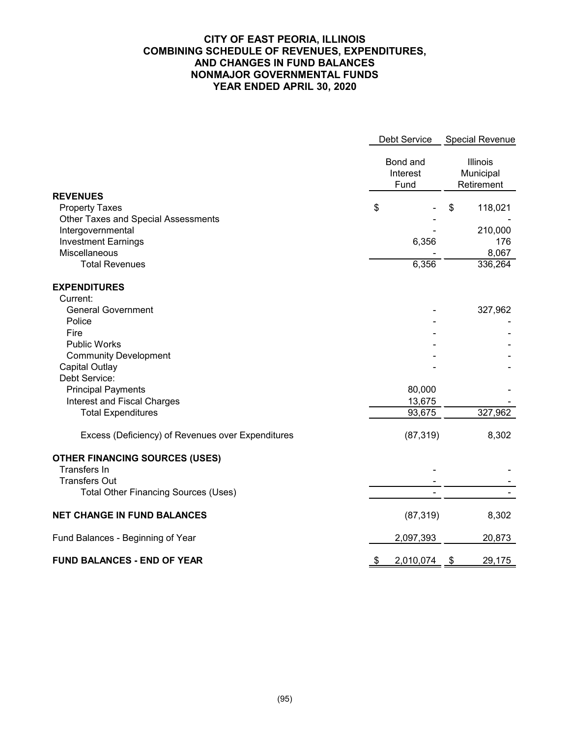# **CITY OF EAST PEORIA, ILLINOIS COMBINING SCHEDULE OF REVENUES, EXPENDITURES, AND CHANGES IN FUND BALANCES NONMAJOR GOVERNMENTAL FUNDS YEAR ENDED APRIL 30, 2020**

|                                                   | Debt Service                 | Special Revenue                     |
|---------------------------------------------------|------------------------------|-------------------------------------|
|                                                   | Bond and<br>Interest<br>Fund | Illinois<br>Municipal<br>Retirement |
| <b>REVENUES</b>                                   |                              |                                     |
| <b>Property Taxes</b>                             | \$                           | \$<br>118,021                       |
| <b>Other Taxes and Special Assessments</b>        |                              |                                     |
| Intergovernmental                                 |                              | 210,000                             |
| <b>Investment Earnings</b>                        | 6,356                        | 176                                 |
| Miscellaneous                                     |                              | 8,067                               |
| <b>Total Revenues</b>                             | 6,356                        | 336,264                             |
| <b>EXPENDITURES</b>                               |                              |                                     |
| Current:                                          |                              |                                     |
| <b>General Government</b>                         |                              | 327,962                             |
| Police                                            |                              |                                     |
| Fire                                              |                              |                                     |
| Public Works                                      |                              |                                     |
| <b>Community Development</b>                      |                              |                                     |
| <b>Capital Outlay</b>                             |                              |                                     |
| Debt Service:                                     |                              |                                     |
| <b>Principal Payments</b>                         | 80,000                       |                                     |
| Interest and Fiscal Charges                       | 13,675                       |                                     |
| <b>Total Expenditures</b>                         | 93,675                       | 327,962                             |
| Excess (Deficiency) of Revenues over Expenditures | (87, 319)                    | 8,302                               |
| <b>OTHER FINANCING SOURCES (USES)</b>             |                              |                                     |
| <b>Transfers In</b>                               |                              |                                     |
| <b>Transfers Out</b>                              |                              |                                     |
| <b>Total Other Financing Sources (Uses)</b>       |                              |                                     |
| <b>NET CHANGE IN FUND BALANCES</b>                | (87, 319)                    | 8,302                               |
| Fund Balances - Beginning of Year                 | 2,097,393                    | 20,873                              |
| <b>FUND BALANCES - END OF YEAR</b>                | \$<br>2,010,074              | \$<br>29,175                        |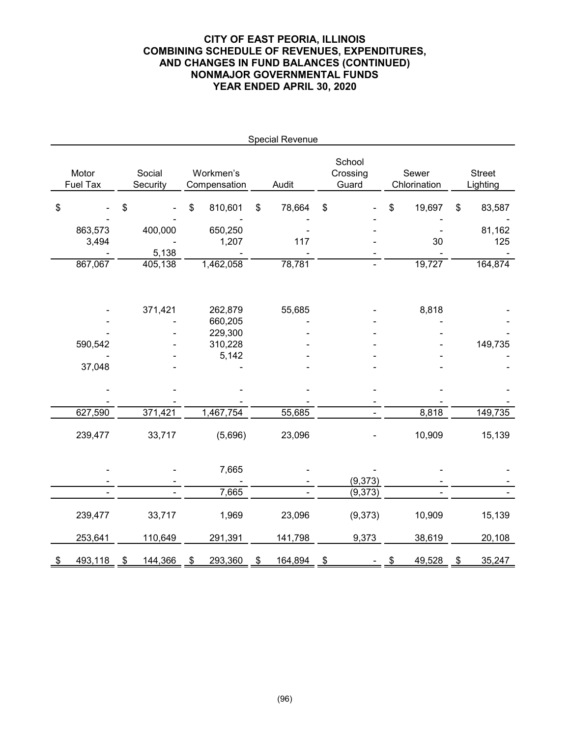# **CITY OF EAST PEORIA, ILLINOIS COMBINING SCHEDULE OF REVENUES, EXPENDITURES, AND CHANGES IN FUND BALANCES (CONTINUED) NONMAJOR GOVERNMENTAL FUNDS YEAR ENDED APRIL 30, 2020**

|                   |                    |                  |                           |                    |       | Special Revenue |               |                             |                       |               |                           |
|-------------------|--------------------|------------------|---------------------------|--------------------|-------|-----------------|---------------|-----------------------------|-----------------------|---------------|---------------------------|
| Motor<br>Fuel Tax | Social<br>Security |                  | Workmen's<br>Compensation |                    | Audit |                 |               | School<br>Crossing<br>Guard | Sewer<br>Chlorination |               | <b>Street</b><br>Lighting |
| \$                | \$                 |                  | \$                        | 810,601            | \$    | 78,664          | \$            |                             | \$<br>19,697          | \$            | 83,587                    |
| 863,573<br>3,494  |                    | 400,000<br>5,138 |                           | 650,250<br>1,207   |       | 117             |               |                             | 30                    |               | 81,162<br>125             |
| 867,067           |                    | 405,138          |                           | 1,462,058          |       | 78,781          |               |                             | 19,727                |               | 164,874                   |
|                   |                    | 371,421          |                           | 262,879<br>660,205 |       | 55,685          |               |                             | 8,818                 |               |                           |
|                   |                    |                  |                           | 229,300            |       |                 |               |                             |                       |               |                           |
| 590,542           |                    |                  |                           | 310,228<br>5,142   |       |                 |               |                             |                       |               | 149,735                   |
| 37,048            |                    |                  |                           |                    |       |                 |               |                             |                       |               |                           |
|                   |                    |                  |                           |                    |       |                 |               |                             |                       |               |                           |
|                   |                    |                  |                           |                    |       |                 |               |                             |                       |               |                           |
|                   |                    |                  |                           |                    |       |                 |               |                             |                       |               |                           |
| 627,590           |                    | 371,421          |                           | 1,467,754          |       | 55,685          |               |                             | 8,818                 |               | 149,735                   |
| 239,477           |                    | 33,717           |                           | (5,696)            |       | 23,096          |               |                             | 10,909                |               | 15,139                    |
|                   |                    |                  |                           | 7,665              |       |                 |               | (9,373)                     |                       |               |                           |
|                   |                    |                  |                           | 7,665              |       |                 |               | (9, 373)                    |                       |               |                           |
| 239,477           |                    | 33,717           |                           | 1,969              |       | 23,096          |               | (9,373)                     | 10,909                |               | 15,139                    |
| 253,641           |                    | 110,649          |                           | 291,391            |       | 141,798         |               | 9,373                       | 38,619                |               | 20,108                    |
| \$<br>493,118     | \$                 | 144,366          | \$                        | 293,360            | \$    | 164,894         | $\frac{1}{2}$ |                             | \$<br>49,528          | $\frac{1}{2}$ | 35,247                    |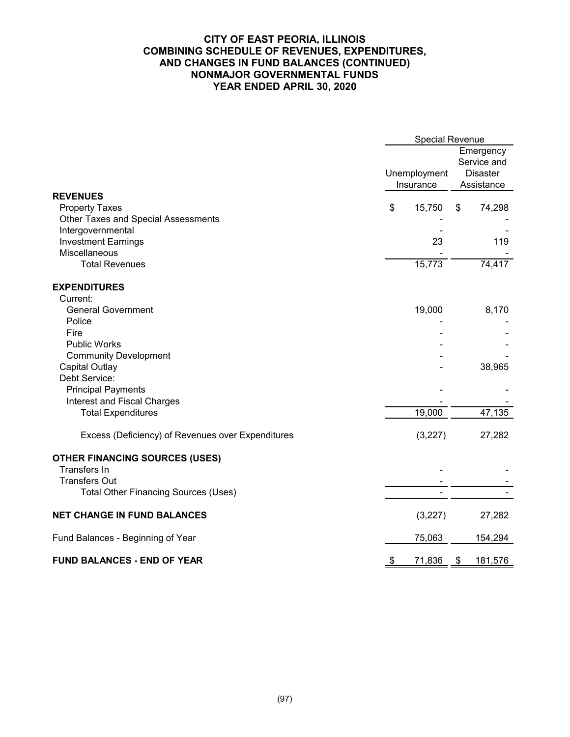# **CITY OF EAST PEORIA, ILLINOIS COMBINING SCHEDULE OF REVENUES, EXPENDITURES, AND CHANGES IN FUND BALANCES (CONTINUED) NONMAJOR GOVERNMENTAL FUNDS YEAR ENDED APRIL 30, 2020**

|                                                                 | Special Revenue           |                                                           |
|-----------------------------------------------------------------|---------------------------|-----------------------------------------------------------|
|                                                                 | Unemployment<br>Insurance | Emergency<br>Service and<br><b>Disaster</b><br>Assistance |
| <b>REVENUES</b>                                                 |                           |                                                           |
| <b>Property Taxes</b>                                           | \$<br>15,750              | \$<br>74,298                                              |
| <b>Other Taxes and Special Assessments</b><br>Intergovernmental |                           |                                                           |
| <b>Investment Earnings</b>                                      | 23                        | 119                                                       |
| Miscellaneous                                                   |                           |                                                           |
| <b>Total Revenues</b>                                           | 15,773                    | 74,417                                                    |
| <b>EXPENDITURES</b>                                             |                           |                                                           |
| Current:                                                        |                           |                                                           |
| <b>General Government</b>                                       | 19,000                    | 8,170                                                     |
| Police                                                          |                           |                                                           |
| Fire<br><b>Public Works</b>                                     |                           |                                                           |
| <b>Community Development</b>                                    |                           |                                                           |
| <b>Capital Outlay</b>                                           |                           | 38,965                                                    |
| Debt Service:                                                   |                           |                                                           |
| <b>Principal Payments</b>                                       |                           |                                                           |
| Interest and Fiscal Charges                                     |                           |                                                           |
| <b>Total Expenditures</b>                                       | 19,000                    | 47,135                                                    |
| Excess (Deficiency) of Revenues over Expenditures               | (3,227)                   | 27,282                                                    |
| <b>OTHER FINANCING SOURCES (USES)</b><br><b>Transfers In</b>    |                           |                                                           |
| <b>Transfers Out</b>                                            |                           |                                                           |
| <b>Total Other Financing Sources (Uses)</b>                     |                           |                                                           |
| <b>NET CHANGE IN FUND BALANCES</b>                              | (3,227)                   | 27,282                                                    |
| Fund Balances - Beginning of Year                               | 75,063                    | 154,294                                                   |
| <b>FUND BALANCES - END OF YEAR</b>                              | \$<br>71,836              | \$<br>181,576                                             |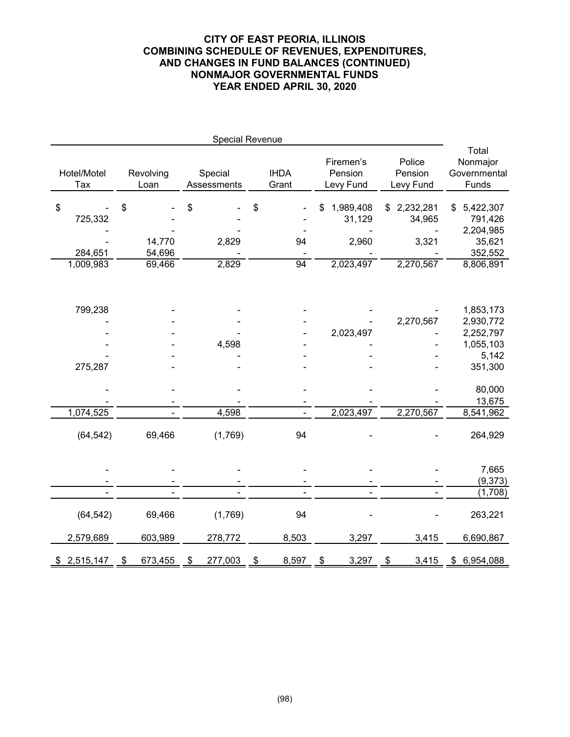# **CITY OF EAST PEORIA, ILLINOIS COMBINING SCHEDULE OF REVENUES, EXPENDITURES, AND CHANGES IN FUND BALANCES (CONTINUED) NONMAJOR GOVERNMENTAL FUNDS YEAR ENDED APRIL 30, 2020**

| Special Revenue    |                   |         |                        |         |    |                      |    |                                   |                                |                                            |  |  |
|--------------------|-------------------|---------|------------------------|---------|----|----------------------|----|-----------------------------------|--------------------------------|--------------------------------------------|--|--|
| Hotel/Motel<br>Tax | Revolving<br>Loan |         | Special<br>Assessments |         |    | <b>IHDA</b><br>Grant |    | Firemen's<br>Pension<br>Levy Fund | Police<br>Pension<br>Levy Fund | Total<br>Nonmajor<br>Governmental<br>Funds |  |  |
| \$                 | \$                |         | \$                     |         | \$ |                      | \$ | 1,989,408                         | 2,232,281<br>\$                | 5,422,307<br>\$                            |  |  |
| 725,332            |                   |         |                        |         |    |                      |    | 31,129                            | 34,965                         | 791,426                                    |  |  |
|                    |                   |         |                        |         |    |                      |    |                                   |                                | 2,204,985                                  |  |  |
|                    |                   | 14,770  |                        | 2,829   |    | 94                   |    | 2,960                             | 3,321                          | 35,621                                     |  |  |
| 284,651            |                   | 54,696  |                        |         |    |                      |    |                                   |                                | 352,552                                    |  |  |
| 1,009,983          |                   | 69,466  |                        | 2,829   |    | $\overline{94}$      |    | 2,023,497                         | 2,270,567                      | 8,806,891                                  |  |  |
|                    |                   |         |                        |         |    |                      |    |                                   |                                |                                            |  |  |
| 799,238            |                   |         |                        |         |    |                      |    |                                   |                                | 1,853,173                                  |  |  |
|                    |                   |         |                        |         |    |                      |    |                                   | 2,270,567                      | 2,930,772                                  |  |  |
|                    |                   |         |                        |         |    |                      |    | 2,023,497                         |                                | 2,252,797                                  |  |  |
|                    |                   |         |                        | 4,598   |    |                      |    |                                   |                                | 1,055,103                                  |  |  |
|                    |                   |         |                        |         |    |                      |    |                                   |                                | 5,142                                      |  |  |
| 275,287            |                   |         |                        |         |    |                      |    |                                   |                                | 351,300                                    |  |  |
|                    |                   |         |                        |         |    |                      |    |                                   |                                | 80,000                                     |  |  |
|                    |                   |         |                        |         |    |                      |    |                                   |                                | 13,675                                     |  |  |
| 1,074,525          |                   |         |                        | 4,598   |    |                      |    | 2,023,497                         | 2,270,567                      | 8,541,962                                  |  |  |
| (64, 542)          |                   | 69,466  |                        | (1,769) |    | 94                   |    |                                   |                                | 264,929                                    |  |  |
|                    |                   |         |                        |         |    |                      |    |                                   |                                | 7,665                                      |  |  |
|                    |                   |         |                        |         |    |                      |    |                                   |                                | (9, 373)                                   |  |  |
|                    |                   |         |                        |         |    |                      |    |                                   |                                | (1,708)                                    |  |  |
| (64, 542)          |                   | 69,466  |                        | (1,769) |    | 94                   |    |                                   |                                | 263,221                                    |  |  |
| 2,579,689          |                   | 603,989 |                        | 278,772 |    | 8,503                |    | 3,297                             | 3,415                          | 6,690,867                                  |  |  |
| \$2,515,147        | \$                | 673,455 | \$                     | 277,003 | \$ | 8,597                | \$ | 3,297                             | 3,415<br>\$                    | 6,954,088<br>$\mathsf{\$}$                 |  |  |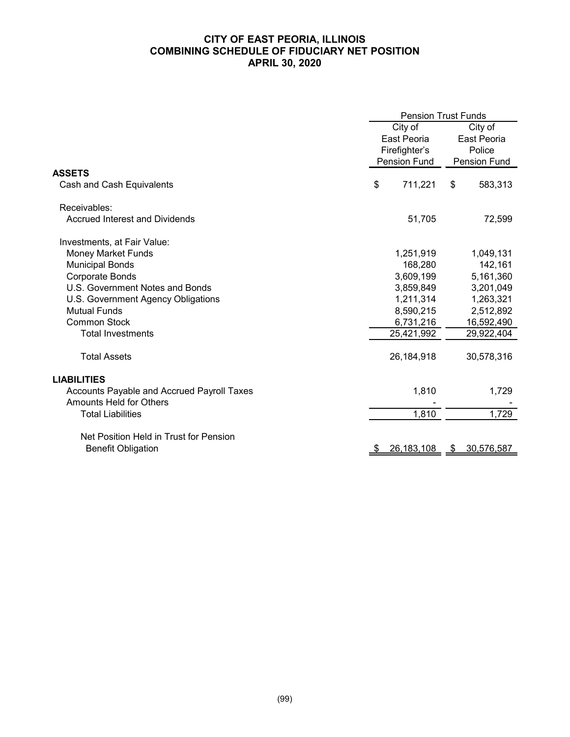# **CITY OF EAST PEORIA, ILLINOIS COMBINING SCHEDULE OF FIDUCIARY NET POSITION APRIL 30, 2020**

|                                                                     | <b>Pension Trust Funds</b> |                     |
|---------------------------------------------------------------------|----------------------------|---------------------|
|                                                                     | City of                    | City of             |
|                                                                     | East Peoria                | East Peoria         |
|                                                                     | Firefighter's              | Police              |
|                                                                     | Pension Fund               | <b>Pension Fund</b> |
| <b>ASSETS</b>                                                       |                            |                     |
| Cash and Cash Equivalents                                           | \$<br>711,221              | \$<br>583,313       |
| Receivables:                                                        |                            |                     |
| <b>Accrued Interest and Dividends</b>                               | 51,705                     | 72,599              |
| Investments, at Fair Value:                                         |                            |                     |
| <b>Money Market Funds</b>                                           | 1,251,919                  | 1,049,131           |
| <b>Municipal Bonds</b>                                              | 168,280                    | 142,161             |
| <b>Corporate Bonds</b>                                              | 3,609,199                  | 5,161,360           |
| U.S. Government Notes and Bonds                                     | 3,859,849                  | 3,201,049           |
| U.S. Government Agency Obligations                                  | 1,211,314                  | 1,263,321           |
| <b>Mutual Funds</b>                                                 | 8,590,215                  | 2,512,892           |
| <b>Common Stock</b>                                                 | 6,731,216                  | 16,592,490          |
| <b>Total Investments</b>                                            | 25,421,992                 | 29,922,404          |
| <b>Total Assets</b>                                                 | 26,184,918                 | 30,578,316          |
| <b>LIABILITIES</b>                                                  |                            |                     |
| Accounts Payable and Accrued Payroll Taxes                          | 1,810                      | 1,729               |
| <b>Amounts Held for Others</b><br><b>Total Liabilities</b>          | 1,810                      | 1,729               |
|                                                                     |                            |                     |
| Net Position Held in Trust for Pension<br><b>Benefit Obligation</b> | 26,183,108                 | \$<br>30,576,587    |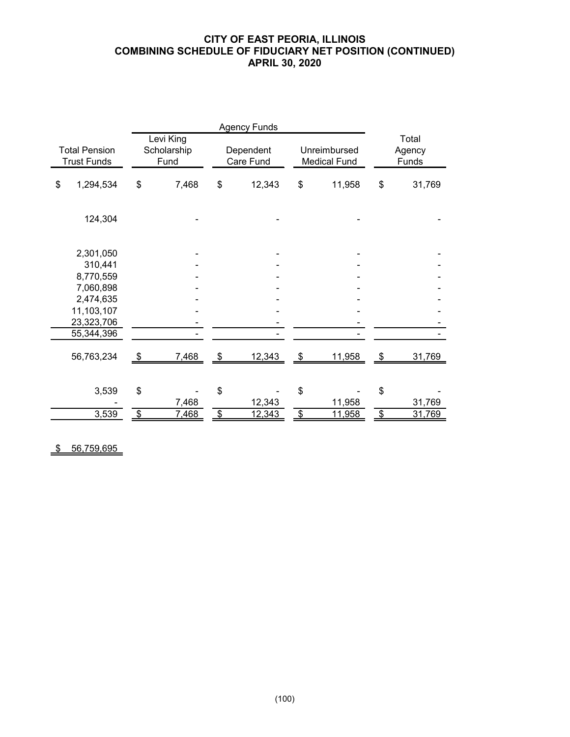# **CITY OF EAST PEORIA, ILLINOIS COMBINING SCHEDULE OF FIDUCIARY NET POSITION (CONTINUED) APRIL 30, 2020**

|                                            |               |                                  |               | <b>Agency Funds</b>    |                |                                     |                          |        |  |  |
|--------------------------------------------|---------------|----------------------------------|---------------|------------------------|----------------|-------------------------------------|--------------------------|--------|--|--|
| <b>Total Pension</b><br><b>Trust Funds</b> |               | Levi King<br>Scholarship<br>Fund |               | Dependent<br>Care Fund |                | Unreimbursed<br><b>Medical Fund</b> | Total<br>Agency<br>Funds |        |  |  |
| \$<br>1,294,534                            | \$            | 7,468                            | \$            | 12,343                 | \$             | 11,958                              | \$                       | 31,769 |  |  |
| 124,304                                    |               |                                  |               |                        |                |                                     |                          |        |  |  |
| 2,301,050<br>310,441                       |               |                                  |               |                        |                |                                     |                          |        |  |  |
| 8,770,559                                  |               |                                  |               |                        |                |                                     |                          |        |  |  |
| 7,060,898                                  |               |                                  |               |                        |                |                                     |                          |        |  |  |
| 2,474,635                                  |               |                                  |               |                        |                |                                     |                          |        |  |  |
| 11,103,107                                 |               |                                  |               |                        |                |                                     |                          |        |  |  |
| 23,323,706                                 |               |                                  |               |                        |                |                                     |                          |        |  |  |
| 55,344,396                                 |               |                                  |               |                        |                |                                     |                          |        |  |  |
| 56,763,234                                 | $\frac{1}{2}$ | 7,468                            | $\mathcal{S}$ | <u>12,343</u>          | $\mathfrak{s}$ | 11,958                              | $\overline{\mathcal{S}}$ | 31,769 |  |  |
|                                            |               |                                  |               |                        |                |                                     |                          |        |  |  |
| 3,539                                      | \$            |                                  | \$            |                        | \$             |                                     | \$                       |        |  |  |
|                                            |               | 7,468                            |               | 12,343                 |                | 11,958                              |                          | 31,769 |  |  |
| 3,539                                      | \$            | 7,468                            | \$            | 12,343                 | $\sqrt{3}$     | 11,958                              | \$                       | 31,769 |  |  |

 $$ 56,759,695$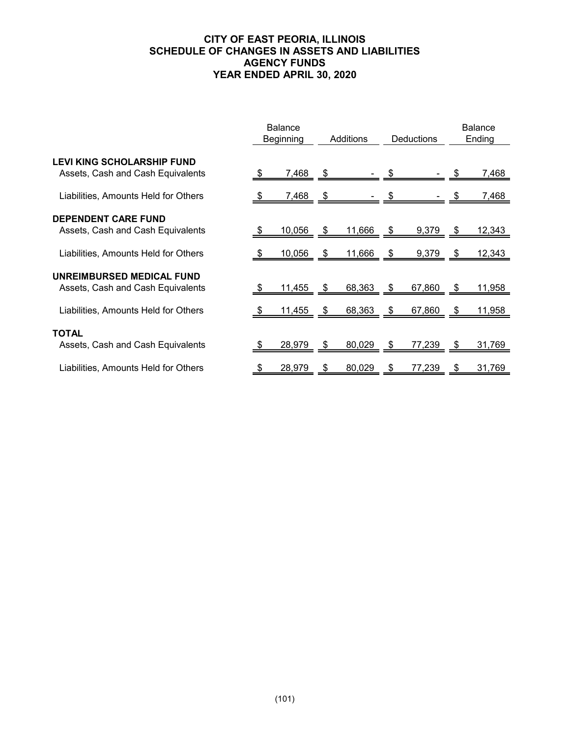# **CITY OF EAST PEORIA, ILLINOIS SCHEDULE OF CHANGES IN ASSETS AND LIABILITIES AGENCY FUNDS YEAR ENDED APRIL 30, 2020**

|                                                                        | <b>Balance</b><br>Beginning | Additions |        | Deductions |        | Balance<br>Ending |               |
|------------------------------------------------------------------------|-----------------------------|-----------|--------|------------|--------|-------------------|---------------|
| <b>LEVI KING SCHOLARSHIP FUND</b><br>Assets, Cash and Cash Equivalents | 7,468                       | - \$      |        |            |        |                   | 7,468         |
| Liabilities, Amounts Held for Others                                   | 7,468                       | - \$      |        |            |        |                   | <u>7,468 </u> |
| <b>DEPENDENT CARE FUND</b><br>Assets, Cash and Cash Equivalents        | 10,056                      |           | 11,666 | \$         | 9,379  |                   | <u>12,343</u> |
| Liabilities, Amounts Held for Others                                   | 10,056                      | - \$      | 11,666 | \$         | 9,379  | - \$              | 12,343        |
| UNREIMBURSED MEDICAL FUND<br>Assets, Cash and Cash Equivalents         | 11,455                      | S         | 68,363 | -S         | 67,860 | -86               | 11,958        |
| Liabilities, Amounts Held for Others                                   | 11,455                      | - \$      | 68,363 | \$         | 67,860 | - 56              | 11,958        |
| <b>TOTAL</b><br>Assets, Cash and Cash Equivalents                      | 28,979                      | S.        | 80,029 | - \$       | 77,239 | - 56              | 31,769        |
| Liabilities, Amounts Held for Others                                   | 28,979                      |           | 80,029 |            | 77,239 |                   | 31,769        |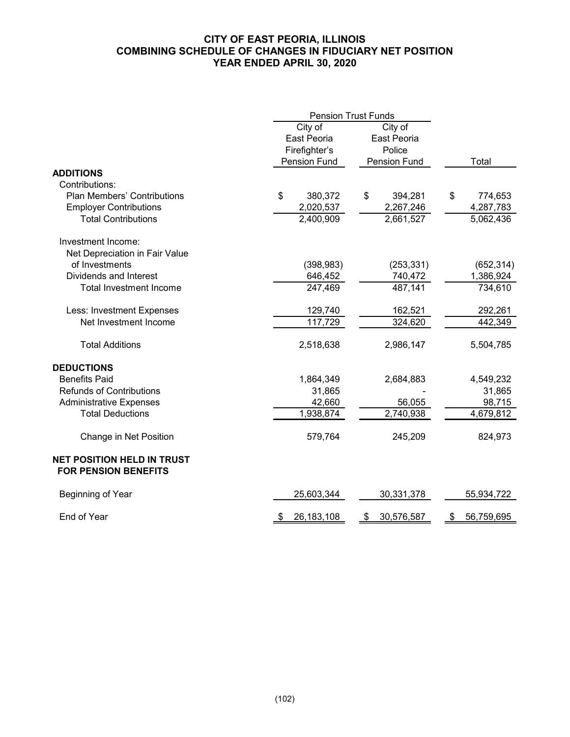### **CITY OF EAST PEORIA, ILLINOIS COMBINING SCHEDULE OF CHANGES IN FIDUCIARY NET POSITION YEAR ENDED APRIL 30, 2020**

|                                                                  |                     | <b>Pension Trust Funds</b>  |                             |  |  |
|------------------------------------------------------------------|---------------------|-----------------------------|-----------------------------|--|--|
|                                                                  | City of             | City of                     |                             |  |  |
|                                                                  | East Peoria         | East Peoria                 |                             |  |  |
|                                                                  | Firefighter's       | Police                      |                             |  |  |
|                                                                  | <b>Pension Fund</b> | Pension Fund                | Total                       |  |  |
| <b>ADDITIONS</b>                                                 |                     |                             |                             |  |  |
| Contributions:                                                   |                     |                             |                             |  |  |
| <b>Plan Members' Contributions</b>                               | \$<br>380,372       | \$<br>394,281               | \$<br>774,653               |  |  |
| <b>Employer Contributions</b>                                    | 2,020,537           | 2,267,246                   | 4,287,783                   |  |  |
| <b>Total Contributions</b>                                       | 2,400,909           | 2,661,527                   | 5,062,436                   |  |  |
| Investment Income:                                               |                     |                             |                             |  |  |
| Net Depreciation in Fair Value                                   |                     |                             |                             |  |  |
| of Investments                                                   | (398, 983)          | (253, 331)                  | (652, 314)                  |  |  |
| Dividends and Interest                                           | 646,452             | 740,472                     | 1,386,924                   |  |  |
| <b>Total Investment Income</b>                                   | 247,469             | 487,141                     | 734,610                     |  |  |
|                                                                  |                     |                             |                             |  |  |
| Less: Investment Expenses                                        | 129,740             | 162,521                     | 292,261                     |  |  |
| Net Investment Income                                            | 117,729             | 324,620                     | 442,349                     |  |  |
| <b>Total Additions</b>                                           | 2,518,638           | 2,986,147                   | 5,504,785                   |  |  |
| <b>DEDUCTIONS</b>                                                |                     |                             |                             |  |  |
| <b>Benefits Paid</b>                                             | 1,864,349           | 2,684,883                   | 4,549,232                   |  |  |
| <b>Refunds of Contributions</b>                                  | 31,865              |                             | 31,865                      |  |  |
| <b>Administrative Expenses</b>                                   | 42,660              | 56,055                      | 98,715                      |  |  |
| <b>Total Deductions</b>                                          | 1,938,874           | 2,740,938                   | 4,679,812                   |  |  |
| Change in Net Position                                           | 579,764             | 245,209                     | 824,973                     |  |  |
| <b>NET POSITION HELD IN TRUST</b><br><b>FOR PENSION BENEFITS</b> |                     |                             |                             |  |  |
| Beginning of Year                                                | 25,603,344          | 30,331,378                  | 55,934,722                  |  |  |
| End of Year                                                      | 26, 183, 108<br>-\$ | 30,576,587<br>$\frac{1}{2}$ | $\frac{1}{2}$<br>56,759,695 |  |  |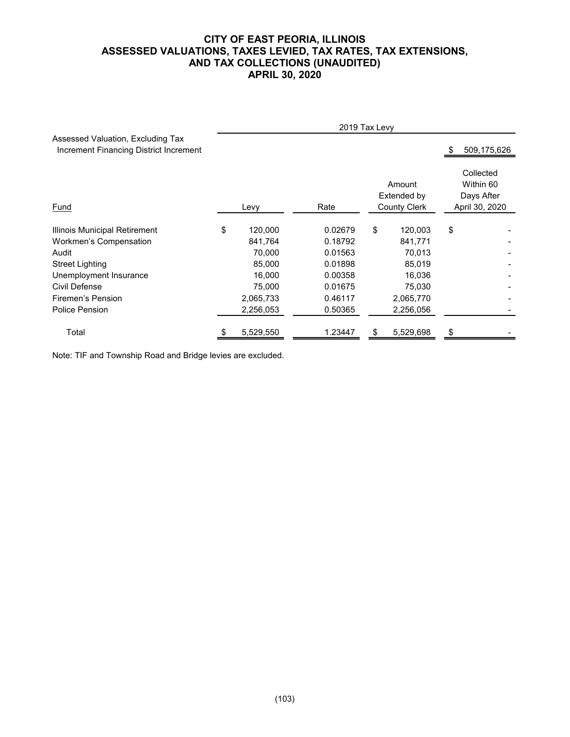# **CITY OF EAST PEORIA, ILLINOIS ASSESSED VALUATIONS, TAXES LEVIED, TAX RATES, TAX EXTENSIONS, AND TAX COLLECTIONS (UNAUDITED) APRIL 30, 2020**

|                                                                             | 2019 Tax Levy |      |         |                                              |           |    |                                                        |
|-----------------------------------------------------------------------------|---------------|------|---------|----------------------------------------------|-----------|----|--------------------------------------------------------|
| Assessed Valuation, Excluding Tax<br>Increment Financing District Increment |               |      |         |                                              |           |    | 509,175,626                                            |
| Fund                                                                        | Levy          | Rate |         | Amount<br>Extended by<br><b>County Clerk</b> |           |    | Collected<br>Within 60<br>Days After<br>April 30, 2020 |
| Illinois Municipal Retirement                                               | \$<br>120,000 |      | 0.02679 | \$                                           | 120,003   | \$ |                                                        |
| Workmen's Compensation                                                      | 841,764       |      | 0.18792 |                                              | 841,771   |    |                                                        |
| Audit                                                                       | 70,000        |      | 0.01563 |                                              | 70,013    |    |                                                        |
| <b>Street Lighting</b>                                                      | 85,000        |      | 0.01898 |                                              | 85,019    |    |                                                        |
| Unemployment Insurance                                                      | 16,000        |      | 0.00358 |                                              | 16,036    |    |                                                        |
| Civil Defense                                                               | 75,000        |      | 0.01675 |                                              | 75,030    |    |                                                        |
| Firemen's Pension                                                           | 2,065,733     |      | 0.46117 |                                              | 2,065,770 |    |                                                        |
| Police Pension                                                              | 2,256,053     |      | 0.50365 |                                              | 2,256,056 |    |                                                        |
| Total                                                                       | 5,529,550     |      | 1.23447 | \$                                           | 5,529,698 | \$ |                                                        |

Note: TIF and Township Road and Bridge levies are excluded.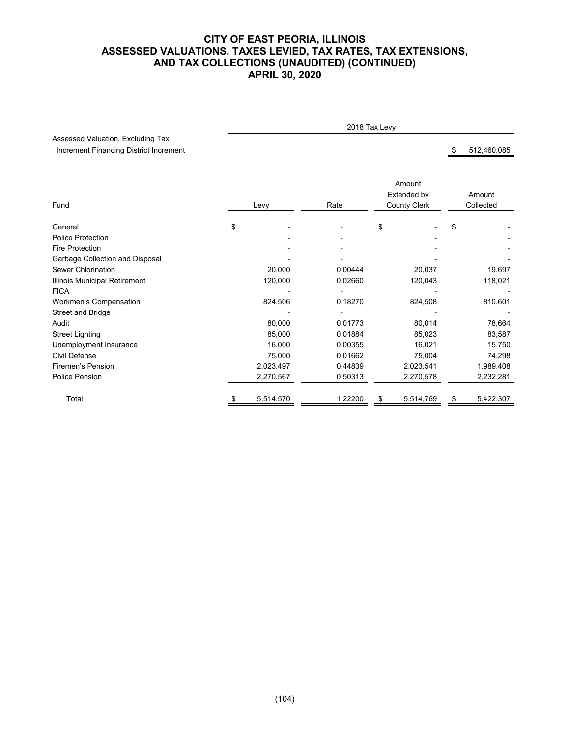#### **CITY OF EAST PEORIA, ILLINOIS ASSESSED VALUATIONS, TAXES LEVIED, TAX RATES, TAX EXTENSIONS, AND TAX COLLECTIONS (UNAUDITED) (CONTINUED) APRIL 30, 2020**

|                                                                             | 2018 Tax Levy |         |         |                                              |         |                     |             |
|-----------------------------------------------------------------------------|---------------|---------|---------|----------------------------------------------|---------|---------------------|-------------|
| Assessed Valuation, Excluding Tax<br>Increment Financing District Increment |               |         |         |                                              |         |                     | 512,460,085 |
| Fund                                                                        | Levy          |         | Rate    | Amount<br>Extended by<br><b>County Clerk</b> |         | Amount<br>Collected |             |
| General                                                                     | \$            |         |         | \$                                           |         | \$                  |             |
| <b>Police Protection</b>                                                    |               |         |         |                                              |         |                     |             |
| <b>Fire Protection</b>                                                      |               |         |         |                                              |         |                     |             |
| Garbage Collection and Disposal                                             |               |         |         |                                              |         |                     |             |
| Sewer Chlorination                                                          |               | 20,000  | 0.00444 |                                              | 20,037  |                     | 19,697      |
| Illinois Municipal Retirement                                               |               | 120,000 | 0.02660 |                                              | 120,043 |                     | 118,021     |
| <b>FICA</b>                                                                 |               |         |         |                                              |         |                     |             |
| Workmen's Compensation                                                      |               | 824,506 | 0.18270 |                                              | 824,508 |                     | 810,601     |
| <b>Street and Bridge</b>                                                    |               |         |         |                                              |         |                     |             |
| Audit                                                                       |               | 80,000  | 0.01773 |                                              | 80,014  |                     | 78,664      |
| <b>Street Lighting</b>                                                      |               | 85,000  | 0.01884 |                                              | 85,023  |                     | 83,587      |
| Unemployment Insurance                                                      |               | 16,000  | 0.00355 |                                              | 16,021  |                     | 15,750      |
| Civil Defense                                                               |               | 75,000  | 0.01662 |                                              | 75,004  |                     | 74,298      |

Firemen's Pension 2,023,497 0.44839 2,023,541 1,989,408 Police Pension 2,270,567 0.50313 2,270,578 2,232,281

Total \$ 5,514,570 1.22200 \$ 5,514,769 \$ 5,422,307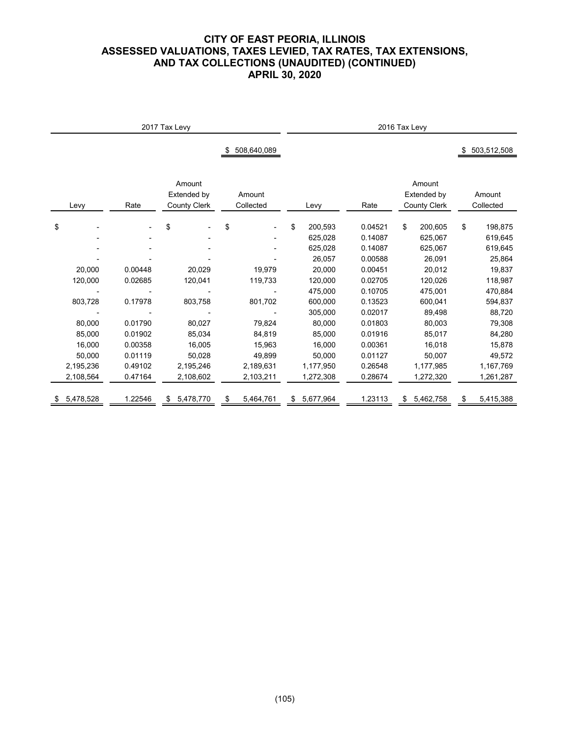# **CITY OF EAST PEORIA, ILLINOIS ASSESSED VALUATIONS, TAXES LEVIED, TAX RATES, TAX EXTENSIONS, AND TAX COLLECTIONS (UNAUDITED) (CONTINUED) APRIL 30, 2020**

| 2017 Tax Levy |           |         |                                       |                     | 2016 Tax Levy   |         |    |                                              |    |                     |
|---------------|-----------|---------|---------------------------------------|---------------------|-----------------|---------|----|----------------------------------------------|----|---------------------|
|               |           |         |                                       | 508,640,089         |                 |         |    |                                              |    | 503,512,508         |
| Levy          |           | Rate    | Amount<br>Extended by<br>County Clerk | Amount<br>Collected | Levy            | Rate    |    | Amount<br>Extended by<br><b>County Clerk</b> |    | Amount<br>Collected |
| \$            |           |         | \$                                    | \$                  | \$<br>200,593   | 0.04521 | \$ | 200,605                                      | \$ | 198,875             |
|               |           |         |                                       |                     | 625,028         | 0.14087 |    | 625,067                                      |    | 619,645             |
|               |           |         |                                       |                     | 625,028         | 0.14087 |    | 625,067                                      |    | 619,645             |
|               |           |         |                                       |                     | 26,057          | 0.00588 |    | 26,091                                       |    | 25,864              |
|               | 20,000    | 0.00448 | 20,029                                | 19,979              | 20,000          | 0.00451 |    | 20,012                                       |    | 19,837              |
|               | 120,000   | 0.02685 | 120,041                               | 119,733             | 120,000         | 0.02705 |    | 120,026                                      |    | 118,987             |
|               |           |         |                                       |                     | 475,000         | 0.10705 |    | 475,001                                      |    | 470,884             |
|               | 803,728   | 0.17978 | 803,758                               | 801,702             | 600,000         | 0.13523 |    | 600,041                                      |    | 594,837             |
|               |           |         |                                       |                     | 305,000         | 0.02017 |    | 89,498                                       |    | 88,720              |
|               | 80,000    | 0.01790 | 80,027                                | 79,824              | 80,000          | 0.01803 |    | 80,003                                       |    | 79,308              |
|               | 85,000    | 0.01902 | 85,034                                | 84,819              | 85,000          | 0.01916 |    | 85,017                                       |    | 84,280              |
|               | 16,000    | 0.00358 | 16,005                                | 15,963              | 16,000          | 0.00361 |    | 16,018                                       |    | 15,878              |
|               | 50,000    | 0.01119 | 50,028                                | 49,899              | 50,000          | 0.01127 |    | 50,007                                       |    | 49,572              |
|               | 2,195,236 | 0.49102 | 2,195,246                             | 2,189,631           | 1,177,950       | 0.26548 |    | 1,177,985                                    |    | 1,167,769           |
|               | 2,108,564 | 0.47164 | 2,108,602                             | 2,103,211           | 1,272,308       | 0.28674 |    | 1,272,320                                    |    | 1,261,287           |
|               | 5,478,528 | 1.22546 | 5,478,770<br>\$                       | 5,464,761<br>\$     | \$<br>5,677,964 | 1.23113 | \$ | 5,462,758                                    | \$ | 5,415,388           |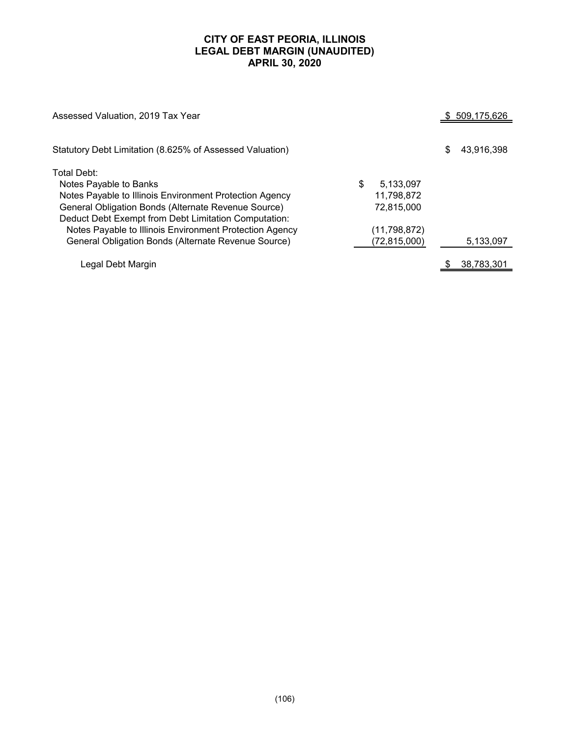# **CITY OF EAST PEORIA, ILLINOIS LEGAL DEBT MARGIN (UNAUDITED) APRIL 30, 2020**

| Assessed Valuation, 2019 Tax Year                        |                 |   | \$ 509,175,626 |
|----------------------------------------------------------|-----------------|---|----------------|
|                                                          |                 |   |                |
| Statutory Debt Limitation (8.625% of Assessed Valuation) |                 | S | 43,916,398     |
| Total Debt:                                              |                 |   |                |
| Notes Payable to Banks                                   | \$<br>5,133,097 |   |                |
| Notes Payable to Illinois Environment Protection Agency  | 11,798,872      |   |                |
| General Obligation Bonds (Alternate Revenue Source)      | 72,815,000      |   |                |
| Deduct Debt Exempt from Debt Limitation Computation:     |                 |   |                |
| Notes Payable to Illinois Environment Protection Agency  | (11, 798, 872)  |   |                |
| General Obligation Bonds (Alternate Revenue Source)      | (72, 815, 000)  |   | 5.133,097      |
| Legal Debt Margin                                        |                 |   | 38.783.301     |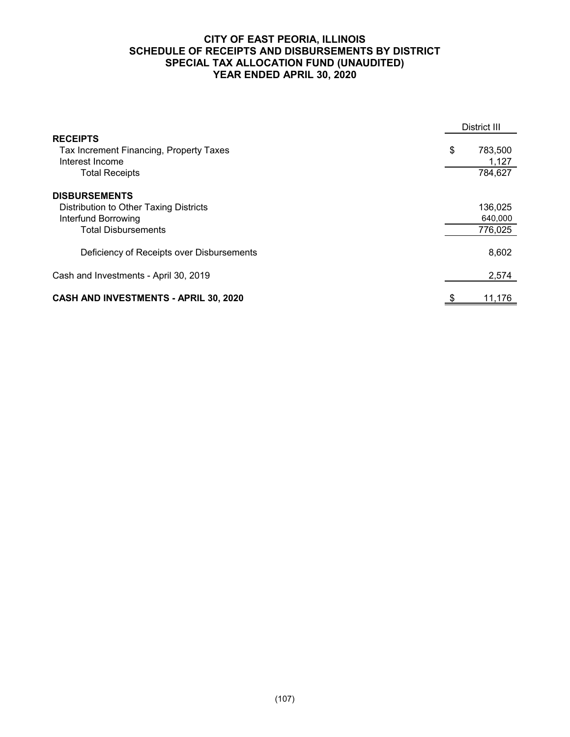# **CITY OF EAST PEORIA, ILLINOIS SCHEDULE OF RECEIPTS AND DISBURSEMENTS BY DISTRICT SPECIAL TAX ALLOCATION FUND (UNAUDITED) YEAR ENDED APRIL 30, 2020**

|                                              | District III  |
|----------------------------------------------|---------------|
| <b>RECEIPTS</b>                              |               |
| Tax Increment Financing, Property Taxes      | \$<br>783,500 |
| Interest Income                              | 1,127         |
| <b>Total Receipts</b>                        | 784,627       |
| <b>DISBURSEMENTS</b>                         |               |
| Distribution to Other Taxing Districts       | 136,025       |
| Interfund Borrowing                          | 640,000       |
| <b>Total Disbursements</b>                   | 776,025       |
| Deficiency of Receipts over Disbursements    | 8,602         |
| Cash and Investments - April 30, 2019        | 2,574         |
| <b>CASH AND INVESTMENTS - APRIL 30, 2020</b> | \$<br>11,176  |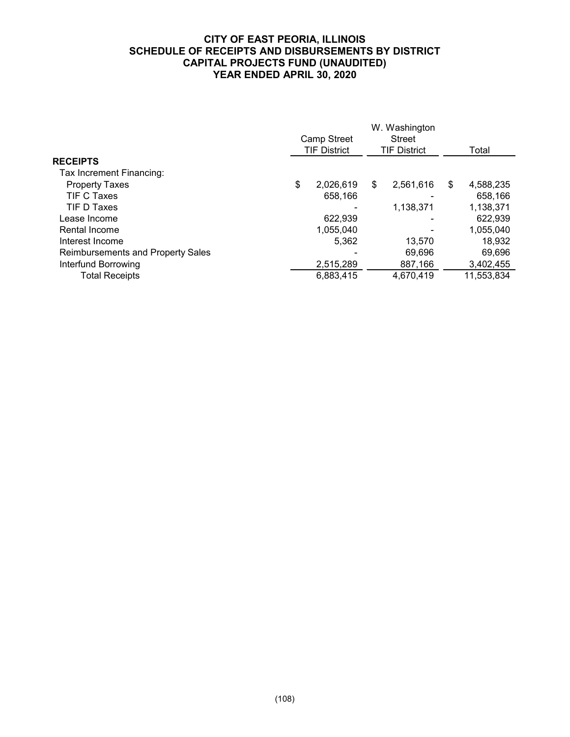# **CITY OF EAST PEORIA, ILLINOIS SCHEDULE OF RECEIPTS AND DISBURSEMENTS BY DISTRICT CAPITAL PROJECTS FUND (UNAUDITED) YEAR ENDED APRIL 30, 2020**

|                                          | <b>Camp Street</b><br><b>TIF District</b> |           | W. Washington<br><b>Street</b><br><b>TIF District</b> | Total           |
|------------------------------------------|-------------------------------------------|-----------|-------------------------------------------------------|-----------------|
| <b>RECEIPTS</b>                          |                                           |           |                                                       |                 |
| Tax Increment Financing:                 |                                           |           |                                                       |                 |
| <b>Property Taxes</b>                    | \$                                        | 2,026,619 | \$<br>2,561,616                                       | \$<br>4,588,235 |
| TIF C Taxes                              |                                           | 658,166   |                                                       | 658,166         |
| TIF D Taxes                              |                                           |           | 1,138,371                                             | 1,138,371       |
| Lease Income                             |                                           | 622,939   |                                                       | 622,939         |
| Rental Income                            |                                           | 1,055,040 |                                                       | 1,055,040       |
| Interest Income                          |                                           | 5,362     | 13.570                                                | 18,932          |
| <b>Reimbursements and Property Sales</b> |                                           |           | 69,696                                                | 69,696          |
| Interfund Borrowing                      |                                           | 2,515,289 | 887,166                                               | 3,402,455       |
| <b>Total Receipts</b>                    |                                           | 6,883,415 | 4,670,419                                             | 11,553,834      |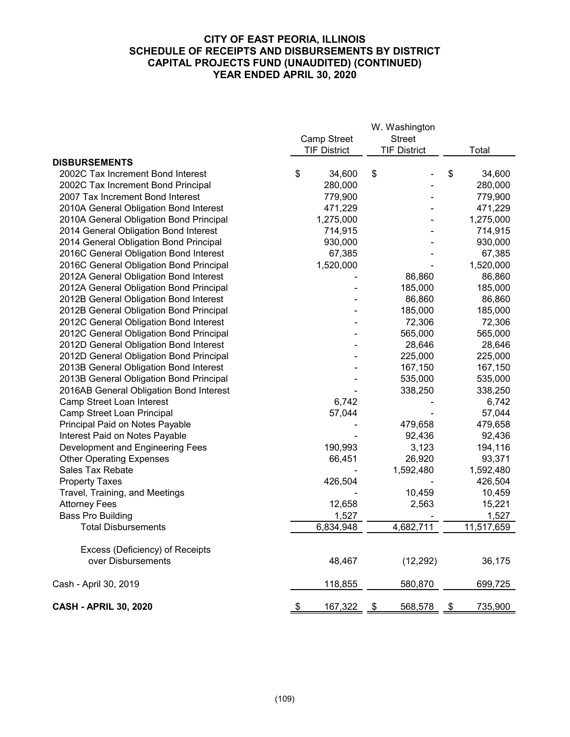# **CITY OF EAST PEORIA, ILLINOIS SCHEDULE OF RECEIPTS AND DISBURSEMENTS BY DISTRICT CAPITAL PROJECTS FUND (UNAUDITED) (CONTINUED) YEAR ENDED APRIL 30, 2020**

|                                         |     | <b>Camp Street</b>  |     | W. Washington<br><b>Street</b> |    |            |  |
|-----------------------------------------|-----|---------------------|-----|--------------------------------|----|------------|--|
|                                         |     | <b>TIF District</b> |     | <b>TIF District</b>            |    | Total      |  |
| <b>DISBURSEMENTS</b>                    |     |                     |     |                                |    |            |  |
| 2002C Tax Increment Bond Interest       | \$  | 34,600              | \$  |                                | \$ | 34,600     |  |
| 2002C Tax Increment Bond Principal      |     | 280,000             |     |                                |    | 280,000    |  |
| 2007 Tax Increment Bond Interest        |     | 779,900             |     |                                |    | 779,900    |  |
| 2010A General Obligation Bond Interest  |     | 471,229             |     |                                |    | 471,229    |  |
| 2010A General Obligation Bond Principal |     | 1,275,000           |     |                                |    | 1,275,000  |  |
| 2014 General Obligation Bond Interest   |     | 714,915             |     |                                |    | 714,915    |  |
| 2014 General Obligation Bond Principal  |     | 930,000             |     |                                |    | 930,000    |  |
| 2016C General Obligation Bond Interest  |     | 67,385              |     |                                |    | 67,385     |  |
| 2016C General Obligation Bond Principal |     | 1,520,000           |     |                                |    | 1,520,000  |  |
| 2012A General Obligation Bond Interest  |     |                     |     | 86,860                         |    | 86,860     |  |
| 2012A General Obligation Bond Principal |     |                     |     | 185,000                        |    | 185,000    |  |
| 2012B General Obligation Bond Interest  |     |                     |     | 86,860                         |    | 86,860     |  |
| 2012B General Obligation Bond Principal |     |                     |     | 185,000                        |    | 185,000    |  |
| 2012C General Obligation Bond Interest  |     |                     |     | 72,306                         |    | 72,306     |  |
| 2012C General Obligation Bond Principal |     |                     |     | 565,000                        |    | 565,000    |  |
| 2012D General Obligation Bond Interest  |     |                     |     | 28,646                         |    | 28,646     |  |
| 2012D General Obligation Bond Principal |     |                     |     | 225,000                        |    | 225,000    |  |
| 2013B General Obligation Bond Interest  |     |                     |     | 167,150                        |    | 167,150    |  |
| 2013B General Obligation Bond Principal |     |                     |     | 535,000                        |    | 535,000    |  |
| 2016AB General Obligation Bond Interest |     |                     |     | 338,250                        |    | 338,250    |  |
| Camp Street Loan Interest               |     | 6,742               |     |                                |    | 6,742      |  |
| Camp Street Loan Principal              |     | 57,044              |     |                                |    | 57,044     |  |
| Principal Paid on Notes Payable         |     |                     |     | 479,658                        |    | 479,658    |  |
| Interest Paid on Notes Payable          |     |                     |     | 92,436                         |    | 92,436     |  |
| Development and Engineering Fees        |     | 190,993             |     | 3,123                          |    | 194,116    |  |
| <b>Other Operating Expenses</b>         |     | 66,451              |     | 26,920                         |    | 93,371     |  |
| <b>Sales Tax Rebate</b>                 |     |                     |     | 1,592,480                      |    | 1,592,480  |  |
| <b>Property Taxes</b>                   |     | 426,504             |     |                                |    | 426,504    |  |
| Travel, Training, and Meetings          |     |                     |     | 10,459                         |    | 10,459     |  |
| <b>Attorney Fees</b>                    |     | 12,658              |     | 2,563                          |    | 15,221     |  |
| <b>Bass Pro Building</b>                |     | 1,527               |     |                                |    | 1,527      |  |
| <b>Total Disbursements</b>              |     | 6,834,948           |     | 4,682,711                      |    | 11,517,659 |  |
| Excess (Deficiency) of Receipts         |     |                     |     |                                |    |            |  |
| over Disbursements                      |     | 48,467              |     | (12, 292)                      |    | 36,175     |  |
| Cash - April 30, 2019                   |     | 118,855             |     | 580,870                        |    | 699,725    |  |
| <b>CASH - APRIL 30, 2020</b>            | \$. | <u>167,322</u>      | \$. | 568,578                        | \$ | 735,900    |  |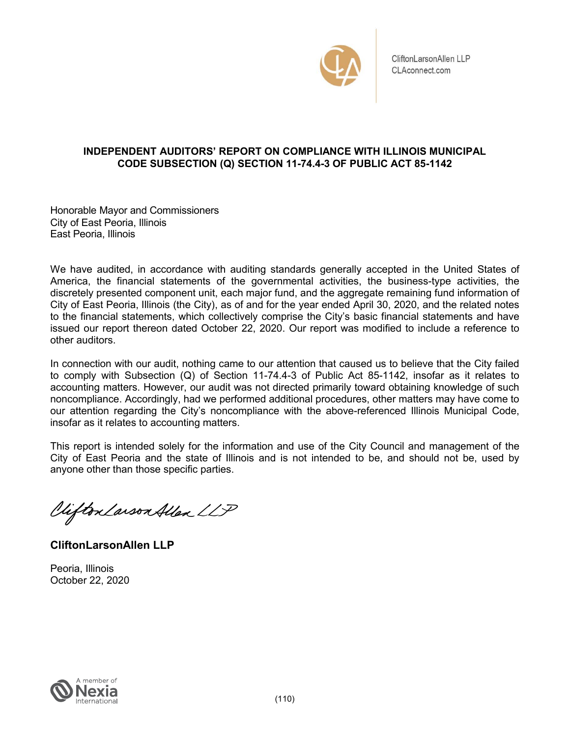

CliftonLarsonAllen LLP CLAconnect.com

# **INDEPENDENT AUDITORS' REPORT ON COMPLIANCE WITH ILLINOIS MUNICIPAL CODE SUBSECTION (Q) SECTION 11-74.4-3 OF PUBLIC ACT 85-1142**

Honorable Mayor and Commissioners City of East Peoria, Illinois East Peoria, Illinois

We have audited, in accordance with auditing standards generally accepted in the United States of America, the financial statements of the governmental activities, the business-type activities, the discretely presented component unit, each major fund, and the aggregate remaining fund information of City of East Peoria, Illinois (the City), as of and for the year ended April 30, 2020, and the related notes to the financial statements, which collectively comprise the City's basic financial statements and have issued our report thereon dated October 22, 2020. Our report was modified to include a reference to other auditors.

In connection with our audit, nothing came to our attention that caused us to believe that the City failed to comply with Subsection (Q) of Section 11-74.4-3 of Public Act 85-1142, insofar as it relates to accounting matters. However, our audit was not directed primarily toward obtaining knowledge of such noncompliance. Accordingly, had we performed additional procedures, other matters may have come to our attention regarding the City's noncompliance with the above-referenced Illinois Municipal Code, insofar as it relates to accounting matters.

This report is intended solely for the information and use of the City Council and management of the City of East Peoria and the state of Illinois and is not intended to be, and should not be, used by anyone other than those specific parties.

Viifton Larson Allen LLP

**CliftonLarsonAllen LLP**

Peoria, Illinois October 22, 2020

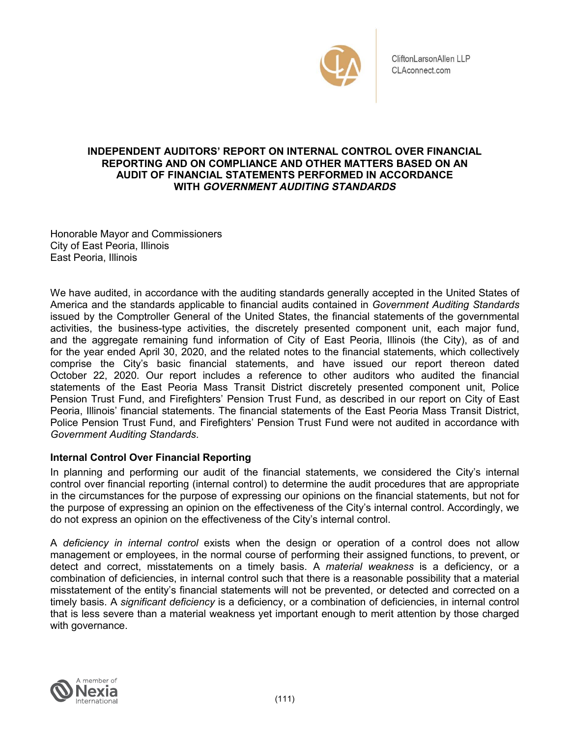

# **INDEPENDENT AUDITORS' REPORT ON INTERNAL CONTROL OVER FINANCIAL REPORTING AND ON COMPLIANCE AND OTHER MATTERS BASED ON AN AUDIT OF FINANCIAL STATEMENTS PERFORMED IN ACCORDANCE WITH GOVERNMENT AUDITING STANDARDS**

Honorable Mayor and Commissioners City of East Peoria, Illinois East Peoria, Illinois

We have audited, in accordance with the auditing standards generally accepted in the United States of America and the standards applicable to financial audits contained in *Government Auditing Standards* issued by the Comptroller General of the United States, the financial statements of the governmental activities, the business-type activities, the discretely presented component unit, each major fund, and the aggregate remaining fund information of City of East Peoria, Illinois (the City), as of and for the year ended April 30, 2020, and the related notes to the financial statements, which collectively comprise the City's basic financial statements, and have issued our report thereon dated October 22, 2020. Our report includes a reference to other auditors who audited the financial statements of the East Peoria Mass Transit District discretely presented component unit, Police Pension Trust Fund, and Firefighters' Pension Trust Fund, as described in our report on City of East Peoria, Illinois' financial statements. The financial statements of the East Peoria Mass Transit District, Police Pension Trust Fund, and Firefighters' Pension Trust Fund were not audited in accordance with *Government Auditing Standards*.

# **Internal Control Over Financial Reporting**

In planning and performing our audit of the financial statements, we considered the City's internal control over financial reporting (internal control) to determine the audit procedures that are appropriate in the circumstances for the purpose of expressing our opinions on the financial statements, but not for the purpose of expressing an opinion on the effectiveness of the City's internal control. Accordingly, we do not express an opinion on the effectiveness of the City's internal control.

A *deficiency in internal control* exists when the design or operation of a control does not allow management or employees, in the normal course of performing their assigned functions, to prevent, or detect and correct, misstatements on a timely basis. A *material weakness* is a deficiency, or a combination of deficiencies, in internal control such that there is a reasonable possibility that a material misstatement of the entity's financial statements will not be prevented, or detected and corrected on a timely basis. A *significant deficiency* is a deficiency, or a combination of deficiencies, in internal control that is less severe than a material weakness yet important enough to merit attention by those charged with governance.

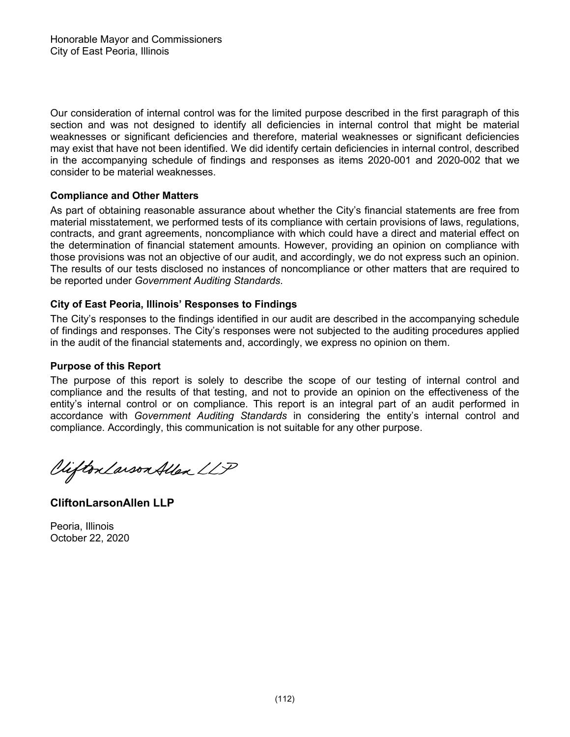Our consideration of internal control was for the limited purpose described in the first paragraph of this section and was not designed to identify all deficiencies in internal control that might be material weaknesses or significant deficiencies and therefore, material weaknesses or significant deficiencies may exist that have not been identified. We did identify certain deficiencies in internal control, described in the accompanying schedule of findings and responses as items 2020-001 and 2020-002 that we consider to be material weaknesses.

# **Compliance and Other Matters**

As part of obtaining reasonable assurance about whether the City's financial statements are free from material misstatement, we performed tests of its compliance with certain provisions of laws, regulations, contracts, and grant agreements, noncompliance with which could have a direct and material effect on the determination of financial statement amounts. However, providing an opinion on compliance with those provisions was not an objective of our audit, and accordingly, we do not express such an opinion. The results of our tests disclosed no instances of noncompliance or other matters that are required to be reported under *Government Auditing Standards*.

# **City of East Peoria, Illinois' Responses to Findings**

The City's responses to the findings identified in our audit are described in the accompanying schedule of findings and responses. The City's responses were not subjected to the auditing procedures applied in the audit of the financial statements and, accordingly, we express no opinion on them.

# **Purpose of this Report**

The purpose of this report is solely to describe the scope of our testing of internal control and compliance and the results of that testing, and not to provide an opinion on the effectiveness of the entity's internal control or on compliance. This report is an integral part of an audit performed in accordance with *Government Auditing Standards* in considering the entity's internal control and compliance. Accordingly, this communication is not suitable for any other purpose.

Viifton Larson Allen LLP

**CliftonLarsonAllen LLP**

Peoria, Illinois October 22, 2020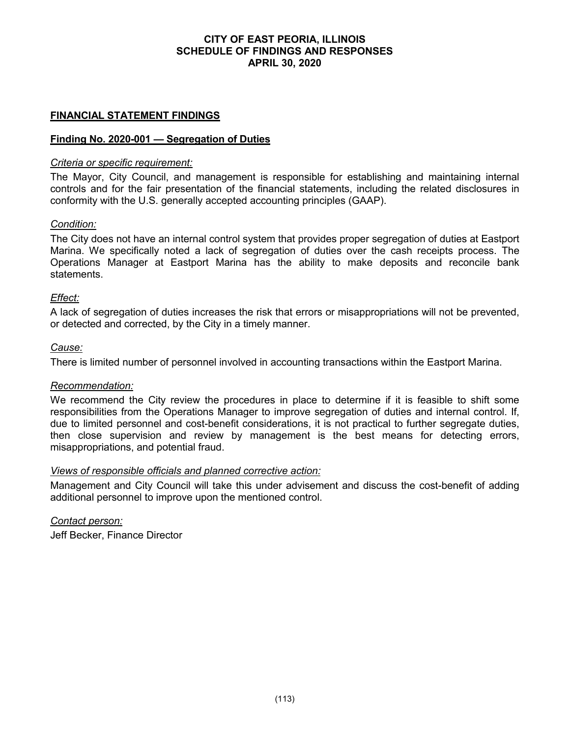### **CITY OF EAST PEORIA, ILLINOIS SCHEDULE OF FINDINGS AND RESPONSES APRIL 30, 2020**

# **FINANCIAL STATEMENT FINDINGS**

# **Finding No. 2020-001 — Segregation of Duties**

#### *Criteria or specific requirement:*

The Mayor, City Council, and management is responsible for establishing and maintaining internal controls and for the fair presentation of the financial statements, including the related disclosures in conformity with the U.S. generally accepted accounting principles (GAAP).

#### *Condition:*

The City does not have an internal control system that provides proper segregation of duties at Eastport Marina. We specifically noted a lack of segregation of duties over the cash receipts process. The Operations Manager at Eastport Marina has the ability to make deposits and reconcile bank statements.

#### *Effect:*

A lack of segregation of duties increases the risk that errors or misappropriations will not be prevented, or detected and corrected, by the City in a timely manner.

#### *Cause:*

There is limited number of personnel involved in accounting transactions within the Eastport Marina.

#### *Recommendation:*

We recommend the City review the procedures in place to determine if it is feasible to shift some responsibilities from the Operations Manager to improve segregation of duties and internal control. If, due to limited personnel and cost-benefit considerations, it is not practical to further segregate duties, then close supervision and review by management is the best means for detecting errors, misappropriations, and potential fraud.

#### *Views of responsible officials and planned corrective action:*

Management and City Council will take this under advisement and discuss the cost-benefit of adding additional personnel to improve upon the mentioned control.

#### *Contact person:*

Jeff Becker, Finance Director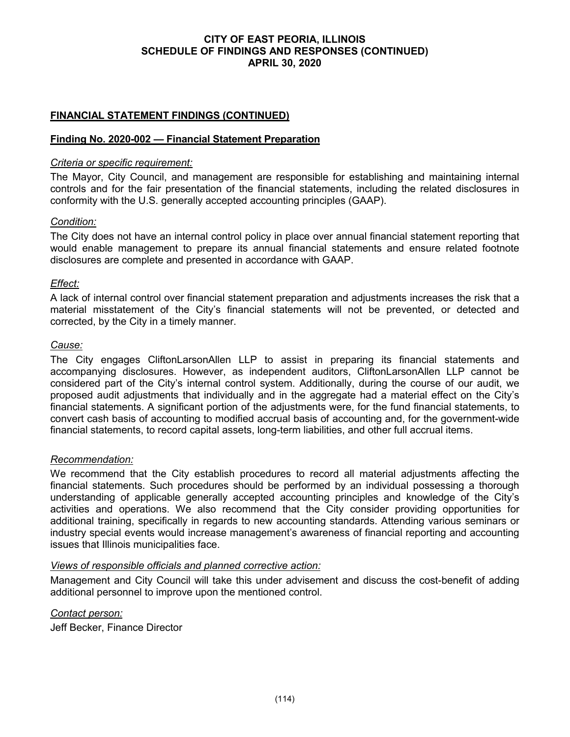### **CITY OF EAST PEORIA, ILLINOIS SCHEDULE OF FINDINGS AND RESPONSES (CONTINUED) APRIL 30, 2020**

# **FINANCIAL STATEMENT FINDINGS (CONTINUED)**

### **Finding No. 2020-002 — Financial Statement Preparation**

#### *Criteria or specific requirement:*

The Mayor, City Council, and management are responsible for establishing and maintaining internal controls and for the fair presentation of the financial statements, including the related disclosures in conformity with the U.S. generally accepted accounting principles (GAAP).

# *Condition:*

The City does not have an internal control policy in place over annual financial statement reporting that would enable management to prepare its annual financial statements and ensure related footnote disclosures are complete and presented in accordance with GAAP.

# *Effect:*

A lack of internal control over financial statement preparation and adjustments increases the risk that a material misstatement of the City's financial statements will not be prevented, or detected and corrected, by the City in a timely manner.

#### *Cause:*

The City engages CliftonLarsonAllen LLP to assist in preparing its financial statements and accompanying disclosures. However, as independent auditors, CliftonLarsonAllen LLP cannot be considered part of the City's internal control system. Additionally, during the course of our audit, we proposed audit adjustments that individually and in the aggregate had a material effect on the City's financial statements. A significant portion of the adjustments were, for the fund financial statements, to convert cash basis of accounting to modified accrual basis of accounting and, for the government-wide financial statements, to record capital assets, long-term liabilities, and other full accrual items.

#### *Recommendation:*

We recommend that the City establish procedures to record all material adjustments affecting the financial statements. Such procedures should be performed by an individual possessing a thorough understanding of applicable generally accepted accounting principles and knowledge of the City's activities and operations. We also recommend that the City consider providing opportunities for additional training, specifically in regards to new accounting standards. Attending various seminars or industry special events would increase management's awareness of financial reporting and accounting issues that Illinois municipalities face.

#### *Views of responsible officials and planned corrective action:*

Management and City Council will take this under advisement and discuss the cost-benefit of adding additional personnel to improve upon the mentioned control.

#### *Contact person:*

Jeff Becker, Finance Director